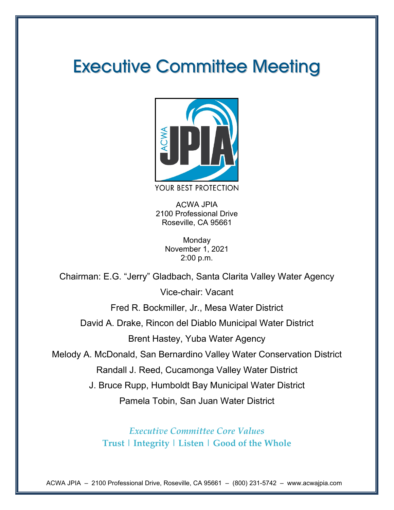# Executive Committee Meeting



YOUR BEST PROTECTION

ACWA JPIA 2100 Professional Drive Roseville, CA 95661

> **Monday** November 1, 2021 2:00 p.m.

Chairman: E.G. "Jerry" Gladbach, Santa Clarita Valley Water Agency

Vice-chair: Vacant

Fred R. Bockmiller, Jr., Mesa Water District

David A. Drake, Rincon del Diablo Municipal Water District

Brent Hastey, Yuba Water Agency

Melody A. McDonald, San Bernardino Valley Water Conservation District

Randall J. Reed, Cucamonga Valley Water District

J. Bruce Rupp, Humboldt Bay Municipal Water District

Pamela Tobin, San Juan Water District

*Executive Committee Core Values* **Trust | Integrity | Listen | Good of the Whole** 

ACWA JPIA – 2100 Professional Drive, Roseville, CA 95661 – (800) 231-5742 – www.acwajpia.com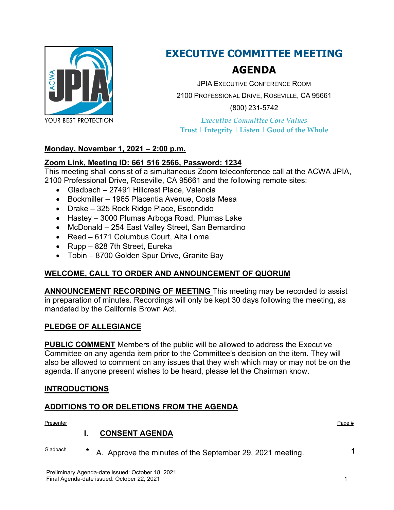

## **EXECUTIVE COMMITTEE MEETING**

## **AGENDA**

JPIA EXECUTIVE CONFERENCE ROOM 2100 PROFESSIONAL DRIVE, ROSEVILLE, CA 95661 (800) 231-5742

*Executive Committee Core Values* **Trust | Integrity | Listen | Good of the Whole**

## **Monday, November 1, 2021 – 2:00 p.m.**

## **Zoom [Link,](https://us02web.zoom.us/j/6615162566?pwd=azhrRU1uR3ZrZVRLd0EyakthWHQ4dz09) Meeting ID: 661 516 2566, Password: 1234**

This meeting shall consist of a simultaneous Zoom teleconference call at the ACWA JPIA, 2100 Professional Drive, Roseville, CA 95661 and the following remote sites:

- Gladbach 27491 Hillcrest Place, Valencia
- Bockmiller 1965 Placentia Avenue, Costa Mesa
- Drake 325 Rock Ridge Place, Escondido
- Hastey 3000 Plumas Arboga Road, Plumas Lake
- McDonald 254 East Valley Street, San Bernardino
- Reed 6171 Columbus Court, Alta Loma
- Rupp 828 7th Street, Eureka
- Tobin 8700 Golden Spur Drive, Granite Bay

## **WELCOME, CALL TO ORDER AND ANNOUNCEMENT OF QUORUM**

**ANNOUNCEMENT RECORDING OF MEETING** This meeting may be recorded to assist in preparation of minutes. Recordings will only be kept 30 days following the meeting, as mandated by the California Brown Act.

## **PLEDGE OF ALLEGIANCE**

**PUBLIC COMMENT** Members of the public will be allowed to address the Executive Committee on any agenda item prior to the Committee's decision on the item. They will also be allowed to comment on any issues that they wish which may or may not be on the agenda. If anyone present wishes to be heard, please let the Chairman know.

## **INTRODUCTIONS**

## **ADDITIONS TO OR DELETIONS FROM THE AGENDA**

Presenter Page # Page # Page # Page # Page # Page # Page # Page # Page # Page # Page # Page # Page # Page # Page # Page # Page # Page # Page # Page # Page # Page # Page # Page # Page # Page # Page # Page # Page # Page # Pa

## **I. CONSENT AGENDA**

Gladbach **\*** A. Approve the minutes of the September 29, 2021 meeting. **1**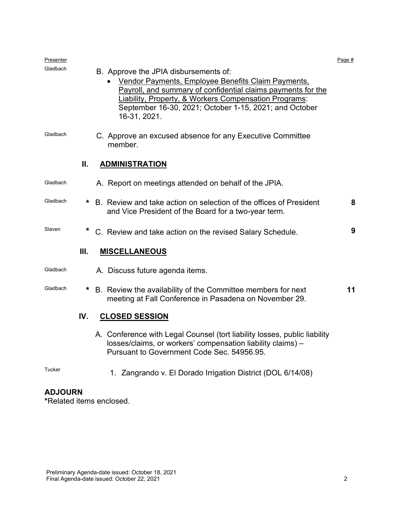| Presenter |      |                                                                                                                                                                                                                                                                                                           | Page # |
|-----------|------|-----------------------------------------------------------------------------------------------------------------------------------------------------------------------------------------------------------------------------------------------------------------------------------------------------------|--------|
| Gladbach  |      | B. Approve the JPIA disbursements of:<br>Vendor Payments, Employee Benefits Claim Payments,<br>Payroll, and summary of confidential claims payments for the<br><b>Liability, Property, &amp; Workers Compensation Programs:</b><br>September 16-30, 2021; October 1-15, 2021; and October<br>16-31, 2021. |        |
| Gladbach  |      | C. Approve an excused absence for any Executive Committee<br>member.                                                                                                                                                                                                                                      |        |
|           | Ш.   | <b>ADMINISTRATION</b>                                                                                                                                                                                                                                                                                     |        |
| Gladbach  |      | A. Report on meetings attended on behalf of the JPIA.                                                                                                                                                                                                                                                     |        |
| Gladbach  | *    | B. Review and take action on selection of the offices of President<br>and Vice President of the Board for a two-year term.                                                                                                                                                                                | 8      |
| Slaven    | *    | C. Review and take action on the revised Salary Schedule.                                                                                                                                                                                                                                                 | 9      |
|           | III. | <b>MISCELLANEOUS</b>                                                                                                                                                                                                                                                                                      |        |
| Gladbach  |      | A. Discuss future agenda items.                                                                                                                                                                                                                                                                           |        |
| Gladbach  | *    | B. Review the availability of the Committee members for next<br>meeting at Fall Conference in Pasadena on November 29.                                                                                                                                                                                    | 11     |
|           | IV.  | <b>CLOSED SESSION</b>                                                                                                                                                                                                                                                                                     |        |
|           |      | A. Conference with Legal Counsel (tort liability losses, public liability<br>losses/claims, or workers' compensation liability claims) -<br>Pursuant to Government Code Sec. 54956.95.                                                                                                                    |        |
| Tucker    |      | 1. Zangrando v. El Dorado Irrigation District (DOL 6/14/08)                                                                                                                                                                                                                                               |        |

## **ADJOURN**

**\***Related items enclosed.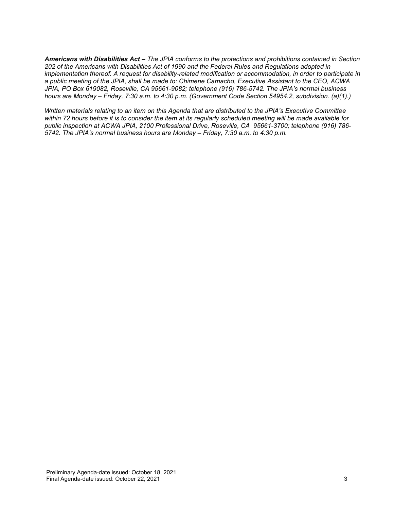*Americans with Disabilities Act – The JPIA conforms to the protections and prohibitions contained in Section 202 of the Americans with Disabilities Act of 1990 and the Federal Rules and Regulations adopted in implementation thereof. A request for disability-related modification or accommodation, in order to participate in a public meeting of the JPIA, shall be made to: Chimene Camacho, Executive Assistant to the CEO, ACWA JPIA, PO Box 619082, Roseville, CA 95661-9082; telephone (916) 786-5742. The JPIA's normal business hours are Monday – Friday, 7:30 a.m. to 4:30 p.m. (Government Code Section 54954.2, subdivision. (a)(1).)*

*Written materials relating to an item on this Agenda that are distributed to the JPIA's Executive Committee within 72 hours before it is to consider the item at its regularly scheduled meeting will be made available for public inspection at ACWA JPIA, 2100 Professional Drive, Roseville, CA 95661-3700; telephone (916) 786- 5742. The JPIA's normal business hours are Monday – Friday, 7:30 a.m. to 4:30 p.m.*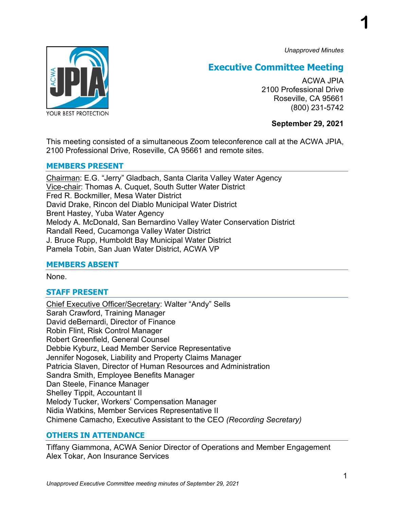*Unapproved Minutes*

**1**



## **Executive Committee Meeting**

ACWA JPIA 2100 Professional Drive Roseville, CA 95661 (800) 231-5742

## **September 29, 2021**

This meeting consisted of a simultaneous Zoom teleconference call at the ACWA JPIA, 2100 Professional Drive, Roseville, CA 95661 and remote sites.

## **MEMBERS PRESENT**

Chairman: E.G. "Jerry" Gladbach, Santa Clarita Valley Water Agency Vice-chair: Thomas A. Cuquet, South Sutter Water District Fred R. Bockmiller, Mesa Water District David Drake, Rincon del Diablo Municipal Water District Brent Hastey, Yuba Water Agency Melody A. McDonald, San Bernardino Valley Water Conservation District Randall Reed, Cucamonga Valley Water District J. Bruce Rupp, Humboldt Bay Municipal Water District Pamela Tobin, San Juan Water District, ACWA VP

## **MEMBERS ABSENT**

None.

## **STAFF PRESENT**

Chief Executive Officer/Secretary: Walter "Andy" Sells Sarah Crawford, Training Manager David deBernardi, Director of Finance Robin Flint, Risk Control Manager Robert Greenfield, General Counsel Debbie Kyburz, Lead Member Service Representative Jennifer Nogosek, Liability and Property Claims Manager Patricia Slaven, Director of Human Resources and Administration Sandra Smith, Employee Benefits Manager Dan Steele, Finance Manager Shelley Tippit, Accountant II Melody Tucker, Workers' Compensation Manager Nidia Watkins, Member Services Representative II Chimene Camacho, Executive Assistant to the CEO *(Recording Secretary)*

## **OTHERS IN ATTENDANCE**

Tiffany Giammona, ACWA Senior Director of Operations and Member Engagement Alex Tokar, Aon Insurance Services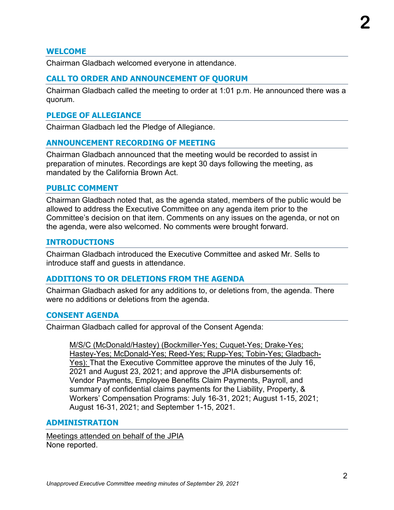## **WELCOME**

Chairman Gladbach welcomed everyone in attendance.

## **CALL TO ORDER AND ANNOUNCEMENT OF QUORUM**

Chairman Gladbach called the meeting to order at 1:01 p.m. He announced there was a quorum.

## **PLEDGE OF ALLEGIANCE**

Chairman Gladbach led the Pledge of Allegiance.

## **ANNOUNCEMENT RECORDING OF MEETING**

Chairman Gladbach announced that the meeting would be recorded to assist in preparation of minutes. Recordings are kept 30 days following the meeting, as mandated by the California Brown Act.

## **PUBLIC COMMENT**

Chairman Gladbach noted that, as the agenda stated, members of the public would be allowed to address the Executive Committee on any agenda item prior to the Committee's decision on that item. Comments on any issues on the agenda, or not on the agenda, were also welcomed. No comments were brought forward.

## **INTRODUCTIONS**

Chairman Gladbach introduced the Executive Committee and asked Mr. Sells to introduce staff and guests in attendance.

## **ADDITIONS TO OR DELETIONS FROM THE AGENDA**

Chairman Gladbach asked for any additions to, or deletions from, the agenda. There were no additions or deletions from the agenda.

## **CONSENT AGENDA**

Chairman Gladbach called for approval of the Consent Agenda:

M/S/C (McDonald/Hastey) (Bockmiller-Yes; Cuquet-Yes; Drake-Yes; Hastey-Yes; McDonald-Yes; Reed-Yes; Rupp-Yes; Tobin-Yes; Gladbach-Yes): That the Executive Committee approve the minutes of the July 16, 2021 and August 23, 2021; and approve the JPIA disbursements of: Vendor Payments, Employee Benefits Claim Payments, Payroll, and summary of confidential claims payments for the Liability, Property, & Workers' Compensation Programs: July 16-31, 2021; August 1-15, 2021; August 16-31, 2021; and September 1-15, 2021.

## **ADMINISTRATION**

Meetings attended on behalf of the JPIA None reported.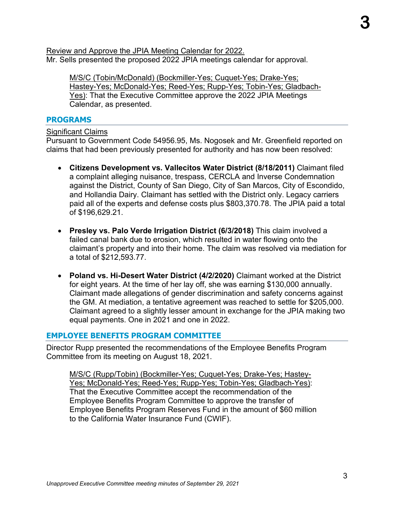Review and Approve the JPIA Meeting Calendar for 2022. Mr. Sells presented the proposed 2022 JPIA meetings calendar for approval.

M/S/C (Tobin/McDonald) (Bockmiller-Yes; Cuquet-Yes; Drake-Yes; Hastey-Yes; McDonald-Yes; Reed-Yes; Rupp-Yes; Tobin-Yes; Gladbach-Yes): That the Executive Committee approve the 2022 JPIA Meetings Calendar, as presented.

## **PROGRAMS**

Significant Claims

Pursuant to Government Code 54956.95, Ms. Nogosek and Mr. Greenfield reported on claims that had been previously presented for authority and has now been resolved:

- **Citizens Development vs. Vallecitos Water District (8/18/2011)** Claimant filed a complaint alleging nuisance, trespass, CERCLA and Inverse Condemnation against the District, County of San Diego, City of San Marcos, City of Escondido, and Hollandia Dairy. Claimant has settled with the District only. Legacy carriers paid all of the experts and defense costs plus \$803,370.78. The JPIA paid a total of \$196,629.21.
- **Presley vs. Palo Verde Irrigation District (6/3/2018)** This claim involved a failed canal bank due to erosion, which resulted in water flowing onto the claimant's property and into their home. The claim was resolved via mediation for a total of \$212,593.77.
- **Poland vs. Hi-Desert Water District (4/2/2020)** Claimant worked at the District for eight years. At the time of her lay off, she was earning \$130,000 annually. Claimant made allegations of gender discrimination and safety concerns against the GM. At mediation, a tentative agreement was reached to settle for \$205,000. Claimant agreed to a slightly lesser amount in exchange for the JPIA making two equal payments. One in 2021 and one in 2022.

## **EMPLOYEE BENEFITS PROGRAM COMMITTEE**

Director Rupp presented the recommendations of the Employee Benefits Program Committee from its meeting on August 18, 2021.

M/S/C (Rupp/Tobin) (Bockmiller-Yes; Cuquet-Yes; Drake-Yes; Hastey-Yes; McDonald-Yes; Reed-Yes; Rupp-Yes; Tobin-Yes; Gladbach-Yes): That the Executive Committee accept the recommendation of the Employee Benefits Program Committee to approve the transfer of Employee Benefits Program Reserves Fund in the amount of \$60 million to the California Water Insurance Fund (CWIF).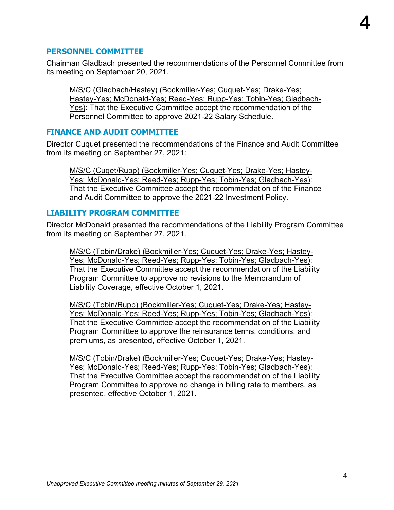## **PERSONNEL COMMITTEE**

Chairman Gladbach presented the recommendations of the Personnel Committee from its meeting on September 20, 2021.

M/S/C (Gladbach/Hastey) (Bockmiller-Yes; Cuquet-Yes; Drake-Yes; Hastey-Yes; McDonald-Yes; Reed-Yes; Rupp-Yes; Tobin-Yes; Gladbach-Yes): That the Executive Committee accept the recommendation of the Personnel Committee to approve 2021-22 Salary Schedule.

## **FINANCE AND AUDIT COMMITTEE**

Director Cuquet presented the recommendations of the Finance and Audit Committee from its meeting on September 27, 2021:

M/S/C (Cuqet/Rupp) (Bockmiller-Yes; Cuquet-Yes; Drake-Yes; Hastey-Yes; McDonald-Yes; Reed-Yes; Rupp-Yes; Tobin-Yes; Gladbach-Yes): That the Executive Committee accept the recommendation of the Finance and Audit Committee to approve the 2021-22 Investment Policy.

## **LIABILITY PROGRAM COMMITTEE**

Director McDonald presented the recommendations of the Liability Program Committee from its meeting on September 27, 2021.

M/S/C (Tobin/Drake) (Bockmiller-Yes; Cuquet-Yes; Drake-Yes; Hastey-Yes; McDonald-Yes; Reed-Yes; Rupp-Yes; Tobin-Yes; Gladbach-Yes): That the Executive Committee accept the recommendation of the Liability Program Committee to approve no revisions to the Memorandum of Liability Coverage, effective October 1, 2021.

M/S/C (Tobin/Rupp) (Bockmiller-Yes; Cuquet-Yes; Drake-Yes; Hastey-Yes; McDonald-Yes; Reed-Yes; Rupp-Yes; Tobin-Yes; Gladbach-Yes): That the Executive Committee accept the recommendation of the Liability Program Committee to approve the reinsurance terms, conditions, and premiums, as presented, effective October 1, 2021.

M/S/C (Tobin/Drake) (Bockmiller-Yes; Cuquet-Yes; Drake-Yes; Hastey-Yes; McDonald-Yes; Reed-Yes; Rupp-Yes; Tobin-Yes; Gladbach-Yes): That the Executive Committee accept the recommendation of the Liability Program Committee to approve no change in billing rate to members, as presented, effective October 1, 2021.

**4**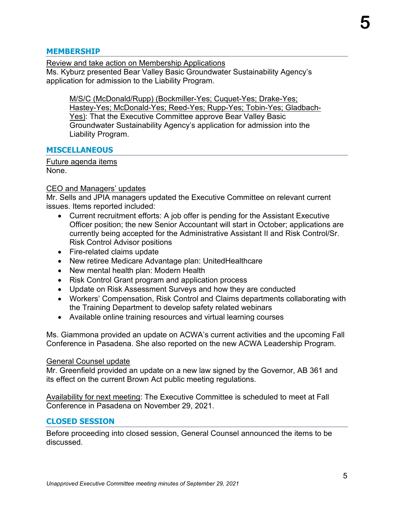## **MEMBERSHIP**

Review and take action on Membership Applications

Ms. Kyburz presented Bear Valley Basic Groundwater Sustainability Agency's application for admission to the Liability Program.

M/S/C (McDonald/Rupp) (Bockmiller-Yes; Cuquet-Yes; Drake-Yes; Hastey-Yes; McDonald-Yes; Reed-Yes; Rupp-Yes; Tobin-Yes; Gladbach-Yes): That the Executive Committee approve Bear Valley Basic Groundwater Sustainability Agency's application for admission into the Liability Program.

## **MISCELLANEOUS**

Future agenda items None.

## CEO and Managers' updates

Mr. Sells and JPIA managers updated the Executive Committee on relevant current issues. Items reported included:

- Current recruitment efforts: A job offer is pending for the Assistant Executive Officer position; the new Senior Accountant will start in October; applications are currently being accepted for the Administrative Assistant II and Risk Control/Sr. Risk Control Advisor positions
- Fire-related claims update
- New retiree Medicare Advantage plan: UnitedHealthcare
- New mental health plan: Modern Health
- Risk Control Grant program and application process
- Update on Risk Assessment Surveys and how they are conducted
- Workers' Compensation, Risk Control and Claims departments collaborating with the Training Department to develop safety related webinars
- Available online training resources and virtual learning courses

Ms. Giammona provided an update on ACWA's current activities and the upcoming Fall Conference in Pasadena. She also reported on the new ACWA Leadership Program.

## General Counsel update

Mr. Greenfield provided an update on a new law signed by the Governor, AB 361 and its effect on the current Brown Act public meeting regulations.

Availability for next meeting: The Executive Committee is scheduled to meet at Fall Conference in Pasadena on November 29, 2021.

## **CLOSED SESSION**

Before proceeding into closed session, General Counsel announced the items to be discussed.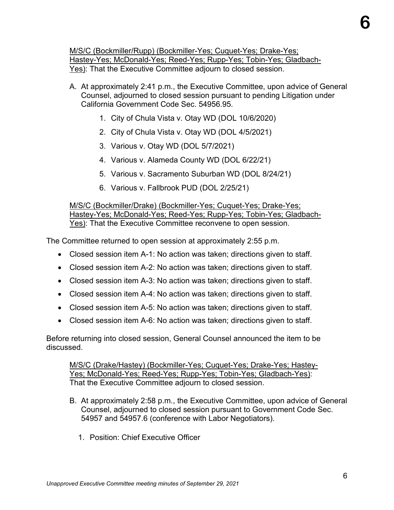M/S/C (Bockmiller/Rupp) (Bockmiller-Yes; Cuquet-Yes; Drake-Yes; Hastey-Yes; McDonald-Yes; Reed-Yes; Rupp-Yes; Tobin-Yes; Gladbach-Yes): That the Executive Committee adjourn to closed session.

- A. At approximately 2:41 p.m., the Executive Committee, upon advice of General Counsel, adjourned to closed session pursuant to pending Litigation under California Government Code Sec. 54956.95.
	- 1. City of Chula Vista v. Otay WD (DOL 10/6/2020)
	- 2. City of Chula Vista v. Otay WD (DOL 4/5/2021)
	- 3. Various v. Otay WD (DOL 5/7/2021)
	- 4. Various v. Alameda County WD (DOL 6/22/21)
	- 5. Various v. Sacramento Suburban WD (DOL 8/24/21)
	- 6. Various v. Fallbrook PUD (DOL 2/25/21)

M/S/C (Bockmiller/Drake) (Bockmiller-Yes; Cuquet-Yes; Drake-Yes; Hastey-Yes; McDonald-Yes; Reed-Yes; Rupp-Yes; Tobin-Yes; Gladbach-Yes): That the Executive Committee reconvene to open session.

The Committee returned to open session at approximately 2:55 p.m.

- Closed session item A-1: No action was taken; directions given to staff.
- Closed session item A-2: No action was taken; directions given to staff.
- Closed session item A-3: No action was taken; directions given to staff.
- Closed session item A-4: No action was taken; directions given to staff.
- Closed session item A-5: No action was taken; directions given to staff.
- Closed session item A-6: No action was taken; directions given to staff.

Before returning into closed session, General Counsel announced the item to be discussed.

M/S/C (Drake/Hastey) (Bockmiller-Yes; Cuquet-Yes; Drake-Yes; Hastey-Yes; McDonald-Yes; Reed-Yes; Rupp-Yes; Tobin-Yes; Gladbach-Yes): That the Executive Committee adjourn to closed session.

- B. At approximately 2:58 p.m., the Executive Committee, upon advice of General Counsel, adjourned to closed session pursuant to Government Code Sec. 54957 and 54957.6 (conference with Labor Negotiators).
	- 1. Position: Chief Executive Officer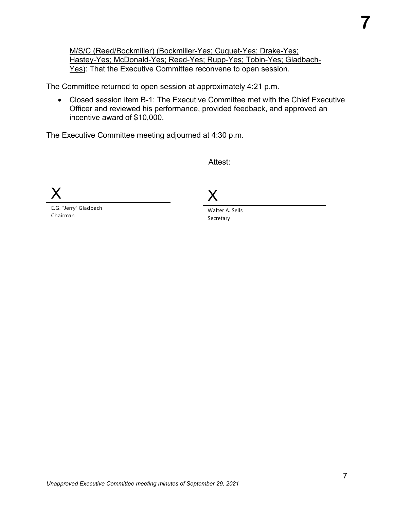M/S/C (Reed/Bockmiller) (Bockmiller-Yes; Cuquet-Yes; Drake-Yes; Hastey-Yes; McDonald-Yes; Reed-Yes; Rupp-Yes; Tobin-Yes; Gladbach-Yes): That the Executive Committee reconvene to open session.

The Committee returned to open session at approximately 4:21 p.m.

• Closed session item B-1: The Executive Committee met with the Chief Executive Officer and reviewed his performance, provided feedback, and approved an incentive award of \$10,000.

The Executive Committee meeting adjourned at 4:30 p.m.

Attest:

X

E.G. "Jerry" Gladbach Chairman

X

Walter A. Sells Secretary

**7**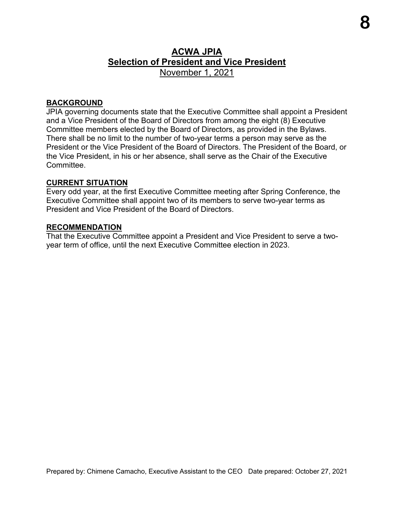## **ACWA JPIA Selection of President and Vice President** November 1, 2021

## **BACKGROUND**

JPIA governing documents state that the Executive Committee shall appoint a President and a Vice President of the Board of Directors from among the eight (8) Executive Committee members elected by the Board of Directors, as provided in the Bylaws. There shall be no limit to the number of two-year terms a person may serve as the President or the Vice President of the Board of Directors. The President of the Board, or the Vice President, in his or her absence, shall serve as the Chair of the Executive Committee.

#### **CURRENT SITUATION**

Every odd year, at the first Executive Committee meeting after Spring Conference, the Executive Committee shall appoint two of its members to serve two-year terms as President and Vice President of the Board of Directors.

#### **RECOMMENDATION**

That the Executive Committee appoint a President and Vice President to serve a twoyear term of office, until the next Executive Committee election in 2023.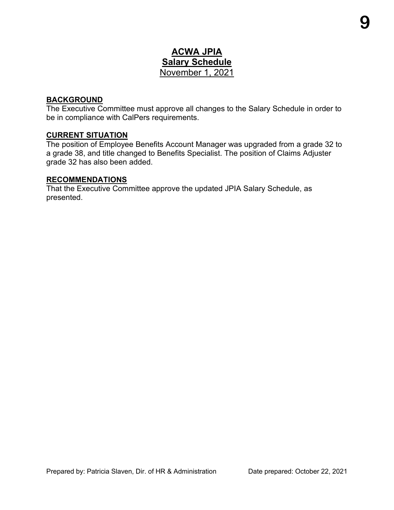## **ACWA JPIA Salary Schedule**  November 1, 2021

## **BACKGROUND**

The Executive Committee must approve all changes to the Salary Schedule in order to be in compliance with CalPers requirements.

## **CURRENT SITUATION**

The position of Employee Benefits Account Manager was upgraded from a grade 32 to a grade 38, and title changed to Benefits Specialist. The position of Claims Adjuster grade 32 has also been added.

## **RECOMMENDATIONS**

That the Executive Committee approve the updated JPIA Salary Schedule, as presented.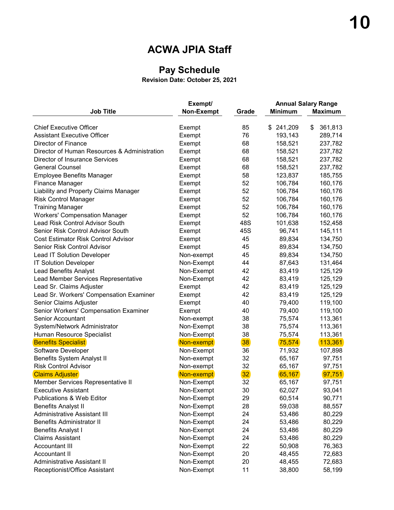## **ACWA JPIA Staff**

## **Pay Schedule**

**Revision Date: October 25, 2021**

|                                              | Exempt/    |       |                | <b>Annual Salary Range</b> |
|----------------------------------------------|------------|-------|----------------|----------------------------|
| <b>Job Title</b>                             | Non-Exempt | Grade | <b>Minimum</b> | <b>Maximum</b>             |
| <b>Chief Executive Officer</b>               | Exempt     | 85    | \$241,209      | \$<br>361,813              |
| <b>Assistant Executive Officer</b>           | Exempt     | 76    | 193,143        | 289,714                    |
| Director of Finance                          | Exempt     | 68    | 158,521        | 237,782                    |
| Director of Human Resources & Administration | Exempt     | 68    | 158,521        | 237,782                    |
| <b>Director of Insurance Services</b>        | Exempt     | 68    | 158,521        | 237,782                    |
| <b>General Counsel</b>                       | Exempt     | 68    | 158,521        | 237,782                    |
| <b>Employee Benefits Manager</b>             | Exempt     | 58    | 123,837        | 185,755                    |
| <b>Finance Manager</b>                       | Exempt     | 52    | 106,784        | 160,176                    |
| Liability and Property Claims Manager        | Exempt     | 52    | 106,784        | 160,176                    |
| <b>Risk Control Manager</b>                  | Exempt     | 52    | 106,784        | 160,176                    |
| <b>Training Manager</b>                      | Exempt     | 52    | 106,784        | 160,176                    |
| <b>Workers' Compensation Manager</b>         | Exempt     | 52    | 106,784        | 160,176                    |
| Lead Risk Control Advisor South              | Exempt     | 48S   | 101,638        | 152,458                    |
| Senior Risk Control Advisor South            | Exempt     | 45S   | 96,741         | 145,111                    |
| <b>Cost Estimator Risk Control Advisor</b>   | Exempt     | 45    | 89,834         | 134,750                    |
| Senior Risk Control Advisor                  | Exempt     | 45    | 89,834         | 134,750                    |
| <b>Lead IT Solution Developer</b>            | Non-exempt | 45    | 89,834         | 134,750                    |
| <b>IT Solution Developer</b>                 | Non-Exempt | 44    | 87,643         | 131,464                    |
| <b>Lead Benefits Analyst</b>                 | Non-Exempt | 42    | 83,419         | 125,129                    |
| Lead Member Services Representative          | Non-Exempt | 42    | 83,419         | 125,129                    |
| Lead Sr. Claims Adjuster                     | Exempt     | 42    | 83,419         | 125,129                    |
| Lead Sr. Workers' Compensation Examiner      | Exempt     | 42    | 83,419         | 125,129                    |
| Senior Claims Adjuster                       | Exempt     | 40    | 79,400         | 119,100                    |
| Senior Workers' Compensation Examiner        | Exempt     | 40    | 79,400         | 119,100                    |
| <b>Senior Accountant</b>                     | Non-exempt | 38    | 75,574         | 113,361                    |
| System/Network Administrator                 | Non-Exempt | 38    | 75,574         | 113,361                    |
| Human Resource Specialist                    | Non-Exempt | 38    | 75,574         | 113,361                    |
| <b>Benefits Specialist</b>                   | Non-exempt | 38    | 75,574         | 113,361                    |
| Software Developer                           | Non-Exempt | 36    | 71,932         | 107,898                    |
| <b>Benefits System Analyst II</b>            | Non-exempt | 32    | 65,167         | 97,751                     |
| <b>Risk Control Advisor</b>                  | Non-exempt | 32    | 65,167         | 97,751                     |
| <b>Claims Adjuster</b>                       | Non-exempt | 32    | 65,167         | 97,751                     |
| Member Services Representative II            | Non-Exempt | 32    | 65,167         | 97,751                     |
| <b>Executive Assistant</b>                   | Non-Exempt | 30    | 62,027         | 93,041                     |
| Publications & Web Editor                    | Non-Exempt | 29    | 60,514         | 90,771                     |
| <b>Benefits Analyst II</b>                   | Non-Exempt | 28    | 59,038         | 88,557                     |
| <b>Administrative Assistant III</b>          | Non-Exempt | 24    | 53,486         | 80,229                     |
| <b>Benefits Administrator II</b>             | Non-Exempt | 24    | 53,486         | 80,229                     |
| <b>Benefits Analyst I</b>                    | Non-Exempt | 24    | 53,486         | 80,229                     |
| <b>Claims Assistant</b>                      | Non-Exempt | 24    | 53,486         | 80,229                     |
| <b>Accountant III</b>                        | Non-Exempt | 22    | 50,908         | 76,363                     |
| <b>Accountant II</b>                         | Non-Exempt | 20    | 48,455         | 72,683                     |
| <b>Administrative Assistant II</b>           | Non-Exempt | 20    | 48,455         | 72,683                     |
| Receptionist/Office Assistant                | Non-Exempt | 11    | 38,800         | 58,199                     |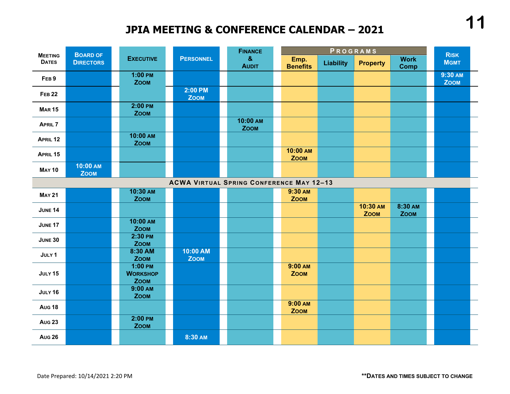## **JPIA MEETING & CONFERENCE CALENDAR – 2021**

| <b>MEETING</b>   | <b>BOARD OF</b>         | PROGRAMS<br><b>FINANCE</b> |                                             | <b>RISK</b>             |                                                 |                         |                  |                         |                            |                        |
|------------------|-------------------------|----------------------------|---------------------------------------------|-------------------------|-------------------------------------------------|-------------------------|------------------|-------------------------|----------------------------|------------------------|
| <b>DATES</b>     | <b>DIRECTORS</b>        |                            | <b>EXECUTIVE</b>                            | <b>PERSONNEL</b>        | $\pmb{8}$<br><b>AUDIT</b>                       | Emp.<br><b>Benefits</b> | <b>Liability</b> | <b>Property</b>         | <b>Work</b><br><b>Comp</b> | <b>MGMT</b>            |
| FEB <sub>9</sub> |                         |                            | $1:00$ PM<br><b>ZOOM</b>                    |                         |                                                 |                         |                  |                         |                            | 9:30 AM<br><b>ZOOM</b> |
| <b>FEB 22</b>    |                         |                            |                                             | 2:00 PM<br><b>ZOOM</b>  |                                                 |                         |                  |                         |                            |                        |
| <b>MAR15</b>     |                         |                            | $2:00$ PM<br><b>ZOOM</b>                    |                         |                                                 |                         |                  |                         |                            |                        |
| <b>APRIL 7</b>   |                         |                            |                                             |                         | 10:00 AM<br><b>ZOOM</b>                         |                         |                  |                         |                            |                        |
| APRIL 12         |                         |                            | 10:00 AM<br><b>ZOOM</b>                     |                         |                                                 |                         |                  |                         |                            |                        |
| APRIL 15         |                         |                            |                                             |                         |                                                 | 10:00 AM<br><b>ZOOM</b> |                  |                         |                            |                        |
| <b>MAY 10</b>    | 10:00 AM<br><b>ZOOM</b> |                            |                                             |                         |                                                 |                         |                  |                         |                            |                        |
|                  |                         |                            |                                             |                         | <b>ACWA VIRTUAL SPRING CONFERENCE MAY 12-13</b> |                         |                  |                         |                            |                        |
| <b>MAY 21</b>    |                         |                            | 10:30 AM<br><b>ZOOM</b>                     |                         |                                                 | 9:30 AM<br><b>ZOOM</b>  |                  |                         |                            |                        |
| <b>JUNE 14</b>   |                         |                            |                                             |                         |                                                 |                         |                  | 10:30 AM<br><b>ZOOM</b> | 8:30 AM<br><b>ZOOM</b>     |                        |
| JUNE 17          |                         |                            | 10:00 AM<br><b>ZOOM</b>                     |                         |                                                 |                         |                  |                         |                            |                        |
| <b>JUNE 30</b>   |                         |                            | 2:30 PM<br><b>ZOOM</b>                      |                         |                                                 |                         |                  |                         |                            |                        |
| JULY 1           |                         |                            | 8:30 AM<br><b>ZOOM</b>                      | 10:00 AM<br><b>ZOOM</b> |                                                 |                         |                  |                         |                            |                        |
| JULY 15          |                         |                            | $1:00$ PM<br><b>WORKSHOP</b><br><b>ZOOM</b> |                         |                                                 | 9:00 AM<br><b>ZOOM</b>  |                  |                         |                            |                        |
| JULY 16          |                         |                            | 9:00 AM<br><b>ZOOM</b>                      |                         |                                                 |                         |                  |                         |                            |                        |
| <b>Aug 18</b>    |                         |                            |                                             |                         |                                                 | 9:00 AM<br><b>ZOOM</b>  |                  |                         |                            |                        |
| <b>Aug 23</b>    |                         |                            | 2:00 PM<br><b>ZOOM</b>                      |                         |                                                 |                         |                  |                         |                            |                        |
| <b>Aug 26</b>    |                         |                            |                                             | 8:30 AM                 |                                                 |                         |                  |                         |                            |                        |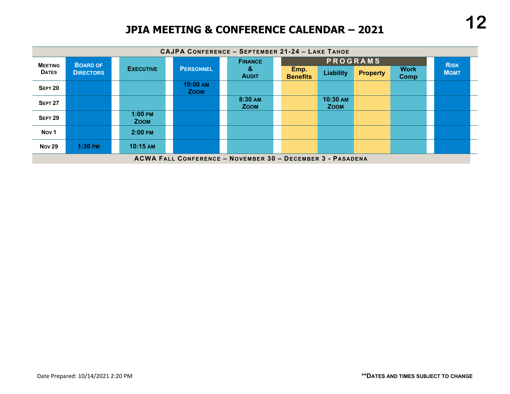## **JPIA MEETING & CONFERENCE CALENDAR – 2021**

|                  | CAJPA CONFERENCE - SEPTEMBER 21-24 - LAKE TAHOE            |                                  |                         |                        |                         |                         |                 |                     |             |  |
|------------------|------------------------------------------------------------|----------------------------------|-------------------------|------------------------|-------------------------|-------------------------|-----------------|---------------------|-------------|--|
| <b>MEETING</b>   | <b>BOARD OF</b>                                            |                                  |                         | <b>FINANCE</b>         |                         |                         | <b>PROGRAMS</b> |                     | <b>RISK</b> |  |
| <b>DATES</b>     | <b>DIRECTORS</b>                                           | <b>EXECUTIVE</b>                 | <b>PERSONNEL</b>        | &<br><b>AUDIT</b>      | Emp.<br><b>Benefits</b> | Liability               | <b>Property</b> | <b>Work</b><br>Comp | <b>MGMT</b> |  |
| <b>SEPT 20</b>   |                                                            |                                  | 10:00 AM<br><b>ZOOM</b> |                        |                         |                         |                 |                     |             |  |
| <b>SEPT 27</b>   |                                                            |                                  |                         | 8:30 AM<br><b>ZOOM</b> |                         | 10:30 AM<br><b>ZOOM</b> |                 |                     |             |  |
| <b>SEPT 29</b>   |                                                            | $1:00 \text{ PM}$<br><b>ZOOM</b> |                         |                        |                         |                         |                 |                     |             |  |
| Nov <sub>1</sub> |                                                            | $2:00$ PM                        |                         |                        |                         |                         |                 |                     |             |  |
| <b>Nov 29</b>    | $1:30$ PM                                                  | 10:15 AM                         |                         |                        |                         |                         |                 |                     |             |  |
|                  | ACWA FALL CONFERENCE - NOVEMBER 30 - DECEMBER 3 - PASADENA |                                  |                         |                        |                         |                         |                 |                     |             |  |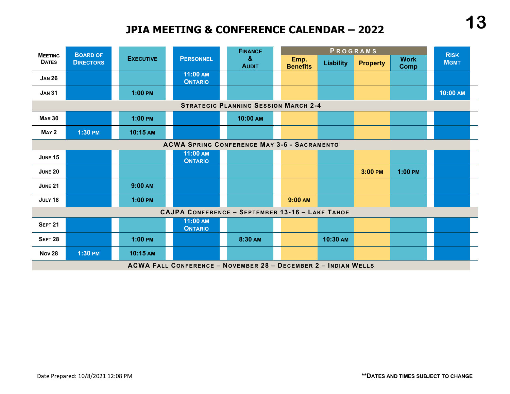## **JPIA MEETING & CONFERENCE CALENDAR – 2022**



**ACWA FALL CONFERENCE – NOVEMBER 28 – DECEMBER 2 – INDIAN WELLS**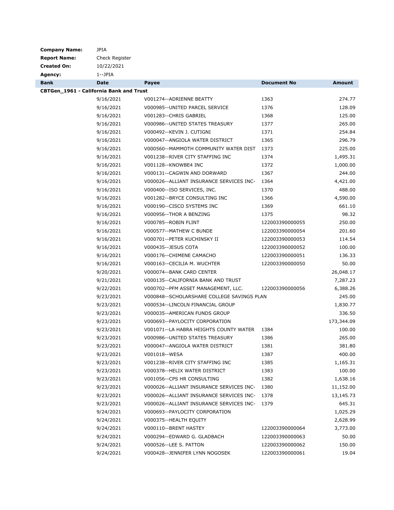| <b>Company Name:</b>                    | <b>JPIA</b>    |                                            |                    |               |
|-----------------------------------------|----------------|--------------------------------------------|--------------------|---------------|
| <b>Report Name:</b>                     | Check Register |                                            |                    |               |
| <b>Created On:</b>                      | 10/22/2021     |                                            |                    |               |
| Agency:                                 | 1--JPIA        |                                            |                    |               |
| <b>Bank</b>                             | <b>Date</b>    | Payee                                      | <b>Document No</b> | <b>Amount</b> |
| CBTGen_1961 - California Bank and Trust |                |                                            |                    |               |
|                                         | 9/16/2021      | V001274--ADRIENNE BEATTY                   | 1363               | 274.77        |
|                                         | 9/16/2021      | V000985--UNITED PARCEL SERVICE             | 1376               | 128.09        |
|                                         | 9/16/2021      | V001283--CHRIS GABRIEL                     | 1368               | 125.00        |
|                                         | 9/16/2021      | V000986--UNITED STATES TREASURY            | 1377               | 265.00        |
|                                         | 9/16/2021      | V000492--KEVIN J. CUTIGNI                  | 1371               | 254.84        |
|                                         | 9/16/2021      | V000047--ANGIOLA WATER DISTRICT            | 1365               | 296.79        |
|                                         | 9/16/2021      | V000560--MAMMOTH COMMUNITY WATER DIST      | 1373               | 225.00        |
|                                         | 9/16/2021      | V001238--RIVER CITY STAFFING INC           | 1374               | 1,495.31      |
|                                         | 9/16/2021      | V001128--KNOWBE4 INC                       | 1372               | 1,000.00      |
|                                         | 9/16/2021      | V000131--CAGWIN AND DORWARD                | 1367               | 244.00        |
|                                         | 9/16/2021      | V000026--ALLIANT INSURANCE SERVICES INC-   | 1364               | 4,421.00      |
|                                         | 9/16/2021      | V000400--ISO SERVICES, INC.                | 1370               | 488.00        |
|                                         | 9/16/2021      | V001282--BRYCE CONSULTING INC              | 1366               | 4,590.00      |
|                                         | 9/16/2021      | V000190--CISCO SYSTEMS INC                 | 1369               | 661.10        |
|                                         | 9/16/2021      | V000956--THOR A BENZING                    | 1375               | 98.32         |
|                                         | 9/16/2021      | V000785--ROBIN FLINT                       | 122003390000055    | 250.00        |
|                                         | 9/16/2021      | V000577--MATHEW C BUNDE                    | 122003390000054    | 201.60        |
|                                         | 9/16/2021      | V000701--PETER KUCHINSKY II                | 122003390000053    | 114.54        |
|                                         | 9/16/2021      | V000435 -- JESUS COTA                      | 122003390000052    | 100.00        |
|                                         | 9/16/2021      | V000176--CHIMENE CAMACHO                   | 122003390000051    | 136.33        |
|                                         | 9/16/2021      | V000163--CECILIA M. WUCHTER                | 122003390000050    | 50.00         |
|                                         | 9/20/2021      | V000074--BANK CARD CENTER                  |                    | 26,048.17     |
|                                         | 9/21/2021      | V000135 -- CALIFORNIA BANK AND TRUST       |                    | 7,287.23      |
|                                         | 9/22/2021      | V000702--PFM ASSET MANAGEMENT, LLC.        | 122003390000056    | 6,388.26      |
|                                         | 9/23/2021      | V000848--SCHOLARSHARE COLLEGE SAVINGS PLAN |                    | 245.00        |
|                                         | 9/23/2021      | V000534--LINCOLN FINANCIAL GROUP           |                    | 1,830.77      |
|                                         | 9/23/2021      | V000035--AMERICAN FUNDS GROUP              |                    | 336.50        |
|                                         | 9/23/2021      | V000693--PAYLOCITY CORPORATION             |                    | 173,344.09    |
|                                         | 9/23/2021      | V001071--LA HABRA HEIGHTS COUNTY WATER     | 1384               | 100.00        |
|                                         | 9/23/2021      | V000986--UNITED STATES TREASURY            | 1386               | 265.00        |
|                                         | 9/23/2021      | V000047--ANGIOLA WATER DISTRICT            | 1381               | 381.80        |
|                                         | 9/23/2021      | V001018--WESA                              | 1387               | 400.00        |
|                                         | 9/23/2021      | V001238--RIVER CITY STAFFING INC           | 1385               | 1,165.31      |
|                                         | 9/23/2021      | V000378--HELIX WATER DISTRICT              | 1383               | 100.00        |
|                                         | 9/23/2021      | V001056--CPS HR CONSULTING                 | 1382               | 1,638.16      |
|                                         | 9/23/2021      | V000026--ALLIANT INSURANCE SERVICES INC-   | 1380               | 11,152.00     |
|                                         | 9/23/2021      | V000026--ALLIANT INSURANCE SERVICES INC-   | 1378               | 13,145.73     |
|                                         | 9/23/2021      | V000026--ALLIANT INSURANCE SERVICES INC-   | 1379               | 645.31        |
|                                         | 9/24/2021      | V000693--PAYLOCITY CORPORATION             |                    | 1,025.29      |
|                                         | 9/24/2021      | V000375--HEALTH EQUITY                     |                    | 2,628.99      |
|                                         | 9/24/2021      | V000110 -- BRENT HASTEY                    | 122003390000064    | 3,773.00      |
|                                         | 9/24/2021      | V000294--EDWARD G. GLADBACH                | 122003390000063    | 50.00         |
|                                         | 9/24/2021      | V000526--LEE S. PATTON                     | 122003390000062    | 150.00        |
|                                         | 9/24/2021      | V000428--JENNIFER LYNN NOGOSEK             | 122003390000061    | 19.04         |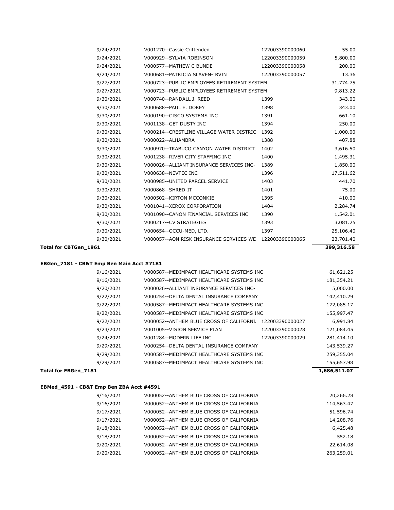| Total for CBTGen_1961 |                                                         |                 | 399,316.58 |
|-----------------------|---------------------------------------------------------|-----------------|------------|
| 9/30/2021             | V000057--AON RISK INSURANCE SERVICES WE 122003390000065 |                 | 23,701.40  |
| 9/30/2021             | V000654--OCCU-MED, LTD.                                 | 1397            | 25,106.40  |
| 9/30/2021             | V000217--CV STRATEGIES                                  | 1393            | 3,081.25   |
| 9/30/2021             | V001090--CANON FINANCIAL SERVICES INC                   | 1390            | 1,542.01   |
| 9/30/2021             | V001041--XEROX CORPORATION                              | 1404            | 2,284.74   |
| 9/30/2021             | V000502--KIRTON MCCONKIE                                | 1395            | 410.00     |
| 9/30/2021             | V000868--SHRED-IT                                       | 1401            | 75.00      |
| 9/30/2021             | V000985--UNITED PARCEL SERVICE                          | 1403            | 441.70     |
| 9/30/2021             | V000638--NEVTEC INC                                     | 1396            | 17,511.62  |
| 9/30/2021             | V000026--ALLIANT INSURANCE SERVICES INC-                | 1389            | 1,850.00   |
| 9/30/2021             | V001238--RIVER CITY STAFFING INC                        | 1400            | 1,495.31   |
| 9/30/2021             | V000970--TRABUCO CANYON WATER DISTRICT                  | 1402            | 3,616.50   |
| 9/30/2021             | V000022--ALHAMBRA                                       | 1388            | 407.88     |
| 9/30/2021             | V000214--CRESTLINE VILLAGE WATER DISTRIC                | 1392            | 1,000.00   |
| 9/30/2021             | V001138--GET DUSTY INC                                  | 1394            | 250.00     |
| 9/30/2021             | V000190 -- CISCO SYSTEMS INC                            | 1391            | 661.10     |
| 9/30/2021             | V000688--PAUL E. DOREY                                  | 1398            | 343.00     |
| 9/30/2021             | V000740 -- RANDALL J. REED                              | 1399            | 343.00     |
| 9/27/2021             | V000723--PUBLIC EMPLOYEES RETIREMENT SYSTEM             |                 | 9,813.22   |
| 9/27/2021             | V000723--PUBLIC EMPLOYEES RETIREMENT SYSTEM             |                 | 31,774.75  |
| 9/24/2021             | V000681--PATRICIA SLAVEN-IRVIN                          | 122003390000057 | 13.36      |
| 9/24/2021             | V000577--MATHEW C BUNDE                                 | 122003390000058 | 200.00     |
| 9/24/2021             | V000929 -- SYLVIA ROBINSON                              | 122003390000059 | 5,800.00   |
| 9/24/2021             | V001270 -- Cassie Crittenden                            | 122003390000060 | 55.00      |

#### **EBGen\_7181 - CB&T Emp Ben Main Acct #7181**

| <b>Total for EBGen 7181</b> |                                           |                 | 1,686,511.07 |
|-----------------------------|-------------------------------------------|-----------------|--------------|
| 9/29/2021                   | V000587--MEDIMPACT HEALTHCARE SYSTEMS INC |                 | 155,657.98   |
| 9/29/2021                   | V000587--MEDIMPACT HEALTHCARE SYSTEMS INC |                 | 259,355.04   |
| 9/29/2021                   | V000254--DELTA DENTAL INSURANCE COMPANY   |                 | 143,539.27   |
| 9/24/2021                   | V001284--MODERN LIFE INC                  | 122003390000029 | 281,414.10   |
| 9/23/2021                   | V001005--VISION SERVICE PLAN              | 122003390000028 | 121,084.45   |
| 9/22/2021                   | V000052--ANTHEM BLUE CROSS OF CALIFORNI   | 122003390000027 | 6,991.84     |
| 9/22/2021                   | V000587--MEDIMPACT HEALTHCARE SYSTEMS INC |                 | 155,997.47   |
| 9/22/2021                   | V000587--MEDIMPACT HEALTHCARE SYSTEMS INC |                 | 172,085.17   |
| 9/22/2021                   | V000254--DELTA DENTAL INSURANCE COMPANY   |                 | 142,410.29   |
| 9/20/2021                   | V000026--ALLIANT INSURANCE SERVICES INC-  |                 | 5,000.00     |
| 9/16/2021                   | V000587--MEDIMPACT HEALTHCARE SYSTEMS INC |                 | 181,354.21   |
| 9/16/2021                   | V000587--MEDIMPACT HEALTHCARE SYSTEMS INC |                 | 61,621.25    |

## **EBMed\_4591 - CB&T Emp Ben ZBA Acct #4591**

| 9/16/2021 | V000052--ANTHEM BLUE CROSS OF CALIFORNIA | 20,266.28  |
|-----------|------------------------------------------|------------|
| 9/16/2021 | V000052--ANTHEM BLUE CROSS OF CALIFORNIA | 114,563.47 |
| 9/17/2021 | V000052--ANTHEM BLUE CROSS OF CALIFORNIA | 51,596.74  |
| 9/17/2021 | V000052--ANTHEM BLUE CROSS OF CALIFORNIA | 14,208.76  |
| 9/18/2021 | V000052--ANTHEM BLUE CROSS OF CALIFORNIA | 6,425.48   |
| 9/18/2021 | V000052--ANTHEM BLUE CROSS OF CALIFORNIA | 552.18     |
| 9/20/2021 | V000052--ANTHEM BLUE CROSS OF CALIFORNIA | 22,614.08  |
| 9/20/2021 | V000052--ANTHEM BLUE CROSS OF CALIFORNIA | 263,259.01 |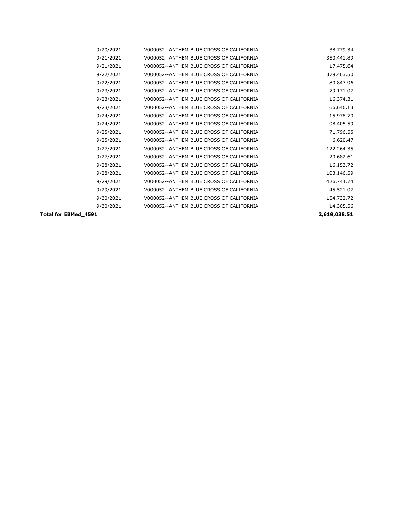| 9/20/2021            | V000052--ANTHEM BLUE CROSS OF CALIFORNIA | 38,779.34    |
|----------------------|------------------------------------------|--------------|
| 9/21/2021            | V000052--ANTHEM BLUE CROSS OF CALIFORNIA | 350,441.89   |
| 9/21/2021            | V000052--ANTHEM BLUE CROSS OF CALIFORNIA | 17,475.64    |
| 9/22/2021            | V000052--ANTHEM BLUE CROSS OF CALIFORNIA | 379,463.50   |
| 9/22/2021            | V000052--ANTHEM BLUE CROSS OF CALIFORNIA | 80,847.96    |
| 9/23/2021            | V000052--ANTHEM BLUE CROSS OF CALIFORNIA | 79,171.07    |
| 9/23/2021            | V000052--ANTHEM BLUE CROSS OF CALIFORNIA | 16,374.31    |
| 9/23/2021            | V000052--ANTHEM BLUE CROSS OF CALIFORNIA | 66,646.13    |
| 9/24/2021            | V000052--ANTHEM BLUE CROSS OF CALIFORNIA | 15,978.70    |
| 9/24/2021            | V000052--ANTHEM BLUE CROSS OF CALIFORNIA | 98,405.59    |
| 9/25/2021            | V000052--ANTHEM BLUE CROSS OF CALIFORNIA | 71,796.55    |
| 9/25/2021            | V000052--ANTHEM BLUE CROSS OF CALIFORNIA | 6,620.47     |
| 9/27/2021            | V000052--ANTHEM BLUE CROSS OF CALIFORNIA | 122,264.35   |
| 9/27/2021            | V000052--ANTHEM BLUE CROSS OF CALIFORNIA | 20,682.61    |
| 9/28/2021            | V000052--ANTHEM BLUE CROSS OF CALIFORNIA | 16,153.72    |
| 9/28/2021            | V000052--ANTHEM BLUE CROSS OF CALIFORNIA | 103,146.59   |
| 9/29/2021            | V000052--ANTHEM BLUE CROSS OF CALIFORNIA | 426,744.74   |
| 9/29/2021            | V000052--ANTHEM BLUE CROSS OF CALIFORNIA | 45,521.07    |
| 9/30/2021            | V000052--ANTHEM BLUE CROSS OF CALIFORNIA | 154,732.72   |
| 9/30/2021            | V000052--ANTHEM BLUE CROSS OF CALIFORNIA | 14,305.56    |
| Total for EBMed_4591 |                                          | 2,619,038.51 |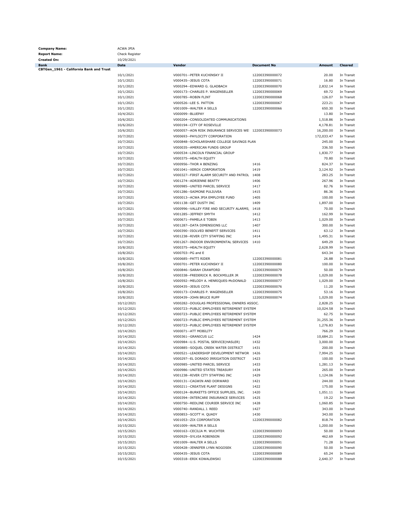| <b>Company Name:</b>                    | <b>ACWA JPIA</b>         |                                                                                            |                                    |                    |                          |
|-----------------------------------------|--------------------------|--------------------------------------------------------------------------------------------|------------------------------------|--------------------|--------------------------|
| <b>Report Name:</b>                     | Check Register           |                                                                                            |                                    |                    |                          |
| <b>Created On:</b>                      | 10/29/2021               |                                                                                            |                                    |                    |                          |
| Bank                                    | Date                     | Vendor                                                                                     | <b>Document No</b>                 | Amount             | Cleared                  |
| CBTGen_1961 - California Bank and Trust |                          |                                                                                            |                                    |                    |                          |
|                                         | 10/1/2021                | V000701--PETER KUCHINSKY II                                                                | 122003390000072                    | 20.00              | In Transit               |
|                                         | 10/1/2021                | V000435 -- JESUS COTA<br>V000294--EDWARD G. GLADBACH                                       | 122003390000071<br>122003390000070 | 16.80<br>2,832.14  | In Transit<br>In Transit |
|                                         | 10/1/2021<br>10/1/2021   | V000173--CHARLES P. WAGENSELLER                                                            | 122003390000069                    | 69.72              | In Transit               |
|                                         | 10/1/2021                | V000785 -- ROBIN FLINT                                                                     | 122003390000068                    | 126.07             | In Transit               |
|                                         | 10/1/2021                | V000526 -- LEE S. PATTON                                                                   | 122003390000067                    | 223.21             | In Transit               |
|                                         | 10/1/2021                | V001009 -- WALTER A SELLS                                                                  | 122003390000066                    | 650.30             | In Transit               |
|                                         | 10/4/2021                | V000099 -- BLUEPAY                                                                         |                                    | 13.80              | In Transit               |
|                                         | 10/6/2021                | V000204--CONSOLIDATED COMMUNICATIONS                                                       |                                    | 1,518.86           | In Transit               |
|                                         | 10/6/2021                | V000194--CITY OF ROSEVILLE                                                                 |                                    | 4,178.81           | In Transit               |
|                                         | 10/6/2021                | V000057--AON RISK INSURANCE SERVICES WE: 122003390000073                                   |                                    | 16,200.00          | In Transit               |
|                                         | 10/7/2021                | V000693--PAYLOCITY CORPORATION                                                             |                                    | 172,033.47         | In Transit               |
|                                         | 10/7/2021                | V000848--SCHOLARSHARE COLLEGE SAVINGS PLAN                                                 |                                    | 245.00             | In Transit               |
|                                         | 10/7/2021                | V000035--AMERICAN FUNDS GROUP                                                              |                                    | 336.50             | In Transit               |
|                                         | 10/7/2021                | V000534--LINCOLN FINANCIAL GROUP                                                           |                                    | 1,830.77           | In Transit               |
|                                         | 10/7/2021                | V000375 -- HEALTH EQUITY                                                                   |                                    | 70.80              | In Transit               |
|                                         | 10/7/2021                | V000956--THOR A BENZING                                                                    | 1416                               | 824.37             | In Transit               |
|                                         | 10/7/2021                | V001041--XEROX CORPORATION                                                                 | 1419                               | 3,124.92           | In Transit               |
|                                         | 10/7/2021                | V000327--FIRST ALARM SECURITY AND PATROL 1408                                              |                                    | 283.25             | In Transit               |
|                                         | 10/7/2021                | V001274--ADRIENNE BEATTY                                                                   | 1406                               | 267.96             | In Transit               |
|                                         | 10/7/2021                | V000985--UNITED PARCEL SERVICE                                                             | 1417                               | 82.76              | In Transit               |
|                                         | 10/7/2021                | V001286--SAIMONE PULIUVEA                                                                  | 1415                               | 86.36              | In Transit               |
|                                         | 10/7/2021                | V000013--ACWA JPIA EMPLOYEE FUND                                                           | 1405                               | 100.00             | In Transit               |
|                                         | 10/7/2021                | V001138 -- GET DUSTY INC                                                                   | 1409                               | 1,897.00           | In Transit<br>In Transit |
|                                         | 10/7/2021                | V000996--VALLEY FIRE AND SECURITY ALARMS, 1418                                             |                                    | 70.00              |                          |
|                                         | 10/7/2021<br>10/7/2021   | V001285--JEFFREY SMYTH<br>V000671 -- PAMELA E TOBIN                                        | 1412<br>1413                       | 162.99<br>1,029.00 | In Transit<br>In Transit |
|                                         | 10/7/2021                | V001287--DATA DIMENSIONS LLC                                                               | 1407                               | 300.00             | In Transit               |
|                                         | 10/7/2021                | V000390--ISOLVED BENEFIT SERVICES                                                          | 1411                               | 63.12              | In Transit               |
|                                         | 10/7/2021                | V001238--RIVER CITY STAFFING INC                                                           | 1414                               | 1,495.31           | In Transit               |
|                                         | 10/7/2021                | V001267--INDOOR ENVIRONMENTAL SERVICES                                                     | 1410                               | 649.29             | In Transit               |
|                                         | 10/8/2021                | V000375 -- HEALTH EQUITY                                                                   |                                    | 2,628.99           | In Transit               |
|                                         | 10/8/2021                | V000703--PG and E                                                                          |                                    | 643.34             | In Transit               |
|                                         | 10/8/2021                | V000685 -- PATTI RIDER                                                                     | 122003390000081                    | 26.88              | In Transit               |
|                                         | 10/8/2021                | V000701--PETER KUCHINSKY II                                                                | 122003390000080                    | 100.00             | In Transit               |
|                                         | 10/8/2021                | V000846--SARAH CRAWFORD                                                                    | 122003390000079                    | 50.00              | In Transit               |
|                                         | 10/8/2021                | V000338--FREDERICK R. BOCKMILLER JR                                                        | 122003390000078                    | 1,029.00           | In Transit               |
|                                         | 10/8/2021                | V000592--MELODY A. HENRIQUES-McDONALD                                                      | 122003390000077                    | 1,029.00           | In Transit               |
|                                         | 10/8/2021                | V000435 -- JESUS COTA                                                                      | 122003390000076                    | 11.20              | In Transit               |
|                                         | 10/8/2021                | V000173--CHARLES P. WAGENSELLER                                                            | 122003390000075                    | 53.16              | In Transit               |
|                                         | 10/8/2021                | V000439--JOHN BRUCE RUPP                                                                   | 122003390000074                    | 1,029.00           | In Transit               |
|                                         | 10/12/2021               | V000282--DOUGLAS PROFESSIONAL OWNERS ASSOC.                                                |                                    | 2,828.25           | In Transit               |
|                                         | 10/12/2021               | V000723--PUBLIC EMPLOYEES RETIREMENT SYSTEM                                                |                                    | 10,024.58          | In Transit               |
|                                         | 10/12/2021               | V000723--PUBLIC EMPLOYEES RETIREMENT SYSTEM                                                |                                    | 62.75              | In Transit               |
|                                         | 10/12/2021               | V000723--PUBLIC EMPLOYEES RETIREMENT SYSTEM<br>V000723--PUBLIC EMPLOYEES RETIREMENT SYSTEM |                                    | 31,255.36          | In Transit               |
|                                         | 10/12/2021<br>10/14/2021 | V000071 -- ATT MOBILITY                                                                    |                                    | 1,276.83<br>766.29 | In Transit<br>In Transit |
|                                         | 10/14/2021               | V000361 -- GRANICUS LLC                                                                    | 1424                               | 10,684.21          | In Transit               |
|                                         | 10/14/2021               | V000984--U.S. POSTAL SERVICE(HASLER)                                                       | 1432                               | 3,000.00           | In Transit               |
|                                         | 10/14/2021               | V000885--SOQUEL CREEK WATER DISTRICT                                                       | 1431                               | 200.00             | In Transit               |
|                                         | 10/14/2021               | V000521--LEADERSHIP DEVELOPMENT NETWOR 1426                                                |                                    | 7,994.25           | In Transit               |
|                                         | 10/14/2021               | V000297--EL DORADO IRRIGATION DISTRICT                                                     | 1423                               | 100.00             | In Transit               |
|                                         | 10/14/2021               | V000985--UNITED PARCEL SERVICE                                                             | 1433                               | 1,281.13           | In Transit               |
|                                         | 10/14/2021               | V000986--UNITED STATES TREASURY                                                            | 1434                               | 265.00             | In Transit               |
|                                         | 10/14/2021               | V001238--RIVER CITY STAFFING INC                                                           | 1429                               | 1,124.06           | In Transit               |
|                                         | 10/14/2021               | V000131 -- CAGWIN AND DORWARD                                                              | 1421                               | 244.00             | In Transit               |
|                                         | 10/14/2021               | V000211 -- CREATIVE PLANT DESIGNS                                                          | 1422                               | 175.00             | In Transit               |
|                                         | 10/14/2021               | V000124--BURKETTS OFFICE SUPPLIES, INC.                                                    | 1420                               | 1,051.11           | In Transit               |
|                                         | 10/14/2021               | V000394--INTERCARE INSURANCE SERVICES                                                      | 1425                               | 19.22              | In Transit               |
|                                         | 10/14/2021               | V000750 -- REDLINE COURIER SERVICE INC                                                     | 1428                               | 1,060.85           | In Transit               |
|                                         | 10/14/2021               | V000740 -- RANDALL J. REED                                                                 | 1427                               | 343.00             | In Transit               |
|                                         | 10/14/2021               | V000853--SCOTT H. QUADY                                                                    | 1430                               | 343.00             | In Transit               |
|                                         | 10/14/2021               | V001053--ZIX CORPORATION                                                                   | 122003390000082                    | 818.74             | In Transit               |
|                                         | 10/15/2021               | V001009 -- WALTER A SELLS                                                                  |                                    | 1,200.00           | In Transit               |
|                                         | 10/15/2021               | V000163--CECILIA M. WUCHTER                                                                | 122003390000093                    | 50.00              | In Transit               |
|                                         | 10/15/2021               | V000929 -- SYLVIA ROBINSON<br>V001009--WALTER A SELLS                                      | 122003390000092                    | 462.69             | In Transit<br>In Transit |
|                                         | 10/15/2021               | V000428--JENNIFER LYNN NOGOSEK                                                             | 122003390000091                    | 71.28<br>50.00     | In Transit               |
|                                         | 10/15/2021<br>10/15/2021 | V000435 -- JESUS COTA                                                                      | 122003390000090<br>122003390000089 | 65.24              | In Transit               |
|                                         | 10/15/2021               | V000318 -- ERIK KOWALEWSKI                                                                 | 122003390000088                    | 2,640.37           | In Transit               |
|                                         |                          |                                                                                            |                                    |                    |                          |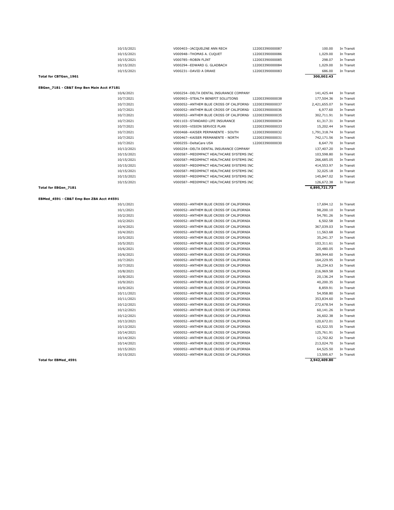|                                           | 10/15/2021             | V000403--JACQUELINE ANN RECH                                                         | 122003390000087 | 100.00                 | In Transit               |
|-------------------------------------------|------------------------|--------------------------------------------------------------------------------------|-----------------|------------------------|--------------------------|
|                                           | 10/15/2021             | V000948--THOMAS A. CUQUET                                                            | 122003390000086 | 1,029.00               | In Transit               |
|                                           | 10/15/2021             | V000785 -- ROBIN FLINT                                                               | 122003390000085 | 298.07                 | In Transit               |
|                                           | 10/15/2021             | V000294--EDWARD G. GLADBACH                                                          | 122003390000084 | 1,029.00               | In Transit               |
|                                           | 10/15/2021             | V000231--DAVID A DRAKE                                                               | 122003390000083 | 686.00                 | In Transit               |
| Total for CBTGen_1961                     |                        |                                                                                      |                 | 300,002.43             |                          |
| EBGen_7181 - CB&T Emp Ben Main Acct #7181 |                        |                                                                                      |                 |                        |                          |
|                                           | 10/6/2021              | V000254--DELTA DENTAL INSURANCE COMPANY                                              |                 | 141,425.44             | In Transit               |
|                                           | 10/7/2021              | V000903--STEALTH BENEFIT SOLUTIONS                                                   | 122003390000038 | 177,504.36             | In Transit               |
|                                           | 10/7/2021              | V000052--ANTHEM BLUE CROSS OF CALIFORNI/                                             | 122003390000037 | 2,421,655.07           | In Transit               |
|                                           | 10/7/2021              | V000052--ANTHEM BLUE CROSS OF CALIFORNI/                                             | 122003390000036 | 6,977.60               | In Transit               |
|                                           | 10/7/2021              | V000052--ANTHEM BLUE CROSS OF CALIFORNI/                                             | 122003390000035 | 302,711.91             | In Transit               |
|                                           | 10/7/2021              | V001103--STANDARD LIFE INSURANCE                                                     | 122003390000034 | 61,317.31              | In Transit               |
|                                           | 10/7/2021              | V001005--VISION SERVICE PLAN                                                         | 122003390000033 | 15,202.44              | In Transit               |
|                                           | 10/7/2021              | V000468--KAISER PERMANENTE - SOUTH                                                   | 122003390000032 | 1,791,318.74           | In Transit               |
|                                           | 10/7/2021              | V000467--KAISER PERMANENTE - NORTH                                                   | 122003390000031 | 742,171.56             | In Transit               |
|                                           | 10/7/2021              | V000255--DeltaCare USA                                                               | 122003390000030 | 8,647.70               | In Transit               |
|                                           | 10/13/2021             | V000254--DELTA DENTAL INSURANCE COMPANY                                              |                 | 137,407.20             | In Transit               |
|                                           | 10/15/2021             | V000587--MEDIMPACT HEALTHCARE SYSTEMS INC                                            |                 | 103,598.80             | In Transit               |
|                                           | 10/15/2021             | V000587--MEDIMPACT HEALTHCARE SYSTEMS INC                                            |                 | 266,685.05             | In Transit               |
|                                           | 10/15/2021             | V000587--MEDIMPACT HEALTHCARE SYSTEMS INC                                            |                 | 414,553.97             | In Transit               |
|                                           | 10/15/2021             | V000587--MEDIMPACT HEALTHCARE SYSTEMS INC                                            |                 | 32,025.18              | In Transit               |
|                                           | 10/15/2021             | V000587--MEDIMPACT HEALTHCARE SYSTEMS INC                                            |                 | 145,847.02             | In Transit               |
|                                           | 10/15/2021             | V000587--MEDIMPACT HEALTHCARE SYSTEMS INC                                            |                 | 126,672.38             | In Transit               |
| Total for EBGen_7181                      |                        |                                                                                      |                 | 6,895,721.73           |                          |
|                                           |                        |                                                                                      |                 |                        |                          |
| EBMed_4591 - CB&T Emp Ben ZBA Acct #4591  |                        |                                                                                      |                 |                        |                          |
|                                           | 10/1/2021              | V000052--ANTHEM BLUE CROSS OF CALIFORNIA                                             |                 | 17,694.12              | In Transit               |
|                                           | 10/1/2021<br>10/2/2021 | V000052--ANTHEM BLUE CROSS OF CALIFORNIA<br>V000052--ANTHEM BLUE CROSS OF CALIFORNIA |                 | 98,200.10<br>54,781.26 | In Transit<br>In Transit |
|                                           | 10/2/2021              | V000052--ANTHEM BLUE CROSS OF CALIFORNIA                                             |                 | 6,502.58               | In Transit               |
|                                           | 10/4/2021              | V000052--ANTHEM BLUE CROSS OF CALIFORNIA                                             |                 | 367,039.03             | In Transit               |
|                                           | 10/4/2021              | V000052--ANTHEM BLUE CROSS OF CALIFORNIA                                             |                 | 11,563.68              | In Transit               |
|                                           | 10/5/2021              | V000052--ANTHEM BLUE CROSS OF CALIFORNIA                                             |                 | 35,241.37              | In Transit               |
|                                           | 10/5/2021              | V000052--ANTHEM BLUE CROSS OF CALIFORNIA                                             |                 | 103,311.61             | In Transit               |
|                                           | 10/6/2021              | V000052--ANTHEM BLUE CROSS OF CALIFORNIA                                             |                 | 20,480.05              | In Transit               |
|                                           | 10/6/2021              | V000052--ANTHEM BLUE CROSS OF CALIFORNIA                                             |                 | 369,944.60             | In Transit               |
|                                           | 10/7/2021              | V000052--ANTHEM BLUE CROSS OF CALIFORNIA                                             |                 | 164,229.95             | In Transit               |
|                                           | 10/7/2021              | V000052--ANTHEM BLUE CROSS OF CALIFORNIA                                             |                 | 26,234.63              | In Transit               |
|                                           | 10/8/2021              | V000052--ANTHEM BLUE CROSS OF CALIFORNIA                                             |                 | 216,969.58             | In Transit               |
|                                           | 10/8/2021              | V000052--ANTHEM BLUE CROSS OF CALIFORNIA                                             |                 | 20,136.24              | In Transit               |
|                                           | 10/9/2021              | V000052--ANTHEM BLUE CROSS OF CALIFORNIA                                             |                 | 40,200.35              | In Transit               |
|                                           | 10/9/2021              | V000052--ANTHEM BLUE CROSS OF CALIFORNIA                                             |                 | 8,859.91               | In Transit               |
|                                           | 10/11/2021             | V000052--ANTHEM BLUE CROSS OF CALIFORNIA                                             |                 | 54,958.80              | In Transit               |
|                                           | 10/11/2021             | V000052--ANTHEM BLUE CROSS OF CALIFORNIA                                             |                 | 353,834.60             | In Transit               |
|                                           | 10/12/2021             | V000052--ANTHEM BLUE CROSS OF CALIFORNIA                                             |                 | 272,678.54             | In Transit               |
|                                           | 10/12/2021             | V000052--ANTHEM BLUE CROSS OF CALIFORNIA                                             |                 | 60,141.26              | In Transit               |
|                                           | 10/12/2021             | V000052--ANTHEM BLUE CROSS OF CALIFORNIA                                             |                 | 26,602.38              | In Transit               |
|                                           | 10/13/2021             | V000052--ANTHEM BLUE CROSS OF CALIFORNIA                                             |                 | 120,672.01             | In Transit               |
|                                           | 10/13/2021             | V000052--ANTHEM BLUE CROSS OF CALIFORNIA                                             |                 | 62,522.55              | In Transit               |
|                                           | 10/14/2021             | V000052--ANTHEM BLUE CROSS OF CALIFORNIA                                             |                 | 125,761.91             | In Transit               |
|                                           | 10/14/2021             | V000052--ANTHEM BLUE CROSS OF CALIFORNIA                                             |                 | 12,702.82              | In Transit               |
|                                           | 10/14/2021             | V000052--ANTHEM BLUE CROSS OF CALIFORNIA                                             |                 | 213,024.70             | In Transit               |
|                                           | 10/15/2021             | V000052--ANTHEM BLUE CROSS OF CALIFORNIA                                             |                 | 64,525.50              | In Transit               |
|                                           | 10/15/2021             | V000052--ANTHEM BLUE CROSS OF CALIFORNIA                                             |                 | 13,595.67              | In Transit               |
| Total for EBMed_4591                      |                        |                                                                                      |                 | 2,942,409.80           |                          |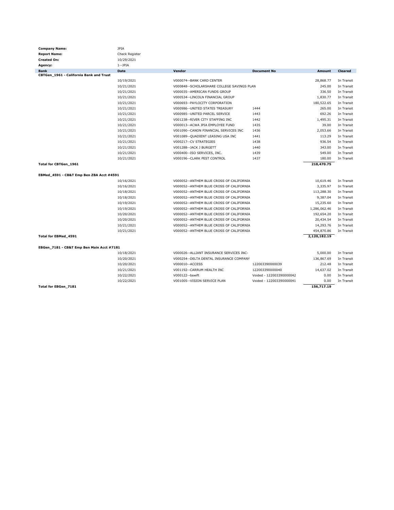| <b>Company Name:</b>                      | <b>JPIA</b>    |                                            |                          |              |                |
|-------------------------------------------|----------------|--------------------------------------------|--------------------------|--------------|----------------|
| <b>Report Name:</b>                       | Check Register |                                            |                          |              |                |
| <b>Created On:</b>                        | 10/29/2021     |                                            |                          |              |                |
| Agency:                                   | $1 - JPIA$     |                                            |                          |              |                |
| <b>Bank</b>                               | Date           | Vendor                                     | <b>Document No</b>       | Amount       | <b>Cleared</b> |
| CBTGen_1961 - California Bank and Trust   |                |                                            |                          |              |                |
|                                           | 10/19/2021     | V000074--BANK CARD CENTER                  |                          | 28,868.77    | In Transit     |
|                                           | 10/21/2021     | V000848--SCHOLARSHARE COLLEGE SAVINGS PLAN |                          | 245.00       | In Transit     |
|                                           | 10/21/2021     | V000035--AMERICAN FUNDS GROUP              |                          | 336.50       | In Transit     |
|                                           | 10/21/2021     | V000534 -- LINCOLN FINANCIAL GROUP         |                          | 1,830.77     | In Transit     |
|                                           | 10/21/2021     | V000693--PAYLOCITY CORPORATION             |                          | 180,522.65   | In Transit     |
|                                           | 10/21/2021     | V000986--UNITED STATES TREASURY            | 1444                     | 265.00       | In Transit     |
|                                           | 10/21/2021     | V000985--UNITED PARCEL SERVICE             | 1443                     | 692.26       | In Transit     |
|                                           | 10/21/2021     | V001238--RIVER CITY STAFFING INC           | 1442                     | 1,495.31     | In Transit     |
|                                           | 10/21/2021     | V000013--ACWA JPIA EMPLOYEE FUND           | 1435                     | 39.00        | In Transit     |
|                                           | 10/21/2021     | V001090--CANON FINANCIAL SERVICES INC      | 1436                     | 2,053.66     | In Transit     |
|                                           | 10/21/2021     | V001089--QUADIENT LEASING USA INC          | 1441                     | 113.29       | In Transit     |
|                                           | 10/21/2021     | V000217--CV STRATEGIES                     | 1438                     | 936.54       | In Transit     |
|                                           | 10/21/2021     | V001288--JACK J BURGETT                    | 1440                     | 343.00       | In Transit     |
|                                           | 10/21/2021     | V000400--ISO SERVICES, INC.                | 1439                     | 549.00       | In Transit     |
|                                           | 10/21/2021     | V000196 -- CLARK PEST CONTROL              | 1437                     | 180.00       | In Transit     |
| Total for CBTGen_1961                     |                |                                            |                          | 218,470.75   |                |
|                                           |                |                                            |                          |              |                |
| EBMed_4591 - CB&T Emp Ben ZBA Acct #4591  |                |                                            |                          |              |                |
|                                           | 10/16/2021     | V000052--ANTHEM BLUE CROSS OF CALIFORNIA   |                          | 10,619.46    | In Transit     |
|                                           | 10/16/2021     | V000052--ANTHEM BLUE CROSS OF CALIFORNIA   |                          | 3,335.97     | In Transit     |
|                                           | 10/18/2021     | V000052--ANTHEM BLUE CROSS OF CALIFORNIA   |                          | 113,288.30   | In Transit     |
|                                           | 10/18/2021     | V000052--ANTHEM BLUE CROSS OF CALIFORNIA   |                          | 9,387.04     | In Transit     |
|                                           | 10/19/2021     | V000052--ANTHEM BLUE CROSS OF CALIFORNIA   |                          | 15,235.60    | In Transit     |
|                                           | 10/19/2021     | V000052--ANTHEM BLUE CROSS OF CALIFORNIA   |                          | 1,286,062.46 | In Transit     |
|                                           | 10/20/2021     | V000052--ANTHEM BLUE CROSS OF CALIFORNIA   |                          | 192,654.20   | In Transit     |
|                                           | 10/20/2021     | V000052--ANTHEM BLUE CROSS OF CALIFORNIA   |                          | 20,434.54    | In Transit     |
|                                           | 10/21/2021     | V000052--ANTHEM BLUE CROSS OF CALIFORNIA   |                          | 14,293.76    | In Transit     |
|                                           | 10/21/2021     | V000052--ANTHEM BLUE CROSS OF CALIFORNIA   |                          | 454,870.86   | In Transit     |
| Total for EBMed_4591                      |                |                                            |                          | 2,120,182.19 |                |
|                                           |                |                                            |                          |              |                |
| EBGen 7181 - CB&T Emp Ben Main Acct #7181 |                |                                            |                          |              |                |
|                                           | 10/18/2021     | V000026--ALLIANT INSURANCE SERVICES INC-   |                          | 5,000.00     | In Transit     |
|                                           | 10/20/2021     | V000254--DELTA DENTAL INSURANCE COMPANY    |                          | 136,867.69   | In Transit     |
|                                           | 10/20/2021     | V000010 -- ACCESS                          | 122003390000039          | 212.48       | In Transit     |
|                                           | 10/21/2021     | V001192--CARRUM HEALTH INC                 | 122003390000040          | 14,637.02    | In Transit     |
|                                           | 10/22/2021     | V000122--bswift                            | Voided - 122003390000042 | 0.00         | In Transit     |
|                                           | 10/22/2021     | V001005--VISION SERVICE PLAN               | Voided - 122003390000041 | 0.00         | In Transit     |
| Total for EBGen_7181                      |                |                                            |                          | 156,717.19   |                |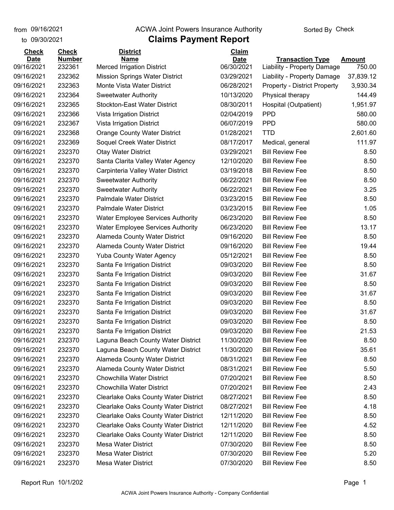## **Claims Payment Report** from 09/16/2021 **The COVA Solic Act Act Authority** From 09/16/2021 **Sorted By Check**

| to 09/30/2021 |               | <b>Claims Payment Report</b>                |              |                                     |               |
|---------------|---------------|---------------------------------------------|--------------|-------------------------------------|---------------|
| <b>Check</b>  | <b>Check</b>  | <b>District</b>                             | <b>Claim</b> |                                     |               |
| <b>Date</b>   | <b>Number</b> | <b>Name</b>                                 | <b>Date</b>  | <b>Transaction Type</b>             | <b>Amount</b> |
| 09/16/2021    | 232361        | <b>Merced Irrigation District</b>           | 06/30/2021   | Liability - Property Damage         | 750.00        |
| 09/16/2021    | 232362        | <b>Mission Springs Water District</b>       | 03/29/2021   | Liability - Property Damage         | 37,839.12     |
| 09/16/2021    | 232363        | Monte Vista Water District                  | 06/28/2021   | <b>Property - District Property</b> | 3,930.34      |
| 09/16/2021    | 232364        | <b>Sweetwater Authority</b>                 | 10/13/2020   | Physical therapy                    | 144.49        |
| 09/16/2021    | 232365        | <b>Stockton-East Water District</b>         | 08/30/2011   | Hospital (Outpatient)               | 1,951.97      |
| 09/16/2021    | 232366        | Vista Irrigation District                   | 02/04/2019   | <b>PPD</b>                          | 580.00        |
| 09/16/2021    | 232367        | Vista Irrigation District                   | 06/07/2019   | <b>PPD</b>                          | 580.00        |
| 09/16/2021    | 232368        | <b>Orange County Water District</b>         | 01/28/2021   | <b>TTD</b>                          | 2,601.60      |
| 09/16/2021    | 232369        | Soquel Creek Water District                 | 08/17/2017   | Medical, general                    | 111.97        |
| 09/16/2021    | 232370        | <b>Otay Water District</b>                  | 03/29/2021   | <b>Bill Review Fee</b>              | 8.50          |
| 09/16/2021    | 232370        | Santa Clarita Valley Water Agency           | 12/10/2020   | <b>Bill Review Fee</b>              | 8.50          |
| 09/16/2021    | 232370        | Carpinteria Valley Water District           | 03/19/2018   | <b>Bill Review Fee</b>              | 8.50          |
| 09/16/2021    | 232370        | <b>Sweetwater Authority</b>                 | 06/22/2021   | <b>Bill Review Fee</b>              | 8.50          |
| 09/16/2021    | 232370        | <b>Sweetwater Authority</b>                 | 06/22/2021   | <b>Bill Review Fee</b>              | 3.25          |
| 09/16/2021    | 232370        | <b>Palmdale Water District</b>              | 03/23/2015   | <b>Bill Review Fee</b>              | 8.50          |
| 09/16/2021    | 232370        | <b>Palmdale Water District</b>              | 03/23/2015   | <b>Bill Review Fee</b>              | 1.05          |
| 09/16/2021    | 232370        | <b>Water Employee Services Authority</b>    | 06/23/2020   | <b>Bill Review Fee</b>              | 8.50          |
| 09/16/2021    | 232370        | <b>Water Employee Services Authority</b>    | 06/23/2020   | <b>Bill Review Fee</b>              | 13.17         |
| 09/16/2021    | 232370        | <b>Alameda County Water District</b>        | 09/16/2020   | <b>Bill Review Fee</b>              | 8.50          |
| 09/16/2021    | 232370        | Alameda County Water District               | 09/16/2020   | <b>Bill Review Fee</b>              | 19.44         |
| 09/16/2021    | 232370        | <b>Yuba County Water Agency</b>             | 05/12/2021   | <b>Bill Review Fee</b>              | 8.50          |
| 09/16/2021    | 232370        | Santa Fe Irrigation District                | 09/03/2020   | <b>Bill Review Fee</b>              | 8.50          |
| 09/16/2021    | 232370        | Santa Fe Irrigation District                | 09/03/2020   | <b>Bill Review Fee</b>              | 31.67         |
| 09/16/2021    | 232370        | Santa Fe Irrigation District                | 09/03/2020   | <b>Bill Review Fee</b>              | 8.50          |
| 09/16/2021    | 232370        | Santa Fe Irrigation District                | 09/03/2020   | <b>Bill Review Fee</b>              | 31.67         |
| 09/16/2021    | 232370        | Santa Fe Irrigation District                | 09/03/2020   | <b>Bill Review Fee</b>              | 8.50          |
| 09/16/2021    | 232370        | Santa Fe Irrigation District                | 09/03/2020   | <b>Bill Review Fee</b>              | 31.67         |
| 09/16/2021    | 232370        | Santa Fe Irrigation District                | 09/03/2020   | <b>Bill Review Fee</b>              | 8.50          |
| 09/16/2021    | 232370        | Santa Fe Irrigation District                | 09/03/2020   | <b>Bill Review Fee</b>              | 21.53         |
| 09/16/2021    | 232370        | Laguna Beach County Water District          | 11/30/2020   | <b>Bill Review Fee</b>              | 8.50          |
| 09/16/2021    | 232370        | Laguna Beach County Water District          | 11/30/2020   | <b>Bill Review Fee</b>              | 35.61         |
| 09/16/2021    | 232370        | Alameda County Water District               | 08/31/2021   | <b>Bill Review Fee</b>              | 8.50          |
| 09/16/2021    | 232370        | Alameda County Water District               | 08/31/2021   | <b>Bill Review Fee</b>              | 5.50          |
| 09/16/2021    | 232370        | <b>Chowchilla Water District</b>            | 07/20/2021   | <b>Bill Review Fee</b>              | 8.50          |
| 09/16/2021    | 232370        | <b>Chowchilla Water District</b>            | 07/20/2021   | <b>Bill Review Fee</b>              | 2.43          |
| 09/16/2021    | 232370        | <b>Clearlake Oaks County Water District</b> | 08/27/2021   | <b>Bill Review Fee</b>              | 8.50          |
| 09/16/2021    | 232370        | <b>Clearlake Oaks County Water District</b> | 08/27/2021   | <b>Bill Review Fee</b>              | 4.18          |
| 09/16/2021    | 232370        | <b>Clearlake Oaks County Water District</b> | 12/11/2020   | <b>Bill Review Fee</b>              | 8.50          |
| 09/16/2021    | 232370        | <b>Clearlake Oaks County Water District</b> | 12/11/2020   | <b>Bill Review Fee</b>              | 4.52          |
| 09/16/2021    | 232370        | <b>Clearlake Oaks County Water District</b> | 12/11/2020   | <b>Bill Review Fee</b>              | 8.50          |
| 09/16/2021    | 232370        | <b>Mesa Water District</b>                  | 07/30/2020   | <b>Bill Review Fee</b>              | 8.50          |
| 09/16/2021    | 232370        | <b>Mesa Water District</b>                  | 07/30/2020   | <b>Bill Review Fee</b>              | 5.20          |
| 09/16/2021    | 232370        | Mesa Water District                         | 07/30/2020   | <b>Bill Review Fee</b>              | 8.50          |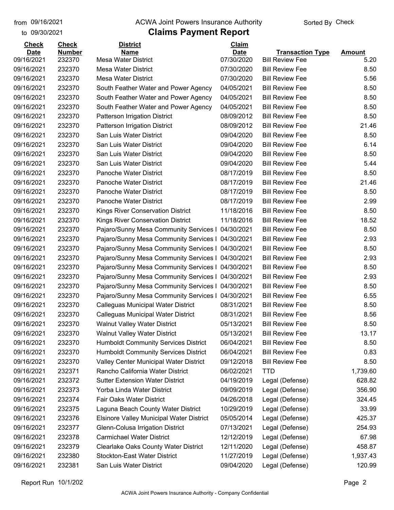to 09/30/2021

#### from 09/16/2021 **The COVA Solic Act Act Authority** Sorted By Check

## **Claims Payment Report**

| <b>Check</b> | <b>Check</b>  | <b>District</b>                             | Claim       |                         |               |
|--------------|---------------|---------------------------------------------|-------------|-------------------------|---------------|
| <b>Date</b>  | <b>Number</b> | <b>Name</b>                                 | <b>Date</b> | <b>Transaction Type</b> | <b>Amount</b> |
| 09/16/2021   | 232370        | <b>Mesa Water District</b>                  | 07/30/2020  | <b>Bill Review Fee</b>  | 5.20          |
| 09/16/2021   | 232370        | <b>Mesa Water District</b>                  | 07/30/2020  | <b>Bill Review Fee</b>  | 8.50          |
| 09/16/2021   | 232370        | <b>Mesa Water District</b>                  | 07/30/2020  | <b>Bill Review Fee</b>  | 5.56          |
| 09/16/2021   | 232370        | South Feather Water and Power Agency        | 04/05/2021  | <b>Bill Review Fee</b>  | 8.50          |
| 09/16/2021   | 232370        | South Feather Water and Power Agency        | 04/05/2021  | <b>Bill Review Fee</b>  | 8.50          |
| 09/16/2021   | 232370        | South Feather Water and Power Agency        | 04/05/2021  | <b>Bill Review Fee</b>  | 8.50          |
| 09/16/2021   | 232370        | Patterson Irrigation District               | 08/09/2012  | <b>Bill Review Fee</b>  | 8.50          |
| 09/16/2021   | 232370        | <b>Patterson Irrigation District</b>        | 08/09/2012  | <b>Bill Review Fee</b>  | 21.46         |
| 09/16/2021   | 232370        | San Luis Water District                     | 09/04/2020  | <b>Bill Review Fee</b>  | 8.50          |
| 09/16/2021   | 232370        | San Luis Water District                     | 09/04/2020  | <b>Bill Review Fee</b>  | 6.14          |
| 09/16/2021   | 232370        | San Luis Water District                     | 09/04/2020  | <b>Bill Review Fee</b>  | 8.50          |
| 09/16/2021   | 232370        | San Luis Water District                     | 09/04/2020  | <b>Bill Review Fee</b>  | 5.44          |
| 09/16/2021   | 232370        | Panoche Water District                      | 08/17/2019  | <b>Bill Review Fee</b>  | 8.50          |
| 09/16/2021   | 232370        | Panoche Water District                      | 08/17/2019  | <b>Bill Review Fee</b>  | 21.46         |
| 09/16/2021   | 232370        | Panoche Water District                      | 08/17/2019  | <b>Bill Review Fee</b>  | 8.50          |
| 09/16/2021   | 232370        | Panoche Water District                      | 08/17/2019  | <b>Bill Review Fee</b>  | 2.99          |
| 09/16/2021   | 232370        | Kings River Conservation District           | 11/18/2016  | <b>Bill Review Fee</b>  | 8.50          |
| 09/16/2021   | 232370        | Kings River Conservation District           | 11/18/2016  | <b>Bill Review Fee</b>  | 18.52         |
| 09/16/2021   | 232370        | Pajaro/Sunny Mesa Community Services I      | 04/30/2021  | <b>Bill Review Fee</b>  | 8.50          |
| 09/16/2021   | 232370        | Pajaro/Sunny Mesa Community Services I      | 04/30/2021  | <b>Bill Review Fee</b>  | 2.93          |
| 09/16/2021   | 232370        | Pajaro/Sunny Mesa Community Services I      | 04/30/2021  | <b>Bill Review Fee</b>  | 8.50          |
| 09/16/2021   | 232370        | Pajaro/Sunny Mesa Community Services I      | 04/30/2021  | <b>Bill Review Fee</b>  | 2.93          |
| 09/16/2021   | 232370        | Pajaro/Sunny Mesa Community Services I      | 04/30/2021  | <b>Bill Review Fee</b>  | 8.50          |
| 09/16/2021   | 232370        | Pajaro/Sunny Mesa Community Services I      | 04/30/2021  | <b>Bill Review Fee</b>  | 2.93          |
| 09/16/2021   | 232370        | Pajaro/Sunny Mesa Community Services I      | 04/30/2021  | <b>Bill Review Fee</b>  | 8.50          |
| 09/16/2021   | 232370        | Pajaro/Sunny Mesa Community Services I      | 04/30/2021  | <b>Bill Review Fee</b>  | 6.55          |
| 09/16/2021   | 232370        | Calleguas Municipal Water District          | 08/31/2021  | <b>Bill Review Fee</b>  | 8.50          |
| 09/16/2021   | 232370        | <b>Calleguas Municipal Water District</b>   | 08/31/2021  | <b>Bill Review Fee</b>  | 8.56          |
| 09/16/2021   | 232370        | <b>Walnut Valley Water District</b>         | 05/13/2021  | <b>Bill Review Fee</b>  | 8.50          |
| 09/16/2021   | 232370        | <b>Walnut Valley Water District</b>         | 05/13/2021  | <b>Bill Review Fee</b>  | 13.17         |
| 09/16/2021   | 232370        | <b>Humboldt Community Services District</b> | 06/04/2021  | <b>Bill Review Fee</b>  | 8.50          |
| 09/16/2021   | 232370        | <b>Humboldt Community Services District</b> | 06/04/2021  | <b>Bill Review Fee</b>  | 0.83          |
| 09/16/2021   | 232370        | Valley Center Municipal Water District      | 09/12/2018  | <b>Bill Review Fee</b>  | 8.50          |
| 09/16/2021   | 232371        | Rancho California Water District            | 06/02/2021  | <b>TTD</b>              | 1,739.60      |
| 09/16/2021   | 232372        | <b>Sutter Extension Water District</b>      | 04/19/2019  | Legal (Defense)         | 628.82        |
| 09/16/2021   | 232373        | Yorba Linda Water District                  | 09/09/2019  | Legal (Defense)         | 356.90        |
| 09/16/2021   | 232374        | Fair Oaks Water District                    | 04/26/2018  | Legal (Defense)         | 324.45        |
| 09/16/2021   | 232375        | Laguna Beach County Water District          | 10/29/2019  | Legal (Defense)         | 33.99         |
| 09/16/2021   | 232376        | Elsinore Valley Municipal Water District    | 05/05/2014  | Legal (Defense)         | 425.37        |
| 09/16/2021   | 232377        | Glenn-Colusa Irrigation District            | 07/13/2021  | Legal (Defense)         | 254.93        |
| 09/16/2021   | 232378        | <b>Carmichael Water District</b>            | 12/12/2019  | Legal (Defense)         | 67.98         |
| 09/16/2021   | 232379        | <b>Clearlake Oaks County Water District</b> | 12/11/2020  | Legal (Defense)         | 458.87        |
| 09/16/2021   | 232380        | <b>Stockton-East Water District</b>         | 11/27/2019  | Legal (Defense)         | 1,937.43      |
| 09/16/2021   | 232381        | San Luis Water District                     | 09/04/2020  | Legal (Defense)         | 120.99        |
|              |               |                                             |             |                         |               |

Report Run 10/1/202 Page 2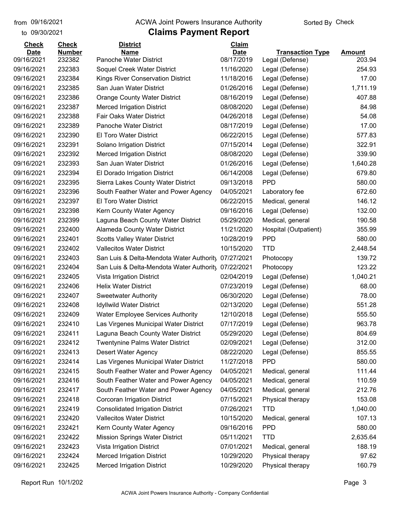#### from 09/16/2021 **The COVA Solic Act Act Authority** Sorted By Check

#### to 09/30/2021

| <b>Check</b> | <b>Check</b>  | <b>District</b>                          | Claim       |                         |               |
|--------------|---------------|------------------------------------------|-------------|-------------------------|---------------|
| <b>Date</b>  | <b>Number</b> | <b>Name</b>                              | <b>Date</b> | <b>Transaction Type</b> | <b>Amount</b> |
| 09/16/2021   | 232382        | Panoche Water District                   | 08/17/2019  | Legal (Defense)         | 203.94        |
| 09/16/2021   | 232383        | Soquel Creek Water District              | 11/16/2020  | Legal (Defense)         | 254.93        |
| 09/16/2021   | 232384        | Kings River Conservation District        | 11/18/2016  | Legal (Defense)         | 17.00         |
| 09/16/2021   | 232385        | San Juan Water District                  | 01/26/2016  | Legal (Defense)         | 1,711.19      |
| 09/16/2021   | 232386        | <b>Orange County Water District</b>      | 08/16/2019  | Legal (Defense)         | 407.88        |
| 09/16/2021   | 232387        | <b>Merced Irrigation District</b>        | 08/08/2020  | Legal (Defense)         | 84.98         |
| 09/16/2021   | 232388        | Fair Oaks Water District                 | 04/26/2018  | Legal (Defense)         | 54.08         |
| 09/16/2021   | 232389        | Panoche Water District                   | 08/17/2019  | Legal (Defense)         | 17.00         |
| 09/16/2021   | 232390        | El Toro Water District                   | 06/22/2015  | Legal (Defense)         | 577.83        |
| 09/16/2021   | 232391        | Solano Irrigation District               | 07/15/2014  | Legal (Defense)         | 322.91        |
| 09/16/2021   | 232392        | <b>Merced Irrigation District</b>        | 08/08/2020  | Legal (Defense)         | 339.90        |
| 09/16/2021   | 232393        | San Juan Water District                  | 01/26/2016  | Legal (Defense)         | 1,640.28      |
| 09/16/2021   | 232394        | El Dorado Irrigation District            | 06/14/2008  | Legal (Defense)         | 679.80        |
| 09/16/2021   | 232395        | Sierra Lakes County Water District       | 09/13/2018  | <b>PPD</b>              | 580.00        |
| 09/16/2021   | 232396        | South Feather Water and Power Agency     | 04/05/2021  | Laboratory fee          | 672.60        |
| 09/16/2021   | 232397        | <b>El Toro Water District</b>            | 06/22/2015  | Medical, general        | 146.12        |
| 09/16/2021   | 232398        | Kern County Water Agency                 | 09/16/2016  | Legal (Defense)         | 132.00        |
| 09/16/2021   | 232399        | Laguna Beach County Water District       | 05/29/2020  | Medical, general        | 190.58        |
| 09/16/2021   | 232400        | Alameda County Water District            | 11/21/2020  | Hospital (Outpatient)   | 355.99        |
| 09/16/2021   | 232401        | <b>Scotts Valley Water District</b>      | 10/28/2019  | <b>PPD</b>              | 580.00        |
| 09/16/2021   | 232402        | <b>Vallecitos Water District</b>         | 10/15/2020  | <b>TTD</b>              | 2,448.54      |
| 09/16/2021   | 232403        | San Luis & Delta-Mendota Water Authority | 07/27/2021  | Photocopy               | 139.72        |
| 09/16/2021   | 232404        | San Luis & Delta-Mendota Water Authority | 07/22/2021  | Photocopy               | 123.22        |
| 09/16/2021   | 232405        | Vista Irrigation District                | 02/04/2019  | Legal (Defense)         | 1,040.21      |
| 09/16/2021   | 232406        | <b>Helix Water District</b>              | 07/23/2019  | Legal (Defense)         | 68.00         |
| 09/16/2021   | 232407        | <b>Sweetwater Authority</b>              | 06/30/2020  | Legal (Defense)         | 78.00         |
| 09/16/2021   | 232408        | <b>Idyllwild Water District</b>          | 02/13/2020  | Legal (Defense)         | 551.28        |
| 09/16/2021   | 232409        | <b>Water Employee Services Authority</b> | 12/10/2018  | Legal (Defense)         | 555.50        |
| 09/16/2021   | 232410        | Las Virgenes Municipal Water District    | 07/17/2019  | Legal (Defense)         | 963.78        |
| 09/16/2021   | 232411        | Laguna Beach County Water District       | 05/29/2020  | Legal (Defense)         | 804.69        |
| 09/16/2021   | 232412        | <b>Twentynine Palms Water District</b>   | 02/09/2021  | Legal (Defense)         | 312.00        |
| 09/16/2021   | 232413        | <b>Desert Water Agency</b>               | 08/22/2020  | Legal (Defense)         | 855.55        |
| 09/16/2021   | 232414        | Las Virgenes Municipal Water District    | 11/27/2018  | <b>PPD</b>              | 580.00        |
| 09/16/2021   | 232415        | South Feather Water and Power Agency     | 04/05/2021  | Medical, general        | 111.44        |
| 09/16/2021   | 232416        | South Feather Water and Power Agency     | 04/05/2021  | Medical, general        | 110.59        |
| 09/16/2021   | 232417        | South Feather Water and Power Agency     | 04/05/2021  | Medical, general        | 212.76        |
| 09/16/2021   | 232418        | <b>Corcoran Irrigation District</b>      | 07/15/2021  | Physical therapy        | 153.08        |
| 09/16/2021   | 232419        | <b>Consolidated Irrigation District</b>  | 07/26/2021  | <b>TTD</b>              | 1,040.00      |
| 09/16/2021   | 232420        | <b>Vallecitos Water District</b>         | 10/15/2020  | Medical, general        | 107.13        |
| 09/16/2021   | 232421        | Kern County Water Agency                 | 09/16/2016  | <b>PPD</b>              | 580.00        |
| 09/16/2021   | 232422        | <b>Mission Springs Water District</b>    | 05/11/2021  | <b>TTD</b>              | 2,635.64      |
| 09/16/2021   | 232423        | Vista Irrigation District                | 07/01/2021  | Medical, general        | 188.19        |
| 09/16/2021   | 232424        | <b>Merced Irrigation District</b>        | 10/29/2020  | Physical therapy        | 97.62         |
| 09/16/2021   | 232425        | <b>Merced Irrigation District</b>        | 10/29/2020  | Physical therapy        | 160.79        |
|              |               |                                          |             |                         |               |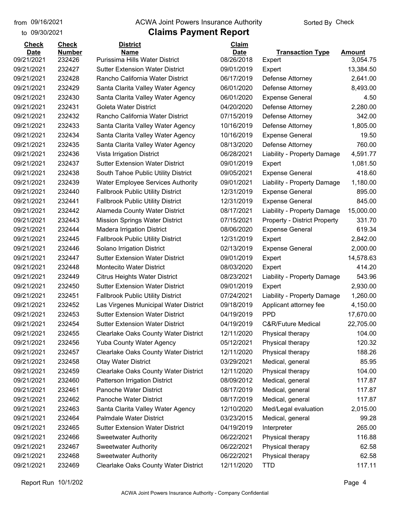to 09/30/2021

#### from 09/16/2021 **The COVA Solic Act Act Authority** Sorted By Check

| <b>Check</b> | <b>Check</b>            | <b>District</b>                                                            | Claim      |                                     |               |
|--------------|-------------------------|----------------------------------------------------------------------------|------------|-------------------------------------|---------------|
| <b>Date</b>  | <b>Number</b><br>232426 | <b>Name</b><br>Purissima Hills Water District                              | Date       | <b>Transaction Type</b>             | <b>Amount</b> |
| 09/21/2021   |                         |                                                                            | 08/26/2018 | Expert                              | 3,054.75      |
| 09/21/2021   | 232427                  | <b>Sutter Extension Water District</b><br>Rancho California Water District | 09/01/2019 | Expert                              | 13,384.50     |
| 09/21/2021   | 232428                  |                                                                            | 06/17/2019 | Defense Attorney                    | 2,641.00      |
| 09/21/2021   | 232429                  | Santa Clarita Valley Water Agency                                          | 06/01/2020 | Defense Attorney                    | 8,493.00      |
| 09/21/2021   | 232430                  | Santa Clarita Valley Water Agency                                          | 06/01/2020 | <b>Expense General</b>              | 4.50          |
| 09/21/2021   | 232431                  | <b>Goleta Water District</b>                                               | 04/20/2020 | Defense Attorney                    | 2,280.00      |
| 09/21/2021   | 232432                  | Rancho California Water District                                           | 07/15/2019 | Defense Attorney                    | 342.00        |
| 09/21/2021   | 232433                  | Santa Clarita Valley Water Agency                                          | 10/16/2019 | Defense Attorney                    | 1,805.00      |
| 09/21/2021   | 232434                  | Santa Clarita Valley Water Agency                                          | 10/16/2019 | <b>Expense General</b>              | 19.50         |
| 09/21/2021   | 232435                  | Santa Clarita Valley Water Agency                                          | 08/13/2020 | Defense Attorney                    | 760.00        |
| 09/21/2021   | 232436                  | Vista Irrigation District                                                  | 06/28/2021 | Liability - Property Damage         | 4,591.77      |
| 09/21/2021   | 232437                  | <b>Sutter Extension Water District</b>                                     | 09/01/2019 | Expert                              | 1,081.50      |
| 09/21/2021   | 232438                  | South Tahoe Public Utility District                                        | 09/05/2021 | <b>Expense General</b>              | 418.60        |
| 09/21/2021   | 232439                  | <b>Water Employee Services Authority</b>                                   | 09/01/2021 | Liability - Property Damage         | 1,180.00      |
| 09/21/2021   | 232440                  | <b>Fallbrook Public Utility District</b>                                   | 12/31/2019 | <b>Expense General</b>              | 895.00        |
| 09/21/2021   | 232441                  | <b>Fallbrook Public Utility District</b>                                   | 12/31/2019 | <b>Expense General</b>              | 845.00        |
| 09/21/2021   | 232442                  | <b>Alameda County Water District</b>                                       | 08/17/2021 | Liability - Property Damage         | 15,000.00     |
| 09/21/2021   | 232443                  | <b>Mission Springs Water District</b>                                      | 07/15/2021 | <b>Property - District Property</b> | 331.70        |
| 09/21/2021   | 232444                  | <b>Madera Irrigation District</b>                                          | 08/06/2020 | <b>Expense General</b>              | 619.34        |
| 09/21/2021   | 232445                  | <b>Fallbrook Public Utility District</b>                                   | 12/31/2019 | Expert                              | 2,842.00      |
| 09/21/2021   | 232446                  | Solano Irrigation District                                                 | 02/13/2019 | <b>Expense General</b>              | 2,000.00      |
| 09/21/2021   | 232447                  | <b>Sutter Extension Water District</b>                                     | 09/01/2019 | Expert                              | 14,578.63     |
| 09/21/2021   | 232448                  | <b>Montecito Water District</b>                                            | 08/03/2020 | Expert                              | 414.20        |
| 09/21/2021   | 232449                  | <b>Citrus Heights Water District</b>                                       | 08/23/2021 | Liability - Property Damage         | 543.96        |
| 09/21/2021   | 232450                  | <b>Sutter Extension Water District</b>                                     | 09/01/2019 | Expert                              | 2,930.00      |
| 09/21/2021   | 232451                  | <b>Fallbrook Public Utility District</b>                                   | 07/24/2021 | Liability - Property Damage         | 1,260.00      |
| 09/21/2021   | 232452                  | Las Virgenes Municipal Water District                                      | 09/18/2019 | Applicant attorney fee              | 4,150.00      |
| 09/21/2021   | 232453                  | <b>Sutter Extension Water District</b>                                     | 04/19/2019 | <b>PPD</b>                          | 17,670.00     |
| 09/21/2021   | 232454                  | <b>Sutter Extension Water District</b>                                     | 04/19/2019 | <b>C&amp;R/Future Medical</b>       | 22,705.00     |
| 09/21/2021   | 232455                  | <b>Clearlake Oaks County Water District</b>                                | 12/11/2020 | Physical therapy                    | 104.00        |
| 09/21/2021   | 232456                  | <b>Yuba County Water Agency</b>                                            | 05/12/2021 | Physical therapy                    | 120.32        |
| 09/21/2021   | 232457                  | <b>Clearlake Oaks County Water District</b>                                | 12/11/2020 | Physical therapy                    | 188.26        |
| 09/21/2021   | 232458                  | <b>Otay Water District</b>                                                 | 03/29/2021 | Medical, general                    | 85.95         |
| 09/21/2021   | 232459                  | <b>Clearlake Oaks County Water District</b>                                | 12/11/2020 | Physical therapy                    | 104.00        |
| 09/21/2021   | 232460                  | Patterson Irrigation District                                              | 08/09/2012 | Medical, general                    | 117.87        |
| 09/21/2021   | 232461                  | Panoche Water District                                                     | 08/17/2019 | Medical, general                    | 117.87        |
| 09/21/2021   | 232462                  | Panoche Water District                                                     | 08/17/2019 | Medical, general                    | 117.87        |
| 09/21/2021   | 232463                  | Santa Clarita Valley Water Agency                                          | 12/10/2020 | Med/Legal evaluation                | 2,015.00      |
| 09/21/2021   | 232464                  | Palmdale Water District                                                    | 03/23/2015 | Medical, general                    | 99.28         |
| 09/21/2021   | 232465                  | <b>Sutter Extension Water District</b>                                     | 04/19/2019 | Interpreter                         | 265.00        |
| 09/21/2021   | 232466                  | <b>Sweetwater Authority</b>                                                | 06/22/2021 | Physical therapy                    | 116.88        |
| 09/21/2021   | 232467                  | <b>Sweetwater Authority</b>                                                | 06/22/2021 | Physical therapy                    | 62.58         |
| 09/21/2021   | 232468                  | <b>Sweetwater Authority</b>                                                | 06/22/2021 | Physical therapy                    | 62.58         |
| 09/21/2021   | 232469                  | Clearlake Oaks County Water District                                       | 12/11/2020 | <b>TTD</b>                          | 117.11        |
|              |                         |                                                                            |            |                                     |               |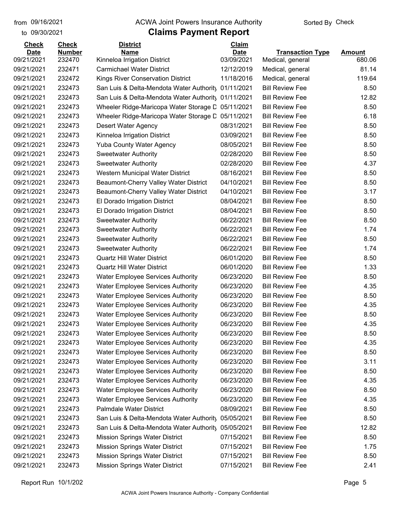to 09/30/2021

#### from 09/16/2021 **The COVA Solic Act Act Authority** Sorted By Check

| <b>Check</b> | <b>Check</b>  | <b>District</b>                                   | Claim       |                         |               |
|--------------|---------------|---------------------------------------------------|-------------|-------------------------|---------------|
| <b>Date</b>  | <b>Number</b> | <b>Name</b>                                       | <b>Date</b> | <b>Transaction Type</b> | <b>Amount</b> |
| 09/21/2021   | 232470        | Kinneloa Irrigation District                      | 03/09/2021  | Medical, general        | 680.06        |
| 09/21/2021   | 232471        | <b>Carmichael Water District</b>                  | 12/12/2019  | Medical, general        | 81.14         |
| 09/21/2021   | 232472        | Kings River Conservation District                 | 11/18/2016  | Medical, general        | 119.64        |
| 09/21/2021   | 232473        | San Luis & Delta-Mendota Water Authority          | 01/11/2021  | <b>Bill Review Fee</b>  | 8.50          |
| 09/21/2021   | 232473        | San Luis & Delta-Mendota Water Authority          | 01/11/2021  | <b>Bill Review Fee</b>  | 12.82         |
| 09/21/2021   | 232473        | Wheeler Ridge-Maricopa Water Storage L 05/11/2021 |             | <b>Bill Review Fee</b>  | 8.50          |
| 09/21/2021   | 232473        | Wheeler Ridge-Maricopa Water Storage D            | 05/11/2021  | <b>Bill Review Fee</b>  | 6.18          |
| 09/21/2021   | 232473        | Desert Water Agency                               | 08/31/2021  | <b>Bill Review Fee</b>  | 8.50          |
| 09/21/2021   | 232473        | Kinneloa Irrigation District                      | 03/09/2021  | <b>Bill Review Fee</b>  | 8.50          |
| 09/21/2021   | 232473        | <b>Yuba County Water Agency</b>                   | 08/05/2021  | <b>Bill Review Fee</b>  | 8.50          |
| 09/21/2021   | 232473        | <b>Sweetwater Authority</b>                       | 02/28/2020  | <b>Bill Review Fee</b>  | 8.50          |
| 09/21/2021   | 232473        | <b>Sweetwater Authority</b>                       | 02/28/2020  | <b>Bill Review Fee</b>  | 4.37          |
| 09/21/2021   | 232473        | Western Municipal Water District                  | 08/16/2021  | <b>Bill Review Fee</b>  | 8.50          |
| 09/21/2021   | 232473        | Beaumont-Cherry Valley Water District             | 04/10/2021  | <b>Bill Review Fee</b>  | 8.50          |
| 09/21/2021   | 232473        | Beaumont-Cherry Valley Water District             | 04/10/2021  | <b>Bill Review Fee</b>  | 3.17          |
| 09/21/2021   | 232473        | El Dorado Irrigation District                     | 08/04/2021  | <b>Bill Review Fee</b>  | 8.50          |
| 09/21/2021   | 232473        | El Dorado Irrigation District                     | 08/04/2021  | <b>Bill Review Fee</b>  | 8.50          |
| 09/21/2021   | 232473        | <b>Sweetwater Authority</b>                       | 06/22/2021  | <b>Bill Review Fee</b>  | 8.50          |
| 09/21/2021   | 232473        | <b>Sweetwater Authority</b>                       | 06/22/2021  | <b>Bill Review Fee</b>  | 1.74          |
| 09/21/2021   | 232473        | <b>Sweetwater Authority</b>                       | 06/22/2021  | <b>Bill Review Fee</b>  | 8.50          |
| 09/21/2021   | 232473        | <b>Sweetwater Authority</b>                       | 06/22/2021  | <b>Bill Review Fee</b>  | 1.74          |
| 09/21/2021   | 232473        | <b>Quartz Hill Water District</b>                 | 06/01/2020  | <b>Bill Review Fee</b>  | 8.50          |
| 09/21/2021   | 232473        | <b>Quartz Hill Water District</b>                 | 06/01/2020  | <b>Bill Review Fee</b>  | 1.33          |
| 09/21/2021   | 232473        | <b>Water Employee Services Authority</b>          | 06/23/2020  | <b>Bill Review Fee</b>  | 8.50          |
| 09/21/2021   | 232473        | <b>Water Employee Services Authority</b>          | 06/23/2020  | <b>Bill Review Fee</b>  | 4.35          |
| 09/21/2021   | 232473        | <b>Water Employee Services Authority</b>          | 06/23/2020  | <b>Bill Review Fee</b>  | 8.50          |
| 09/21/2021   | 232473        | <b>Water Employee Services Authority</b>          | 06/23/2020  | <b>Bill Review Fee</b>  | 4.35          |
| 09/21/2021   | 232473        | <b>Water Employee Services Authority</b>          | 06/23/2020  | <b>Bill Review Fee</b>  | 8.50          |
| 09/21/2021   | 232473        | <b>Water Employee Services Authority</b>          | 06/23/2020  | <b>Bill Review Fee</b>  | 4.35          |
| 09/21/2021   | 232473        | <b>Water Employee Services Authority</b>          | 06/23/2020  | <b>Bill Review Fee</b>  | 8.50          |
| 09/21/2021   | 232473        | <b>Water Employee Services Authority</b>          | 06/23/2020  | <b>Bill Review Fee</b>  | 4.35          |
| 09/21/2021   | 232473        | <b>Water Employee Services Authority</b>          | 06/23/2020  | <b>Bill Review Fee</b>  | 8.50          |
| 09/21/2021   | 232473        | <b>Water Employee Services Authority</b>          | 06/23/2020  | <b>Bill Review Fee</b>  | 3.11          |
| 09/21/2021   | 232473        | <b>Water Employee Services Authority</b>          | 06/23/2020  | <b>Bill Review Fee</b>  | 8.50          |
| 09/21/2021   | 232473        | <b>Water Employee Services Authority</b>          | 06/23/2020  | <b>Bill Review Fee</b>  | 4.35          |
| 09/21/2021   | 232473        | <b>Water Employee Services Authority</b>          | 06/23/2020  | <b>Bill Review Fee</b>  | 8.50          |
| 09/21/2021   | 232473        | <b>Water Employee Services Authority</b>          | 06/23/2020  | <b>Bill Review Fee</b>  | 4.35          |
| 09/21/2021   | 232473        | Palmdale Water District                           | 08/09/2021  | <b>Bill Review Fee</b>  | 8.50          |
| 09/21/2021   | 232473        | San Luis & Delta-Mendota Water Authority          | 05/05/2021  | <b>Bill Review Fee</b>  | 8.50          |
| 09/21/2021   | 232473        | San Luis & Delta-Mendota Water Authority          | 05/05/2021  | <b>Bill Review Fee</b>  | 12.82         |
| 09/21/2021   | 232473        | <b>Mission Springs Water District</b>             | 07/15/2021  | <b>Bill Review Fee</b>  | 8.50          |
| 09/21/2021   | 232473        | <b>Mission Springs Water District</b>             | 07/15/2021  | <b>Bill Review Fee</b>  | 1.75          |
| 09/21/2021   | 232473        | <b>Mission Springs Water District</b>             | 07/15/2021  | <b>Bill Review Fee</b>  | 8.50          |
| 09/21/2021   | 232473        | <b>Mission Springs Water District</b>             | 07/15/2021  | <b>Bill Review Fee</b>  | 2.41          |
|              |               |                                                   |             |                         |               |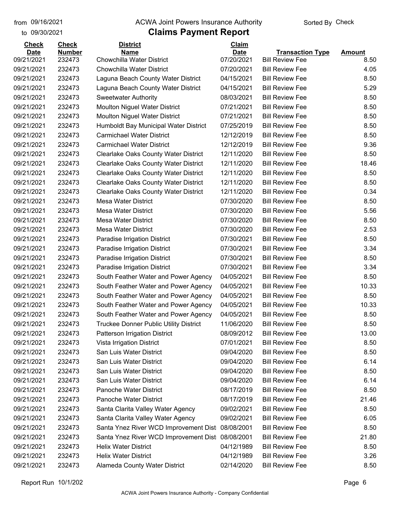## from 09/16/2021 **The COVA Solic Act Act Authority** Sorted By Check

#### to 09/30/2021

| <b>Check</b> | <b>Check</b>  | <b>District</b>                                  | Claim       |                         |               |
|--------------|---------------|--------------------------------------------------|-------------|-------------------------|---------------|
| <b>Date</b>  | <b>Number</b> | <b>Name</b>                                      | <b>Date</b> | <b>Transaction Type</b> | <b>Amount</b> |
| 09/21/2021   | 232473        | Chowchilla Water District                        | 07/20/2021  | <b>Bill Review Fee</b>  | 8.50          |
| 09/21/2021   | 232473        | <b>Chowchilla Water District</b>                 | 07/20/2021  | <b>Bill Review Fee</b>  | 4.05          |
| 09/21/2021   | 232473        | Laguna Beach County Water District               | 04/15/2021  | <b>Bill Review Fee</b>  | 8.50          |
| 09/21/2021   | 232473        | Laguna Beach County Water District               | 04/15/2021  | <b>Bill Review Fee</b>  | 5.29          |
| 09/21/2021   | 232473        | <b>Sweetwater Authority</b>                      | 08/03/2021  | <b>Bill Review Fee</b>  | 8.50          |
| 09/21/2021   | 232473        | Moulton Niguel Water District                    | 07/21/2021  | <b>Bill Review Fee</b>  | 8.50          |
| 09/21/2021   | 232473        | Moulton Niguel Water District                    | 07/21/2021  | <b>Bill Review Fee</b>  | 8.50          |
| 09/21/2021   | 232473        | Humboldt Bay Municipal Water District            | 07/25/2019  | <b>Bill Review Fee</b>  | 8.50          |
| 09/21/2021   | 232473        | <b>Carmichael Water District</b>                 | 12/12/2019  | <b>Bill Review Fee</b>  | 8.50          |
| 09/21/2021   | 232473        | <b>Carmichael Water District</b>                 | 12/12/2019  | <b>Bill Review Fee</b>  | 9.36          |
| 09/21/2021   | 232473        | <b>Clearlake Oaks County Water District</b>      | 12/11/2020  | <b>Bill Review Fee</b>  | 8.50          |
| 09/21/2021   | 232473        | <b>Clearlake Oaks County Water District</b>      | 12/11/2020  | <b>Bill Review Fee</b>  | 18.46         |
| 09/21/2021   | 232473        | <b>Clearlake Oaks County Water District</b>      | 12/11/2020  | <b>Bill Review Fee</b>  | 8.50          |
| 09/21/2021   | 232473        | <b>Clearlake Oaks County Water District</b>      | 12/11/2020  | <b>Bill Review Fee</b>  | 8.50          |
| 09/21/2021   | 232473        | <b>Clearlake Oaks County Water District</b>      | 12/11/2020  | <b>Bill Review Fee</b>  | 0.34          |
| 09/21/2021   | 232473        | <b>Mesa Water District</b>                       | 07/30/2020  | <b>Bill Review Fee</b>  | 8.50          |
| 09/21/2021   | 232473        | <b>Mesa Water District</b>                       | 07/30/2020  | <b>Bill Review Fee</b>  | 5.56          |
| 09/21/2021   | 232473        | <b>Mesa Water District</b>                       | 07/30/2020  | <b>Bill Review Fee</b>  | 8.50          |
| 09/21/2021   | 232473        | <b>Mesa Water District</b>                       | 07/30/2020  | <b>Bill Review Fee</b>  | 2.53          |
| 09/21/2021   | 232473        | Paradise Irrigation District                     | 07/30/2021  | <b>Bill Review Fee</b>  | 8.50          |
| 09/21/2021   | 232473        | Paradise Irrigation District                     | 07/30/2021  | <b>Bill Review Fee</b>  | 3.34          |
| 09/21/2021   | 232473        | Paradise Irrigation District                     | 07/30/2021  | <b>Bill Review Fee</b>  | 8.50          |
| 09/21/2021   | 232473        | Paradise Irrigation District                     | 07/30/2021  | <b>Bill Review Fee</b>  | 3.34          |
| 09/21/2021   | 232473        | South Feather Water and Power Agency             | 04/05/2021  | <b>Bill Review Fee</b>  | 8.50          |
| 09/21/2021   | 232473        | South Feather Water and Power Agency             | 04/05/2021  | <b>Bill Review Fee</b>  | 10.33         |
| 09/21/2021   | 232473        | South Feather Water and Power Agency             | 04/05/2021  | <b>Bill Review Fee</b>  | 8.50          |
| 09/21/2021   | 232473        | South Feather Water and Power Agency             | 04/05/2021  | <b>Bill Review Fee</b>  | 10.33         |
| 09/21/2021   | 232473        | South Feather Water and Power Agency             | 04/05/2021  | <b>Bill Review Fee</b>  | 8.50          |
| 09/21/2021   | 232473        | <b>Truckee Donner Public Utility District</b>    | 11/06/2020  | <b>Bill Review Fee</b>  | 8.50          |
| 09/21/2021   | 232473        | Patterson Irrigation District                    | 08/09/2012  | <b>Bill Review Fee</b>  | 13.00         |
| 09/21/2021   | 232473        | Vista Irrigation District                        | 07/01/2021  | <b>Bill Review Fee</b>  | 8.50          |
| 09/21/2021   | 232473        | San Luis Water District                          | 09/04/2020  | <b>Bill Review Fee</b>  | 8.50          |
| 09/21/2021   | 232473        | San Luis Water District                          | 09/04/2020  | <b>Bill Review Fee</b>  | 6.14          |
| 09/21/2021   | 232473        | San Luis Water District                          | 09/04/2020  | <b>Bill Review Fee</b>  | 8.50          |
| 09/21/2021   | 232473        | San Luis Water District                          | 09/04/2020  | <b>Bill Review Fee</b>  | 6.14          |
| 09/21/2021   | 232473        | Panoche Water District                           | 08/17/2019  | <b>Bill Review Fee</b>  | 8.50          |
| 09/21/2021   | 232473        | Panoche Water District                           | 08/17/2019  | <b>Bill Review Fee</b>  | 21.46         |
| 09/21/2021   | 232473        | Santa Clarita Valley Water Agency                | 09/02/2021  | <b>Bill Review Fee</b>  | 8.50          |
| 09/21/2021   | 232473        | Santa Clarita Valley Water Agency                | 09/02/2021  | <b>Bill Review Fee</b>  | 6.05          |
| 09/21/2021   | 232473        | Santa Ynez River WCD Improvement Dist 08/08/2001 |             | <b>Bill Review Fee</b>  | 8.50          |
| 09/21/2021   | 232473        | Santa Ynez River WCD Improvement Dist            | 08/08/2001  | <b>Bill Review Fee</b>  | 21.80         |
| 09/21/2021   | 232473        | <b>Helix Water District</b>                      | 04/12/1989  | <b>Bill Review Fee</b>  | 8.50          |
| 09/21/2021   | 232473        | <b>Helix Water District</b>                      | 04/12/1989  | <b>Bill Review Fee</b>  | 3.26          |
| 09/21/2021   | 232473        | Alameda County Water District                    | 02/14/2020  | <b>Bill Review Fee</b>  | 8.50          |
|              |               |                                                  |             |                         |               |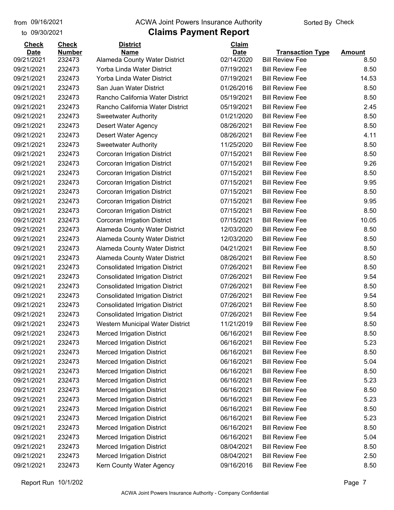#### from 09/16/2021 **The COVA Solic Act Act Authority** Sorted By Check

#### to 09/30/2021

## **Claims Payment Report**

| <b>Check</b> | <b>Check</b>     | <b>District</b>                                          | Claim                    |                         |               |
|--------------|------------------|----------------------------------------------------------|--------------------------|-------------------------|---------------|
| <b>Date</b>  | <b>Number</b>    | <b>Name</b>                                              | <b>Date</b>              | <b>Transaction Type</b> | <b>Amount</b> |
| 09/21/2021   | 232473           | Alameda County Water District                            | 02/14/2020               | <b>Bill Review Fee</b>  | 8.50          |
| 09/21/2021   | 232473<br>232473 | Yorba Linda Water District<br>Yorba Linda Water District | 07/19/2021<br>07/19/2021 | <b>Bill Review Fee</b>  | 8.50          |
| 09/21/2021   |                  |                                                          |                          | <b>Bill Review Fee</b>  | 14.53         |
| 09/21/2021   | 232473           | San Juan Water District                                  | 01/26/2016               | <b>Bill Review Fee</b>  | 8.50          |
| 09/21/2021   | 232473           | Rancho California Water District                         | 05/19/2021               | <b>Bill Review Fee</b>  | 8.50          |
| 09/21/2021   | 232473           | Rancho California Water District                         | 05/19/2021               | <b>Bill Review Fee</b>  | 2.45          |
| 09/21/2021   | 232473           | <b>Sweetwater Authority</b>                              | 01/21/2020               | <b>Bill Review Fee</b>  | 8.50          |
| 09/21/2021   | 232473           | Desert Water Agency                                      | 08/26/2021               | <b>Bill Review Fee</b>  | 8.50          |
| 09/21/2021   | 232473           | <b>Desert Water Agency</b>                               | 08/26/2021               | <b>Bill Review Fee</b>  | 4.11          |
| 09/21/2021   | 232473           | <b>Sweetwater Authority</b>                              | 11/25/2020               | <b>Bill Review Fee</b>  | 8.50          |
| 09/21/2021   | 232473           | <b>Corcoran Irrigation District</b>                      | 07/15/2021               | <b>Bill Review Fee</b>  | 8.50          |
| 09/21/2021   | 232473           | Corcoran Irrigation District                             | 07/15/2021               | <b>Bill Review Fee</b>  | 9.26          |
| 09/21/2021   | 232473           | Corcoran Irrigation District                             | 07/15/2021               | <b>Bill Review Fee</b>  | 8.50          |
| 09/21/2021   | 232473           | Corcoran Irrigation District                             | 07/15/2021               | <b>Bill Review Fee</b>  | 9.95          |
| 09/21/2021   | 232473           | Corcoran Irrigation District                             | 07/15/2021               | <b>Bill Review Fee</b>  | 8.50          |
| 09/21/2021   | 232473           | Corcoran Irrigation District                             | 07/15/2021               | <b>Bill Review Fee</b>  | 9.95          |
| 09/21/2021   | 232473           | Corcoran Irrigation District                             | 07/15/2021               | <b>Bill Review Fee</b>  | 8.50          |
| 09/21/2021   | 232473           | Corcoran Irrigation District                             | 07/15/2021               | <b>Bill Review Fee</b>  | 10.05         |
| 09/21/2021   | 232473           | Alameda County Water District                            | 12/03/2020               | <b>Bill Review Fee</b>  | 8.50          |
| 09/21/2021   | 232473           | Alameda County Water District                            | 12/03/2020               | <b>Bill Review Fee</b>  | 8.50          |
| 09/21/2021   | 232473           | <b>Alameda County Water District</b>                     | 04/21/2021               | <b>Bill Review Fee</b>  | 8.50          |
| 09/21/2021   | 232473           | Alameda County Water District                            | 08/26/2021               | <b>Bill Review Fee</b>  | 8.50          |
| 09/21/2021   | 232473           | <b>Consolidated Irrigation District</b>                  | 07/26/2021               | <b>Bill Review Fee</b>  | 8.50          |
| 09/21/2021   | 232473           | <b>Consolidated Irrigation District</b>                  | 07/26/2021               | <b>Bill Review Fee</b>  | 9.54          |
| 09/21/2021   | 232473           | <b>Consolidated Irrigation District</b>                  | 07/26/2021               | <b>Bill Review Fee</b>  | 8.50          |
| 09/21/2021   | 232473           | <b>Consolidated Irrigation District</b>                  | 07/26/2021               | <b>Bill Review Fee</b>  | 9.54          |
| 09/21/2021   | 232473           | <b>Consolidated Irrigation District</b>                  | 07/26/2021               | <b>Bill Review Fee</b>  | 8.50          |
| 09/21/2021   | 232473           | <b>Consolidated Irrigation District</b>                  | 07/26/2021               | <b>Bill Review Fee</b>  | 9.54          |
| 09/21/2021   | 232473           | Western Municipal Water District                         | 11/21/2019               | <b>Bill Review Fee</b>  | 8.50          |
| 09/21/2021   | 232473           | <b>Merced Irrigation District</b>                        | 06/16/2021               | <b>Bill Review Fee</b>  | 8.50          |
| 09/21/2021   | 232473           | <b>Merced Irrigation District</b>                        | 06/16/2021               | <b>Bill Review Fee</b>  | 5.23          |
| 09/21/2021   | 232473           | <b>Merced Irrigation District</b>                        | 06/16/2021               | <b>Bill Review Fee</b>  | 8.50          |
| 09/21/2021   | 232473           | <b>Merced Irrigation District</b>                        | 06/16/2021               | <b>Bill Review Fee</b>  | 5.04          |
| 09/21/2021   | 232473           | <b>Merced Irrigation District</b>                        | 06/16/2021               | <b>Bill Review Fee</b>  | 8.50          |
| 09/21/2021   | 232473           | <b>Merced Irrigation District</b>                        | 06/16/2021               | <b>Bill Review Fee</b>  | 5.23          |
| 09/21/2021   | 232473           | <b>Merced Irrigation District</b>                        | 06/16/2021               | <b>Bill Review Fee</b>  | 8.50          |
| 09/21/2021   | 232473           | <b>Merced Irrigation District</b>                        | 06/16/2021               | <b>Bill Review Fee</b>  | 5.23          |
| 09/21/2021   | 232473           | <b>Merced Irrigation District</b>                        | 06/16/2021               | <b>Bill Review Fee</b>  | 8.50          |
| 09/21/2021   | 232473           | <b>Merced Irrigation District</b>                        | 06/16/2021               | <b>Bill Review Fee</b>  | 5.23          |
| 09/21/2021   | 232473           | <b>Merced Irrigation District</b>                        | 06/16/2021               | <b>Bill Review Fee</b>  | 8.50          |
| 09/21/2021   | 232473           | <b>Merced Irrigation District</b>                        | 06/16/2021               | <b>Bill Review Fee</b>  | 5.04          |
| 09/21/2021   | 232473           | <b>Merced Irrigation District</b>                        | 08/04/2021               | <b>Bill Review Fee</b>  | 8.50          |
| 09/21/2021   | 232473           | <b>Merced Irrigation District</b>                        | 08/04/2021               | <b>Bill Review Fee</b>  | 2.50          |
| 09/21/2021   | 232473           | Kern County Water Agency                                 | 09/16/2016               | <b>Bill Review Fee</b>  | 8.50          |
|              |                  |                                                          |                          |                         |               |

Report Run 10/1/202 Page 7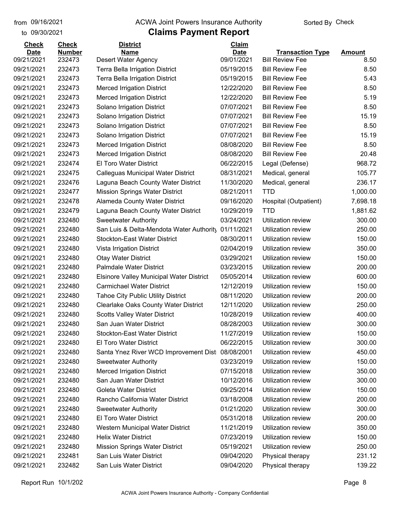#### from 09/16/2021 **The COVA Solic Act Act Authority** Sorted By Check

## to 09/30/2021

| <b>Check</b> | <b>Check</b>  | <b>District</b>                                  | Claim       |                           |               |
|--------------|---------------|--------------------------------------------------|-------------|---------------------------|---------------|
| <b>Date</b>  | <b>Number</b> | <b>Name</b>                                      | <b>Date</b> | <b>Transaction Type</b>   | <b>Amount</b> |
| 09/21/2021   | 232473        | Desert Water Agency                              | 09/01/2021  | <b>Bill Review Fee</b>    | 8.50          |
| 09/21/2021   | 232473        | Terra Bella Irrigation District                  | 05/19/2015  | <b>Bill Review Fee</b>    | 8.50          |
| 09/21/2021   | 232473        | <b>Terra Bella Irrigation District</b>           | 05/19/2015  | <b>Bill Review Fee</b>    | 5.43          |
| 09/21/2021   | 232473        | <b>Merced Irrigation District</b>                | 12/22/2020  | <b>Bill Review Fee</b>    | 8.50          |
| 09/21/2021   | 232473        | <b>Merced Irrigation District</b>                | 12/22/2020  | <b>Bill Review Fee</b>    | 5.19          |
| 09/21/2021   | 232473        | Solano Irrigation District                       | 07/07/2021  | <b>Bill Review Fee</b>    | 8.50          |
| 09/21/2021   | 232473        | Solano Irrigation District                       | 07/07/2021  | <b>Bill Review Fee</b>    | 15.19         |
| 09/21/2021   | 232473        | Solano Irrigation District                       | 07/07/2021  | <b>Bill Review Fee</b>    | 8.50          |
| 09/21/2021   | 232473        | Solano Irrigation District                       | 07/07/2021  | <b>Bill Review Fee</b>    | 15.19         |
| 09/21/2021   | 232473        | <b>Merced Irrigation District</b>                | 08/08/2020  | <b>Bill Review Fee</b>    | 8.50          |
| 09/21/2021   | 232473        | <b>Merced Irrigation District</b>                | 08/08/2020  | <b>Bill Review Fee</b>    | 20.48         |
| 09/21/2021   | 232474        | El Toro Water District                           | 06/22/2015  | Legal (Defense)           | 968.72        |
| 09/21/2021   | 232475        | <b>Calleguas Municipal Water District</b>        | 08/31/2021  | Medical, general          | 105.77        |
| 09/21/2021   | 232476        | Laguna Beach County Water District               | 11/30/2020  | Medical, general          | 236.17        |
| 09/21/2021   | 232477        | <b>Mission Springs Water District</b>            | 08/21/2011  | <b>TTD</b>                | 1,000.00      |
| 09/21/2021   | 232478        | Alameda County Water District                    | 09/16/2020  | Hospital (Outpatient)     | 7,698.18      |
| 09/21/2021   | 232479        | Laguna Beach County Water District               | 10/29/2019  | <b>TTD</b>                | 1,881.62      |
| 09/21/2021   | 232480        | <b>Sweetwater Authority</b>                      | 03/24/2021  | Utilization review        | 300.00        |
| 09/21/2021   | 232480        | San Luis & Delta-Mendota Water Authority         | 01/11/2021  | Utilization review        | 250.00        |
| 09/21/2021   | 232480        | <b>Stockton-East Water District</b>              | 08/30/2011  | Utilization review        | 150.00        |
| 09/21/2021   | 232480        | Vista Irrigation District                        | 02/04/2019  | Utilization review        | 350.00        |
| 09/21/2021   | 232480        | <b>Otay Water District</b>                       | 03/29/2021  | Utilization review        | 150.00        |
| 09/21/2021   | 232480        | Palmdale Water District                          | 03/23/2015  | Utilization review        | 200.00        |
| 09/21/2021   | 232480        | <b>Elsinore Valley Municipal Water District</b>  | 05/05/2014  | Utilization review        | 600.00        |
| 09/21/2021   | 232480        | <b>Carmichael Water District</b>                 | 12/12/2019  | Utilization review        | 150.00        |
| 09/21/2021   | 232480        | <b>Tahoe City Public Utility District</b>        | 08/11/2020  | Utilization review        | 200.00        |
| 09/21/2021   | 232480        | <b>Clearlake Oaks County Water District</b>      | 12/11/2020  | Utilization review        | 250.00        |
| 09/21/2021   | 232480        | <b>Scotts Valley Water District</b>              | 10/28/2019  | Utilization review        | 400.00        |
| 09/21/2021   | 232480        | San Juan Water District                          | 08/28/2003  | <b>Utilization review</b> | 300.00        |
| 09/21/2021   | 232480        | <b>Stockton-East Water District</b>              | 11/27/2019  | Utilization review        | 150.00        |
| 09/21/2021   | 232480        | <b>El Toro Water District</b>                    | 06/22/2015  | Utilization review        | 300.00        |
| 09/21/2021   | 232480        | Santa Ynez River WCD Improvement Dist 08/08/2001 |             | Utilization review        | 450.00        |
| 09/21/2021   | 232480        | <b>Sweetwater Authority</b>                      | 03/23/2019  | Utilization review        | 150.00        |
| 09/21/2021   | 232480        | <b>Merced Irrigation District</b>                | 07/15/2018  | Utilization review        | 350.00        |
| 09/21/2021   | 232480        | San Juan Water District                          | 10/12/2016  | Utilization review        | 300.00        |
| 09/21/2021   | 232480        | Goleta Water District                            | 09/25/2014  | Utilization review        | 150.00        |
| 09/21/2021   | 232480        | Rancho California Water District                 | 03/18/2008  | Utilization review        | 200.00        |
| 09/21/2021   | 232480        | <b>Sweetwater Authority</b>                      | 01/21/2020  | Utilization review        | 300.00        |
| 09/21/2021   | 232480        | El Toro Water District                           | 05/31/2018  | Utilization review        | 200.00        |
| 09/21/2021   | 232480        | Western Municipal Water District                 | 11/21/2019  | Utilization review        | 350.00        |
| 09/21/2021   | 232480        | <b>Helix Water District</b>                      | 07/23/2019  | Utilization review        | 150.00        |
| 09/21/2021   | 232480        | <b>Mission Springs Water District</b>            | 05/19/2021  | Utilization review        | 250.00        |
| 09/21/2021   | 232481        | San Luis Water District                          | 09/04/2020  | Physical therapy          | 231.12        |
| 09/21/2021   | 232482        | San Luis Water District                          | 09/04/2020  | Physical therapy          | 139.22        |
|              |               |                                                  |             |                           |               |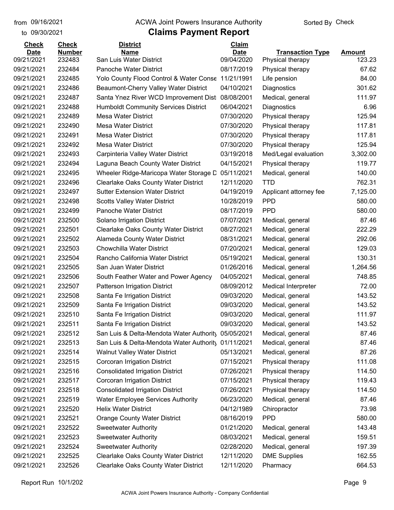to 09/30/2021

#### from 09/16/2021 **The COVA Solic Act Act Authority** Sorted By Check

| 09/21/2021<br>San Luis Water District<br>09/04/2020<br>232483<br>123.23<br>Physical therapy<br>09/21/2021<br>232484<br>Panoche Water District<br>08/17/2019<br>67.62<br>Physical therapy<br>Yolo County Flood Control & Water Conse<br>11/21/1991<br>84.00<br>09/21/2021<br>232485<br>Life pension<br>09/21/2021<br>232486<br>04/10/2021<br>301.62<br>Beaumont-Cherry Valley Water District<br>Diagnostics<br>09/21/2021<br>Santa Ynez River WCD Improvement Dist<br>08/08/2001<br>111.97<br>232487<br>Medical, general<br>6.96<br>09/21/2021<br>232488<br><b>Humboldt Community Services District</b><br>06/04/2021<br>Diagnostics<br>232489<br>125.94<br>09/21/2021<br>Mesa Water District<br>07/30/2020<br>Physical therapy<br>09/21/2021<br>232490<br><b>Mesa Water District</b><br>07/30/2020<br>117.81<br>Physical therapy<br>09/21/2021<br>232491<br><b>Mesa Water District</b><br>07/30/2020<br>117.81<br>Physical therapy<br>09/21/2021<br>232492<br><b>Mesa Water District</b><br>07/30/2020<br>Physical therapy<br>125.94<br>09/21/2021<br>232493<br>Carpinteria Valley Water District<br>03/19/2018<br>Med/Legal evaluation<br>3,302.00<br>232494<br>04/15/2021<br>119.77<br>09/21/2021<br>Laguna Beach County Water District<br>Physical therapy<br>09/21/2021<br>232495<br>05/11/2021<br>140.00<br>Wheeler Ridge-Maricopa Water Storage D<br>Medical, general<br>232496<br><b>Clearlake Oaks County Water District</b><br>12/11/2020<br><b>TTD</b><br>762.31<br>09/21/2021<br>232497<br><b>Sutter Extension Water District</b><br>04/19/2019<br>Applicant attorney fee<br>7,125.00<br>232498<br><b>Scotts Valley Water District</b><br><b>PPD</b><br>580.00<br>09/21/2021<br>10/28/2019<br><b>PPD</b><br>09/21/2021<br>232499<br>Panoche Water District<br>08/17/2019<br>580.00<br>09/21/2021<br>232500<br>07/07/2021<br>87.46<br>Solano Irrigation District<br>Medical, general<br>09/21/2021<br>232501<br><b>Clearlake Oaks County Water District</b><br>08/27/2021<br>222.29<br>Medical, general<br>09/21/2021<br>232502<br>Alameda County Water District<br>08/31/2021<br>292.06<br>Medical, general<br>232503<br><b>Chowchilla Water District</b><br>07/20/2021<br>Medical, general<br>129.03<br>130.31<br>232504<br>Rancho California Water District<br>05/19/2021<br>Medical, general<br>San Juan Water District<br>1,264.56<br>232505<br>01/26/2016<br>Medical, general<br>232506<br>South Feather Water and Power Agency<br>04/05/2021<br>748.85<br>09/21/2021<br>Medical, general<br>09/21/2021<br>232507<br>72.00<br>Patterson Irrigation District<br>08/09/2012<br><b>Medical Interpreter</b><br>09/21/2021<br>232508<br>Santa Fe Irrigation District<br>09/03/2020<br>143.52<br>Medical, general<br>09/21/2021<br>232509<br>Santa Fe Irrigation District<br>09/03/2020<br>143.52<br>Medical, general<br>09/21/2021<br>232510<br>Santa Fe Irrigation District<br>09/03/2020<br>111.97<br>Medical, general<br>143.52<br>09/21/2021<br>232511<br>09/03/2020<br>Santa Fe Irrigation District<br>Medical, general<br>232512<br>87.46<br>09/21/2021<br>San Luis & Delta-Mendota Water Authority<br>05/05/2021<br>Medical, general<br>232513<br>87.46<br>09/21/2021<br>San Luis & Delta-Mendota Water Authority<br>01/11/2021<br>Medical, general<br>09/21/2021<br><b>Walnut Valley Water District</b><br>87.26<br>232514<br>05/13/2021<br>Medical, general<br>09/21/2021<br>232515<br>Corcoran Irrigation District<br>07/15/2021<br>Physical therapy<br>111.08<br>09/21/2021<br>232516<br><b>Consolidated Irrigation District</b><br>Physical therapy<br>114.50<br>07/26/2021<br>Corcoran Irrigation District<br>09/21/2021<br>232517<br>07/15/2021<br>Physical therapy<br>119.43<br><b>Consolidated Irrigation District</b><br>09/21/2021<br>232518<br>07/26/2021<br>Physical therapy<br>114.50<br>09/21/2021<br>232519<br><b>Water Employee Services Authority</b><br>06/23/2020<br>Medical, general<br>87.46<br>09/21/2021<br><b>Helix Water District</b><br>04/12/1989<br>73.98<br>232520<br>Chiropractor<br><b>PPD</b><br>08/16/2019<br>580.00<br>09/21/2021<br>232521<br><b>Orange County Water District</b><br>09/21/2021<br>232522<br><b>Sweetwater Authority</b><br>01/21/2020<br>143.48<br>Medical, general<br>09/21/2021<br><b>Sweetwater Authority</b><br>159.51<br>232523<br>08/03/2021<br>Medical, general<br>09/21/2021<br><b>Sweetwater Authority</b><br>02/28/2020<br>Medical, general<br>197.39<br>232524<br>09/21/2021<br><b>Clearlake Oaks County Water District</b><br>12/11/2020<br><b>DME Supplies</b><br>162.55<br>232525 | <b>Check</b> | <b>Check</b>  | <b>District</b>                             | Claim       |                         |               |
|------------------------------------------------------------------------------------------------------------------------------------------------------------------------------------------------------------------------------------------------------------------------------------------------------------------------------------------------------------------------------------------------------------------------------------------------------------------------------------------------------------------------------------------------------------------------------------------------------------------------------------------------------------------------------------------------------------------------------------------------------------------------------------------------------------------------------------------------------------------------------------------------------------------------------------------------------------------------------------------------------------------------------------------------------------------------------------------------------------------------------------------------------------------------------------------------------------------------------------------------------------------------------------------------------------------------------------------------------------------------------------------------------------------------------------------------------------------------------------------------------------------------------------------------------------------------------------------------------------------------------------------------------------------------------------------------------------------------------------------------------------------------------------------------------------------------------------------------------------------------------------------------------------------------------------------------------------------------------------------------------------------------------------------------------------------------------------------------------------------------------------------------------------------------------------------------------------------------------------------------------------------------------------------------------------------------------------------------------------------------------------------------------------------------------------------------------------------------------------------------------------------------------------------------------------------------------------------------------------------------------------------------------------------------------------------------------------------------------------------------------------------------------------------------------------------------------------------------------------------------------------------------------------------------------------------------------------------------------------------------------------------------------------------------------------------------------------------------------------------------------------------------------------------------------------------------------------------------------------------------------------------------------------------------------------------------------------------------------------------------------------------------------------------------------------------------------------------------------------------------------------------------------------------------------------------------------------------------------------------------------------------------------------------------------------------------------------------------------------------------------------------------------------------------------------------------------------------------------------------------------------------------------------------------------------------------------------------------------------------------------------------------------------------------------------------------------------------------------------------------------------------------------------------------------------------------------------------------------------------------------------------------------------------------------------------------------------------------------------------------------------------------------------------------------------------------------------------------------------------------------------------------------------------------------------------------|--------------|---------------|---------------------------------------------|-------------|-------------------------|---------------|
|                                                                                                                                                                                                                                                                                                                                                                                                                                                                                                                                                                                                                                                                                                                                                                                                                                                                                                                                                                                                                                                                                                                                                                                                                                                                                                                                                                                                                                                                                                                                                                                                                                                                                                                                                                                                                                                                                                                                                                                                                                                                                                                                                                                                                                                                                                                                                                                                                                                                                                                                                                                                                                                                                                                                                                                                                                                                                                                                                                                                                                                                                                                                                                                                                                                                                                                                                                                                                                                                                                                                                                                                                                                                                                                                                                                                                                                                                                                                                                                                                                                                                                                                                                                                                                                                                                                                                                                                                                                                                                                                                                        | <b>Date</b>  | <b>Number</b> | <b>Name</b>                                 | <b>Date</b> | <b>Transaction Type</b> | <b>Amount</b> |
|                                                                                                                                                                                                                                                                                                                                                                                                                                                                                                                                                                                                                                                                                                                                                                                                                                                                                                                                                                                                                                                                                                                                                                                                                                                                                                                                                                                                                                                                                                                                                                                                                                                                                                                                                                                                                                                                                                                                                                                                                                                                                                                                                                                                                                                                                                                                                                                                                                                                                                                                                                                                                                                                                                                                                                                                                                                                                                                                                                                                                                                                                                                                                                                                                                                                                                                                                                                                                                                                                                                                                                                                                                                                                                                                                                                                                                                                                                                                                                                                                                                                                                                                                                                                                                                                                                                                                                                                                                                                                                                                                                        |              |               |                                             |             |                         |               |
|                                                                                                                                                                                                                                                                                                                                                                                                                                                                                                                                                                                                                                                                                                                                                                                                                                                                                                                                                                                                                                                                                                                                                                                                                                                                                                                                                                                                                                                                                                                                                                                                                                                                                                                                                                                                                                                                                                                                                                                                                                                                                                                                                                                                                                                                                                                                                                                                                                                                                                                                                                                                                                                                                                                                                                                                                                                                                                                                                                                                                                                                                                                                                                                                                                                                                                                                                                                                                                                                                                                                                                                                                                                                                                                                                                                                                                                                                                                                                                                                                                                                                                                                                                                                                                                                                                                                                                                                                                                                                                                                                                        |              |               |                                             |             |                         |               |
|                                                                                                                                                                                                                                                                                                                                                                                                                                                                                                                                                                                                                                                                                                                                                                                                                                                                                                                                                                                                                                                                                                                                                                                                                                                                                                                                                                                                                                                                                                                                                                                                                                                                                                                                                                                                                                                                                                                                                                                                                                                                                                                                                                                                                                                                                                                                                                                                                                                                                                                                                                                                                                                                                                                                                                                                                                                                                                                                                                                                                                                                                                                                                                                                                                                                                                                                                                                                                                                                                                                                                                                                                                                                                                                                                                                                                                                                                                                                                                                                                                                                                                                                                                                                                                                                                                                                                                                                                                                                                                                                                                        |              |               |                                             |             |                         |               |
|                                                                                                                                                                                                                                                                                                                                                                                                                                                                                                                                                                                                                                                                                                                                                                                                                                                                                                                                                                                                                                                                                                                                                                                                                                                                                                                                                                                                                                                                                                                                                                                                                                                                                                                                                                                                                                                                                                                                                                                                                                                                                                                                                                                                                                                                                                                                                                                                                                                                                                                                                                                                                                                                                                                                                                                                                                                                                                                                                                                                                                                                                                                                                                                                                                                                                                                                                                                                                                                                                                                                                                                                                                                                                                                                                                                                                                                                                                                                                                                                                                                                                                                                                                                                                                                                                                                                                                                                                                                                                                                                                                        |              |               |                                             |             |                         |               |
|                                                                                                                                                                                                                                                                                                                                                                                                                                                                                                                                                                                                                                                                                                                                                                                                                                                                                                                                                                                                                                                                                                                                                                                                                                                                                                                                                                                                                                                                                                                                                                                                                                                                                                                                                                                                                                                                                                                                                                                                                                                                                                                                                                                                                                                                                                                                                                                                                                                                                                                                                                                                                                                                                                                                                                                                                                                                                                                                                                                                                                                                                                                                                                                                                                                                                                                                                                                                                                                                                                                                                                                                                                                                                                                                                                                                                                                                                                                                                                                                                                                                                                                                                                                                                                                                                                                                                                                                                                                                                                                                                                        |              |               |                                             |             |                         |               |
|                                                                                                                                                                                                                                                                                                                                                                                                                                                                                                                                                                                                                                                                                                                                                                                                                                                                                                                                                                                                                                                                                                                                                                                                                                                                                                                                                                                                                                                                                                                                                                                                                                                                                                                                                                                                                                                                                                                                                                                                                                                                                                                                                                                                                                                                                                                                                                                                                                                                                                                                                                                                                                                                                                                                                                                                                                                                                                                                                                                                                                                                                                                                                                                                                                                                                                                                                                                                                                                                                                                                                                                                                                                                                                                                                                                                                                                                                                                                                                                                                                                                                                                                                                                                                                                                                                                                                                                                                                                                                                                                                                        |              |               |                                             |             |                         |               |
|                                                                                                                                                                                                                                                                                                                                                                                                                                                                                                                                                                                                                                                                                                                                                                                                                                                                                                                                                                                                                                                                                                                                                                                                                                                                                                                                                                                                                                                                                                                                                                                                                                                                                                                                                                                                                                                                                                                                                                                                                                                                                                                                                                                                                                                                                                                                                                                                                                                                                                                                                                                                                                                                                                                                                                                                                                                                                                                                                                                                                                                                                                                                                                                                                                                                                                                                                                                                                                                                                                                                                                                                                                                                                                                                                                                                                                                                                                                                                                                                                                                                                                                                                                                                                                                                                                                                                                                                                                                                                                                                                                        |              |               |                                             |             |                         |               |
|                                                                                                                                                                                                                                                                                                                                                                                                                                                                                                                                                                                                                                                                                                                                                                                                                                                                                                                                                                                                                                                                                                                                                                                                                                                                                                                                                                                                                                                                                                                                                                                                                                                                                                                                                                                                                                                                                                                                                                                                                                                                                                                                                                                                                                                                                                                                                                                                                                                                                                                                                                                                                                                                                                                                                                                                                                                                                                                                                                                                                                                                                                                                                                                                                                                                                                                                                                                                                                                                                                                                                                                                                                                                                                                                                                                                                                                                                                                                                                                                                                                                                                                                                                                                                                                                                                                                                                                                                                                                                                                                                                        |              |               |                                             |             |                         |               |
|                                                                                                                                                                                                                                                                                                                                                                                                                                                                                                                                                                                                                                                                                                                                                                                                                                                                                                                                                                                                                                                                                                                                                                                                                                                                                                                                                                                                                                                                                                                                                                                                                                                                                                                                                                                                                                                                                                                                                                                                                                                                                                                                                                                                                                                                                                                                                                                                                                                                                                                                                                                                                                                                                                                                                                                                                                                                                                                                                                                                                                                                                                                                                                                                                                                                                                                                                                                                                                                                                                                                                                                                                                                                                                                                                                                                                                                                                                                                                                                                                                                                                                                                                                                                                                                                                                                                                                                                                                                                                                                                                                        |              |               |                                             |             |                         |               |
|                                                                                                                                                                                                                                                                                                                                                                                                                                                                                                                                                                                                                                                                                                                                                                                                                                                                                                                                                                                                                                                                                                                                                                                                                                                                                                                                                                                                                                                                                                                                                                                                                                                                                                                                                                                                                                                                                                                                                                                                                                                                                                                                                                                                                                                                                                                                                                                                                                                                                                                                                                                                                                                                                                                                                                                                                                                                                                                                                                                                                                                                                                                                                                                                                                                                                                                                                                                                                                                                                                                                                                                                                                                                                                                                                                                                                                                                                                                                                                                                                                                                                                                                                                                                                                                                                                                                                                                                                                                                                                                                                                        |              |               |                                             |             |                         |               |
|                                                                                                                                                                                                                                                                                                                                                                                                                                                                                                                                                                                                                                                                                                                                                                                                                                                                                                                                                                                                                                                                                                                                                                                                                                                                                                                                                                                                                                                                                                                                                                                                                                                                                                                                                                                                                                                                                                                                                                                                                                                                                                                                                                                                                                                                                                                                                                                                                                                                                                                                                                                                                                                                                                                                                                                                                                                                                                                                                                                                                                                                                                                                                                                                                                                                                                                                                                                                                                                                                                                                                                                                                                                                                                                                                                                                                                                                                                                                                                                                                                                                                                                                                                                                                                                                                                                                                                                                                                                                                                                                                                        |              |               |                                             |             |                         |               |
|                                                                                                                                                                                                                                                                                                                                                                                                                                                                                                                                                                                                                                                                                                                                                                                                                                                                                                                                                                                                                                                                                                                                                                                                                                                                                                                                                                                                                                                                                                                                                                                                                                                                                                                                                                                                                                                                                                                                                                                                                                                                                                                                                                                                                                                                                                                                                                                                                                                                                                                                                                                                                                                                                                                                                                                                                                                                                                                                                                                                                                                                                                                                                                                                                                                                                                                                                                                                                                                                                                                                                                                                                                                                                                                                                                                                                                                                                                                                                                                                                                                                                                                                                                                                                                                                                                                                                                                                                                                                                                                                                                        |              |               |                                             |             |                         |               |
|                                                                                                                                                                                                                                                                                                                                                                                                                                                                                                                                                                                                                                                                                                                                                                                                                                                                                                                                                                                                                                                                                                                                                                                                                                                                                                                                                                                                                                                                                                                                                                                                                                                                                                                                                                                                                                                                                                                                                                                                                                                                                                                                                                                                                                                                                                                                                                                                                                                                                                                                                                                                                                                                                                                                                                                                                                                                                                                                                                                                                                                                                                                                                                                                                                                                                                                                                                                                                                                                                                                                                                                                                                                                                                                                                                                                                                                                                                                                                                                                                                                                                                                                                                                                                                                                                                                                                                                                                                                                                                                                                                        |              |               |                                             |             |                         |               |
|                                                                                                                                                                                                                                                                                                                                                                                                                                                                                                                                                                                                                                                                                                                                                                                                                                                                                                                                                                                                                                                                                                                                                                                                                                                                                                                                                                                                                                                                                                                                                                                                                                                                                                                                                                                                                                                                                                                                                                                                                                                                                                                                                                                                                                                                                                                                                                                                                                                                                                                                                                                                                                                                                                                                                                                                                                                                                                                                                                                                                                                                                                                                                                                                                                                                                                                                                                                                                                                                                                                                                                                                                                                                                                                                                                                                                                                                                                                                                                                                                                                                                                                                                                                                                                                                                                                                                                                                                                                                                                                                                                        |              |               |                                             |             |                         |               |
|                                                                                                                                                                                                                                                                                                                                                                                                                                                                                                                                                                                                                                                                                                                                                                                                                                                                                                                                                                                                                                                                                                                                                                                                                                                                                                                                                                                                                                                                                                                                                                                                                                                                                                                                                                                                                                                                                                                                                                                                                                                                                                                                                                                                                                                                                                                                                                                                                                                                                                                                                                                                                                                                                                                                                                                                                                                                                                                                                                                                                                                                                                                                                                                                                                                                                                                                                                                                                                                                                                                                                                                                                                                                                                                                                                                                                                                                                                                                                                                                                                                                                                                                                                                                                                                                                                                                                                                                                                                                                                                                                                        | 09/21/2021   |               |                                             |             |                         |               |
|                                                                                                                                                                                                                                                                                                                                                                                                                                                                                                                                                                                                                                                                                                                                                                                                                                                                                                                                                                                                                                                                                                                                                                                                                                                                                                                                                                                                                                                                                                                                                                                                                                                                                                                                                                                                                                                                                                                                                                                                                                                                                                                                                                                                                                                                                                                                                                                                                                                                                                                                                                                                                                                                                                                                                                                                                                                                                                                                                                                                                                                                                                                                                                                                                                                                                                                                                                                                                                                                                                                                                                                                                                                                                                                                                                                                                                                                                                                                                                                                                                                                                                                                                                                                                                                                                                                                                                                                                                                                                                                                                                        |              |               |                                             |             |                         |               |
|                                                                                                                                                                                                                                                                                                                                                                                                                                                                                                                                                                                                                                                                                                                                                                                                                                                                                                                                                                                                                                                                                                                                                                                                                                                                                                                                                                                                                                                                                                                                                                                                                                                                                                                                                                                                                                                                                                                                                                                                                                                                                                                                                                                                                                                                                                                                                                                                                                                                                                                                                                                                                                                                                                                                                                                                                                                                                                                                                                                                                                                                                                                                                                                                                                                                                                                                                                                                                                                                                                                                                                                                                                                                                                                                                                                                                                                                                                                                                                                                                                                                                                                                                                                                                                                                                                                                                                                                                                                                                                                                                                        |              |               |                                             |             |                         |               |
|                                                                                                                                                                                                                                                                                                                                                                                                                                                                                                                                                                                                                                                                                                                                                                                                                                                                                                                                                                                                                                                                                                                                                                                                                                                                                                                                                                                                                                                                                                                                                                                                                                                                                                                                                                                                                                                                                                                                                                                                                                                                                                                                                                                                                                                                                                                                                                                                                                                                                                                                                                                                                                                                                                                                                                                                                                                                                                                                                                                                                                                                                                                                                                                                                                                                                                                                                                                                                                                                                                                                                                                                                                                                                                                                                                                                                                                                                                                                                                                                                                                                                                                                                                                                                                                                                                                                                                                                                                                                                                                                                                        |              |               |                                             |             |                         |               |
|                                                                                                                                                                                                                                                                                                                                                                                                                                                                                                                                                                                                                                                                                                                                                                                                                                                                                                                                                                                                                                                                                                                                                                                                                                                                                                                                                                                                                                                                                                                                                                                                                                                                                                                                                                                                                                                                                                                                                                                                                                                                                                                                                                                                                                                                                                                                                                                                                                                                                                                                                                                                                                                                                                                                                                                                                                                                                                                                                                                                                                                                                                                                                                                                                                                                                                                                                                                                                                                                                                                                                                                                                                                                                                                                                                                                                                                                                                                                                                                                                                                                                                                                                                                                                                                                                                                                                                                                                                                                                                                                                                        |              |               |                                             |             |                         |               |
|                                                                                                                                                                                                                                                                                                                                                                                                                                                                                                                                                                                                                                                                                                                                                                                                                                                                                                                                                                                                                                                                                                                                                                                                                                                                                                                                                                                                                                                                                                                                                                                                                                                                                                                                                                                                                                                                                                                                                                                                                                                                                                                                                                                                                                                                                                                                                                                                                                                                                                                                                                                                                                                                                                                                                                                                                                                                                                                                                                                                                                                                                                                                                                                                                                                                                                                                                                                                                                                                                                                                                                                                                                                                                                                                                                                                                                                                                                                                                                                                                                                                                                                                                                                                                                                                                                                                                                                                                                                                                                                                                                        |              |               |                                             |             |                         |               |
|                                                                                                                                                                                                                                                                                                                                                                                                                                                                                                                                                                                                                                                                                                                                                                                                                                                                                                                                                                                                                                                                                                                                                                                                                                                                                                                                                                                                                                                                                                                                                                                                                                                                                                                                                                                                                                                                                                                                                                                                                                                                                                                                                                                                                                                                                                                                                                                                                                                                                                                                                                                                                                                                                                                                                                                                                                                                                                                                                                                                                                                                                                                                                                                                                                                                                                                                                                                                                                                                                                                                                                                                                                                                                                                                                                                                                                                                                                                                                                                                                                                                                                                                                                                                                                                                                                                                                                                                                                                                                                                                                                        | 09/21/2021   |               |                                             |             |                         |               |
|                                                                                                                                                                                                                                                                                                                                                                                                                                                                                                                                                                                                                                                                                                                                                                                                                                                                                                                                                                                                                                                                                                                                                                                                                                                                                                                                                                                                                                                                                                                                                                                                                                                                                                                                                                                                                                                                                                                                                                                                                                                                                                                                                                                                                                                                                                                                                                                                                                                                                                                                                                                                                                                                                                                                                                                                                                                                                                                                                                                                                                                                                                                                                                                                                                                                                                                                                                                                                                                                                                                                                                                                                                                                                                                                                                                                                                                                                                                                                                                                                                                                                                                                                                                                                                                                                                                                                                                                                                                                                                                                                                        | 09/21/2021   |               |                                             |             |                         |               |
|                                                                                                                                                                                                                                                                                                                                                                                                                                                                                                                                                                                                                                                                                                                                                                                                                                                                                                                                                                                                                                                                                                                                                                                                                                                                                                                                                                                                                                                                                                                                                                                                                                                                                                                                                                                                                                                                                                                                                                                                                                                                                                                                                                                                                                                                                                                                                                                                                                                                                                                                                                                                                                                                                                                                                                                                                                                                                                                                                                                                                                                                                                                                                                                                                                                                                                                                                                                                                                                                                                                                                                                                                                                                                                                                                                                                                                                                                                                                                                                                                                                                                                                                                                                                                                                                                                                                                                                                                                                                                                                                                                        | 09/21/2021   |               |                                             |             |                         |               |
|                                                                                                                                                                                                                                                                                                                                                                                                                                                                                                                                                                                                                                                                                                                                                                                                                                                                                                                                                                                                                                                                                                                                                                                                                                                                                                                                                                                                                                                                                                                                                                                                                                                                                                                                                                                                                                                                                                                                                                                                                                                                                                                                                                                                                                                                                                                                                                                                                                                                                                                                                                                                                                                                                                                                                                                                                                                                                                                                                                                                                                                                                                                                                                                                                                                                                                                                                                                                                                                                                                                                                                                                                                                                                                                                                                                                                                                                                                                                                                                                                                                                                                                                                                                                                                                                                                                                                                                                                                                                                                                                                                        |              |               |                                             |             |                         |               |
|                                                                                                                                                                                                                                                                                                                                                                                                                                                                                                                                                                                                                                                                                                                                                                                                                                                                                                                                                                                                                                                                                                                                                                                                                                                                                                                                                                                                                                                                                                                                                                                                                                                                                                                                                                                                                                                                                                                                                                                                                                                                                                                                                                                                                                                                                                                                                                                                                                                                                                                                                                                                                                                                                                                                                                                                                                                                                                                                                                                                                                                                                                                                                                                                                                                                                                                                                                                                                                                                                                                                                                                                                                                                                                                                                                                                                                                                                                                                                                                                                                                                                                                                                                                                                                                                                                                                                                                                                                                                                                                                                                        |              |               |                                             |             |                         |               |
|                                                                                                                                                                                                                                                                                                                                                                                                                                                                                                                                                                                                                                                                                                                                                                                                                                                                                                                                                                                                                                                                                                                                                                                                                                                                                                                                                                                                                                                                                                                                                                                                                                                                                                                                                                                                                                                                                                                                                                                                                                                                                                                                                                                                                                                                                                                                                                                                                                                                                                                                                                                                                                                                                                                                                                                                                                                                                                                                                                                                                                                                                                                                                                                                                                                                                                                                                                                                                                                                                                                                                                                                                                                                                                                                                                                                                                                                                                                                                                                                                                                                                                                                                                                                                                                                                                                                                                                                                                                                                                                                                                        |              |               |                                             |             |                         |               |
|                                                                                                                                                                                                                                                                                                                                                                                                                                                                                                                                                                                                                                                                                                                                                                                                                                                                                                                                                                                                                                                                                                                                                                                                                                                                                                                                                                                                                                                                                                                                                                                                                                                                                                                                                                                                                                                                                                                                                                                                                                                                                                                                                                                                                                                                                                                                                                                                                                                                                                                                                                                                                                                                                                                                                                                                                                                                                                                                                                                                                                                                                                                                                                                                                                                                                                                                                                                                                                                                                                                                                                                                                                                                                                                                                                                                                                                                                                                                                                                                                                                                                                                                                                                                                                                                                                                                                                                                                                                                                                                                                                        |              |               |                                             |             |                         |               |
|                                                                                                                                                                                                                                                                                                                                                                                                                                                                                                                                                                                                                                                                                                                                                                                                                                                                                                                                                                                                                                                                                                                                                                                                                                                                                                                                                                                                                                                                                                                                                                                                                                                                                                                                                                                                                                                                                                                                                                                                                                                                                                                                                                                                                                                                                                                                                                                                                                                                                                                                                                                                                                                                                                                                                                                                                                                                                                                                                                                                                                                                                                                                                                                                                                                                                                                                                                                                                                                                                                                                                                                                                                                                                                                                                                                                                                                                                                                                                                                                                                                                                                                                                                                                                                                                                                                                                                                                                                                                                                                                                                        |              |               |                                             |             |                         |               |
|                                                                                                                                                                                                                                                                                                                                                                                                                                                                                                                                                                                                                                                                                                                                                                                                                                                                                                                                                                                                                                                                                                                                                                                                                                                                                                                                                                                                                                                                                                                                                                                                                                                                                                                                                                                                                                                                                                                                                                                                                                                                                                                                                                                                                                                                                                                                                                                                                                                                                                                                                                                                                                                                                                                                                                                                                                                                                                                                                                                                                                                                                                                                                                                                                                                                                                                                                                                                                                                                                                                                                                                                                                                                                                                                                                                                                                                                                                                                                                                                                                                                                                                                                                                                                                                                                                                                                                                                                                                                                                                                                                        |              |               |                                             |             |                         |               |
|                                                                                                                                                                                                                                                                                                                                                                                                                                                                                                                                                                                                                                                                                                                                                                                                                                                                                                                                                                                                                                                                                                                                                                                                                                                                                                                                                                                                                                                                                                                                                                                                                                                                                                                                                                                                                                                                                                                                                                                                                                                                                                                                                                                                                                                                                                                                                                                                                                                                                                                                                                                                                                                                                                                                                                                                                                                                                                                                                                                                                                                                                                                                                                                                                                                                                                                                                                                                                                                                                                                                                                                                                                                                                                                                                                                                                                                                                                                                                                                                                                                                                                                                                                                                                                                                                                                                                                                                                                                                                                                                                                        |              |               |                                             |             |                         |               |
|                                                                                                                                                                                                                                                                                                                                                                                                                                                                                                                                                                                                                                                                                                                                                                                                                                                                                                                                                                                                                                                                                                                                                                                                                                                                                                                                                                                                                                                                                                                                                                                                                                                                                                                                                                                                                                                                                                                                                                                                                                                                                                                                                                                                                                                                                                                                                                                                                                                                                                                                                                                                                                                                                                                                                                                                                                                                                                                                                                                                                                                                                                                                                                                                                                                                                                                                                                                                                                                                                                                                                                                                                                                                                                                                                                                                                                                                                                                                                                                                                                                                                                                                                                                                                                                                                                                                                                                                                                                                                                                                                                        |              |               |                                             |             |                         |               |
|                                                                                                                                                                                                                                                                                                                                                                                                                                                                                                                                                                                                                                                                                                                                                                                                                                                                                                                                                                                                                                                                                                                                                                                                                                                                                                                                                                                                                                                                                                                                                                                                                                                                                                                                                                                                                                                                                                                                                                                                                                                                                                                                                                                                                                                                                                                                                                                                                                                                                                                                                                                                                                                                                                                                                                                                                                                                                                                                                                                                                                                                                                                                                                                                                                                                                                                                                                                                                                                                                                                                                                                                                                                                                                                                                                                                                                                                                                                                                                                                                                                                                                                                                                                                                                                                                                                                                                                                                                                                                                                                                                        |              |               |                                             |             |                         |               |
|                                                                                                                                                                                                                                                                                                                                                                                                                                                                                                                                                                                                                                                                                                                                                                                                                                                                                                                                                                                                                                                                                                                                                                                                                                                                                                                                                                                                                                                                                                                                                                                                                                                                                                                                                                                                                                                                                                                                                                                                                                                                                                                                                                                                                                                                                                                                                                                                                                                                                                                                                                                                                                                                                                                                                                                                                                                                                                                                                                                                                                                                                                                                                                                                                                                                                                                                                                                                                                                                                                                                                                                                                                                                                                                                                                                                                                                                                                                                                                                                                                                                                                                                                                                                                                                                                                                                                                                                                                                                                                                                                                        |              |               |                                             |             |                         |               |
|                                                                                                                                                                                                                                                                                                                                                                                                                                                                                                                                                                                                                                                                                                                                                                                                                                                                                                                                                                                                                                                                                                                                                                                                                                                                                                                                                                                                                                                                                                                                                                                                                                                                                                                                                                                                                                                                                                                                                                                                                                                                                                                                                                                                                                                                                                                                                                                                                                                                                                                                                                                                                                                                                                                                                                                                                                                                                                                                                                                                                                                                                                                                                                                                                                                                                                                                                                                                                                                                                                                                                                                                                                                                                                                                                                                                                                                                                                                                                                                                                                                                                                                                                                                                                                                                                                                                                                                                                                                                                                                                                                        |              |               |                                             |             |                         |               |
|                                                                                                                                                                                                                                                                                                                                                                                                                                                                                                                                                                                                                                                                                                                                                                                                                                                                                                                                                                                                                                                                                                                                                                                                                                                                                                                                                                                                                                                                                                                                                                                                                                                                                                                                                                                                                                                                                                                                                                                                                                                                                                                                                                                                                                                                                                                                                                                                                                                                                                                                                                                                                                                                                                                                                                                                                                                                                                                                                                                                                                                                                                                                                                                                                                                                                                                                                                                                                                                                                                                                                                                                                                                                                                                                                                                                                                                                                                                                                                                                                                                                                                                                                                                                                                                                                                                                                                                                                                                                                                                                                                        |              |               |                                             |             |                         |               |
|                                                                                                                                                                                                                                                                                                                                                                                                                                                                                                                                                                                                                                                                                                                                                                                                                                                                                                                                                                                                                                                                                                                                                                                                                                                                                                                                                                                                                                                                                                                                                                                                                                                                                                                                                                                                                                                                                                                                                                                                                                                                                                                                                                                                                                                                                                                                                                                                                                                                                                                                                                                                                                                                                                                                                                                                                                                                                                                                                                                                                                                                                                                                                                                                                                                                                                                                                                                                                                                                                                                                                                                                                                                                                                                                                                                                                                                                                                                                                                                                                                                                                                                                                                                                                                                                                                                                                                                                                                                                                                                                                                        |              |               |                                             |             |                         |               |
|                                                                                                                                                                                                                                                                                                                                                                                                                                                                                                                                                                                                                                                                                                                                                                                                                                                                                                                                                                                                                                                                                                                                                                                                                                                                                                                                                                                                                                                                                                                                                                                                                                                                                                                                                                                                                                                                                                                                                                                                                                                                                                                                                                                                                                                                                                                                                                                                                                                                                                                                                                                                                                                                                                                                                                                                                                                                                                                                                                                                                                                                                                                                                                                                                                                                                                                                                                                                                                                                                                                                                                                                                                                                                                                                                                                                                                                                                                                                                                                                                                                                                                                                                                                                                                                                                                                                                                                                                                                                                                                                                                        |              |               |                                             |             |                         |               |
|                                                                                                                                                                                                                                                                                                                                                                                                                                                                                                                                                                                                                                                                                                                                                                                                                                                                                                                                                                                                                                                                                                                                                                                                                                                                                                                                                                                                                                                                                                                                                                                                                                                                                                                                                                                                                                                                                                                                                                                                                                                                                                                                                                                                                                                                                                                                                                                                                                                                                                                                                                                                                                                                                                                                                                                                                                                                                                                                                                                                                                                                                                                                                                                                                                                                                                                                                                                                                                                                                                                                                                                                                                                                                                                                                                                                                                                                                                                                                                                                                                                                                                                                                                                                                                                                                                                                                                                                                                                                                                                                                                        |              |               |                                             |             |                         |               |
|                                                                                                                                                                                                                                                                                                                                                                                                                                                                                                                                                                                                                                                                                                                                                                                                                                                                                                                                                                                                                                                                                                                                                                                                                                                                                                                                                                                                                                                                                                                                                                                                                                                                                                                                                                                                                                                                                                                                                                                                                                                                                                                                                                                                                                                                                                                                                                                                                                                                                                                                                                                                                                                                                                                                                                                                                                                                                                                                                                                                                                                                                                                                                                                                                                                                                                                                                                                                                                                                                                                                                                                                                                                                                                                                                                                                                                                                                                                                                                                                                                                                                                                                                                                                                                                                                                                                                                                                                                                                                                                                                                        |              |               |                                             |             |                         |               |
|                                                                                                                                                                                                                                                                                                                                                                                                                                                                                                                                                                                                                                                                                                                                                                                                                                                                                                                                                                                                                                                                                                                                                                                                                                                                                                                                                                                                                                                                                                                                                                                                                                                                                                                                                                                                                                                                                                                                                                                                                                                                                                                                                                                                                                                                                                                                                                                                                                                                                                                                                                                                                                                                                                                                                                                                                                                                                                                                                                                                                                                                                                                                                                                                                                                                                                                                                                                                                                                                                                                                                                                                                                                                                                                                                                                                                                                                                                                                                                                                                                                                                                                                                                                                                                                                                                                                                                                                                                                                                                                                                                        |              |               |                                             |             |                         |               |
|                                                                                                                                                                                                                                                                                                                                                                                                                                                                                                                                                                                                                                                                                                                                                                                                                                                                                                                                                                                                                                                                                                                                                                                                                                                                                                                                                                                                                                                                                                                                                                                                                                                                                                                                                                                                                                                                                                                                                                                                                                                                                                                                                                                                                                                                                                                                                                                                                                                                                                                                                                                                                                                                                                                                                                                                                                                                                                                                                                                                                                                                                                                                                                                                                                                                                                                                                                                                                                                                                                                                                                                                                                                                                                                                                                                                                                                                                                                                                                                                                                                                                                                                                                                                                                                                                                                                                                                                                                                                                                                                                                        |              |               |                                             |             |                         |               |
|                                                                                                                                                                                                                                                                                                                                                                                                                                                                                                                                                                                                                                                                                                                                                                                                                                                                                                                                                                                                                                                                                                                                                                                                                                                                                                                                                                                                                                                                                                                                                                                                                                                                                                                                                                                                                                                                                                                                                                                                                                                                                                                                                                                                                                                                                                                                                                                                                                                                                                                                                                                                                                                                                                                                                                                                                                                                                                                                                                                                                                                                                                                                                                                                                                                                                                                                                                                                                                                                                                                                                                                                                                                                                                                                                                                                                                                                                                                                                                                                                                                                                                                                                                                                                                                                                                                                                                                                                                                                                                                                                                        |              |               |                                             |             |                         |               |
|                                                                                                                                                                                                                                                                                                                                                                                                                                                                                                                                                                                                                                                                                                                                                                                                                                                                                                                                                                                                                                                                                                                                                                                                                                                                                                                                                                                                                                                                                                                                                                                                                                                                                                                                                                                                                                                                                                                                                                                                                                                                                                                                                                                                                                                                                                                                                                                                                                                                                                                                                                                                                                                                                                                                                                                                                                                                                                                                                                                                                                                                                                                                                                                                                                                                                                                                                                                                                                                                                                                                                                                                                                                                                                                                                                                                                                                                                                                                                                                                                                                                                                                                                                                                                                                                                                                                                                                                                                                                                                                                                                        |              |               |                                             |             |                         |               |
|                                                                                                                                                                                                                                                                                                                                                                                                                                                                                                                                                                                                                                                                                                                                                                                                                                                                                                                                                                                                                                                                                                                                                                                                                                                                                                                                                                                                                                                                                                                                                                                                                                                                                                                                                                                                                                                                                                                                                                                                                                                                                                                                                                                                                                                                                                                                                                                                                                                                                                                                                                                                                                                                                                                                                                                                                                                                                                                                                                                                                                                                                                                                                                                                                                                                                                                                                                                                                                                                                                                                                                                                                                                                                                                                                                                                                                                                                                                                                                                                                                                                                                                                                                                                                                                                                                                                                                                                                                                                                                                                                                        | 09/21/2021   | 232526        | <b>Clearlake Oaks County Water District</b> | 12/11/2020  | Pharmacy                | 664.53        |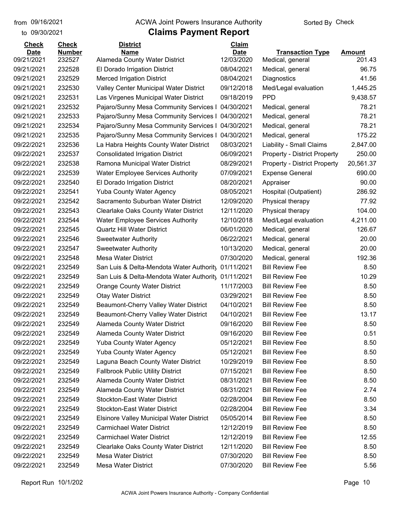to 09/30/2021

#### from 09/16/2021 **The COVA Solic Act Act Authority** Sorted By Check

| <b>Amount</b><br>09/21/2021<br>232527<br>12/03/2020<br>Alameda County Water District<br>201.43<br>Medical, general<br>232528<br>96.75<br>09/21/2021<br>El Dorado Irrigation District<br>08/04/2021<br>Medical, general<br>09/21/2021<br>232529<br><b>Merced Irrigation District</b><br>08/04/2021<br>Diagnostics<br>41.56<br>09/21/2021<br>232530<br>Valley Center Municipal Water District<br>09/12/2018<br>1,445.25<br>Med/Legal evaluation<br><b>PPD</b><br>09/21/2021<br>232531<br>Las Virgenes Municipal Water District<br>09/18/2019<br>9,438.57<br>09/21/2021<br>232532<br>Pajaro/Sunny Mesa Community Services I<br>78.21<br>04/30/2021<br>Medical, general<br>232533<br>Pajaro/Sunny Mesa Community Services I<br>04/30/2021<br>78.21<br>09/21/2021<br>Medical, general<br>78.21<br>09/21/2021<br>232534<br>Pajaro/Sunny Mesa Community Services I<br>04/30/2021<br>Medical, general<br>232535<br>Pajaro/Sunny Mesa Community Services I<br>04/30/2021<br>175.22<br>09/21/2021<br>Medical, general<br>09/22/2021<br>232536<br>La Habra Heights County Water District<br>08/03/2021<br>Liability - Small Claims<br>2,847.00<br>250.00<br>09/22/2021<br>232537<br><b>Consolidated Irrigation District</b><br>06/09/2021<br><b>Property - District Property</b><br>09/22/2021<br>232538<br>Ramona Municipal Water District<br>08/29/2021<br>20,561.37<br><b>Property - District Property</b><br>09/22/2021<br>232539<br>07/09/2021<br>690.00<br><b>Water Employee Services Authority</b><br><b>Expense General</b><br>09/22/2021<br>232540<br>El Dorado Irrigation District<br>08/20/2021<br>90.00<br>Appraiser<br>09/22/2021<br>232541<br><b>Yuba County Water Agency</b><br>08/05/2021<br>286.92<br>Hospital (Outpatient)<br>232542<br>Sacramento Suburban Water District<br>12/09/2020<br>77.92<br>09/22/2021<br>Physical therapy<br>09/22/2021<br>232543<br>Clearlake Oaks County Water District<br>12/11/2020<br>104.00<br>Physical therapy<br>232544<br><b>Water Employee Services Authority</b><br>12/10/2018<br>4,211.00<br>09/22/2021<br>Med/Legal evaluation<br>232545<br><b>Quartz Hill Water District</b><br>06/01/2020<br>126.67<br>Medical, general<br>232546<br>20.00<br>09/22/2021<br><b>Sweetwater Authority</b><br>06/22/2021<br>Medical, general<br>09/22/2021<br>232547<br>10/13/2020<br>20.00<br><b>Sweetwater Authority</b><br>Medical, general<br>09/22/2021<br>232548<br><b>Mesa Water District</b><br>07/30/2020<br>192.36<br>Medical, general<br>09/22/2021<br>232549<br>San Luis & Delta-Mendota Water Authority<br>01/11/2021<br><b>Bill Review Fee</b><br>8.50<br>09/22/2021<br>232549<br>01/11/2021<br><b>Bill Review Fee</b><br>10.29<br>San Luis & Delta-Mendota Water Authority<br>232549<br>11/17/2003<br><b>Bill Review Fee</b><br>8.50<br>09/22/2021<br><b>Orange County Water District</b><br>09/22/2021<br>232549<br><b>Otay Water District</b><br>03/29/2021<br>8.50<br><b>Bill Review Fee</b><br>Beaumont-Cherry Valley Water District<br>04/10/2021<br>232549<br><b>Bill Review Fee</b><br>8.50<br>232549<br>Beaumont-Cherry Valley Water District<br>04/10/2021<br><b>Bill Review Fee</b><br>13.17<br>09/22/2021<br>09/22/2021<br>232549<br><b>Alameda County Water District</b><br>09/16/2020<br>8.50<br><b>Bill Review Fee</b><br>232549<br>09/16/2020<br>09/22/2021<br><b>Alameda County Water District</b><br><b>Bill Review Fee</b><br>0.51<br>09/22/2021<br>232549<br><b>Yuba County Water Agency</b><br>05/12/2021<br><b>Bill Review Fee</b><br>8.50<br>09/22/2021<br>232549<br><b>Yuba County Water Agency</b><br>05/12/2021<br><b>Bill Review Fee</b><br>8.50<br>09/22/2021<br>232549<br>Laguna Beach County Water District<br>10/29/2019<br><b>Bill Review Fee</b><br>8.50<br>09/22/2021<br><b>Fallbrook Public Utility District</b><br><b>Bill Review Fee</b><br>232549<br>07/15/2021<br>8.50<br>09/22/2021<br>232549<br>Alameda County Water District<br>08/31/2021<br><b>Bill Review Fee</b><br>8.50<br>Alameda County Water District<br><b>Bill Review Fee</b><br>09/22/2021<br>232549<br>08/31/2021<br>2.74<br>09/22/2021<br><b>Stockton-East Water District</b><br>02/28/2004<br><b>Bill Review Fee</b><br>8.50<br>232549<br>09/22/2021<br><b>Stockton-East Water District</b><br>02/28/2004<br><b>Bill Review Fee</b><br>232549<br>3.34<br>09/22/2021<br>232549<br><b>Elsinore Valley Municipal Water District</b><br>05/05/2014<br><b>Bill Review Fee</b><br>8.50<br>09/22/2021<br>232549<br><b>Carmichael Water District</b><br>12/12/2019<br><b>Bill Review Fee</b><br>8.50<br><b>Carmichael Water District</b><br>09/22/2021<br>232549<br>12/12/2019<br><b>Bill Review Fee</b><br>12.55<br>09/22/2021<br>Clearlake Oaks County Water District<br>12/11/2020<br><b>Bill Review Fee</b><br>8.50<br>232549<br>09/22/2021<br><b>Mesa Water District</b><br>07/30/2020<br><b>Bill Review Fee</b><br>232549<br>8.50<br>09/22/2021<br>Mesa Water District<br>07/30/2020<br><b>Bill Review Fee</b><br>5.56<br>232549 | <b>Check</b> | <b>Check</b>  | <b>District</b> | Claim       |                         |  |
|-----------------------------------------------------------------------------------------------------------------------------------------------------------------------------------------------------------------------------------------------------------------------------------------------------------------------------------------------------------------------------------------------------------------------------------------------------------------------------------------------------------------------------------------------------------------------------------------------------------------------------------------------------------------------------------------------------------------------------------------------------------------------------------------------------------------------------------------------------------------------------------------------------------------------------------------------------------------------------------------------------------------------------------------------------------------------------------------------------------------------------------------------------------------------------------------------------------------------------------------------------------------------------------------------------------------------------------------------------------------------------------------------------------------------------------------------------------------------------------------------------------------------------------------------------------------------------------------------------------------------------------------------------------------------------------------------------------------------------------------------------------------------------------------------------------------------------------------------------------------------------------------------------------------------------------------------------------------------------------------------------------------------------------------------------------------------------------------------------------------------------------------------------------------------------------------------------------------------------------------------------------------------------------------------------------------------------------------------------------------------------------------------------------------------------------------------------------------------------------------------------------------------------------------------------------------------------------------------------------------------------------------------------------------------------------------------------------------------------------------------------------------------------------------------------------------------------------------------------------------------------------------------------------------------------------------------------------------------------------------------------------------------------------------------------------------------------------------------------------------------------------------------------------------------------------------------------------------------------------------------------------------------------------------------------------------------------------------------------------------------------------------------------------------------------------------------------------------------------------------------------------------------------------------------------------------------------------------------------------------------------------------------------------------------------------------------------------------------------------------------------------------------------------------------------------------------------------------------------------------------------------------------------------------------------------------------------------------------------------------------------------------------------------------------------------------------------------------------------------------------------------------------------------------------------------------------------------------------------------------------------------------------------------------------------------------------------------------------------------------------------------------------------------------------------------------------------------------------------------------------------------------------------------------------------------------------------------------------------------------------------------------------------------------------------------------------------------------------------------------------------------------------------------------------------------------------------------------------------------------------------------------------------------------------------------------------------------------------------------|--------------|---------------|-----------------|-------------|-------------------------|--|
|                                                                                                                                                                                                                                                                                                                                                                                                                                                                                                                                                                                                                                                                                                                                                                                                                                                                                                                                                                                                                                                                                                                                                                                                                                                                                                                                                                                                                                                                                                                                                                                                                                                                                                                                                                                                                                                                                                                                                                                                                                                                                                                                                                                                                                                                                                                                                                                                                                                                                                                                                                                                                                                                                                                                                                                                                                                                                                                                                                                                                                                                                                                                                                                                                                                                                                                                                                                                                                                                                                                                                                                                                                                                                                                                                                                                                                                                                                                                                                                                                                                                                                                                                                                                                                                                                                                                                                                                                                                                                                                                                                                                                                                                                                                                                                                                                                                                                                                                                                                   | <b>Date</b>  | <b>Number</b> | <b>Name</b>     | <b>Date</b> | <b>Transaction Type</b> |  |
|                                                                                                                                                                                                                                                                                                                                                                                                                                                                                                                                                                                                                                                                                                                                                                                                                                                                                                                                                                                                                                                                                                                                                                                                                                                                                                                                                                                                                                                                                                                                                                                                                                                                                                                                                                                                                                                                                                                                                                                                                                                                                                                                                                                                                                                                                                                                                                                                                                                                                                                                                                                                                                                                                                                                                                                                                                                                                                                                                                                                                                                                                                                                                                                                                                                                                                                                                                                                                                                                                                                                                                                                                                                                                                                                                                                                                                                                                                                                                                                                                                                                                                                                                                                                                                                                                                                                                                                                                                                                                                                                                                                                                                                                                                                                                                                                                                                                                                                                                                                   |              |               |                 |             |                         |  |
|                                                                                                                                                                                                                                                                                                                                                                                                                                                                                                                                                                                                                                                                                                                                                                                                                                                                                                                                                                                                                                                                                                                                                                                                                                                                                                                                                                                                                                                                                                                                                                                                                                                                                                                                                                                                                                                                                                                                                                                                                                                                                                                                                                                                                                                                                                                                                                                                                                                                                                                                                                                                                                                                                                                                                                                                                                                                                                                                                                                                                                                                                                                                                                                                                                                                                                                                                                                                                                                                                                                                                                                                                                                                                                                                                                                                                                                                                                                                                                                                                                                                                                                                                                                                                                                                                                                                                                                                                                                                                                                                                                                                                                                                                                                                                                                                                                                                                                                                                                                   |              |               |                 |             |                         |  |
|                                                                                                                                                                                                                                                                                                                                                                                                                                                                                                                                                                                                                                                                                                                                                                                                                                                                                                                                                                                                                                                                                                                                                                                                                                                                                                                                                                                                                                                                                                                                                                                                                                                                                                                                                                                                                                                                                                                                                                                                                                                                                                                                                                                                                                                                                                                                                                                                                                                                                                                                                                                                                                                                                                                                                                                                                                                                                                                                                                                                                                                                                                                                                                                                                                                                                                                                                                                                                                                                                                                                                                                                                                                                                                                                                                                                                                                                                                                                                                                                                                                                                                                                                                                                                                                                                                                                                                                                                                                                                                                                                                                                                                                                                                                                                                                                                                                                                                                                                                                   |              |               |                 |             |                         |  |
|                                                                                                                                                                                                                                                                                                                                                                                                                                                                                                                                                                                                                                                                                                                                                                                                                                                                                                                                                                                                                                                                                                                                                                                                                                                                                                                                                                                                                                                                                                                                                                                                                                                                                                                                                                                                                                                                                                                                                                                                                                                                                                                                                                                                                                                                                                                                                                                                                                                                                                                                                                                                                                                                                                                                                                                                                                                                                                                                                                                                                                                                                                                                                                                                                                                                                                                                                                                                                                                                                                                                                                                                                                                                                                                                                                                                                                                                                                                                                                                                                                                                                                                                                                                                                                                                                                                                                                                                                                                                                                                                                                                                                                                                                                                                                                                                                                                                                                                                                                                   |              |               |                 |             |                         |  |
|                                                                                                                                                                                                                                                                                                                                                                                                                                                                                                                                                                                                                                                                                                                                                                                                                                                                                                                                                                                                                                                                                                                                                                                                                                                                                                                                                                                                                                                                                                                                                                                                                                                                                                                                                                                                                                                                                                                                                                                                                                                                                                                                                                                                                                                                                                                                                                                                                                                                                                                                                                                                                                                                                                                                                                                                                                                                                                                                                                                                                                                                                                                                                                                                                                                                                                                                                                                                                                                                                                                                                                                                                                                                                                                                                                                                                                                                                                                                                                                                                                                                                                                                                                                                                                                                                                                                                                                                                                                                                                                                                                                                                                                                                                                                                                                                                                                                                                                                                                                   |              |               |                 |             |                         |  |
|                                                                                                                                                                                                                                                                                                                                                                                                                                                                                                                                                                                                                                                                                                                                                                                                                                                                                                                                                                                                                                                                                                                                                                                                                                                                                                                                                                                                                                                                                                                                                                                                                                                                                                                                                                                                                                                                                                                                                                                                                                                                                                                                                                                                                                                                                                                                                                                                                                                                                                                                                                                                                                                                                                                                                                                                                                                                                                                                                                                                                                                                                                                                                                                                                                                                                                                                                                                                                                                                                                                                                                                                                                                                                                                                                                                                                                                                                                                                                                                                                                                                                                                                                                                                                                                                                                                                                                                                                                                                                                                                                                                                                                                                                                                                                                                                                                                                                                                                                                                   |              |               |                 |             |                         |  |
|                                                                                                                                                                                                                                                                                                                                                                                                                                                                                                                                                                                                                                                                                                                                                                                                                                                                                                                                                                                                                                                                                                                                                                                                                                                                                                                                                                                                                                                                                                                                                                                                                                                                                                                                                                                                                                                                                                                                                                                                                                                                                                                                                                                                                                                                                                                                                                                                                                                                                                                                                                                                                                                                                                                                                                                                                                                                                                                                                                                                                                                                                                                                                                                                                                                                                                                                                                                                                                                                                                                                                                                                                                                                                                                                                                                                                                                                                                                                                                                                                                                                                                                                                                                                                                                                                                                                                                                                                                                                                                                                                                                                                                                                                                                                                                                                                                                                                                                                                                                   |              |               |                 |             |                         |  |
|                                                                                                                                                                                                                                                                                                                                                                                                                                                                                                                                                                                                                                                                                                                                                                                                                                                                                                                                                                                                                                                                                                                                                                                                                                                                                                                                                                                                                                                                                                                                                                                                                                                                                                                                                                                                                                                                                                                                                                                                                                                                                                                                                                                                                                                                                                                                                                                                                                                                                                                                                                                                                                                                                                                                                                                                                                                                                                                                                                                                                                                                                                                                                                                                                                                                                                                                                                                                                                                                                                                                                                                                                                                                                                                                                                                                                                                                                                                                                                                                                                                                                                                                                                                                                                                                                                                                                                                                                                                                                                                                                                                                                                                                                                                                                                                                                                                                                                                                                                                   |              |               |                 |             |                         |  |
|                                                                                                                                                                                                                                                                                                                                                                                                                                                                                                                                                                                                                                                                                                                                                                                                                                                                                                                                                                                                                                                                                                                                                                                                                                                                                                                                                                                                                                                                                                                                                                                                                                                                                                                                                                                                                                                                                                                                                                                                                                                                                                                                                                                                                                                                                                                                                                                                                                                                                                                                                                                                                                                                                                                                                                                                                                                                                                                                                                                                                                                                                                                                                                                                                                                                                                                                                                                                                                                                                                                                                                                                                                                                                                                                                                                                                                                                                                                                                                                                                                                                                                                                                                                                                                                                                                                                                                                                                                                                                                                                                                                                                                                                                                                                                                                                                                                                                                                                                                                   |              |               |                 |             |                         |  |
|                                                                                                                                                                                                                                                                                                                                                                                                                                                                                                                                                                                                                                                                                                                                                                                                                                                                                                                                                                                                                                                                                                                                                                                                                                                                                                                                                                                                                                                                                                                                                                                                                                                                                                                                                                                                                                                                                                                                                                                                                                                                                                                                                                                                                                                                                                                                                                                                                                                                                                                                                                                                                                                                                                                                                                                                                                                                                                                                                                                                                                                                                                                                                                                                                                                                                                                                                                                                                                                                                                                                                                                                                                                                                                                                                                                                                                                                                                                                                                                                                                                                                                                                                                                                                                                                                                                                                                                                                                                                                                                                                                                                                                                                                                                                                                                                                                                                                                                                                                                   |              |               |                 |             |                         |  |
|                                                                                                                                                                                                                                                                                                                                                                                                                                                                                                                                                                                                                                                                                                                                                                                                                                                                                                                                                                                                                                                                                                                                                                                                                                                                                                                                                                                                                                                                                                                                                                                                                                                                                                                                                                                                                                                                                                                                                                                                                                                                                                                                                                                                                                                                                                                                                                                                                                                                                                                                                                                                                                                                                                                                                                                                                                                                                                                                                                                                                                                                                                                                                                                                                                                                                                                                                                                                                                                                                                                                                                                                                                                                                                                                                                                                                                                                                                                                                                                                                                                                                                                                                                                                                                                                                                                                                                                                                                                                                                                                                                                                                                                                                                                                                                                                                                                                                                                                                                                   |              |               |                 |             |                         |  |
|                                                                                                                                                                                                                                                                                                                                                                                                                                                                                                                                                                                                                                                                                                                                                                                                                                                                                                                                                                                                                                                                                                                                                                                                                                                                                                                                                                                                                                                                                                                                                                                                                                                                                                                                                                                                                                                                                                                                                                                                                                                                                                                                                                                                                                                                                                                                                                                                                                                                                                                                                                                                                                                                                                                                                                                                                                                                                                                                                                                                                                                                                                                                                                                                                                                                                                                                                                                                                                                                                                                                                                                                                                                                                                                                                                                                                                                                                                                                                                                                                                                                                                                                                                                                                                                                                                                                                                                                                                                                                                                                                                                                                                                                                                                                                                                                                                                                                                                                                                                   |              |               |                 |             |                         |  |
|                                                                                                                                                                                                                                                                                                                                                                                                                                                                                                                                                                                                                                                                                                                                                                                                                                                                                                                                                                                                                                                                                                                                                                                                                                                                                                                                                                                                                                                                                                                                                                                                                                                                                                                                                                                                                                                                                                                                                                                                                                                                                                                                                                                                                                                                                                                                                                                                                                                                                                                                                                                                                                                                                                                                                                                                                                                                                                                                                                                                                                                                                                                                                                                                                                                                                                                                                                                                                                                                                                                                                                                                                                                                                                                                                                                                                                                                                                                                                                                                                                                                                                                                                                                                                                                                                                                                                                                                                                                                                                                                                                                                                                                                                                                                                                                                                                                                                                                                                                                   |              |               |                 |             |                         |  |
|                                                                                                                                                                                                                                                                                                                                                                                                                                                                                                                                                                                                                                                                                                                                                                                                                                                                                                                                                                                                                                                                                                                                                                                                                                                                                                                                                                                                                                                                                                                                                                                                                                                                                                                                                                                                                                                                                                                                                                                                                                                                                                                                                                                                                                                                                                                                                                                                                                                                                                                                                                                                                                                                                                                                                                                                                                                                                                                                                                                                                                                                                                                                                                                                                                                                                                                                                                                                                                                                                                                                                                                                                                                                                                                                                                                                                                                                                                                                                                                                                                                                                                                                                                                                                                                                                                                                                                                                                                                                                                                                                                                                                                                                                                                                                                                                                                                                                                                                                                                   |              |               |                 |             |                         |  |
|                                                                                                                                                                                                                                                                                                                                                                                                                                                                                                                                                                                                                                                                                                                                                                                                                                                                                                                                                                                                                                                                                                                                                                                                                                                                                                                                                                                                                                                                                                                                                                                                                                                                                                                                                                                                                                                                                                                                                                                                                                                                                                                                                                                                                                                                                                                                                                                                                                                                                                                                                                                                                                                                                                                                                                                                                                                                                                                                                                                                                                                                                                                                                                                                                                                                                                                                                                                                                                                                                                                                                                                                                                                                                                                                                                                                                                                                                                                                                                                                                                                                                                                                                                                                                                                                                                                                                                                                                                                                                                                                                                                                                                                                                                                                                                                                                                                                                                                                                                                   |              |               |                 |             |                         |  |
|                                                                                                                                                                                                                                                                                                                                                                                                                                                                                                                                                                                                                                                                                                                                                                                                                                                                                                                                                                                                                                                                                                                                                                                                                                                                                                                                                                                                                                                                                                                                                                                                                                                                                                                                                                                                                                                                                                                                                                                                                                                                                                                                                                                                                                                                                                                                                                                                                                                                                                                                                                                                                                                                                                                                                                                                                                                                                                                                                                                                                                                                                                                                                                                                                                                                                                                                                                                                                                                                                                                                                                                                                                                                                                                                                                                                                                                                                                                                                                                                                                                                                                                                                                                                                                                                                                                                                                                                                                                                                                                                                                                                                                                                                                                                                                                                                                                                                                                                                                                   |              |               |                 |             |                         |  |
|                                                                                                                                                                                                                                                                                                                                                                                                                                                                                                                                                                                                                                                                                                                                                                                                                                                                                                                                                                                                                                                                                                                                                                                                                                                                                                                                                                                                                                                                                                                                                                                                                                                                                                                                                                                                                                                                                                                                                                                                                                                                                                                                                                                                                                                                                                                                                                                                                                                                                                                                                                                                                                                                                                                                                                                                                                                                                                                                                                                                                                                                                                                                                                                                                                                                                                                                                                                                                                                                                                                                                                                                                                                                                                                                                                                                                                                                                                                                                                                                                                                                                                                                                                                                                                                                                                                                                                                                                                                                                                                                                                                                                                                                                                                                                                                                                                                                                                                                                                                   |              |               |                 |             |                         |  |
|                                                                                                                                                                                                                                                                                                                                                                                                                                                                                                                                                                                                                                                                                                                                                                                                                                                                                                                                                                                                                                                                                                                                                                                                                                                                                                                                                                                                                                                                                                                                                                                                                                                                                                                                                                                                                                                                                                                                                                                                                                                                                                                                                                                                                                                                                                                                                                                                                                                                                                                                                                                                                                                                                                                                                                                                                                                                                                                                                                                                                                                                                                                                                                                                                                                                                                                                                                                                                                                                                                                                                                                                                                                                                                                                                                                                                                                                                                                                                                                                                                                                                                                                                                                                                                                                                                                                                                                                                                                                                                                                                                                                                                                                                                                                                                                                                                                                                                                                                                                   |              |               |                 |             |                         |  |
|                                                                                                                                                                                                                                                                                                                                                                                                                                                                                                                                                                                                                                                                                                                                                                                                                                                                                                                                                                                                                                                                                                                                                                                                                                                                                                                                                                                                                                                                                                                                                                                                                                                                                                                                                                                                                                                                                                                                                                                                                                                                                                                                                                                                                                                                                                                                                                                                                                                                                                                                                                                                                                                                                                                                                                                                                                                                                                                                                                                                                                                                                                                                                                                                                                                                                                                                                                                                                                                                                                                                                                                                                                                                                                                                                                                                                                                                                                                                                                                                                                                                                                                                                                                                                                                                                                                                                                                                                                                                                                                                                                                                                                                                                                                                                                                                                                                                                                                                                                                   | 09/22/2021   |               |                 |             |                         |  |
|                                                                                                                                                                                                                                                                                                                                                                                                                                                                                                                                                                                                                                                                                                                                                                                                                                                                                                                                                                                                                                                                                                                                                                                                                                                                                                                                                                                                                                                                                                                                                                                                                                                                                                                                                                                                                                                                                                                                                                                                                                                                                                                                                                                                                                                                                                                                                                                                                                                                                                                                                                                                                                                                                                                                                                                                                                                                                                                                                                                                                                                                                                                                                                                                                                                                                                                                                                                                                                                                                                                                                                                                                                                                                                                                                                                                                                                                                                                                                                                                                                                                                                                                                                                                                                                                                                                                                                                                                                                                                                                                                                                                                                                                                                                                                                                                                                                                                                                                                                                   |              |               |                 |             |                         |  |
|                                                                                                                                                                                                                                                                                                                                                                                                                                                                                                                                                                                                                                                                                                                                                                                                                                                                                                                                                                                                                                                                                                                                                                                                                                                                                                                                                                                                                                                                                                                                                                                                                                                                                                                                                                                                                                                                                                                                                                                                                                                                                                                                                                                                                                                                                                                                                                                                                                                                                                                                                                                                                                                                                                                                                                                                                                                                                                                                                                                                                                                                                                                                                                                                                                                                                                                                                                                                                                                                                                                                                                                                                                                                                                                                                                                                                                                                                                                                                                                                                                                                                                                                                                                                                                                                                                                                                                                                                                                                                                                                                                                                                                                                                                                                                                                                                                                                                                                                                                                   |              |               |                 |             |                         |  |
|                                                                                                                                                                                                                                                                                                                                                                                                                                                                                                                                                                                                                                                                                                                                                                                                                                                                                                                                                                                                                                                                                                                                                                                                                                                                                                                                                                                                                                                                                                                                                                                                                                                                                                                                                                                                                                                                                                                                                                                                                                                                                                                                                                                                                                                                                                                                                                                                                                                                                                                                                                                                                                                                                                                                                                                                                                                                                                                                                                                                                                                                                                                                                                                                                                                                                                                                                                                                                                                                                                                                                                                                                                                                                                                                                                                                                                                                                                                                                                                                                                                                                                                                                                                                                                                                                                                                                                                                                                                                                                                                                                                                                                                                                                                                                                                                                                                                                                                                                                                   |              |               |                 |             |                         |  |
|                                                                                                                                                                                                                                                                                                                                                                                                                                                                                                                                                                                                                                                                                                                                                                                                                                                                                                                                                                                                                                                                                                                                                                                                                                                                                                                                                                                                                                                                                                                                                                                                                                                                                                                                                                                                                                                                                                                                                                                                                                                                                                                                                                                                                                                                                                                                                                                                                                                                                                                                                                                                                                                                                                                                                                                                                                                                                                                                                                                                                                                                                                                                                                                                                                                                                                                                                                                                                                                                                                                                                                                                                                                                                                                                                                                                                                                                                                                                                                                                                                                                                                                                                                                                                                                                                                                                                                                                                                                                                                                                                                                                                                                                                                                                                                                                                                                                                                                                                                                   |              |               |                 |             |                         |  |
|                                                                                                                                                                                                                                                                                                                                                                                                                                                                                                                                                                                                                                                                                                                                                                                                                                                                                                                                                                                                                                                                                                                                                                                                                                                                                                                                                                                                                                                                                                                                                                                                                                                                                                                                                                                                                                                                                                                                                                                                                                                                                                                                                                                                                                                                                                                                                                                                                                                                                                                                                                                                                                                                                                                                                                                                                                                                                                                                                                                                                                                                                                                                                                                                                                                                                                                                                                                                                                                                                                                                                                                                                                                                                                                                                                                                                                                                                                                                                                                                                                                                                                                                                                                                                                                                                                                                                                                                                                                                                                                                                                                                                                                                                                                                                                                                                                                                                                                                                                                   |              |               |                 |             |                         |  |
|                                                                                                                                                                                                                                                                                                                                                                                                                                                                                                                                                                                                                                                                                                                                                                                                                                                                                                                                                                                                                                                                                                                                                                                                                                                                                                                                                                                                                                                                                                                                                                                                                                                                                                                                                                                                                                                                                                                                                                                                                                                                                                                                                                                                                                                                                                                                                                                                                                                                                                                                                                                                                                                                                                                                                                                                                                                                                                                                                                                                                                                                                                                                                                                                                                                                                                                                                                                                                                                                                                                                                                                                                                                                                                                                                                                                                                                                                                                                                                                                                                                                                                                                                                                                                                                                                                                                                                                                                                                                                                                                                                                                                                                                                                                                                                                                                                                                                                                                                                                   |              |               |                 |             |                         |  |
|                                                                                                                                                                                                                                                                                                                                                                                                                                                                                                                                                                                                                                                                                                                                                                                                                                                                                                                                                                                                                                                                                                                                                                                                                                                                                                                                                                                                                                                                                                                                                                                                                                                                                                                                                                                                                                                                                                                                                                                                                                                                                                                                                                                                                                                                                                                                                                                                                                                                                                                                                                                                                                                                                                                                                                                                                                                                                                                                                                                                                                                                                                                                                                                                                                                                                                                                                                                                                                                                                                                                                                                                                                                                                                                                                                                                                                                                                                                                                                                                                                                                                                                                                                                                                                                                                                                                                                                                                                                                                                                                                                                                                                                                                                                                                                                                                                                                                                                                                                                   |              |               |                 |             |                         |  |
|                                                                                                                                                                                                                                                                                                                                                                                                                                                                                                                                                                                                                                                                                                                                                                                                                                                                                                                                                                                                                                                                                                                                                                                                                                                                                                                                                                                                                                                                                                                                                                                                                                                                                                                                                                                                                                                                                                                                                                                                                                                                                                                                                                                                                                                                                                                                                                                                                                                                                                                                                                                                                                                                                                                                                                                                                                                                                                                                                                                                                                                                                                                                                                                                                                                                                                                                                                                                                                                                                                                                                                                                                                                                                                                                                                                                                                                                                                                                                                                                                                                                                                                                                                                                                                                                                                                                                                                                                                                                                                                                                                                                                                                                                                                                                                                                                                                                                                                                                                                   | 09/22/2021   |               |                 |             |                         |  |
|                                                                                                                                                                                                                                                                                                                                                                                                                                                                                                                                                                                                                                                                                                                                                                                                                                                                                                                                                                                                                                                                                                                                                                                                                                                                                                                                                                                                                                                                                                                                                                                                                                                                                                                                                                                                                                                                                                                                                                                                                                                                                                                                                                                                                                                                                                                                                                                                                                                                                                                                                                                                                                                                                                                                                                                                                                                                                                                                                                                                                                                                                                                                                                                                                                                                                                                                                                                                                                                                                                                                                                                                                                                                                                                                                                                                                                                                                                                                                                                                                                                                                                                                                                                                                                                                                                                                                                                                                                                                                                                                                                                                                                                                                                                                                                                                                                                                                                                                                                                   |              |               |                 |             |                         |  |
|                                                                                                                                                                                                                                                                                                                                                                                                                                                                                                                                                                                                                                                                                                                                                                                                                                                                                                                                                                                                                                                                                                                                                                                                                                                                                                                                                                                                                                                                                                                                                                                                                                                                                                                                                                                                                                                                                                                                                                                                                                                                                                                                                                                                                                                                                                                                                                                                                                                                                                                                                                                                                                                                                                                                                                                                                                                                                                                                                                                                                                                                                                                                                                                                                                                                                                                                                                                                                                                                                                                                                                                                                                                                                                                                                                                                                                                                                                                                                                                                                                                                                                                                                                                                                                                                                                                                                                                                                                                                                                                                                                                                                                                                                                                                                                                                                                                                                                                                                                                   |              |               |                 |             |                         |  |
|                                                                                                                                                                                                                                                                                                                                                                                                                                                                                                                                                                                                                                                                                                                                                                                                                                                                                                                                                                                                                                                                                                                                                                                                                                                                                                                                                                                                                                                                                                                                                                                                                                                                                                                                                                                                                                                                                                                                                                                                                                                                                                                                                                                                                                                                                                                                                                                                                                                                                                                                                                                                                                                                                                                                                                                                                                                                                                                                                                                                                                                                                                                                                                                                                                                                                                                                                                                                                                                                                                                                                                                                                                                                                                                                                                                                                                                                                                                                                                                                                                                                                                                                                                                                                                                                                                                                                                                                                                                                                                                                                                                                                                                                                                                                                                                                                                                                                                                                                                                   |              |               |                 |             |                         |  |
|                                                                                                                                                                                                                                                                                                                                                                                                                                                                                                                                                                                                                                                                                                                                                                                                                                                                                                                                                                                                                                                                                                                                                                                                                                                                                                                                                                                                                                                                                                                                                                                                                                                                                                                                                                                                                                                                                                                                                                                                                                                                                                                                                                                                                                                                                                                                                                                                                                                                                                                                                                                                                                                                                                                                                                                                                                                                                                                                                                                                                                                                                                                                                                                                                                                                                                                                                                                                                                                                                                                                                                                                                                                                                                                                                                                                                                                                                                                                                                                                                                                                                                                                                                                                                                                                                                                                                                                                                                                                                                                                                                                                                                                                                                                                                                                                                                                                                                                                                                                   |              |               |                 |             |                         |  |
|                                                                                                                                                                                                                                                                                                                                                                                                                                                                                                                                                                                                                                                                                                                                                                                                                                                                                                                                                                                                                                                                                                                                                                                                                                                                                                                                                                                                                                                                                                                                                                                                                                                                                                                                                                                                                                                                                                                                                                                                                                                                                                                                                                                                                                                                                                                                                                                                                                                                                                                                                                                                                                                                                                                                                                                                                                                                                                                                                                                                                                                                                                                                                                                                                                                                                                                                                                                                                                                                                                                                                                                                                                                                                                                                                                                                                                                                                                                                                                                                                                                                                                                                                                                                                                                                                                                                                                                                                                                                                                                                                                                                                                                                                                                                                                                                                                                                                                                                                                                   |              |               |                 |             |                         |  |
|                                                                                                                                                                                                                                                                                                                                                                                                                                                                                                                                                                                                                                                                                                                                                                                                                                                                                                                                                                                                                                                                                                                                                                                                                                                                                                                                                                                                                                                                                                                                                                                                                                                                                                                                                                                                                                                                                                                                                                                                                                                                                                                                                                                                                                                                                                                                                                                                                                                                                                                                                                                                                                                                                                                                                                                                                                                                                                                                                                                                                                                                                                                                                                                                                                                                                                                                                                                                                                                                                                                                                                                                                                                                                                                                                                                                                                                                                                                                                                                                                                                                                                                                                                                                                                                                                                                                                                                                                                                                                                                                                                                                                                                                                                                                                                                                                                                                                                                                                                                   |              |               |                 |             |                         |  |
|                                                                                                                                                                                                                                                                                                                                                                                                                                                                                                                                                                                                                                                                                                                                                                                                                                                                                                                                                                                                                                                                                                                                                                                                                                                                                                                                                                                                                                                                                                                                                                                                                                                                                                                                                                                                                                                                                                                                                                                                                                                                                                                                                                                                                                                                                                                                                                                                                                                                                                                                                                                                                                                                                                                                                                                                                                                                                                                                                                                                                                                                                                                                                                                                                                                                                                                                                                                                                                                                                                                                                                                                                                                                                                                                                                                                                                                                                                                                                                                                                                                                                                                                                                                                                                                                                                                                                                                                                                                                                                                                                                                                                                                                                                                                                                                                                                                                                                                                                                                   |              |               |                 |             |                         |  |
|                                                                                                                                                                                                                                                                                                                                                                                                                                                                                                                                                                                                                                                                                                                                                                                                                                                                                                                                                                                                                                                                                                                                                                                                                                                                                                                                                                                                                                                                                                                                                                                                                                                                                                                                                                                                                                                                                                                                                                                                                                                                                                                                                                                                                                                                                                                                                                                                                                                                                                                                                                                                                                                                                                                                                                                                                                                                                                                                                                                                                                                                                                                                                                                                                                                                                                                                                                                                                                                                                                                                                                                                                                                                                                                                                                                                                                                                                                                                                                                                                                                                                                                                                                                                                                                                                                                                                                                                                                                                                                                                                                                                                                                                                                                                                                                                                                                                                                                                                                                   |              |               |                 |             |                         |  |
|                                                                                                                                                                                                                                                                                                                                                                                                                                                                                                                                                                                                                                                                                                                                                                                                                                                                                                                                                                                                                                                                                                                                                                                                                                                                                                                                                                                                                                                                                                                                                                                                                                                                                                                                                                                                                                                                                                                                                                                                                                                                                                                                                                                                                                                                                                                                                                                                                                                                                                                                                                                                                                                                                                                                                                                                                                                                                                                                                                                                                                                                                                                                                                                                                                                                                                                                                                                                                                                                                                                                                                                                                                                                                                                                                                                                                                                                                                                                                                                                                                                                                                                                                                                                                                                                                                                                                                                                                                                                                                                                                                                                                                                                                                                                                                                                                                                                                                                                                                                   |              |               |                 |             |                         |  |
|                                                                                                                                                                                                                                                                                                                                                                                                                                                                                                                                                                                                                                                                                                                                                                                                                                                                                                                                                                                                                                                                                                                                                                                                                                                                                                                                                                                                                                                                                                                                                                                                                                                                                                                                                                                                                                                                                                                                                                                                                                                                                                                                                                                                                                                                                                                                                                                                                                                                                                                                                                                                                                                                                                                                                                                                                                                                                                                                                                                                                                                                                                                                                                                                                                                                                                                                                                                                                                                                                                                                                                                                                                                                                                                                                                                                                                                                                                                                                                                                                                                                                                                                                                                                                                                                                                                                                                                                                                                                                                                                                                                                                                                                                                                                                                                                                                                                                                                                                                                   |              |               |                 |             |                         |  |
|                                                                                                                                                                                                                                                                                                                                                                                                                                                                                                                                                                                                                                                                                                                                                                                                                                                                                                                                                                                                                                                                                                                                                                                                                                                                                                                                                                                                                                                                                                                                                                                                                                                                                                                                                                                                                                                                                                                                                                                                                                                                                                                                                                                                                                                                                                                                                                                                                                                                                                                                                                                                                                                                                                                                                                                                                                                                                                                                                                                                                                                                                                                                                                                                                                                                                                                                                                                                                                                                                                                                                                                                                                                                                                                                                                                                                                                                                                                                                                                                                                                                                                                                                                                                                                                                                                                                                                                                                                                                                                                                                                                                                                                                                                                                                                                                                                                                                                                                                                                   |              |               |                 |             |                         |  |
|                                                                                                                                                                                                                                                                                                                                                                                                                                                                                                                                                                                                                                                                                                                                                                                                                                                                                                                                                                                                                                                                                                                                                                                                                                                                                                                                                                                                                                                                                                                                                                                                                                                                                                                                                                                                                                                                                                                                                                                                                                                                                                                                                                                                                                                                                                                                                                                                                                                                                                                                                                                                                                                                                                                                                                                                                                                                                                                                                                                                                                                                                                                                                                                                                                                                                                                                                                                                                                                                                                                                                                                                                                                                                                                                                                                                                                                                                                                                                                                                                                                                                                                                                                                                                                                                                                                                                                                                                                                                                                                                                                                                                                                                                                                                                                                                                                                                                                                                                                                   |              |               |                 |             |                         |  |
|                                                                                                                                                                                                                                                                                                                                                                                                                                                                                                                                                                                                                                                                                                                                                                                                                                                                                                                                                                                                                                                                                                                                                                                                                                                                                                                                                                                                                                                                                                                                                                                                                                                                                                                                                                                                                                                                                                                                                                                                                                                                                                                                                                                                                                                                                                                                                                                                                                                                                                                                                                                                                                                                                                                                                                                                                                                                                                                                                                                                                                                                                                                                                                                                                                                                                                                                                                                                                                                                                                                                                                                                                                                                                                                                                                                                                                                                                                                                                                                                                                                                                                                                                                                                                                                                                                                                                                                                                                                                                                                                                                                                                                                                                                                                                                                                                                                                                                                                                                                   |              |               |                 |             |                         |  |
|                                                                                                                                                                                                                                                                                                                                                                                                                                                                                                                                                                                                                                                                                                                                                                                                                                                                                                                                                                                                                                                                                                                                                                                                                                                                                                                                                                                                                                                                                                                                                                                                                                                                                                                                                                                                                                                                                                                                                                                                                                                                                                                                                                                                                                                                                                                                                                                                                                                                                                                                                                                                                                                                                                                                                                                                                                                                                                                                                                                                                                                                                                                                                                                                                                                                                                                                                                                                                                                                                                                                                                                                                                                                                                                                                                                                                                                                                                                                                                                                                                                                                                                                                                                                                                                                                                                                                                                                                                                                                                                                                                                                                                                                                                                                                                                                                                                                                                                                                                                   |              |               |                 |             |                         |  |
|                                                                                                                                                                                                                                                                                                                                                                                                                                                                                                                                                                                                                                                                                                                                                                                                                                                                                                                                                                                                                                                                                                                                                                                                                                                                                                                                                                                                                                                                                                                                                                                                                                                                                                                                                                                                                                                                                                                                                                                                                                                                                                                                                                                                                                                                                                                                                                                                                                                                                                                                                                                                                                                                                                                                                                                                                                                                                                                                                                                                                                                                                                                                                                                                                                                                                                                                                                                                                                                                                                                                                                                                                                                                                                                                                                                                                                                                                                                                                                                                                                                                                                                                                                                                                                                                                                                                                                                                                                                                                                                                                                                                                                                                                                                                                                                                                                                                                                                                                                                   |              |               |                 |             |                         |  |
|                                                                                                                                                                                                                                                                                                                                                                                                                                                                                                                                                                                                                                                                                                                                                                                                                                                                                                                                                                                                                                                                                                                                                                                                                                                                                                                                                                                                                                                                                                                                                                                                                                                                                                                                                                                                                                                                                                                                                                                                                                                                                                                                                                                                                                                                                                                                                                                                                                                                                                                                                                                                                                                                                                                                                                                                                                                                                                                                                                                                                                                                                                                                                                                                                                                                                                                                                                                                                                                                                                                                                                                                                                                                                                                                                                                                                                                                                                                                                                                                                                                                                                                                                                                                                                                                                                                                                                                                                                                                                                                                                                                                                                                                                                                                                                                                                                                                                                                                                                                   |              |               |                 |             |                         |  |
|                                                                                                                                                                                                                                                                                                                                                                                                                                                                                                                                                                                                                                                                                                                                                                                                                                                                                                                                                                                                                                                                                                                                                                                                                                                                                                                                                                                                                                                                                                                                                                                                                                                                                                                                                                                                                                                                                                                                                                                                                                                                                                                                                                                                                                                                                                                                                                                                                                                                                                                                                                                                                                                                                                                                                                                                                                                                                                                                                                                                                                                                                                                                                                                                                                                                                                                                                                                                                                                                                                                                                                                                                                                                                                                                                                                                                                                                                                                                                                                                                                                                                                                                                                                                                                                                                                                                                                                                                                                                                                                                                                                                                                                                                                                                                                                                                                                                                                                                                                                   |              |               |                 |             |                         |  |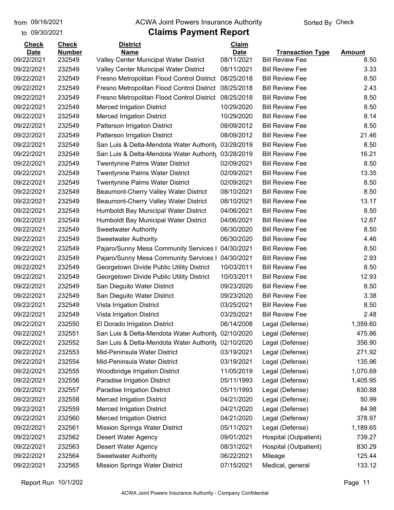to 09/30/2021

#### from 09/16/2021 **The COVA Solic Act Act Authority** Sorted By Check

| <b>Check</b>              | <b>Check</b>            | <b>District</b>                                       | Claim                     |                                                   |                       |
|---------------------------|-------------------------|-------------------------------------------------------|---------------------------|---------------------------------------------------|-----------------------|
| <b>Date</b><br>09/22/2021 | <b>Number</b><br>232549 | <b>Name</b><br>Valley Center Municipal Water District | <b>Date</b><br>08/11/2021 | <b>Transaction Type</b><br><b>Bill Review Fee</b> | <b>Amount</b><br>8.50 |
| 09/22/2021                | 232549                  | <b>Valley Center Municipal Water District</b>         | 08/11/2021                | <b>Bill Review Fee</b>                            | 3.33                  |
| 09/22/2021                | 232549                  | Fresno Metropolitan Flood Control District            | 08/25/2018                | <b>Bill Review Fee</b>                            | 8.50                  |
| 09/22/2021                | 232549                  | Fresno Metropolitan Flood Control District            | 08/25/2018                | <b>Bill Review Fee</b>                            | 2.43                  |
| 09/22/2021                | 232549                  |                                                       | 08/25/2018                | <b>Bill Review Fee</b>                            |                       |
|                           | 232549                  | Fresno Metropolitan Flood Control District            |                           |                                                   | 8.50                  |
| 09/22/2021                |                         | <b>Merced Irrigation District</b>                     | 10/29/2020                | <b>Bill Review Fee</b>                            | 8.50                  |
| 09/22/2021                | 232549                  | <b>Merced Irrigation District</b>                     | 10/29/2020                | <b>Bill Review Fee</b>                            | 8.14                  |
| 09/22/2021                | 232549                  | Patterson Irrigation District                         | 08/09/2012                | <b>Bill Review Fee</b>                            | 8.50                  |
| 09/22/2021                | 232549                  | Patterson Irrigation District                         | 08/09/2012                | <b>Bill Review Fee</b>                            | 21.46                 |
| 09/22/2021                | 232549                  | San Luis & Delta-Mendota Water Authority              | 03/28/2019                | <b>Bill Review Fee</b>                            | 8.50                  |
| 09/22/2021                | 232549                  | San Luis & Delta-Mendota Water Authority              | 03/28/2019                | <b>Bill Review Fee</b>                            | 16.21                 |
| 09/22/2021                | 232549                  | <b>Twentynine Palms Water District</b>                | 02/09/2021                | <b>Bill Review Fee</b>                            | 8.50                  |
| 09/22/2021                | 232549                  | <b>Twentynine Palms Water District</b>                | 02/09/2021                | <b>Bill Review Fee</b>                            | 13.35                 |
| 09/22/2021                | 232549                  | Twentynine Palms Water District                       | 02/09/2021                | <b>Bill Review Fee</b>                            | 8.50                  |
| 09/22/2021                | 232549                  | Beaumont-Cherry Valley Water District                 | 08/10/2021                | <b>Bill Review Fee</b>                            | 8.50                  |
| 09/22/2021                | 232549                  | Beaumont-Cherry Valley Water District                 | 08/10/2021                | <b>Bill Review Fee</b>                            | 13.17                 |
| 09/22/2021                | 232549                  | Humboldt Bay Municipal Water District                 | 04/06/2021                | <b>Bill Review Fee</b>                            | 8.50                  |
| 09/22/2021                | 232549                  | Humboldt Bay Municipal Water District                 | 04/06/2021                | <b>Bill Review Fee</b>                            | 12.87                 |
| 09/22/2021                | 232549                  | <b>Sweetwater Authority</b>                           | 06/30/2020                | <b>Bill Review Fee</b>                            | 8.50                  |
| 09/22/2021                | 232549                  | <b>Sweetwater Authority</b>                           | 06/30/2020                | <b>Bill Review Fee</b>                            | 4.46                  |
| 09/22/2021                | 232549                  | Pajaro/Sunny Mesa Community Services I                | 04/30/2021                | <b>Bill Review Fee</b>                            | 8.50                  |
| 09/22/2021                | 232549                  | Pajaro/Sunny Mesa Community Services I                | 04/30/2021                | <b>Bill Review Fee</b>                            | 2.93                  |
| 09/22/2021                | 232549                  | Georgetown Divide Public Utility District             | 10/03/2011                | <b>Bill Review Fee</b>                            | 8.50                  |
| 09/22/2021                | 232549                  | Georgetown Divide Public Utility District             | 10/03/2011                | <b>Bill Review Fee</b>                            | 12.93                 |
| 09/22/2021                | 232549                  | San Dieguito Water District                           | 09/23/2020                | <b>Bill Review Fee</b>                            | 8.50                  |
| 09/22/2021                | 232549                  | San Dieguito Water District                           | 09/23/2020                | <b>Bill Review Fee</b>                            | 3.38                  |
| 09/22/2021                | 232549                  | Vista Irrigation District                             | 03/25/2021                | <b>Bill Review Fee</b>                            | 8.50                  |
| 09/22/2021                | 232549                  | Vista Irrigation District                             | 03/25/2021                | <b>Bill Review Fee</b>                            | 2.48                  |
| 09/22/2021                | 232550                  | El Dorado Irrigation District                         | 06/14/2008                | Legal (Defense)                                   | 1,359.60              |
| 09/22/2021                | 232551                  | San Luis & Delta-Mendota Water Authority              | 02/10/2020                | Legal (Defense)                                   | 475.86                |
| 09/22/2021                | 232552                  | San Luis & Delta-Mendota Water Authority              | 02/10/2020                | Legal (Defense)                                   | 356.90                |
| 09/22/2021                | 232553                  | Mid-Peninsula Water District                          | 03/19/2021                | Legal (Defense)                                   | 271.92                |
| 09/22/2021                | 232554                  | Mid-Peninsula Water District                          | 03/19/2021                | Legal (Defense)                                   | 135.96                |
| 09/22/2021                | 232555                  | <b>Woodbridge Irrigation District</b>                 | 11/05/2019                | Legal (Defense)                                   | 1,070.69              |
| 09/22/2021                | 232556                  | Paradise Irrigation District                          | 05/11/1993                | Legal (Defense)                                   | 1,405.95              |
| 09/22/2021                | 232557                  | Paradise Irrigation District                          | 05/11/1993                | Legal (Defense)                                   | 630.88                |
| 09/22/2021                | 232558                  | <b>Merced Irrigation District</b>                     | 04/21/2020                | Legal (Defense)                                   | 50.99                 |
| 09/22/2021                | 232559                  | <b>Merced Irrigation District</b>                     | 04/21/2020                | Legal (Defense)                                   | 84.98                 |
| 09/22/2021                | 232560                  | <b>Merced Irrigation District</b>                     | 04/21/2020                | Legal (Defense)                                   | 378.97                |
| 09/22/2021                | 232561                  | <b>Mission Springs Water District</b>                 | 05/11/2021                | Legal (Defense)                                   | 1,189.65              |
| 09/22/2021                | 232562                  | <b>Desert Water Agency</b>                            | 09/01/2021                | Hospital (Outpatient)                             | 739.27                |
| 09/22/2021                | 232563                  | Desert Water Agency                                   | 08/31/2021                | Hospital (Outpatient)                             | 830.29                |
| 09/22/2021                | 232564                  | <b>Sweetwater Authority</b>                           | 06/22/2021                | Mileage                                           | 125.44                |
| 09/22/2021                | 232565                  | <b>Mission Springs Water District</b>                 | 07/15/2021                | Medical, general                                  | 133.12                |
|                           |                         |                                                       |                           |                                                   |                       |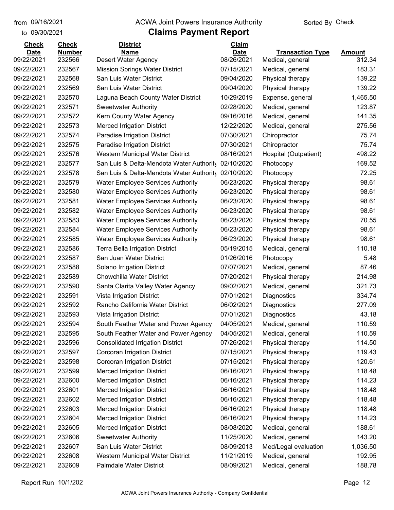to 09/30/2021

#### from 09/16/2021 **The COVA Solic Act Act Authority** Sorted By Check

| <b>Check</b>              | <b>Check</b>            | <b>District</b>                                                  | <b>Claim</b>              |                         |                         |
|---------------------------|-------------------------|------------------------------------------------------------------|---------------------------|-------------------------|-------------------------|
| <b>Date</b><br>09/22/2021 | <b>Number</b><br>232566 | <b>Name</b>                                                      | <b>Date</b><br>08/26/2021 | <b>Transaction Type</b> | <b>Amount</b><br>312.34 |
| 09/22/2021                | 232567                  | <b>Desert Water Agency</b>                                       | 07/15/2021                | Medical, general        | 183.31                  |
|                           | 232568                  | <b>Mission Springs Water District</b><br>San Luis Water District |                           | Medical, general        |                         |
| 09/22/2021                |                         |                                                                  | 09/04/2020                | Physical therapy        | 139.22<br>139.22        |
| 09/22/2021                | 232569                  | San Luis Water District                                          | 09/04/2020                | Physical therapy        |                         |
| 09/22/2021                | 232570                  | Laguna Beach County Water District                               | 10/29/2019                | Expense, general        | 1,465.50                |
| 09/22/2021                | 232571                  | <b>Sweetwater Authority</b>                                      | 02/28/2020                | Medical, general        | 123.87                  |
| 09/22/2021                | 232572                  | Kern County Water Agency                                         | 09/16/2016                | Medical, general        | 141.35                  |
| 09/22/2021                | 232573                  | <b>Merced Irrigation District</b>                                | 12/22/2020                | Medical, general        | 275.56                  |
| 09/22/2021                | 232574                  | Paradise Irrigation District                                     | 07/30/2021                | Chiropractor            | 75.74                   |
| 09/22/2021                | 232575                  | Paradise Irrigation District                                     | 07/30/2021                | Chiropractor            | 75.74                   |
| 09/22/2021                | 232576                  | Western Municipal Water District                                 | 08/16/2021                | Hospital (Outpatient)   | 498.22                  |
| 09/22/2021                | 232577                  | San Luis & Delta-Mendota Water Authority                         | 02/10/2020                | Photocopy               | 169.52                  |
| 09/22/2021                | 232578                  | San Luis & Delta-Mendota Water Authority                         | 02/10/2020                | Photocopy               | 72.25                   |
| 09/22/2021                | 232579                  | <b>Water Employee Services Authority</b>                         | 06/23/2020                | Physical therapy        | 98.61                   |
| 09/22/2021                | 232580                  | <b>Water Employee Services Authority</b>                         | 06/23/2020                | Physical therapy        | 98.61                   |
| 09/22/2021                | 232581                  | <b>Water Employee Services Authority</b>                         | 06/23/2020                | Physical therapy        | 98.61                   |
| 09/22/2021                | 232582                  | <b>Water Employee Services Authority</b>                         | 06/23/2020                | Physical therapy        | 98.61                   |
| 09/22/2021                | 232583                  | <b>Water Employee Services Authority</b>                         | 06/23/2020                | Physical therapy        | 70.55                   |
| 09/22/2021                | 232584                  | <b>Water Employee Services Authority</b>                         | 06/23/2020                | Physical therapy        | 98.61                   |
| 09/22/2021                | 232585                  | <b>Water Employee Services Authority</b>                         | 06/23/2020                | Physical therapy        | 98.61                   |
| 09/22/2021                | 232586                  | <b>Terra Bella Irrigation District</b>                           | 05/19/2015                | Medical, general        | 110.18                  |
| 09/22/2021                | 232587                  | San Juan Water District                                          | 01/26/2016                | Photocopy               | 5.48                    |
| 09/22/2021                | 232588                  | Solano Irrigation District                                       | 07/07/2021                | Medical, general        | 87.46                   |
| 09/22/2021                | 232589                  | <b>Chowchilla Water District</b>                                 | 07/20/2021                | Physical therapy        | 214.98                  |
| 09/22/2021                | 232590                  | Santa Clarita Valley Water Agency                                | 09/02/2021                | Medical, general        | 321.73                  |
| 09/22/2021                | 232591                  | Vista Irrigation District                                        | 07/01/2021                | Diagnostics             | 334.74                  |
| 09/22/2021                | 232592                  | Rancho California Water District                                 | 06/02/2021                | Diagnostics             | 277.09                  |
| 09/22/2021                | 232593                  | Vista Irrigation District                                        | 07/01/2021                | Diagnostics             | 43.18                   |
| 09/22/2021                | 232594                  | South Feather Water and Power Agency                             | 04/05/2021                | Medical, general        | 110.59                  |
| 09/22/2021                | 232595                  | South Feather Water and Power Agency                             | 04/05/2021                | Medical, general        | 110.59                  |
| 09/22/2021                | 232596                  | <b>Consolidated Irrigation District</b>                          | 07/26/2021                | Physical therapy        | 114.50                  |
| 09/22/2021                | 232597                  | Corcoran Irrigation District                                     | 07/15/2021                | Physical therapy        | 119.43                  |
| 09/22/2021                | 232598                  | Corcoran Irrigation District                                     | 07/15/2021                | Physical therapy        | 120.61                  |
| 09/22/2021                | 232599                  | <b>Merced Irrigation District</b>                                | 06/16/2021                | Physical therapy        | 118.48                  |
| 09/22/2021                | 232600                  | <b>Merced Irrigation District</b>                                | 06/16/2021                | Physical therapy        | 114.23                  |
| 09/22/2021                | 232601                  | <b>Merced Irrigation District</b>                                | 06/16/2021                | Physical therapy        | 118.48                  |
| 09/22/2021                | 232602                  | <b>Merced Irrigation District</b>                                | 06/16/2021                | Physical therapy        | 118.48                  |
| 09/22/2021                | 232603                  | <b>Merced Irrigation District</b>                                | 06/16/2021                | Physical therapy        | 118.48                  |
| 09/22/2021                | 232604                  | <b>Merced Irrigation District</b>                                | 06/16/2021                | Physical therapy        | 114.23                  |
| 09/22/2021                | 232605                  | <b>Merced Irrigation District</b>                                | 08/08/2020                | Medical, general        | 188.61                  |
| 09/22/2021                | 232606                  | <b>Sweetwater Authority</b>                                      | 11/25/2020                | Medical, general        | 143.20                  |
| 09/22/2021                | 232607                  | San Luis Water District                                          | 08/09/2013                | Med/Legal evaluation    | 1,036.50                |
| 09/22/2021                | 232608                  | Western Municipal Water District                                 | 11/21/2019                | Medical, general        | 192.95                  |
| 09/22/2021                | 232609                  | Palmdale Water District                                          | 08/09/2021                | Medical, general        | 188.78                  |
|                           |                         |                                                                  |                           |                         |                         |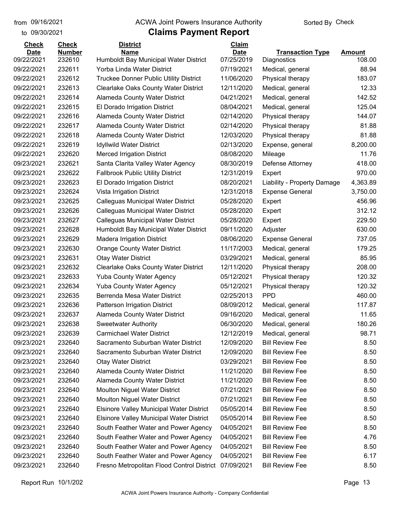#### from 09/16/2021 **The COVA Solic Act Act Authority** Sorted By Check

#### to 09/30/2021

| <b>Check</b>              | <b>Check</b>     | <b>District</b>                                                     | Claim                     |                             |                         |
|---------------------------|------------------|---------------------------------------------------------------------|---------------------------|-----------------------------|-------------------------|
| <b>Date</b><br>09/22/2021 | <b>Number</b>    | <b>Name</b>                                                         | <b>Date</b><br>07/25/2019 | <b>Transaction Type</b>     | <b>Amount</b><br>108.00 |
| 09/22/2021                | 232610<br>232611 | Humboldt Bay Municipal Water District<br>Yorba Linda Water District | 07/19/2021                | Diagnostics                 | 88.94                   |
|                           | 232612           |                                                                     | 11/06/2020                | Medical, general            | 183.07                  |
| 09/22/2021                |                  | Truckee Donner Public Utility District                              | 12/11/2020                | Physical therapy            | 12.33                   |
| 09/22/2021                | 232613           | <b>Clearlake Oaks County Water District</b>                         |                           | Medical, general            |                         |
| 09/22/2021                | 232614           | <b>Alameda County Water District</b>                                | 04/21/2021                | Medical, general            | 142.52                  |
| 09/22/2021                | 232615           | El Dorado Irrigation District                                       | 08/04/2021                | Medical, general            | 125.04                  |
| 09/22/2021                | 232616           | Alameda County Water District                                       | 02/14/2020                | Physical therapy            | 144.07                  |
| 09/22/2021                | 232617           | <b>Alameda County Water District</b>                                | 02/14/2020                | Physical therapy            | 81.88                   |
| 09/22/2021                | 232618           | <b>Alameda County Water District</b>                                | 12/03/2020                | Physical therapy            | 81.88                   |
| 09/22/2021                | 232619           | <b>Idyllwild Water District</b>                                     | 02/13/2020                | Expense, general            | 8,200.00                |
| 09/22/2021                | 232620           | <b>Merced Irrigation District</b>                                   | 08/08/2020                | Mileage                     | 11.76                   |
| 09/23/2021                | 232621           | Santa Clarita Valley Water Agency                                   | 08/30/2019                | Defense Attorney            | 418.00                  |
| 09/23/2021                | 232622           | <b>Fallbrook Public Utility District</b>                            | 12/31/2019                | Expert                      | 970.00                  |
| 09/23/2021                | 232623           | El Dorado Irrigation District                                       | 08/20/2021                | Liability - Property Damage | 4,363.89                |
| 09/23/2021                | 232624           | Vista Irrigation District                                           | 12/31/2018                | <b>Expense General</b>      | 3,750.00                |
| 09/23/2021                | 232625           | Calleguas Municipal Water District                                  | 05/28/2020                | Expert                      | 456.96                  |
| 09/23/2021                | 232626           | Calleguas Municipal Water District                                  | 05/28/2020                | Expert                      | 312.12                  |
| 09/23/2021                | 232627           | Calleguas Municipal Water District                                  | 05/28/2020                | Expert                      | 229.50                  |
| 09/23/2021                | 232628           | Humboldt Bay Municipal Water District                               | 09/11/2020                | Adjuster                    | 630.00                  |
| 09/23/2021                | 232629           | <b>Madera Irrigation District</b>                                   | 08/06/2020                | <b>Expense General</b>      | 737.05                  |
| 09/23/2021                | 232630           | Orange County Water District                                        | 11/17/2003                | Medical, general            | 179.25                  |
| 09/23/2021                | 232631           | <b>Otay Water District</b>                                          | 03/29/2021                | Medical, general            | 85.95                   |
| 09/23/2021                | 232632           | <b>Clearlake Oaks County Water District</b>                         | 12/11/2020                | Physical therapy            | 208.00                  |
| 09/23/2021                | 232633           | <b>Yuba County Water Agency</b>                                     | 05/12/2021                | Physical therapy            | 120.32                  |
| 09/23/2021                | 232634           | <b>Yuba County Water Agency</b>                                     | 05/12/2021                | Physical therapy            | 120.32                  |
| 09/23/2021                | 232635           | Berrenda Mesa Water District                                        | 02/25/2013                | <b>PPD</b>                  | 460.00                  |
| 09/23/2021                | 232636           | Patterson Irrigation District                                       | 08/09/2012                | Medical, general            | 117.87                  |
| 09/23/2021                | 232637           | Alameda County Water District                                       | 09/16/2020                | Medical, general            | 11.65                   |
| 09/23/2021                | 232638           | <b>Sweetwater Authority</b>                                         | 06/30/2020                | Medical, general            | 180.26                  |
| 09/23/2021                | 232639           | <b>Carmichael Water District</b>                                    | 12/12/2019                | Medical, general            | 98.71                   |
| 09/23/2021                | 232640           | Sacramento Suburban Water District                                  | 12/09/2020                | <b>Bill Review Fee</b>      | 8.50                    |
| 09/23/2021                | 232640           | Sacramento Suburban Water District                                  | 12/09/2020                | <b>Bill Review Fee</b>      | 8.50                    |
| 09/23/2021                | 232640           | <b>Otay Water District</b>                                          | 03/29/2021                | <b>Bill Review Fee</b>      | 8.50                    |
| 09/23/2021                | 232640           | Alameda County Water District                                       | 11/21/2020                | <b>Bill Review Fee</b>      | 8.50                    |
| 09/23/2021                | 232640           | Alameda County Water District                                       | 11/21/2020                | <b>Bill Review Fee</b>      | 8.50                    |
| 09/23/2021                | 232640           | <b>Moulton Niguel Water District</b>                                | 07/21/2021                | <b>Bill Review Fee</b>      | 8.50                    |
| 09/23/2021                | 232640           | <b>Moulton Niguel Water District</b>                                | 07/21/2021                | <b>Bill Review Fee</b>      | 8.50                    |
| 09/23/2021                | 232640           | <b>Elsinore Valley Municipal Water District</b>                     | 05/05/2014                | <b>Bill Review Fee</b>      | 8.50                    |
| 09/23/2021                | 232640           | <b>Elsinore Valley Municipal Water District</b>                     | 05/05/2014                | <b>Bill Review Fee</b>      | 8.50                    |
| 09/23/2021                | 232640           | South Feather Water and Power Agency                                | 04/05/2021                | <b>Bill Review Fee</b>      | 8.50                    |
| 09/23/2021                | 232640           | South Feather Water and Power Agency                                | 04/05/2021                | <b>Bill Review Fee</b>      | 4.76                    |
| 09/23/2021                | 232640           | South Feather Water and Power Agency                                | 04/05/2021                | <b>Bill Review Fee</b>      | 8.50                    |
| 09/23/2021                | 232640           | South Feather Water and Power Agency                                | 04/05/2021                | <b>Bill Review Fee</b>      | 6.17                    |
| 09/23/2021                | 232640           | Fresno Metropolitan Flood Control District                          | 07/09/2021                | <b>Bill Review Fee</b>      | 8.50                    |
|                           |                  |                                                                     |                           |                             |                         |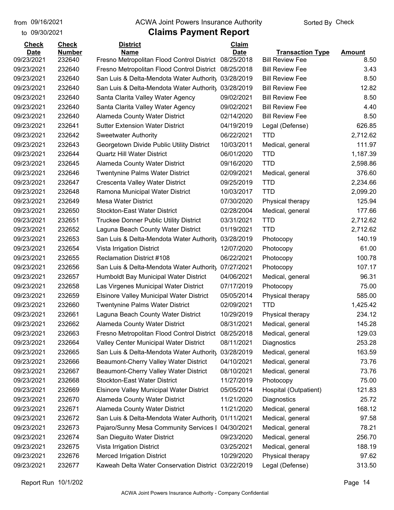to 09/30/2021

#### from 09/16/2021 **The COVA Solic Act Act Authority** Sorted By Check

### **Claims Payment Report**

| <b>Check</b>              | <b>Check</b>            | <b>District</b>                                                                          | Claim                    |                                                   |               |
|---------------------------|-------------------------|------------------------------------------------------------------------------------------|--------------------------|---------------------------------------------------|---------------|
| <b>Date</b><br>09/23/2021 | <b>Number</b><br>232640 | <b>Name</b>                                                                              | <b>Date</b>              | <b>Transaction Type</b><br><b>Bill Review Fee</b> | <b>Amount</b> |
| 09/23/2021                | 232640                  | Fresno Metropolitan Flood Control District<br>Fresno Metropolitan Flood Control District | 08/25/2018<br>08/25/2018 | <b>Bill Review Fee</b>                            | 8.50<br>3.43  |
|                           | 232640                  |                                                                                          |                          | <b>Bill Review Fee</b>                            |               |
| 09/23/2021                |                         | San Luis & Delta-Mendota Water Authority 03/28/2019                                      |                          |                                                   | 8.50          |
| 09/23/2021                | 232640                  | San Luis & Delta-Mendota Water Authority                                                 | 03/28/2019               | <b>Bill Review Fee</b>                            | 12.82         |
| 09/23/2021                | 232640                  | Santa Clarita Valley Water Agency                                                        | 09/02/2021               | <b>Bill Review Fee</b>                            | 8.50          |
| 09/23/2021                | 232640                  | Santa Clarita Valley Water Agency                                                        | 09/02/2021               | <b>Bill Review Fee</b>                            | 4.40          |
| 09/23/2021                | 232640                  | Alameda County Water District                                                            | 02/14/2020               | <b>Bill Review Fee</b>                            | 8.50          |
| 09/23/2021                | 232641                  | <b>Sutter Extension Water District</b>                                                   | 04/19/2019               | Legal (Defense)                                   | 626.85        |
| 09/23/2021                | 232642                  | <b>Sweetwater Authority</b>                                                              | 06/22/2021               | <b>TTD</b>                                        | 2,712.62      |
| 09/23/2021                | 232643                  | Georgetown Divide Public Utility District                                                | 10/03/2011               | Medical, general                                  | 111.97        |
| 09/23/2021                | 232644                  | <b>Quartz Hill Water District</b>                                                        | 06/01/2020               | <b>TTD</b>                                        | 1,187.39      |
| 09/23/2021                | 232645                  | Alameda County Water District                                                            | 09/16/2020               | <b>TTD</b>                                        | 2,598.86      |
| 09/23/2021                | 232646                  | <b>Twentynine Palms Water District</b>                                                   | 02/09/2021               | Medical, general                                  | 376.60        |
| 09/23/2021                | 232647                  | Crescenta Valley Water District                                                          | 09/25/2019               | <b>TTD</b>                                        | 2,234.66      |
| 09/23/2021                | 232648                  | Ramona Municipal Water District                                                          | 10/03/2017               | <b>TTD</b>                                        | 2,099.20      |
| 09/23/2021                | 232649                  | <b>Mesa Water District</b>                                                               | 07/30/2020               | Physical therapy                                  | 125.94        |
| 09/23/2021                | 232650                  | <b>Stockton-East Water District</b>                                                      | 02/28/2004               | Medical, general                                  | 177.66        |
| 09/23/2021                | 232651                  | Truckee Donner Public Utility District                                                   | 03/31/2021               | <b>TTD</b>                                        | 2,712.62      |
| 09/23/2021                | 232652                  | Laguna Beach County Water District                                                       | 01/19/2021               | <b>TTD</b>                                        | 2,712.62      |
| 09/23/2021                | 232653                  | San Luis & Delta-Mendota Water Authority                                                 | 03/28/2019               | Photocopy                                         | 140.19        |
| 09/23/2021                | 232654                  | Vista Irrigation District                                                                | 12/07/2020               | Photocopy                                         | 61.00         |
| 09/23/2021                | 232655                  | <b>Reclamation District #108</b>                                                         | 06/22/2021               | Photocopy                                         | 100.78        |
| 09/23/2021                | 232656                  | San Luis & Delta-Mendota Water Authority                                                 | 07/27/2021               | Photocopy                                         | 107.17        |
| 09/23/2021                | 232657                  | Humboldt Bay Municipal Water District                                                    | 04/06/2021               | Medical, general                                  | 96.31         |
| 09/23/2021                | 232658                  | Las Virgenes Municipal Water District                                                    | 07/17/2019               | Photocopy                                         | 75.00         |
| 09/23/2021                | 232659                  | <b>Elsinore Valley Municipal Water District</b>                                          | 05/05/2014               | Physical therapy                                  | 585.00        |
| 09/23/2021                | 232660                  | <b>Twentynine Palms Water District</b>                                                   | 02/09/2021               | <b>TTD</b>                                        | 1,425.42      |
| 09/23/2021                | 232661                  | Laguna Beach County Water District                                                       | 10/29/2019               | Physical therapy                                  | 234.12        |
| 09/23/2021                | 232662                  | Alameda County Water District                                                            | 08/31/2021               | Medical, general                                  | 145.28        |
| 09/23/2021                | 232663                  | Fresno Metropolitan Flood Control District                                               | 08/25/2018               | Medical, general                                  | 129.03        |
| 09/23/2021                | 232664                  | Valley Center Municipal Water District                                                   | 08/11/2021               | Diagnostics                                       | 253.28        |
| 09/23/2021                | 232665                  | San Luis & Delta-Mendota Water Authority                                                 | 03/28/2019               | Medical, general                                  | 163.59        |
| 09/23/2021                | 232666                  | Beaumont-Cherry Valley Water District                                                    | 04/10/2021               | Medical, general                                  | 73.76         |
| 09/23/2021                | 232667                  | Beaumont-Cherry Valley Water District                                                    | 08/10/2021               | Medical, general                                  | 73.76         |
| 09/23/2021                | 232668                  | <b>Stockton-East Water District</b>                                                      | 11/27/2019               | Photocopy                                         | 75.00         |
| 09/23/2021                | 232669                  | <b>Elsinore Valley Municipal Water District</b>                                          | 05/05/2014               | Hospital (Outpatient)                             | 121.83        |
| 09/23/2021                | 232670                  | Alameda County Water District                                                            | 11/21/2020               | Diagnostics                                       | 25.72         |
| 09/23/2021                | 232671                  | Alameda County Water District                                                            | 11/21/2020               | Medical, general                                  | 168.12        |
| 09/23/2021                | 232672                  | San Luis & Delta-Mendota Water Authority                                                 | 01/11/2021               | Medical, general                                  | 97.58         |
| 09/23/2021                | 232673                  | Pajaro/Sunny Mesa Community Services I                                                   | 04/30/2021               | Medical, general                                  | 78.21         |
| 09/23/2021                | 232674                  | San Dieguito Water District                                                              | 09/23/2020               | Medical, general                                  | 256.70        |
| 09/23/2021                | 232675                  | Vista Irrigation District                                                                | 03/25/2021               | Medical, general                                  | 188.19        |
| 09/23/2021                | 232676                  | <b>Merced Irrigation District</b>                                                        | 10/29/2020               | Physical therapy                                  | 97.62         |
| 09/23/2021                | 232677                  | Kaweah Delta Water Conservation District 03/22/2019                                      |                          | Legal (Defense)                                   | 313.50        |
|                           |                         |                                                                                          |                          |                                                   |               |

Report Run 10/1/202 Page 14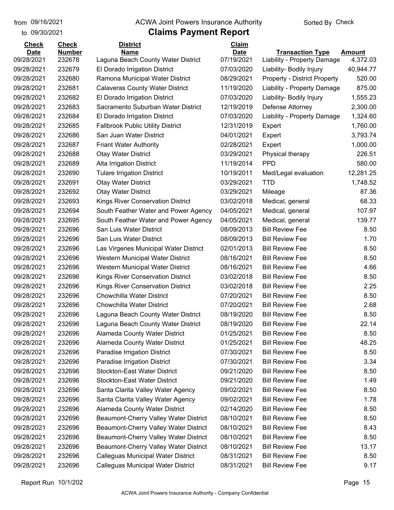to 09/30/2021

#### from 09/16/2021 **The COVA Solic Act Act Authority** Sorted By Check

| <b>Check</b>              | <b>Check</b>            | <b>District</b>                                   | Claim                     |                                                        |                     |
|---------------------------|-------------------------|---------------------------------------------------|---------------------------|--------------------------------------------------------|---------------------|
| <b>Date</b><br>09/28/2021 | <b>Number</b><br>232678 | <b>Name</b><br>Laguna Beach County Water District | <b>Date</b><br>07/19/2021 | <b>Transaction Type</b><br>Liability - Property Damage | Amount<br>4,372.03  |
| 09/28/2021                | 232679                  | El Dorado Irrigation District                     | 07/03/2020                |                                                        |                     |
| 09/28/2021                | 232680                  |                                                   |                           | Liability- Bodily Injury                               | 40,944.77<br>520.00 |
|                           |                         | Ramona Municipal Water District                   | 08/29/2021                | <b>Property - District Property</b>                    |                     |
| 09/28/2021                | 232681                  | <b>Calaveras County Water District</b>            | 11/19/2020                | Liability - Property Damage                            | 875.00              |
| 09/28/2021                | 232682                  | El Dorado Irrigation District                     | 07/03/2020                | Liability- Bodily Injury                               | 1,555.23            |
| 09/28/2021                | 232683                  | Sacramento Suburban Water District                | 12/19/2019                | Defense Attorney                                       | 2,300.00            |
| 09/28/2021                | 232684                  | El Dorado Irrigation District                     | 07/03/2020                | Liability - Property Damage                            | 1,324.60            |
| 09/28/2021                | 232685                  | <b>Fallbrook Public Utility District</b>          | 12/31/2019                | Expert                                                 | 1,760.00            |
| 09/28/2021                | 232686                  | San Juan Water District                           | 04/01/2021                | Expert                                                 | 3,793.74            |
| 09/28/2021                | 232687                  | <b>Friant Water Authority</b>                     | 02/28/2021                | Expert                                                 | 1,000.00            |
| 09/28/2021                | 232688                  | <b>Otay Water District</b>                        | 03/29/2021                | Physical therapy                                       | 226.51              |
| 09/28/2021                | 232689                  | <b>Alta Irrigation District</b>                   | 11/19/2014                | <b>PPD</b>                                             | 580.00              |
| 09/28/2021                | 232690                  | <b>Tulare Irrigation District</b>                 | 10/19/2011                | Med/Legal evaluation                                   | 12,281.25           |
| 09/28/2021                | 232691                  | <b>Otay Water District</b>                        | 03/29/2021                | <b>TTD</b>                                             | 1,748.52            |
| 09/28/2021                | 232692                  | <b>Otay Water District</b>                        | 03/29/2021                | Mileage                                                | 87.36               |
| 09/28/2021                | 232693                  | <b>Kings River Conservation District</b>          | 03/02/2018                | Medical, general                                       | 68.33               |
| 09/28/2021                | 232694                  | South Feather Water and Power Agency              | 04/05/2021                | Medical, general                                       | 107.97              |
| 09/28/2021                | 232695                  | South Feather Water and Power Agency              | 04/05/2021                | Medical, general                                       | 139.77              |
| 09/28/2021                | 232696                  | San Luis Water District                           | 08/09/2013                | <b>Bill Review Fee</b>                                 | 8.50                |
| 09/28/2021                | 232696                  | San Luis Water District                           | 08/09/2013                | <b>Bill Review Fee</b>                                 | 1.70                |
| 09/28/2021                | 232696                  | Las Virgenes Municipal Water District             | 02/01/2013                | <b>Bill Review Fee</b>                                 | 8.50                |
| 09/28/2021                | 232696                  | Western Municipal Water District                  | 08/16/2021                | <b>Bill Review Fee</b>                                 | 8.50                |
| 09/28/2021                | 232696                  | Western Municipal Water District                  | 08/16/2021                | <b>Bill Review Fee</b>                                 | 4.66                |
| 09/28/2021                | 232696                  | Kings River Conservation District                 | 03/02/2018                | <b>Bill Review Fee</b>                                 | 8.50                |
| 09/28/2021                | 232696                  | <b>Kings River Conservation District</b>          | 03/02/2018                | <b>Bill Review Fee</b>                                 | 2.25                |
| 09/28/2021                | 232696                  | Chowchilla Water District                         | 07/20/2021                | <b>Bill Review Fee</b>                                 | 8.50                |
| 09/28/2021                | 232696                  | <b>Chowchilla Water District</b>                  | 07/20/2021                | <b>Bill Review Fee</b>                                 | 2.68                |
| 09/28/2021                | 232696                  | Laguna Beach County Water District                | 08/19/2020                | <b>Bill Review Fee</b>                                 | 8.50                |
| 09/28/2021                | 232696                  | Laguna Beach County Water District                | 08/19/2020                | <b>Bill Review Fee</b>                                 | 22.14               |
| 09/28/2021                | 232696                  | Alameda County Water District                     | 01/25/2021                | <b>Bill Review Fee</b>                                 | 8.50                |
| 09/28/2021                | 232696                  | Alameda County Water District                     | 01/25/2021                | <b>Bill Review Fee</b>                                 | 48.25               |
| 09/28/2021                | 232696                  | Paradise Irrigation District                      | 07/30/2021                | <b>Bill Review Fee</b>                                 | 8.50                |
| 09/28/2021                | 232696                  | Paradise Irrigation District                      | 07/30/2021                | <b>Bill Review Fee</b>                                 | 3.34                |
| 09/28/2021                | 232696                  | <b>Stockton-East Water District</b>               | 09/21/2020                | <b>Bill Review Fee</b>                                 | 8.50                |
| 09/28/2021                | 232696                  | <b>Stockton-East Water District</b>               | 09/21/2020                | <b>Bill Review Fee</b>                                 | 1.49                |
| 09/28/2021                | 232696                  | Santa Clarita Valley Water Agency                 | 09/02/2021                | <b>Bill Review Fee</b>                                 | 8.50                |
| 09/28/2021                | 232696                  | Santa Clarita Valley Water Agency                 | 09/02/2021                | <b>Bill Review Fee</b>                                 | 1.78                |
| 09/28/2021                | 232696                  | Alameda County Water District                     | 02/14/2020                | <b>Bill Review Fee</b>                                 | 8.50                |
| 09/28/2021                | 232696                  | Beaumont-Cherry Valley Water District             | 08/10/2021                | <b>Bill Review Fee</b>                                 | 8.50                |
| 09/28/2021                | 232696                  | Beaumont-Cherry Valley Water District             | 08/10/2021                | <b>Bill Review Fee</b>                                 | 8.43                |
| 09/28/2021                | 232696                  | Beaumont-Cherry Valley Water District             | 08/10/2021                | <b>Bill Review Fee</b>                                 | 8.50                |
| 09/28/2021                | 232696                  | Beaumont-Cherry Valley Water District             | 08/10/2021                | <b>Bill Review Fee</b>                                 | 13.17               |
| 09/28/2021                | 232696                  | Calleguas Municipal Water District                | 08/31/2021                | <b>Bill Review Fee</b>                                 | 8.50                |
| 09/28/2021                | 232696                  | Calleguas Municipal Water District                | 08/31/2021                | <b>Bill Review Fee</b>                                 | 9.17                |
|                           |                         |                                                   |                           |                                                        |                     |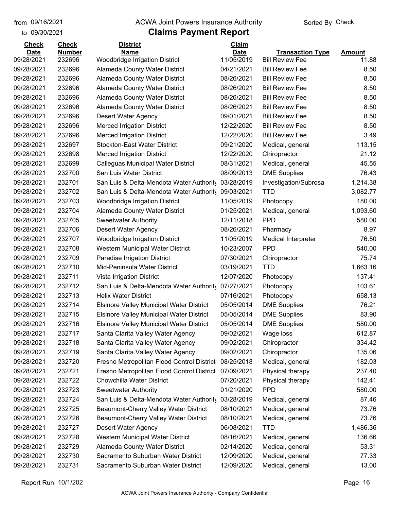#### from 09/16/2021 **The COVA Solic Act Act Authority** Sorted By Check

#### to 09/30/2021

| <b>Check</b> | <b>Check</b>     | <b>District</b>                                     | Claim                    |                            |               |
|--------------|------------------|-----------------------------------------------------|--------------------------|----------------------------|---------------|
| <b>Date</b>  | <b>Number</b>    | <b>Name</b>                                         | <b>Date</b>              | <b>Transaction Type</b>    | <b>Amount</b> |
| 09/28/2021   | 232696           | Woodbridge Irrigation District                      | 11/05/2019               | <b>Bill Review Fee</b>     | 11.88         |
| 09/28/2021   | 232696<br>232696 | <b>Alameda County Water District</b>                | 04/21/2021<br>08/26/2021 | <b>Bill Review Fee</b>     | 8.50          |
| 09/28/2021   |                  | Alameda County Water District                       |                          | <b>Bill Review Fee</b>     | 8.50          |
| 09/28/2021   | 232696           | Alameda County Water District                       | 08/26/2021               | <b>Bill Review Fee</b>     | 8.50          |
| 09/28/2021   | 232696           | <b>Alameda County Water District</b>                | 08/26/2021               | <b>Bill Review Fee</b>     | 8.50          |
| 09/28/2021   | 232696           | Alameda County Water District                       | 08/26/2021               | <b>Bill Review Fee</b>     | 8.50          |
| 09/28/2021   | 232696           | Desert Water Agency                                 | 09/01/2021               | <b>Bill Review Fee</b>     | 8.50          |
| 09/28/2021   | 232696           | <b>Merced Irrigation District</b>                   | 12/22/2020               | <b>Bill Review Fee</b>     | 8.50          |
| 09/28/2021   | 232696           | <b>Merced Irrigation District</b>                   | 12/22/2020               | <b>Bill Review Fee</b>     | 3.49          |
| 09/28/2021   | 232697           | <b>Stockton-East Water District</b>                 | 09/21/2020               | Medical, general           | 113.15        |
| 09/28/2021   | 232698           | <b>Merced Irrigation District</b>                   | 12/22/2020               | Chiropractor               | 21.12         |
| 09/28/2021   | 232699           | Calleguas Municipal Water District                  | 08/31/2021               | Medical, general           | 45.55         |
| 09/28/2021   | 232700           | San Luis Water District                             | 08/09/2013               | <b>DME Supplies</b>        | 76.43         |
| 09/28/2021   | 232701           | San Luis & Delta-Mendota Water Authority            | 03/28/2019               | Investigation/Subrosa      | 1,214.38      |
| 09/28/2021   | 232702           | San Luis & Delta-Mendota Water Authority 09/03/2021 |                          | <b>TTD</b>                 | 3,082.77      |
| 09/28/2021   | 232703           | <b>Woodbridge Irrigation District</b>               | 11/05/2019               | Photocopy                  | 180.00        |
| 09/28/2021   | 232704           | Alameda County Water District                       | 01/25/2021               | Medical, general           | 1,093.60      |
| 09/28/2021   | 232705           | <b>Sweetwater Authority</b>                         | 12/11/2018               | <b>PPD</b>                 | 580.00        |
| 09/28/2021   | 232706           | Desert Water Agency                                 | 08/26/2021               | Pharmacy                   | 8.97          |
| 09/28/2021   | 232707           | Woodbridge Irrigation District                      | 11/05/2019               | <b>Medical Interpreter</b> | 76.50         |
| 09/28/2021   | 232708           | Western Municipal Water District                    | 10/23/2007               | <b>PPD</b>                 | 540.00        |
| 09/28/2021   | 232709           | Paradise Irrigation District                        | 07/30/2021               | Chiropractor               | 75.74         |
| 09/28/2021   | 232710           | Mid-Peninsula Water District                        | 03/19/2021               | <b>TTD</b>                 | 1,663.16      |
| 09/28/2021   | 232711           | Vista Irrigation District                           | 12/07/2020               | Photocopy                  | 137.41        |
| 09/28/2021   | 232712           | San Luis & Delta-Mendota Water Authority            | 07/27/2021               | Photocopy                  | 103.61        |
| 09/28/2021   | 232713           | <b>Helix Water District</b>                         | 07/16/2021               | Photocopy                  | 658.13        |
| 09/28/2021   | 232714           | <b>Elsinore Valley Municipal Water District</b>     | 05/05/2014               | <b>DME Supplies</b>        | 76.21         |
| 09/28/2021   | 232715           | <b>Elsinore Valley Municipal Water District</b>     | 05/05/2014               | <b>DME Supplies</b>        | 83.90         |
| 09/28/2021   | 232716           | <b>Elsinore Valley Municipal Water District</b>     | 05/05/2014               | <b>DME Supplies</b>        | 580.00        |
| 09/28/2021   | 232717           | Santa Clarita Valley Water Agency                   | 09/02/2021               | Wage loss                  | 612.87        |
| 09/28/2021   | 232718           | Santa Clarita Valley Water Agency                   | 09/02/2021               | Chiropractor               | 334.42        |
| 09/28/2021   | 232719           | Santa Clarita Valley Water Agency                   | 09/02/2021               | Chiropractor               | 135.06        |
| 09/28/2021   | 232720           | Fresno Metropolitan Flood Control District          | 08/25/2018               | Medical, general           | 182.03        |
| 09/28/2021   | 232721           | Fresno Metropolitan Flood Control District          | 07/09/2021               | Physical therapy           | 237.40        |
| 09/28/2021   | 232722           | <b>Chowchilla Water District</b>                    | 07/20/2021               | Physical therapy           | 142.41        |
| 09/28/2021   | 232723           | <b>Sweetwater Authority</b>                         | 01/21/2020               | <b>PPD</b>                 | 580.00        |
| 09/28/2021   | 232724           | San Luis & Delta-Mendota Water Authority            | 03/28/2019               | Medical, general           | 87.46         |
| 09/28/2021   | 232725           | Beaumont-Cherry Valley Water District               | 08/10/2021               | Medical, general           | 73.76         |
| 09/28/2021   | 232726           | Beaumont-Cherry Valley Water District               | 08/10/2021               | Medical, general           | 73.76         |
| 09/28/2021   | 232727           | <b>Desert Water Agency</b>                          | 06/08/2021               | <b>TTD</b>                 | 1,486.36      |
| 09/28/2021   | 232728           | Western Municipal Water District                    | 08/16/2021               | Medical, general           | 136.66        |
| 09/28/2021   | 232729           | Alameda County Water District                       | 02/14/2020               | Medical, general           | 53.31         |
| 09/28/2021   | 232730           | Sacramento Suburban Water District                  | 12/09/2020               | Medical, general           | 77.33         |
| 09/28/2021   | 232731           | Sacramento Suburban Water District                  | 12/09/2020               | Medical, general           | 13.00         |
|              |                  |                                                     |                          |                            |               |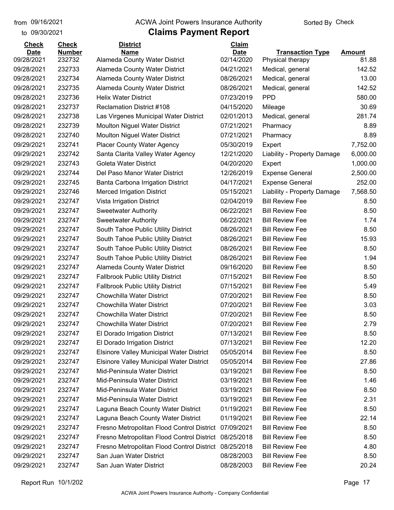#### from 09/16/2021 **The COVA Solic Act Act Authority** Sorted By Check

#### to 09/30/2021

| <b>Check</b> | <b>Check</b>  | <b>District</b>                                 | <b>Claim</b> |                             |               |
|--------------|---------------|-------------------------------------------------|--------------|-----------------------------|---------------|
| <b>Date</b>  | <b>Number</b> | <b>Name</b>                                     | <b>Date</b>  | <b>Transaction Type</b>     | <b>Amount</b> |
| 09/28/2021   | 232732        | Alameda County Water District                   | 02/14/2020   | Physical therapy            | 81.88         |
| 09/28/2021   | 232733        | Alameda County Water District                   | 04/21/2021   | Medical, general            | 142.52        |
| 09/28/2021   | 232734        | Alameda County Water District                   | 08/26/2021   | Medical, general            | 13.00         |
| 09/28/2021   | 232735        | <b>Alameda County Water District</b>            | 08/26/2021   | Medical, general            | 142.52        |
| 09/28/2021   | 232736        | <b>Helix Water District</b>                     | 07/23/2019   | <b>PPD</b>                  | 580.00        |
| 09/28/2021   | 232737        | <b>Reclamation District #108</b>                | 04/15/2020   | Mileage                     | 30.69         |
| 09/28/2021   | 232738        | Las Virgenes Municipal Water District           | 02/01/2013   | Medical, general            | 281.74        |
| 09/28/2021   | 232739        | <b>Moulton Niguel Water District</b>            | 07/21/2021   | Pharmacy                    | 8.89          |
| 09/28/2021   | 232740        | Moulton Niguel Water District                   | 07/21/2021   | Pharmacy                    | 8.89          |
| 09/29/2021   | 232741        | <b>Placer County Water Agency</b>               | 05/30/2019   | Expert                      | 7,752.00      |
| 09/29/2021   | 232742        | Santa Clarita Valley Water Agency               | 12/21/2020   | Liability - Property Damage | 6,000.00      |
| 09/29/2021   | 232743        | <b>Goleta Water District</b>                    | 04/20/2020   | Expert                      | 1,000.00      |
| 09/29/2021   | 232744        | Del Paso Manor Water District                   | 12/26/2019   | <b>Expense General</b>      | 2,500.00      |
| 09/29/2021   | 232745        | Banta Carbona Irrigation District               | 04/17/2021   | <b>Expense General</b>      | 252.00        |
| 09/29/2021   | 232746        | <b>Merced Irrigation District</b>               | 05/15/2021   | Liability - Property Damage | 7,568.50      |
| 09/29/2021   | 232747        | Vista Irrigation District                       | 02/04/2019   | <b>Bill Review Fee</b>      | 8.50          |
| 09/29/2021   | 232747        | <b>Sweetwater Authority</b>                     | 06/22/2021   | <b>Bill Review Fee</b>      | 8.50          |
| 09/29/2021   | 232747        | <b>Sweetwater Authority</b>                     | 06/22/2021   | <b>Bill Review Fee</b>      | 1.74          |
| 09/29/2021   | 232747        | South Tahoe Public Utility District             | 08/26/2021   | <b>Bill Review Fee</b>      | 8.50          |
| 09/29/2021   | 232747        | South Tahoe Public Utility District             | 08/26/2021   | <b>Bill Review Fee</b>      | 15.93         |
| 09/29/2021   | 232747        | South Tahoe Public Utility District             | 08/26/2021   | <b>Bill Review Fee</b>      | 8.50          |
| 09/29/2021   | 232747        | South Tahoe Public Utility District             | 08/26/2021   | <b>Bill Review Fee</b>      | 1.94          |
| 09/29/2021   | 232747        | <b>Alameda County Water District</b>            | 09/16/2020   | <b>Bill Review Fee</b>      | 8.50          |
| 09/29/2021   | 232747        | <b>Fallbrook Public Utility District</b>        | 07/15/2021   | <b>Bill Review Fee</b>      | 8.50          |
| 09/29/2021   | 232747        | <b>Fallbrook Public Utility District</b>        | 07/15/2021   | <b>Bill Review Fee</b>      | 5.49          |
| 09/29/2021   | 232747        | Chowchilla Water District                       | 07/20/2021   | <b>Bill Review Fee</b>      | 8.50          |
| 09/29/2021   | 232747        | <b>Chowchilla Water District</b>                | 07/20/2021   | <b>Bill Review Fee</b>      | 3.03          |
| 09/29/2021   | 232747        | Chowchilla Water District                       | 07/20/2021   | <b>Bill Review Fee</b>      | 8.50          |
| 09/29/2021   | 232747        | <b>Chowchilla Water District</b>                | 07/20/2021   | <b>Bill Review Fee</b>      | 2.79          |
| 09/29/2021   | 232747        | El Dorado Irrigation District                   | 07/13/2021   | <b>Bill Review Fee</b>      | 8.50          |
| 09/29/2021   | 232747        | El Dorado Irrigation District                   | 07/13/2021   | <b>Bill Review Fee</b>      | 12.20         |
| 09/29/2021   | 232747        | <b>Elsinore Valley Municipal Water District</b> | 05/05/2014   | <b>Bill Review Fee</b>      | 8.50          |
| 09/29/2021   | 232747        | <b>Elsinore Valley Municipal Water District</b> | 05/05/2014   | <b>Bill Review Fee</b>      | 27.86         |
| 09/29/2021   | 232747        | Mid-Peninsula Water District                    | 03/19/2021   | <b>Bill Review Fee</b>      | 8.50          |
| 09/29/2021   | 232747        | Mid-Peninsula Water District                    | 03/19/2021   | <b>Bill Review Fee</b>      | 1.46          |
| 09/29/2021   | 232747        | Mid-Peninsula Water District                    | 03/19/2021   | <b>Bill Review Fee</b>      | 8.50          |
| 09/29/2021   | 232747        | Mid-Peninsula Water District                    | 03/19/2021   | <b>Bill Review Fee</b>      | 2.31          |
| 09/29/2021   | 232747        | Laguna Beach County Water District              | 01/19/2021   | <b>Bill Review Fee</b>      | 8.50          |
| 09/29/2021   | 232747        | Laguna Beach County Water District              | 01/19/2021   | <b>Bill Review Fee</b>      | 22.14         |
| 09/29/2021   | 232747        | Fresno Metropolitan Flood Control District      | 07/09/2021   | <b>Bill Review Fee</b>      | 8.50          |
| 09/29/2021   | 232747        | Fresno Metropolitan Flood Control District      | 08/25/2018   | <b>Bill Review Fee</b>      | 8.50          |
| 09/29/2021   | 232747        | Fresno Metropolitan Flood Control District      | 08/25/2018   | <b>Bill Review Fee</b>      | 4.80          |
| 09/29/2021   | 232747        | San Juan Water District                         | 08/28/2003   | <b>Bill Review Fee</b>      | 8.50          |
| 09/29/2021   | 232747        | San Juan Water District                         | 08/28/2003   | <b>Bill Review Fee</b>      | 20.24         |
|              |               |                                                 |              |                             |               |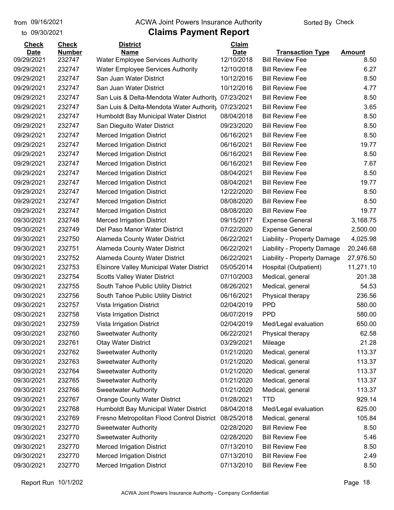to 09/30/2021

#### from 09/16/2021 **The COVA Solic Act Act Authority** Sorted By Check

| <b>Check</b> | <b>Check</b>  | <b>District</b>                                 | Claim       |                             |               |
|--------------|---------------|-------------------------------------------------|-------------|-----------------------------|---------------|
| <b>Date</b>  | <b>Number</b> | <b>Name</b>                                     | <b>Date</b> | <b>Transaction Type</b>     | <b>Amount</b> |
| 09/29/2021   | 232747        | <b>Water Employee Services Authority</b>        | 12/10/2018  | <b>Bill Review Fee</b>      | 8.50          |
| 09/29/2021   | 232747        | <b>Water Employee Services Authority</b>        | 12/10/2018  | <b>Bill Review Fee</b>      | 6.27          |
| 09/29/2021   | 232747        | San Juan Water District                         | 10/12/2016  | <b>Bill Review Fee</b>      | 8.50          |
| 09/29/2021   | 232747        | San Juan Water District                         | 10/12/2016  | <b>Bill Review Fee</b>      | 4.77          |
| 09/29/2021   | 232747        | San Luis & Delta-Mendota Water Authority        | 07/23/2021  | <b>Bill Review Fee</b>      | 8.50          |
| 09/29/2021   | 232747        | San Luis & Delta-Mendota Water Authority        | 07/23/2021  | <b>Bill Review Fee</b>      | 3.65          |
| 09/29/2021   | 232747        | Humboldt Bay Municipal Water District           | 08/04/2018  | <b>Bill Review Fee</b>      | 8.50          |
| 09/29/2021   | 232747        | San Dieguito Water District                     | 09/23/2020  | <b>Bill Review Fee</b>      | 8.50          |
| 09/29/2021   | 232747        | <b>Merced Irrigation District</b>               | 06/16/2021  | <b>Bill Review Fee</b>      | 8.50          |
| 09/29/2021   | 232747        | <b>Merced Irrigation District</b>               | 06/16/2021  | <b>Bill Review Fee</b>      | 19.77         |
| 09/29/2021   | 232747        | <b>Merced Irrigation District</b>               | 06/16/2021  | <b>Bill Review Fee</b>      | 8.50          |
| 09/29/2021   | 232747        | <b>Merced Irrigation District</b>               | 06/16/2021  | <b>Bill Review Fee</b>      | 7.67          |
| 09/29/2021   | 232747        | <b>Merced Irrigation District</b>               | 08/04/2021  | <b>Bill Review Fee</b>      | 8.50          |
| 09/29/2021   | 232747        | <b>Merced Irrigation District</b>               | 08/04/2021  | <b>Bill Review Fee</b>      | 19.77         |
| 09/29/2021   | 232747        | <b>Merced Irrigation District</b>               | 12/22/2020  | <b>Bill Review Fee</b>      | 8.50          |
| 09/29/2021   | 232747        | <b>Merced Irrigation District</b>               | 08/08/2020  | <b>Bill Review Fee</b>      | 8.50          |
| 09/29/2021   | 232747        | <b>Merced Irrigation District</b>               | 08/08/2020  | <b>Bill Review Fee</b>      | 19.77         |
| 09/30/2021   | 232748        | <b>Merced Irrigation District</b>               | 09/15/2017  | <b>Expense General</b>      | 3,168.75      |
| 09/30/2021   | 232749        | Del Paso Manor Water District                   | 07/22/2020  | <b>Expense General</b>      | 2,500.00      |
| 09/30/2021   | 232750        | <b>Alameda County Water District</b>            | 06/22/2021  | Liability - Property Damage | 4,025.98      |
| 09/30/2021   | 232751        | <b>Alameda County Water District</b>            | 06/22/2021  | Liability - Property Damage | 20,246.68     |
| 09/30/2021   | 232752        | Alameda County Water District                   | 06/22/2021  | Liability - Property Damage | 27,976.50     |
| 09/30/2021   | 232753        | <b>Elsinore Valley Municipal Water District</b> | 05/05/2014  | Hospital (Outpatient)       | 11,271.10     |
| 09/30/2021   | 232754        | <b>Scotts Valley Water District</b>             | 07/10/2003  | Medical, general            | 201.38        |
| 09/30/2021   | 232755        | South Tahoe Public Utility District             | 08/26/2021  | Medical, general            | 54.53         |
| 09/30/2021   | 232756        | South Tahoe Public Utility District             | 06/16/2021  | Physical therapy            | 236.56        |
| 09/30/2021   | 232757        | Vista Irrigation District                       | 02/04/2019  | <b>PPD</b>                  | 580.00        |
| 09/30/2021   | 232758        | Vista Irrigation District                       | 06/07/2019  | <b>PPD</b>                  | 580.00        |
| 09/30/2021   | 232759        | Vista Irrigation District                       | 02/04/2019  | Med/Legal evaluation        | 650.00        |
| 09/30/2021   | 232760        | <b>Sweetwater Authority</b>                     | 06/22/2021  | Physical therapy            | 62.58         |
| 09/30/2021   | 232761        | <b>Otay Water District</b>                      | 03/29/2021  | Mileage                     | 21.28         |
| 09/30/2021   | 232762        | <b>Sweetwater Authority</b>                     | 01/21/2020  | Medical, general            | 113.37        |
| 09/30/2021   | 232763        | <b>Sweetwater Authority</b>                     | 01/21/2020  | Medical, general            | 113.37        |
| 09/30/2021   | 232764        | <b>Sweetwater Authority</b>                     | 01/21/2020  | Medical, general            | 113.37        |
| 09/30/2021   | 232765        | <b>Sweetwater Authority</b>                     | 01/21/2020  | Medical, general            | 113.37        |
| 09/30/2021   | 232766        | <b>Sweetwater Authority</b>                     | 01/21/2020  | Medical, general            | 113.37        |
| 09/30/2021   | 232767        | <b>Orange County Water District</b>             | 01/28/2021  | <b>TTD</b>                  | 929.14        |
| 09/30/2021   | 232768        | Humboldt Bay Municipal Water District           | 08/04/2018  | Med/Legal evaluation        | 625.00        |
| 09/30/2021   | 232769        | Fresno Metropolitan Flood Control District      | 08/25/2018  | Medical, general            | 105.84        |
| 09/30/2021   | 232770        | <b>Sweetwater Authority</b>                     | 02/28/2020  | <b>Bill Review Fee</b>      | 8.50          |
| 09/30/2021   | 232770        | <b>Sweetwater Authority</b>                     | 02/28/2020  | <b>Bill Review Fee</b>      | 5.46          |
| 09/30/2021   | 232770        | <b>Merced Irrigation District</b>               | 07/13/2010  | <b>Bill Review Fee</b>      | 8.50          |
| 09/30/2021   | 232770        | <b>Merced Irrigation District</b>               | 07/13/2010  | <b>Bill Review Fee</b>      | 2.49          |
|              |               |                                                 |             |                             |               |
| 09/30/2021   | 232770        | <b>Merced Irrigation District</b>               | 07/13/2010  | <b>Bill Review Fee</b>      | 8.50          |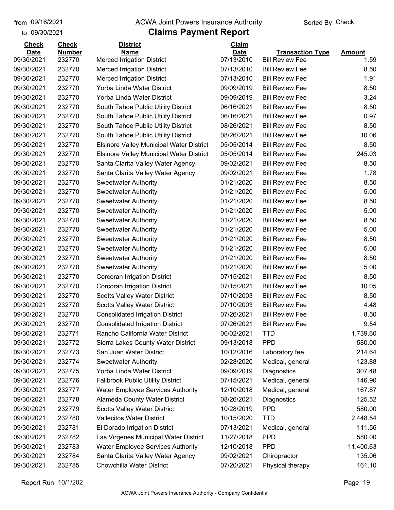#### from 09/16/2021 **The COVA Solic Act Act Authority** Sorted By Check

#### to 09/30/2021

| <b>Check</b> | <b>Check</b>  | <b>District</b>                                 | Claim       |                         |               |
|--------------|---------------|-------------------------------------------------|-------------|-------------------------|---------------|
| <b>Date</b>  | <b>Number</b> | <b>Name</b>                                     | <b>Date</b> | <b>Transaction Type</b> | <b>Amount</b> |
| 09/30/2021   | 232770        | <b>Merced Irrigation District</b>               | 07/13/2010  | <b>Bill Review Fee</b>  | 1.59          |
| 09/30/2021   | 232770        | <b>Merced Irrigation District</b>               | 07/13/2010  | <b>Bill Review Fee</b>  | 8.50          |
| 09/30/2021   | 232770        | <b>Merced Irrigation District</b>               | 07/13/2010  | <b>Bill Review Fee</b>  | 1.91          |
| 09/30/2021   | 232770        | Yorba Linda Water District                      | 09/09/2019  | <b>Bill Review Fee</b>  | 8.50          |
| 09/30/2021   | 232770        | Yorba Linda Water District                      | 09/09/2019  | <b>Bill Review Fee</b>  | 3.24          |
| 09/30/2021   | 232770        | South Tahoe Public Utility District             | 06/16/2021  | <b>Bill Review Fee</b>  | 8.50          |
| 09/30/2021   | 232770        | South Tahoe Public Utility District             | 06/16/2021  | <b>Bill Review Fee</b>  | 0.97          |
| 09/30/2021   | 232770        | South Tahoe Public Utility District             | 08/26/2021  | <b>Bill Review Fee</b>  | 8.50          |
| 09/30/2021   | 232770        | South Tahoe Public Utility District             | 08/26/2021  | <b>Bill Review Fee</b>  | 10.06         |
| 09/30/2021   | 232770        | <b>Elsinore Valley Municipal Water District</b> | 05/05/2014  | <b>Bill Review Fee</b>  | 8.50          |
| 09/30/2021   | 232770        | <b>Elsinore Valley Municipal Water District</b> | 05/05/2014  | <b>Bill Review Fee</b>  | 245.03        |
| 09/30/2021   | 232770        | Santa Clarita Valley Water Agency               | 09/02/2021  | <b>Bill Review Fee</b>  | 8.50          |
| 09/30/2021   | 232770        | Santa Clarita Valley Water Agency               | 09/02/2021  | <b>Bill Review Fee</b>  | 1.78          |
| 09/30/2021   | 232770        | <b>Sweetwater Authority</b>                     | 01/21/2020  | <b>Bill Review Fee</b>  | 8.50          |
| 09/30/2021   | 232770        | <b>Sweetwater Authority</b>                     | 01/21/2020  | <b>Bill Review Fee</b>  | 5.00          |
| 09/30/2021   | 232770        | <b>Sweetwater Authority</b>                     | 01/21/2020  | <b>Bill Review Fee</b>  | 8.50          |
| 09/30/2021   | 232770        | <b>Sweetwater Authority</b>                     | 01/21/2020  | <b>Bill Review Fee</b>  | 5.00          |
| 09/30/2021   | 232770        | <b>Sweetwater Authority</b>                     | 01/21/2020  | <b>Bill Review Fee</b>  | 8.50          |
| 09/30/2021   | 232770        | <b>Sweetwater Authority</b>                     | 01/21/2020  | <b>Bill Review Fee</b>  | 5.00          |
| 09/30/2021   | 232770        | <b>Sweetwater Authority</b>                     | 01/21/2020  | <b>Bill Review Fee</b>  | 8.50          |
| 09/30/2021   | 232770        | <b>Sweetwater Authority</b>                     | 01/21/2020  | <b>Bill Review Fee</b>  | 5.00          |
| 09/30/2021   | 232770        | <b>Sweetwater Authority</b>                     | 01/21/2020  | <b>Bill Review Fee</b>  | 8.50          |
| 09/30/2021   | 232770        | <b>Sweetwater Authority</b>                     | 01/21/2020  | <b>Bill Review Fee</b>  | 5.00          |
| 09/30/2021   | 232770        | Corcoran Irrigation District                    | 07/15/2021  | <b>Bill Review Fee</b>  | 8.50          |
| 09/30/2021   | 232770        | Corcoran Irrigation District                    | 07/15/2021  | <b>Bill Review Fee</b>  | 10.05         |
| 09/30/2021   | 232770        | <b>Scotts Valley Water District</b>             | 07/10/2003  | <b>Bill Review Fee</b>  | 8.50          |
| 09/30/2021   | 232770        | <b>Scotts Valley Water District</b>             | 07/10/2003  | <b>Bill Review Fee</b>  | 4.48          |
| 09/30/2021   | 232770        | <b>Consolidated Irrigation District</b>         | 07/26/2021  | <b>Bill Review Fee</b>  | 8.50          |
| 09/30/2021   | 232770        | <b>Consolidated Irrigation District</b>         | 07/26/2021  | <b>Bill Review Fee</b>  | 9.54          |
| 09/30/2021   | 232771        | Rancho California Water District                | 06/02/2021  | TTD                     | 1,739.60      |
| 09/30/2021   | 232772        | Sierra Lakes County Water District              | 09/13/2018  | <b>PPD</b>              | 580.00        |
| 09/30/2021   | 232773        | San Juan Water District                         | 10/12/2016  | Laboratory fee          | 214.64        |
| 09/30/2021   | 232774        | <b>Sweetwater Authority</b>                     | 02/28/2020  | Medical, general        | 123.88        |
| 09/30/2021   | 232775        | Yorba Linda Water District                      | 09/09/2019  | Diagnostics             | 307.48        |
| 09/30/2021   | 232776        | <b>Fallbrook Public Utility District</b>        | 07/15/2021  | Medical, general        | 146.90        |
| 09/30/2021   | 232777        | <b>Water Employee Services Authority</b>        | 12/10/2018  | Medical, general        | 167.87        |
| 09/30/2021   | 232778        | Alameda County Water District                   | 08/26/2021  | Diagnostics             | 125.52        |
| 09/30/2021   | 232779        | <b>Scotts Valley Water District</b>             | 10/28/2019  | <b>PPD</b>              | 580.00        |
| 09/30/2021   | 232780        | <b>Vallecitos Water District</b>                | 10/15/2020  | <b>TTD</b>              | 2,448.54      |
| 09/30/2021   | 232781        | El Dorado Irrigation District                   | 07/13/2021  | Medical, general        | 111.56        |
| 09/30/2021   | 232782        | Las Virgenes Municipal Water District           | 11/27/2018  | <b>PPD</b>              | 580.00        |
| 09/30/2021   | 232783        | <b>Water Employee Services Authority</b>        | 12/10/2018  | <b>PPD</b>              | 11,400.63     |
| 09/30/2021   | 232784        | Santa Clarita Valley Water Agency               | 09/02/2021  | Chiropractor            | 135.06        |
| 09/30/2021   | 232785        | Chowchilla Water District                       | 07/20/2021  | Physical therapy        | 161.10        |
|              |               |                                                 |             |                         |               |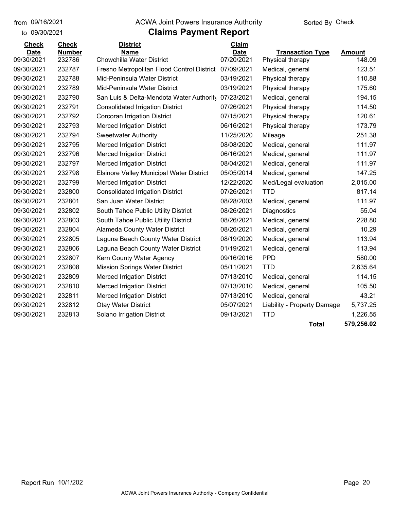to 09/30/2021

#### from 09/16/2021 **The COVA Solic Act Act Authority** Sorted By Check

| <b>Check</b> | <b>Check</b>  | <b>District</b>                                 | Claim       |                             |               |
|--------------|---------------|-------------------------------------------------|-------------|-----------------------------|---------------|
| <b>Date</b>  | <b>Number</b> | <b>Name</b>                                     | <b>Date</b> | <b>Transaction Type</b>     | <b>Amount</b> |
| 09/30/2021   | 232786        | Chowchilla Water District                       | 07/20/2021  | Physical therapy            | 148.09        |
| 09/30/2021   | 232787        | Fresno Metropolitan Flood Control District      | 07/09/2021  | Medical, general            | 123.51        |
| 09/30/2021   | 232788        | Mid-Peninsula Water District                    | 03/19/2021  | Physical therapy            | 110.88        |
| 09/30/2021   | 232789        | Mid-Peninsula Water District                    | 03/19/2021  | Physical therapy            | 175.60        |
| 09/30/2021   | 232790        | San Luis & Delta-Mendota Water Authority        | 07/23/2021  | Medical, general            | 194.15        |
| 09/30/2021   | 232791        | <b>Consolidated Irrigation District</b>         | 07/26/2021  | Physical therapy            | 114.50        |
| 09/30/2021   | 232792        | <b>Corcoran Irrigation District</b>             | 07/15/2021  | Physical therapy            | 120.61        |
| 09/30/2021   | 232793        | <b>Merced Irrigation District</b>               | 06/16/2021  | Physical therapy            | 173.79        |
| 09/30/2021   | 232794        | <b>Sweetwater Authority</b>                     | 11/25/2020  | Mileage                     | 251.38        |
| 09/30/2021   | 232795        | <b>Merced Irrigation District</b>               | 08/08/2020  | Medical, general            | 111.97        |
| 09/30/2021   | 232796        | <b>Merced Irrigation District</b>               | 06/16/2021  | Medical, general            | 111.97        |
| 09/30/2021   | 232797        | <b>Merced Irrigation District</b>               | 08/04/2021  | Medical, general            | 111.97        |
| 09/30/2021   | 232798        | <b>Elsinore Valley Municipal Water District</b> | 05/05/2014  | Medical, general            | 147.25        |
| 09/30/2021   | 232799        | <b>Merced Irrigation District</b>               | 12/22/2020  | Med/Legal evaluation        | 2,015.00      |
| 09/30/2021   | 232800        | <b>Consolidated Irrigation District</b>         | 07/26/2021  | TTD                         | 817.14        |
| 09/30/2021   | 232801        | San Juan Water District                         | 08/28/2003  | Medical, general            | 111.97        |
| 09/30/2021   | 232802        | South Tahoe Public Utility District             | 08/26/2021  | Diagnostics                 | 55.04         |
| 09/30/2021   | 232803        | South Tahoe Public Utility District             | 08/26/2021  | Medical, general            | 228.80        |
| 09/30/2021   | 232804        | Alameda County Water District                   | 08/26/2021  | Medical, general            | 10.29         |
| 09/30/2021   | 232805        | Laguna Beach County Water District              | 08/19/2020  | Medical, general            | 113.94        |
| 09/30/2021   | 232806        | Laguna Beach County Water District              | 01/19/2021  | Medical, general            | 113.94        |
| 09/30/2021   | 232807        | Kern County Water Agency                        | 09/16/2016  | <b>PPD</b>                  | 580.00        |
| 09/30/2021   | 232808        | <b>Mission Springs Water District</b>           | 05/11/2021  | <b>TTD</b>                  | 2,635.64      |
| 09/30/2021   | 232809        | <b>Merced Irrigation District</b>               | 07/13/2010  | Medical, general            | 114.15        |
| 09/30/2021   | 232810        | <b>Merced Irrigation District</b>               | 07/13/2010  | Medical, general            | 105.50        |
| 09/30/2021   | 232811        | <b>Merced Irrigation District</b>               | 07/13/2010  | Medical, general            | 43.21         |
| 09/30/2021   | 232812        | <b>Otay Water District</b>                      | 05/07/2021  | Liability - Property Damage | 5,737.25      |
| 09/30/2021   | 232813        | Solano Irrigation District                      | 09/13/2021  | <b>TTD</b>                  | 1,226.55      |
|              |               |                                                 |             | <b>Total</b>                | 579,256.02    |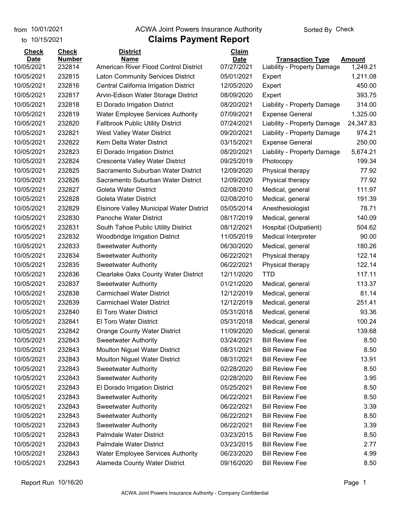#### **Claims Payment Report** from 10/01/2021 **Example 20 Travellet Authority** and 10/01/2021 Check

| 10/15/2021<br>to            |                               | <b>Claims Payment Report</b>                    |                             |                             |               |
|-----------------------------|-------------------------------|-------------------------------------------------|-----------------------------|-----------------------------|---------------|
| <b>Check</b><br><b>Date</b> | <b>Check</b><br><b>Number</b> | <b>District</b><br>Name                         | <b>Claim</b><br><b>Date</b> | <b>Transaction Type</b>     | <b>Amount</b> |
| 10/05/2021                  | 232814                        | American River Flood Control District           | 07/27/2021                  | Liability - Property Damage | 1,249.21      |
| 10/05/2021                  | 232815                        | <b>Laton Community Services District</b>        | 05/01/2021                  | Expert                      | 1,211.08      |
| 10/05/2021                  | 232816                        | Central California Irrigation District          | 12/05/2020                  | Expert                      | 450.00        |
| 10/05/2021                  | 232817                        | Arvin-Edison Water Storage District             | 08/09/2020                  | Expert                      | 393.75        |
| 10/05/2021                  | 232818                        | El Dorado Irrigation District                   | 08/20/2021                  | Liability - Property Damage | 314.00        |
| 10/05/2021                  | 232819                        | <b>Water Employee Services Authority</b>        | 07/09/2021                  | <b>Expense General</b>      | 1,325.00      |
| 10/05/2021                  | 232820                        | <b>Fallbrook Public Utility District</b>        | 07/24/2021                  | Liability - Property Damage | 24,347.83     |
| 10/05/2021                  | 232821                        | West Valley Water District                      | 09/20/2021                  | Liability - Property Damage | 974.21        |
| 10/05/2021                  | 232822                        | Kern Delta Water District                       | 03/15/2021                  | <b>Expense General</b>      | 250.00        |
| 10/05/2021                  | 232823                        | El Dorado Irrigation District                   | 08/20/2021                  | Liability - Property Damage | 5,674.21      |
| 10/05/2021                  | 232824                        | Crescenta Valley Water District                 | 09/25/2019                  | Photocopy                   | 199.34        |
| 10/05/2021                  | 232825                        | Sacramento Suburban Water District              | 12/09/2020                  | Physical therapy            | 77.92         |
| 10/05/2021                  | 232826                        | Sacramento Suburban Water District              | 12/09/2020                  | Physical therapy            | 77.92         |
| 10/05/2021                  | 232827                        | Goleta Water District                           | 02/08/2010                  | Medical, general            | 111.97        |
| 10/05/2021                  | 232828                        | Goleta Water District                           | 02/08/2010                  | Medical, general            | 191.39        |
| 10/05/2021                  | 232829                        | <b>Elsinore Valley Municipal Water District</b> | 05/05/2014                  | Anesthesiologist            | 78.71         |
| 10/05/2021                  | 232830                        | Panoche Water District                          | 08/17/2019                  | Medical, general            | 140.09        |
| 10/05/2021                  | 232831                        | South Tahoe Public Utility District             | 08/12/2021                  | Hospital (Outpatient)       | 504.62        |
| 10/05/2021                  | 232832                        | <b>Woodbridge Irrigation District</b>           | 11/05/2019                  | Medical Interpreter         | 90.00         |
| 10/05/2021                  | 232833                        | <b>Sweetwater Authority</b>                     | 06/30/2020                  | Medical, general            | 180.26        |
| 10/05/2021                  | 232834                        | <b>Sweetwater Authority</b>                     | 06/22/2021                  | Physical therapy            | 122.14        |
| 10/05/2021                  | 232835                        | <b>Sweetwater Authority</b>                     | 06/22/2021                  | Physical therapy            | 122.14        |
| 10/05/2021                  | 232836                        | <b>Clearlake Oaks County Water District</b>     | 12/11/2020                  | <b>TTD</b>                  | 117.11        |
| 10/05/2021                  | 232837                        | <b>Sweetwater Authority</b>                     | 01/21/2020                  | Medical, general            | 113.37        |
| 10/05/2021                  | 232838                        | <b>Carmichael Water District</b>                | 12/12/2019                  | Medical, general            | 81.14         |
| 10/05/2021                  | 232839                        | <b>Carmichael Water District</b>                | 12/12/2019                  | Medical, general            | 251.41        |
| 10/05/2021                  | 232840                        | <b>El Toro Water District</b>                   | 05/31/2018                  | Medical, general            | 93.36         |
| 10/05/2021                  | 232841                        | El Toro Water District                          | 05/31/2018                  | Medical, general            | 100.24        |
| 10/05/2021                  | 232842                        | <b>Orange County Water District</b>             | 11/09/2020                  | Medical, general            | 139.68        |
| 10/05/2021                  | 232843                        | <b>Sweetwater Authority</b>                     | 03/24/2021                  | <b>Bill Review Fee</b>      | 8.50          |
| 10/05/2021                  | 232843                        | <b>Moulton Niguel Water District</b>            | 08/31/2021                  | <b>Bill Review Fee</b>      | 8.50          |
| 10/05/2021                  | 232843                        | <b>Moulton Niguel Water District</b>            | 08/31/2021                  | <b>Bill Review Fee</b>      | 13.91         |
| 10/05/2021                  | 232843                        | <b>Sweetwater Authority</b>                     | 02/28/2020                  | <b>Bill Review Fee</b>      | 8.50          |
| 10/05/2021                  | 232843                        | <b>Sweetwater Authority</b>                     | 02/28/2020                  | <b>Bill Review Fee</b>      | 3.95          |
| 10/05/2021                  | 232843                        | El Dorado Irrigation District                   | 05/25/2021                  | <b>Bill Review Fee</b>      | 8.50          |
| 10/05/2021                  | 232843                        | <b>Sweetwater Authority</b>                     | 06/22/2021                  | <b>Bill Review Fee</b>      | 8.50          |
| 10/05/2021                  | 232843                        | <b>Sweetwater Authority</b>                     | 06/22/2021                  | <b>Bill Review Fee</b>      | 3.39          |
| 10/05/2021                  | 232843                        | <b>Sweetwater Authority</b>                     | 06/22/2021                  | <b>Bill Review Fee</b>      | 8.50          |
| 10/05/2021                  | 232843                        | <b>Sweetwater Authority</b>                     | 06/22/2021                  | <b>Bill Review Fee</b>      | 3.39          |
| 10/05/2021                  | 232843                        | <b>Palmdale Water District</b>                  | 03/23/2015                  | <b>Bill Review Fee</b>      | 8.50          |
| 10/05/2021                  | 232843                        | <b>Palmdale Water District</b>                  | 03/23/2015                  | <b>Bill Review Fee</b>      | 2.77          |
| 10/05/2021                  | 232843                        | <b>Water Employee Services Authority</b>        | 06/23/2020                  | <b>Bill Review Fee</b>      | 4.99          |
| 10/05/2021                  | 232843                        | <b>Alameda County Water District</b>            | 09/16/2020                  | <b>Bill Review Fee</b>      | 8.50          |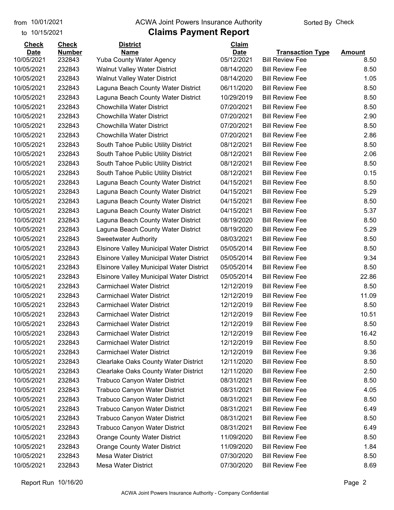#### from 10/01/2021 **Example 20 Travellet Authority** and 10/01/2021 Check

#### to 10/15/2021

| <b>Check</b> | <b>Check</b>  | <b>District</b>                                 | Claim       |                         |               |
|--------------|---------------|-------------------------------------------------|-------------|-------------------------|---------------|
| <b>Date</b>  | <b>Number</b> | <b>Name</b>                                     | <b>Date</b> | <b>Transaction Type</b> | <b>Amount</b> |
| 10/05/2021   | 232843        | <b>Yuba County Water Agency</b>                 | 05/12/2021  | <b>Bill Review Fee</b>  | 8.50          |
| 10/05/2021   | 232843        | <b>Walnut Valley Water District</b>             | 08/14/2020  | <b>Bill Review Fee</b>  | 8.50          |
| 10/05/2021   | 232843        | <b>Walnut Valley Water District</b>             | 08/14/2020  | <b>Bill Review Fee</b>  | 1.05          |
| 10/05/2021   | 232843        | Laguna Beach County Water District              | 06/11/2020  | <b>Bill Review Fee</b>  | 8.50          |
| 10/05/2021   | 232843        | Laguna Beach County Water District              | 10/29/2019  | <b>Bill Review Fee</b>  | 8.50          |
| 10/05/2021   | 232843        | <b>Chowchilla Water District</b>                | 07/20/2021  | <b>Bill Review Fee</b>  | 8.50          |
| 10/05/2021   | 232843        | Chowchilla Water District                       | 07/20/2021  | <b>Bill Review Fee</b>  | 2.90          |
| 10/05/2021   | 232843        | Chowchilla Water District                       | 07/20/2021  | <b>Bill Review Fee</b>  | 8.50          |
| 10/05/2021   | 232843        | <b>Chowchilla Water District</b>                | 07/20/2021  | <b>Bill Review Fee</b>  | 2.86          |
| 10/05/2021   | 232843        | South Tahoe Public Utility District             | 08/12/2021  | <b>Bill Review Fee</b>  | 8.50          |
| 10/05/2021   | 232843        | South Tahoe Public Utility District             | 08/12/2021  | <b>Bill Review Fee</b>  | 2.06          |
| 10/05/2021   | 232843        | South Tahoe Public Utility District             | 08/12/2021  | <b>Bill Review Fee</b>  | 8.50          |
| 10/05/2021   | 232843        | South Tahoe Public Utility District             | 08/12/2021  | <b>Bill Review Fee</b>  | 0.15          |
| 10/05/2021   | 232843        | Laguna Beach County Water District              | 04/15/2021  | <b>Bill Review Fee</b>  | 8.50          |
| 10/05/2021   | 232843        | Laguna Beach County Water District              | 04/15/2021  | <b>Bill Review Fee</b>  | 5.29          |
| 10/05/2021   | 232843        | Laguna Beach County Water District              | 04/15/2021  | <b>Bill Review Fee</b>  | 8.50          |
| 10/05/2021   | 232843        | Laguna Beach County Water District              | 04/15/2021  | <b>Bill Review Fee</b>  | 5.37          |
| 10/05/2021   | 232843        | Laguna Beach County Water District              | 08/19/2020  | <b>Bill Review Fee</b>  | 8.50          |
| 10/05/2021   | 232843        | Laguna Beach County Water District              | 08/19/2020  | <b>Bill Review Fee</b>  | 5.29          |
| 10/05/2021   | 232843        | <b>Sweetwater Authority</b>                     | 08/03/2021  | <b>Bill Review Fee</b>  | 8.50          |
| 10/05/2021   | 232843        | <b>Elsinore Valley Municipal Water District</b> | 05/05/2014  | <b>Bill Review Fee</b>  | 8.50          |
| 10/05/2021   | 232843        | <b>Elsinore Valley Municipal Water District</b> | 05/05/2014  | <b>Bill Review Fee</b>  | 9.34          |
| 10/05/2021   | 232843        | Elsinore Valley Municipal Water District        | 05/05/2014  | <b>Bill Review Fee</b>  | 8.50          |
| 10/05/2021   | 232843        | <b>Elsinore Valley Municipal Water District</b> | 05/05/2014  | <b>Bill Review Fee</b>  | 22.86         |
| 10/05/2021   | 232843        | <b>Carmichael Water District</b>                | 12/12/2019  | <b>Bill Review Fee</b>  | 8.50          |
| 10/05/2021   | 232843        | <b>Carmichael Water District</b>                | 12/12/2019  | <b>Bill Review Fee</b>  | 11.09         |
| 10/05/2021   | 232843        | <b>Carmichael Water District</b>                | 12/12/2019  | <b>Bill Review Fee</b>  | 8.50          |
| 10/05/2021   | 232843        | <b>Carmichael Water District</b>                | 12/12/2019  | <b>Bill Review Fee</b>  | 10.51         |
| 10/05/2021   | 232843        | <b>Carmichael Water District</b>                | 12/12/2019  | <b>Bill Review Fee</b>  | 8.50          |
| 10/05/2021   | 232843        | <b>Carmichael Water District</b>                | 12/12/2019  | <b>Bill Review Fee</b>  | 16.42         |
| 10/05/2021   | 232843        | <b>Carmichael Water District</b>                | 12/12/2019  | <b>Bill Review Fee</b>  | 8.50          |
| 10/05/2021   | 232843        | <b>Carmichael Water District</b>                | 12/12/2019  | <b>Bill Review Fee</b>  | 9.36          |
| 10/05/2021   | 232843        | <b>Clearlake Oaks County Water District</b>     | 12/11/2020  | <b>Bill Review Fee</b>  | 8.50          |
| 10/05/2021   | 232843        | <b>Clearlake Oaks County Water District</b>     | 12/11/2020  | <b>Bill Review Fee</b>  | 2.50          |
| 10/05/2021   | 232843        | <b>Trabuco Canyon Water District</b>            | 08/31/2021  | <b>Bill Review Fee</b>  | 8.50          |
| 10/05/2021   | 232843        | <b>Trabuco Canyon Water District</b>            | 08/31/2021  | <b>Bill Review Fee</b>  | 4.05          |
| 10/05/2021   | 232843        | <b>Trabuco Canyon Water District</b>            | 08/31/2021  | <b>Bill Review Fee</b>  | 8.50          |
| 10/05/2021   | 232843        | Trabuco Canyon Water District                   | 08/31/2021  | <b>Bill Review Fee</b>  | 6.49          |
| 10/05/2021   | 232843        | Trabuco Canyon Water District                   | 08/31/2021  | <b>Bill Review Fee</b>  | 8.50          |
| 10/05/2021   | 232843        | <b>Trabuco Canyon Water District</b>            | 08/31/2021  | <b>Bill Review Fee</b>  | 6.49          |
| 10/05/2021   | 232843        | <b>Orange County Water District</b>             | 11/09/2020  | <b>Bill Review Fee</b>  | 8.50          |
| 10/05/2021   | 232843        | <b>Orange County Water District</b>             | 11/09/2020  | <b>Bill Review Fee</b>  | 1.84          |
| 10/05/2021   | 232843        | Mesa Water District                             | 07/30/2020  | <b>Bill Review Fee</b>  | 8.50          |
| 10/05/2021   | 232843        | Mesa Water District                             | 07/30/2020  | <b>Bill Review Fee</b>  | 8.69          |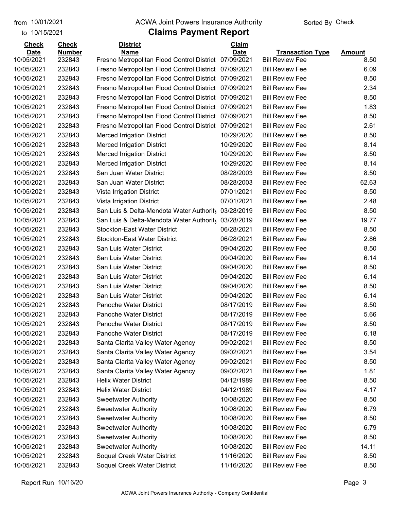to 10/15/2021

#### from 10/01/2021 **Example 20 Travellet Authority** and 10/01/2021 Check

| <b>Check</b>             | <b>Check</b>     | <b>District</b>                                       | Claim       |                                                  |               |
|--------------------------|------------------|-------------------------------------------------------|-------------|--------------------------------------------------|---------------|
| <b>Date</b>              | <b>Number</b>    | <b>Name</b>                                           | <b>Date</b> | <b>Transaction Type</b>                          | <b>Amount</b> |
| 10/05/2021<br>10/05/2021 | 232843<br>232843 | Fresno Metropolitan Flood Control District 07/09/2021 |             | <b>Bill Review Fee</b><br><b>Bill Review Fee</b> | 8.50<br>6.09  |
|                          | 232843           | Fresno Metropolitan Flood Control District 07/09/2021 |             | <b>Bill Review Fee</b>                           |               |
| 10/05/2021               |                  | Fresno Metropolitan Flood Control District            | 07/09/2021  |                                                  | 8.50          |
| 10/05/2021               | 232843           | Fresno Metropolitan Flood Control District            | 07/09/2021  | <b>Bill Review Fee</b>                           | 2.34          |
| 10/05/2021               | 232843           | Fresno Metropolitan Flood Control District 07/09/2021 |             | <b>Bill Review Fee</b>                           | 8.50          |
| 10/05/2021               | 232843           | Fresno Metropolitan Flood Control District            | 07/09/2021  | <b>Bill Review Fee</b>                           | 1.83          |
| 10/05/2021               | 232843           | Fresno Metropolitan Flood Control District            | 07/09/2021  | <b>Bill Review Fee</b>                           | 8.50          |
| 10/05/2021               | 232843           | Fresno Metropolitan Flood Control District            | 07/09/2021  | <b>Bill Review Fee</b>                           | 2.61          |
| 10/05/2021               | 232843           | <b>Merced Irrigation District</b>                     | 10/29/2020  | <b>Bill Review Fee</b>                           | 8.50          |
| 10/05/2021               | 232843           | <b>Merced Irrigation District</b>                     | 10/29/2020  | <b>Bill Review Fee</b>                           | 8.14          |
| 10/05/2021               | 232843           | <b>Merced Irrigation District</b>                     | 10/29/2020  | <b>Bill Review Fee</b>                           | 8.50          |
| 10/05/2021               | 232843           | <b>Merced Irrigation District</b>                     | 10/29/2020  | <b>Bill Review Fee</b>                           | 8.14          |
| 10/05/2021               | 232843           | San Juan Water District                               | 08/28/2003  | <b>Bill Review Fee</b>                           | 8.50          |
| 10/05/2021               | 232843           | San Juan Water District                               | 08/28/2003  | <b>Bill Review Fee</b>                           | 62.63         |
| 10/05/2021               | 232843           | Vista Irrigation District                             | 07/01/2021  | <b>Bill Review Fee</b>                           | 8.50          |
| 10/05/2021               | 232843           | Vista Irrigation District                             | 07/01/2021  | <b>Bill Review Fee</b>                           | 2.48          |
| 10/05/2021               | 232843           | San Luis & Delta-Mendota Water Authority              | 03/28/2019  | <b>Bill Review Fee</b>                           | 8.50          |
| 10/05/2021               | 232843           | San Luis & Delta-Mendota Water Authority              | 03/28/2019  | <b>Bill Review Fee</b>                           | 19.77         |
| 10/05/2021               | 232843           | <b>Stockton-East Water District</b>                   | 06/28/2021  | <b>Bill Review Fee</b>                           | 8.50          |
| 10/05/2021               | 232843           | <b>Stockton-East Water District</b>                   | 06/28/2021  | <b>Bill Review Fee</b>                           | 2.86          |
| 10/05/2021               | 232843           | San Luis Water District                               | 09/04/2020  | <b>Bill Review Fee</b>                           | 8.50          |
| 10/05/2021               | 232843           | San Luis Water District                               | 09/04/2020  | <b>Bill Review Fee</b>                           | 6.14          |
| 10/05/2021               | 232843           | San Luis Water District                               | 09/04/2020  | <b>Bill Review Fee</b>                           | 8.50          |
| 10/05/2021               | 232843           | San Luis Water District                               | 09/04/2020  | <b>Bill Review Fee</b>                           | 6.14          |
| 10/05/2021               | 232843           | San Luis Water District                               | 09/04/2020  | <b>Bill Review Fee</b>                           | 8.50          |
| 10/05/2021               | 232843           | San Luis Water District                               | 09/04/2020  | <b>Bill Review Fee</b>                           | 6.14          |
| 10/05/2021               | 232843           | Panoche Water District                                | 08/17/2019  | <b>Bill Review Fee</b>                           | 8.50          |
| 10/05/2021               | 232843           | Panoche Water District                                | 08/17/2019  | <b>Bill Review Fee</b>                           | 5.66          |
| 10/05/2021               | 232843           | Panoche Water District                                | 08/17/2019  | <b>Bill Review Fee</b>                           | 8.50          |
| 10/05/2021               | 232843           | Panoche Water District                                | 08/17/2019  | <b>Bill Review Fee</b>                           | 6.18          |
| 10/05/2021               | 232843           | Santa Clarita Valley Water Agency                     | 09/02/2021  | <b>Bill Review Fee</b>                           | 8.50          |
| 10/05/2021               | 232843           | Santa Clarita Valley Water Agency                     | 09/02/2021  | <b>Bill Review Fee</b>                           | 3.54          |
| 10/05/2021               | 232843           | Santa Clarita Valley Water Agency                     | 09/02/2021  | <b>Bill Review Fee</b>                           | 8.50          |
| 10/05/2021               | 232843           | Santa Clarita Valley Water Agency                     | 09/02/2021  | <b>Bill Review Fee</b>                           | 1.81          |
| 10/05/2021               | 232843           | <b>Helix Water District</b>                           | 04/12/1989  | <b>Bill Review Fee</b>                           | 8.50          |
| 10/05/2021               | 232843           | <b>Helix Water District</b>                           | 04/12/1989  | <b>Bill Review Fee</b>                           | 4.17          |
| 10/05/2021               | 232843           | <b>Sweetwater Authority</b>                           | 10/08/2020  | <b>Bill Review Fee</b>                           | 8.50          |
| 10/05/2021               | 232843           | <b>Sweetwater Authority</b>                           | 10/08/2020  | <b>Bill Review Fee</b>                           | 6.79          |
| 10/05/2021               | 232843           | <b>Sweetwater Authority</b>                           | 10/08/2020  | <b>Bill Review Fee</b>                           | 8.50          |
| 10/05/2021               | 232843           | <b>Sweetwater Authority</b>                           | 10/08/2020  | <b>Bill Review Fee</b>                           | 6.79          |
| 10/05/2021               | 232843           | <b>Sweetwater Authority</b>                           | 10/08/2020  | <b>Bill Review Fee</b>                           | 8.50          |
| 10/05/2021               | 232843           | <b>Sweetwater Authority</b>                           | 10/08/2020  | <b>Bill Review Fee</b>                           | 14.11         |
| 10/05/2021               | 232843           | Soquel Creek Water District                           | 11/16/2020  | <b>Bill Review Fee</b>                           | 8.50          |
| 10/05/2021               | 232843           | Soquel Creek Water District                           | 11/16/2020  | <b>Bill Review Fee</b>                           | 8.50          |
|                          |                  |                                                       |             |                                                  |               |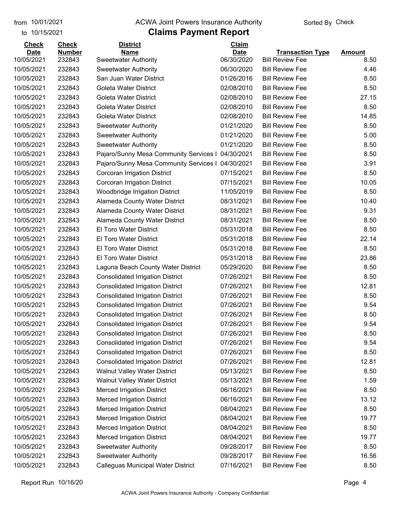#### from 10/01/2021 **Example 20 Travellet Authority** and 10/01/2021 Check

#### to 10/15/2021

| <b>Check</b> | <b>Check</b>  | <b>District</b>                         | Claim       |                         |               |
|--------------|---------------|-----------------------------------------|-------------|-------------------------|---------------|
| <b>Date</b>  | <b>Number</b> | <b>Name</b>                             | <b>Date</b> | <b>Transaction Type</b> | <b>Amount</b> |
| 10/05/2021   | 232843        | <b>Sweetwater Authority</b>             | 06/30/2020  | <b>Bill Review Fee</b>  | 8.50          |
| 10/05/2021   | 232843        | <b>Sweetwater Authority</b>             | 06/30/2020  | <b>Bill Review Fee</b>  | 4.46          |
| 10/05/2021   | 232843        | San Juan Water District                 | 01/26/2016  | <b>Bill Review Fee</b>  | 8.50          |
| 10/05/2021   | 232843        | <b>Goleta Water District</b>            | 02/08/2010  | <b>Bill Review Fee</b>  | 8.50          |
| 10/05/2021   | 232843        | Goleta Water District                   | 02/08/2010  | <b>Bill Review Fee</b>  | 27.15         |
| 10/05/2021   | 232843        | Goleta Water District                   | 02/08/2010  | <b>Bill Review Fee</b>  | 8.50          |
| 10/05/2021   | 232843        | <b>Goleta Water District</b>            | 02/08/2010  | <b>Bill Review Fee</b>  | 14.85         |
| 10/05/2021   | 232843        | <b>Sweetwater Authority</b>             | 01/21/2020  | <b>Bill Review Fee</b>  | 8.50          |
| 10/05/2021   | 232843        | <b>Sweetwater Authority</b>             | 01/21/2020  | <b>Bill Review Fee</b>  | 5.00          |
| 10/05/2021   | 232843        | <b>Sweetwater Authority</b>             | 01/21/2020  | <b>Bill Review Fee</b>  | 8.50          |
| 10/05/2021   | 232843        | Pajaro/Sunny Mesa Community Services I  | 04/30/2021  | <b>Bill Review Fee</b>  | 8.50          |
| 10/05/2021   | 232843        | Pajaro/Sunny Mesa Community Services I  | 04/30/2021  | <b>Bill Review Fee</b>  | 3.91          |
| 10/05/2021   | 232843        | Corcoran Irrigation District            | 07/15/2021  | <b>Bill Review Fee</b>  | 8.50          |
| 10/05/2021   | 232843        | Corcoran Irrigation District            | 07/15/2021  | <b>Bill Review Fee</b>  | 10.05         |
| 10/05/2021   | 232843        | <b>Woodbridge Irrigation District</b>   | 11/05/2019  | <b>Bill Review Fee</b>  | 8.50          |
| 10/05/2021   | 232843        | Alameda County Water District           | 08/31/2021  | <b>Bill Review Fee</b>  | 10.40         |
| 10/05/2021   | 232843        | Alameda County Water District           | 08/31/2021  | <b>Bill Review Fee</b>  | 9.31          |
| 10/05/2021   | 232843        | Alameda County Water District           | 08/31/2021  | <b>Bill Review Fee</b>  | 8.50          |
| 10/05/2021   | 232843        | <b>El Toro Water District</b>           | 05/31/2018  | <b>Bill Review Fee</b>  | 8.50          |
| 10/05/2021   | 232843        | <b>El Toro Water District</b>           | 05/31/2018  | <b>Bill Review Fee</b>  | 22.14         |
| 10/05/2021   | 232843        | <b>El Toro Water District</b>           | 05/31/2018  | <b>Bill Review Fee</b>  | 8.50          |
| 10/05/2021   | 232843        | El Toro Water District                  | 05/31/2018  | <b>Bill Review Fee</b>  | 23.86         |
| 10/05/2021   | 232843        | Laguna Beach County Water District      | 05/29/2020  | <b>Bill Review Fee</b>  | 8.50          |
| 10/05/2021   | 232843        | <b>Consolidated Irrigation District</b> | 07/26/2021  | <b>Bill Review Fee</b>  | 8.50          |
| 10/05/2021   | 232843        | <b>Consolidated Irrigation District</b> | 07/26/2021  | <b>Bill Review Fee</b>  | 12.81         |
| 10/05/2021   | 232843        | <b>Consolidated Irrigation District</b> | 07/26/2021  | <b>Bill Review Fee</b>  | 8.50          |
| 10/05/2021   | 232843        | <b>Consolidated Irrigation District</b> | 07/26/2021  | <b>Bill Review Fee</b>  | 9.54          |
| 10/05/2021   | 232843        | <b>Consolidated Irrigation District</b> | 07/26/2021  | <b>Bill Review Fee</b>  | 8.50          |
| 10/05/2021   | 232843        | <b>Consolidated Irrigation District</b> | 07/26/2021  | <b>Bill Review Fee</b>  | 9.54          |
| 10/05/2021   | 232843        | <b>Consolidated Irrigation District</b> | 07/26/2021  | <b>Bill Review Fee</b>  | 8.50          |
| 10/05/2021   | 232843        | <b>Consolidated Irrigation District</b> | 07/26/2021  | <b>Bill Review Fee</b>  | 9.54          |
| 10/05/2021   | 232843        | <b>Consolidated Irrigation District</b> | 07/26/2021  | <b>Bill Review Fee</b>  | 8.50          |
| 10/05/2021   | 232843        | <b>Consolidated Irrigation District</b> | 07/26/2021  | <b>Bill Review Fee</b>  | 12.81         |
| 10/05/2021   | 232843        | <b>Walnut Valley Water District</b>     | 05/13/2021  | <b>Bill Review Fee</b>  | 8.50          |
| 10/05/2021   | 232843        | <b>Walnut Valley Water District</b>     | 05/13/2021  | <b>Bill Review Fee</b>  | 1.59          |
| 10/05/2021   | 232843        | <b>Merced Irrigation District</b>       | 06/16/2021  | <b>Bill Review Fee</b>  | 8.50          |
| 10/05/2021   | 232843        | <b>Merced Irrigation District</b>       | 06/16/2021  | <b>Bill Review Fee</b>  | 13.12         |
| 10/05/2021   | 232843        | <b>Merced Irrigation District</b>       | 08/04/2021  | <b>Bill Review Fee</b>  | 8.50          |
| 10/05/2021   | 232843        | <b>Merced Irrigation District</b>       | 08/04/2021  | <b>Bill Review Fee</b>  | 19.77         |
| 10/05/2021   | 232843        | <b>Merced Irrigation District</b>       | 08/04/2021  | <b>Bill Review Fee</b>  | 8.50          |
| 10/05/2021   | 232843        | <b>Merced Irrigation District</b>       | 08/04/2021  | <b>Bill Review Fee</b>  | 19.77         |
| 10/05/2021   | 232843        | <b>Sweetwater Authority</b>             | 09/28/2017  | <b>Bill Review Fee</b>  | 8.50          |
| 10/05/2021   | 232843        | <b>Sweetwater Authority</b>             | 09/28/2017  | <b>Bill Review Fee</b>  | 16.56         |
| 10/05/2021   | 232843        | Calleguas Municipal Water District      | 07/16/2021  | <b>Bill Review Fee</b>  | 8.50          |
|              |               |                                         |             |                         |               |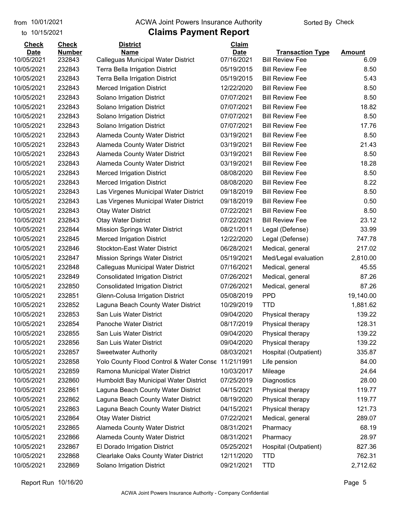to 10/15/2021

#### from 10/01/2021 **Example 20 Travellet Authority** and 10/01/2021 Check

| <b>Check</b> | <b>Check</b>  | <b>District</b>                             | Claim       |                         |               |
|--------------|---------------|---------------------------------------------|-------------|-------------------------|---------------|
| <b>Date</b>  | <b>Number</b> | <b>Name</b>                                 | <b>Date</b> | <b>Transaction Type</b> | <b>Amount</b> |
| 10/05/2021   | 232843        | Calleguas Municipal Water District          | 07/16/2021  | <b>Bill Review Fee</b>  | 6.09          |
| 10/05/2021   | 232843        | <b>Terra Bella Irrigation District</b>      | 05/19/2015  | <b>Bill Review Fee</b>  | 8.50          |
| 10/05/2021   | 232843        | <b>Terra Bella Irrigation District</b>      | 05/19/2015  | <b>Bill Review Fee</b>  | 5.43          |
| 10/05/2021   | 232843        | <b>Merced Irrigation District</b>           | 12/22/2020  | <b>Bill Review Fee</b>  | 8.50          |
| 10/05/2021   | 232843        | Solano Irrigation District                  | 07/07/2021  | <b>Bill Review Fee</b>  | 8.50          |
| 10/05/2021   | 232843        | Solano Irrigation District                  | 07/07/2021  | <b>Bill Review Fee</b>  | 18.82         |
| 10/05/2021   | 232843        | Solano Irrigation District                  | 07/07/2021  | <b>Bill Review Fee</b>  | 8.50          |
| 10/05/2021   | 232843        | Solano Irrigation District                  | 07/07/2021  | <b>Bill Review Fee</b>  | 17.76         |
| 10/05/2021   | 232843        | Alameda County Water District               | 03/19/2021  | <b>Bill Review Fee</b>  | 8.50          |
| 10/05/2021   | 232843        | Alameda County Water District               | 03/19/2021  | <b>Bill Review Fee</b>  | 21.43         |
| 10/05/2021   | 232843        | Alameda County Water District               | 03/19/2021  | <b>Bill Review Fee</b>  | 8.50          |
| 10/05/2021   | 232843        | Alameda County Water District               | 03/19/2021  | <b>Bill Review Fee</b>  | 18.28         |
| 10/05/2021   | 232843        | <b>Merced Irrigation District</b>           | 08/08/2020  | <b>Bill Review Fee</b>  | 8.50          |
| 10/05/2021   | 232843        | <b>Merced Irrigation District</b>           | 08/08/2020  | <b>Bill Review Fee</b>  | 8.22          |
| 10/05/2021   | 232843        | Las Virgenes Municipal Water District       | 09/18/2019  | <b>Bill Review Fee</b>  | 8.50          |
| 10/05/2021   | 232843        | Las Virgenes Municipal Water District       | 09/18/2019  | <b>Bill Review Fee</b>  | 0.50          |
| 10/05/2021   | 232843        | <b>Otay Water District</b>                  | 07/22/2021  | <b>Bill Review Fee</b>  | 8.50          |
| 10/05/2021   | 232843        | <b>Otay Water District</b>                  | 07/22/2021  | <b>Bill Review Fee</b>  | 23.12         |
| 10/05/2021   | 232844        | Mission Springs Water District              | 08/21/2011  | Legal (Defense)         | 33.99         |
| 10/05/2021   | 232845        | <b>Merced Irrigation District</b>           | 12/22/2020  | Legal (Defense)         | 747.78        |
| 10/05/2021   | 232846        | <b>Stockton-East Water District</b>         | 06/28/2021  | Medical, general        | 217.02        |
| 10/05/2021   | 232847        | <b>Mission Springs Water District</b>       | 05/19/2021  | Med/Legal evaluation    | 2,810.00      |
| 10/05/2021   | 232848        | Calleguas Municipal Water District          | 07/16/2021  | Medical, general        | 45.55         |
| 10/05/2021   | 232849        | <b>Consolidated Irrigation District</b>     | 07/26/2021  | Medical, general        | 87.26         |
| 10/05/2021   | 232850        | <b>Consolidated Irrigation District</b>     | 07/26/2021  | Medical, general        | 87.26         |
| 10/05/2021   | 232851        | Glenn-Colusa Irrigation District            | 05/08/2019  | <b>PPD</b>              | 19,140.00     |
| 10/05/2021   | 232852        | Laguna Beach County Water District          | 10/29/2019  | <b>TTD</b>              | 1,881.62      |
| 10/05/2021   | 232853        | San Luis Water District                     | 09/04/2020  | Physical therapy        | 139.22        |
| 10/05/2021   | 232854        | Panoche Water District                      | 08/17/2019  | Physical therapy        | 128.31        |
| 10/05/2021   | 232855        | San Luis Water District                     | 09/04/2020  | Physical therapy        | 139.22        |
| 10/05/2021   | 232856        | San Luis Water District                     | 09/04/2020  | Physical therapy        | 139.22        |
| 10/05/2021   | 232857        | <b>Sweetwater Authority</b>                 | 08/03/2021  | Hospital (Outpatient)   | 335.87        |
| 10/05/2021   | 232858        | Yolo County Flood Control & Water Conse     | 11/21/1991  | Life pension            | 84.00         |
| 10/05/2021   | 232859        | Ramona Municipal Water District             | 10/03/2017  | Mileage                 | 24.64         |
| 10/05/2021   | 232860        | Humboldt Bay Municipal Water District       | 07/25/2019  | Diagnostics             | 28.00         |
| 10/05/2021   | 232861        | Laguna Beach County Water District          | 04/15/2021  | Physical therapy        | 119.77        |
| 10/05/2021   | 232862        | Laguna Beach County Water District          | 08/19/2020  | Physical therapy        | 119.77        |
| 10/05/2021   | 232863        | Laguna Beach County Water District          | 04/15/2021  | Physical therapy        | 121.73        |
| 10/05/2021   | 232864        | <b>Otay Water District</b>                  | 07/22/2021  | Medical, general        | 289.07        |
| 10/05/2021   | 232865        | Alameda County Water District               | 08/31/2021  | Pharmacy                | 68.19         |
| 10/05/2021   | 232866        | Alameda County Water District               | 08/31/2021  | Pharmacy                | 28.97         |
| 10/05/2021   | 232867        | El Dorado Irrigation District               | 05/25/2021  |                         | 827.36        |
|              |               |                                             |             | Hospital (Outpatient)   |               |
| 10/05/2021   | 232868        | <b>Clearlake Oaks County Water District</b> | 12/11/2020  | <b>TTD</b>              | 762.31        |
| 10/05/2021   | 232869        | Solano Irrigation District                  | 09/21/2021  | <b>TTD</b>              | 2,712.62      |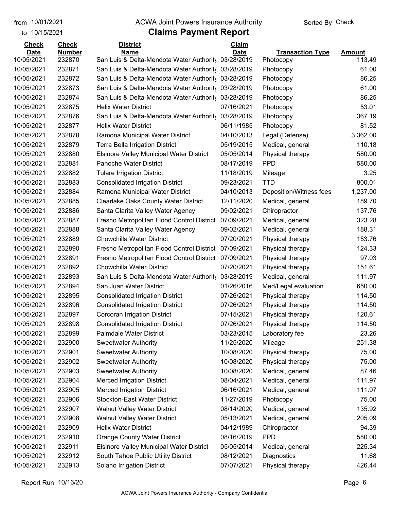to 10/15/2021

#### from 10/01/2021 **Example 20 Travellet Authority** and 10/01/2021 Check

### **Claims Payment Report**

| <b>Check</b> | <b>Check</b>  | <b>District</b>                                 | <b>Claim</b> |                         |               |
|--------------|---------------|-------------------------------------------------|--------------|-------------------------|---------------|
| <b>Date</b>  | <b>Number</b> | <b>Name</b>                                     | <b>Date</b>  | <b>Transaction Type</b> | <b>Amount</b> |
| 10/05/2021   | 232870        | San Luis & Delta-Mendota Water Authority        | 03/28/2019   | Photocopy               | 113.49        |
| 10/05/2021   | 232871        | San Luis & Delta-Mendota Water Authority        | 03/28/2019   | Photocopy               | 61.00         |
| 10/05/2021   | 232872        | San Luis & Delta-Mendota Water Authority        | 03/28/2019   | Photocopy               | 86.25         |
| 10/05/2021   | 232873        | San Luis & Delta-Mendota Water Authority        | 03/28/2019   | Photocopy               | 61.00         |
| 10/05/2021   | 232874        | San Luis & Delta-Mendota Water Authority        | 03/28/2019   | Photocopy               | 86.25         |
| 10/05/2021   | 232875        | <b>Helix Water District</b>                     | 07/16/2021   | Photocopy               | 53.01         |
| 10/05/2021   | 232876        | San Luis & Delta-Mendota Water Authority        | 03/28/2019   | Photocopy               | 367.19        |
| 10/05/2021   | 232877        | <b>Helix Water District</b>                     | 06/11/1985   | Photocopy               | 81.52         |
| 10/05/2021   | 232878        | Ramona Municipal Water District                 | 04/10/2013   | Legal (Defense)         | 3,362.00      |
| 10/05/2021   | 232879        | <b>Terra Bella Irrigation District</b>          | 05/19/2015   | Medical, general        | 110.18        |
| 10/05/2021   | 232880        | <b>Elsinore Valley Municipal Water District</b> | 05/05/2014   | Physical therapy        | 580.00        |
| 10/05/2021   | 232881        | Panoche Water District                          | 08/17/2019   | <b>PPD</b>              | 580.00        |
| 10/05/2021   | 232882        | <b>Tulare Irrigation District</b>               | 11/18/2019   | Mileage                 | 3.25          |
| 10/05/2021   | 232883        | <b>Consolidated Irrigation District</b>         | 09/23/2021   | <b>TTD</b>              | 800.01        |
| 10/05/2021   | 232884        | Ramona Municipal Water District                 | 04/10/2013   | Deposition/Witness fees | 1,237.00      |
| 10/05/2021   | 232885        | <b>Clearlake Oaks County Water District</b>     | 12/11/2020   | Medical, general        | 189.70        |
| 10/05/2021   | 232886        | Santa Clarita Valley Water Agency               | 09/02/2021   | Chiropractor            | 137.76        |
| 10/05/2021   | 232887        | Fresno Metropolitan Flood Control District      | 07/09/2021   | Medical, general        | 323.28        |
| 10/05/2021   | 232888        | Santa Clarita Valley Water Agency               | 09/02/2021   | Medical, general        | 188.31        |
| 10/05/2021   | 232889        | <b>Chowchilla Water District</b>                | 07/20/2021   | Physical therapy        | 153.76        |
| 10/05/2021   | 232890        | Fresno Metropolitan Flood Control District      | 07/09/2021   | Physical therapy        | 124.33        |
| 10/05/2021   | 232891        | Fresno Metropolitan Flood Control District      | 07/09/2021   | Physical therapy        | 97.03         |
| 10/05/2021   | 232892        | <b>Chowchilla Water District</b>                | 07/20/2021   | Physical therapy        | 151.61        |
| 10/05/2021   | 232893        | San Luis & Delta-Mendota Water Authority        | 03/28/2019   | Medical, general        | 111.97        |
| 10/05/2021   | 232894        | San Juan Water District                         | 01/26/2016   | Med/Legal evaluation    | 650.00        |
| 10/05/2021   | 232895        | <b>Consolidated Irrigation District</b>         | 07/26/2021   | Physical therapy        | 114.50        |
| 10/05/2021   | 232896        | <b>Consolidated Irrigation District</b>         | 07/26/2021   | Physical therapy        | 114.50        |
| 10/05/2021   | 232897        | Corcoran Irrigation District                    | 07/15/2021   | Physical therapy        | 120.61        |
| 10/05/2021   | 232898        | <b>Consolidated Irrigation District</b>         | 07/26/2021   | Physical therapy        | 114.50        |
| 10/05/2021   | 232899        | Palmdale Water District                         | 03/23/2015   | Laboratory fee          | 23.26         |
| 10/05/2021   | 232900        | <b>Sweetwater Authority</b>                     | 11/25/2020   | Mileage                 | 251.38        |
| 10/05/2021   | 232901        | <b>Sweetwater Authority</b>                     | 10/08/2020   | Physical therapy        | 75.00         |
| 10/05/2021   | 232902        | <b>Sweetwater Authority</b>                     | 10/08/2020   | Physical therapy        | 75.00         |
| 10/05/2021   | 232903        | <b>Sweetwater Authority</b>                     | 10/08/2020   | Medical, general        | 87.46         |
| 10/05/2021   | 232904        | <b>Merced Irrigation District</b>               | 08/04/2021   | Medical, general        | 111.97        |
| 10/05/2021   | 232905        | <b>Merced Irrigation District</b>               | 06/16/2021   | Medical, general        | 111.97        |
| 10/05/2021   | 232906        | <b>Stockton-East Water District</b>             | 11/27/2019   | Photocopy               | 75.00         |
| 10/05/2021   | 232907        | <b>Walnut Valley Water District</b>             | 08/14/2020   | Medical, general        | 135.92        |
| 10/05/2021   | 232908        | <b>Walnut Valley Water District</b>             | 05/13/2021   | Medical, general        | 205.09        |
| 10/05/2021   | 232909        | <b>Helix Water District</b>                     | 04/12/1989   | Chiropractor            | 94.39         |
| 10/05/2021   | 232910        | <b>Orange County Water District</b>             | 08/16/2019   | <b>PPD</b>              | 580.00        |
| 10/05/2021   | 232911        | <b>Elsinore Valley Municipal Water District</b> | 05/05/2014   | Medical, general        | 225.34        |
| 10/05/2021   | 232912        | South Tahoe Public Utility District             | 08/12/2021   | Diagnostics             | 11.68         |
| 10/05/2021   | 232913        | Solano Irrigation District                      | 07/07/2021   | Physical therapy        | 426.44        |
|              |               |                                                 |              |                         |               |

Report Run 10/16/20<br>
Page 6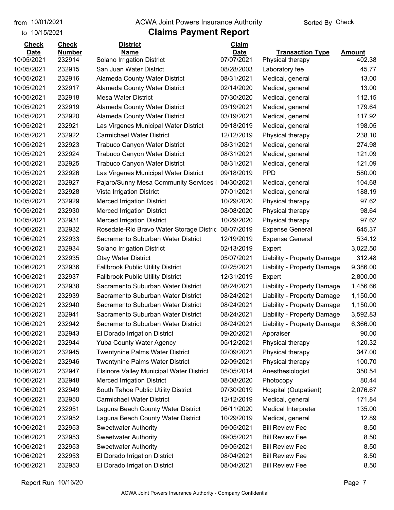to 10/15/2021

#### from 10/01/2021 **Example 20 Travellet Authority** and 10/01/2021 Check

### **Claims Payment Report**

| <b>Date</b><br><b>Number</b><br><b>Date</b><br><b>Name</b><br><b>Transaction Type</b><br><b>Amount</b><br>10/05/2021<br>232914<br>Solano Irrigation District<br>07/07/2021<br>402.38<br>Physical therapy<br>10/05/2021<br>232915<br>San Juan Water District<br>08/28/2003<br>45.77<br>Laboratory fee<br>10/05/2021<br>232916<br>Alameda County Water District<br>08/31/2021<br>13.00<br>Medical, general<br>10/05/2021<br>232917<br>02/14/2020<br>13.00<br><b>Alameda County Water District</b><br>Medical, general<br>232918<br><b>Mesa Water District</b><br>07/30/2020<br>112.15<br>10/05/2021<br>Medical, general<br>10/05/2021<br>232919<br><b>Alameda County Water District</b><br>03/19/2021<br>179.64<br>Medical, general<br>232920<br>10/05/2021<br>Alameda County Water District<br>03/19/2021<br>Medical, general<br>117.92<br>10/05/2021<br>232921<br>09/18/2019<br>198.05<br>Las Virgenes Municipal Water District<br>Medical, general<br>232922<br><b>Carmichael Water District</b><br>238.10<br>10/05/2021<br>12/12/2019<br>Physical therapy<br>10/05/2021<br>232923<br><b>Trabuco Canyon Water District</b><br>08/31/2021<br>274.98<br>Medical, general<br>10/05/2021<br>232924<br>08/31/2021<br>121.09<br><b>Trabuco Canyon Water District</b><br>Medical, general<br>10/05/2021<br>232925<br><b>Trabuco Canyon Water District</b><br>08/31/2021<br>121.09<br>Medical, general<br><b>PPD</b><br>10/05/2021<br>232926<br>Las Virgenes Municipal Water District<br>09/18/2019<br>580.00<br>232927<br>Pajaro/Sunny Mesa Community Services I<br>04/30/2021<br>104.68<br>10/05/2021<br>Medical, general<br>10/05/2021<br>232928<br>07/01/2021<br>188.19<br>Vista Irrigation District<br>Medical, general<br>232929<br>97.62<br>10/05/2021<br><b>Merced Irrigation District</b><br>10/29/2020<br>Physical therapy<br>10/05/2021<br>232930<br><b>Merced Irrigation District</b><br>98.64<br>08/08/2020<br>Physical therapy<br>232931<br><b>Merced Irrigation District</b><br>10/29/2020<br>97.62<br>10/05/2021<br>Physical therapy<br>10/06/2021<br>232932<br>Rosedale-Rio Bravo Water Storage Distric 08/07/2019<br>645.37<br><b>Expense General</b><br>10/06/2021<br>232933<br>Sacramento Suburban Water District<br>12/19/2019<br>534.12<br><b>Expense General</b><br>10/06/2021<br>232934<br>02/13/2019<br>3,022.50<br>Solano Irrigation District<br>Expert<br>10/06/2021<br>232935<br>05/07/2021<br>312.48<br><b>Otay Water District</b><br>Liability - Property Damage<br><b>Fallbrook Public Utility District</b><br>02/25/2021<br>9,386.00<br>10/06/2021<br>232936<br>Liability - Property Damage<br>10/06/2021<br>232937<br>12/31/2019<br>2,800.00<br><b>Fallbrook Public Utility District</b><br>Expert<br>10/06/2021<br>232938<br>Sacramento Suburban Water District<br>08/24/2021<br>1,456.66<br>Liability - Property Damage<br>10/06/2021<br>232939<br>Sacramento Suburban Water District<br>08/24/2021<br>1,150.00<br>Liability - Property Damage<br>232940<br>Sacramento Suburban Water District<br>08/24/2021<br>Liability - Property Damage<br>1,150.00<br>10/06/2021<br>10/06/2021<br>232941<br>Sacramento Suburban Water District<br>08/24/2021<br>3,592.83<br>Liability - Property Damage<br>6,366.00<br>10/06/2021<br>232942<br>Sacramento Suburban Water District<br>08/24/2021<br>Liability - Property Damage<br>10/06/2021<br>232943<br>09/20/2021<br>90.00<br>El Dorado Irrigation District<br>Appraiser<br>232944<br>120.32<br>10/06/2021<br><b>Yuba County Water Agency</b><br>05/12/2021<br>Physical therapy<br>10/06/2021<br>232945<br><b>Twentynine Palms Water District</b><br>02/09/2021<br>Physical therapy<br>347.00<br>10/06/2021<br>232946<br><b>Twentynine Palms Water District</b><br>02/09/2021<br>Physical therapy<br>100.70<br>10/06/2021<br><b>Elsinore Valley Municipal Water District</b><br>05/05/2014<br>Anesthesiologist<br>350.54<br>232947<br>80.44<br>10/06/2021<br>232948<br><b>Merced Irrigation District</b><br>08/08/2020<br>Photocopy<br>2,076.67<br>10/06/2021<br>232949<br>South Tahoe Public Utility District<br>07/30/2019<br>Hospital (Outpatient)<br><b>Carmichael Water District</b><br>10/06/2021<br>232950<br>12/12/2019<br>Medical, general<br>171.84<br>135.00<br>10/06/2021<br>232951<br>Laguna Beach County Water District<br>06/11/2020<br>Medical Interpreter<br>10/06/2021<br>232952<br>Laguna Beach County Water District<br>10/29/2019<br>Medical, general<br>12.89<br>10/06/2021<br>232953<br><b>Sweetwater Authority</b><br>09/05/2021<br><b>Bill Review Fee</b><br>8.50<br>10/06/2021<br>09/05/2021<br><b>Bill Review Fee</b><br>232953<br><b>Sweetwater Authority</b><br>8.50<br>10/06/2021<br>232953<br><b>Sweetwater Authority</b><br>09/05/2021<br><b>Bill Review Fee</b><br>8.50<br>El Dorado Irrigation District<br>10/06/2021<br>08/04/2021<br><b>Bill Review Fee</b><br>8.50<br>232953<br>El Dorado Irrigation District<br><b>Bill Review Fee</b><br>10/06/2021<br>232953<br>08/04/2021<br>8.50 | <b>Check</b> | <b>Check</b> | <b>District</b> | Claim |  |
|------------------------------------------------------------------------------------------------------------------------------------------------------------------------------------------------------------------------------------------------------------------------------------------------------------------------------------------------------------------------------------------------------------------------------------------------------------------------------------------------------------------------------------------------------------------------------------------------------------------------------------------------------------------------------------------------------------------------------------------------------------------------------------------------------------------------------------------------------------------------------------------------------------------------------------------------------------------------------------------------------------------------------------------------------------------------------------------------------------------------------------------------------------------------------------------------------------------------------------------------------------------------------------------------------------------------------------------------------------------------------------------------------------------------------------------------------------------------------------------------------------------------------------------------------------------------------------------------------------------------------------------------------------------------------------------------------------------------------------------------------------------------------------------------------------------------------------------------------------------------------------------------------------------------------------------------------------------------------------------------------------------------------------------------------------------------------------------------------------------------------------------------------------------------------------------------------------------------------------------------------------------------------------------------------------------------------------------------------------------------------------------------------------------------------------------------------------------------------------------------------------------------------------------------------------------------------------------------------------------------------------------------------------------------------------------------------------------------------------------------------------------------------------------------------------------------------------------------------------------------------------------------------------------------------------------------------------------------------------------------------------------------------------------------------------------------------------------------------------------------------------------------------------------------------------------------------------------------------------------------------------------------------------------------------------------------------------------------------------------------------------------------------------------------------------------------------------------------------------------------------------------------------------------------------------------------------------------------------------------------------------------------------------------------------------------------------------------------------------------------------------------------------------------------------------------------------------------------------------------------------------------------------------------------------------------------------------------------------------------------------------------------------------------------------------------------------------------------------------------------------------------------------------------------------------------------------------------------------------------------------------------------------------------------------------------------------------------------------------------------------------------------------------------------------------------------------------------------------------------------------------------------------------------------------------------------------------------------------------------------------------------------------------------------------------------------------------------------------------------------------------------------------------------------------------------------------------------------------------------------------------------------------------------------------------------------------------------------------------------------|--------------|--------------|-----------------|-------|--|
|                                                                                                                                                                                                                                                                                                                                                                                                                                                                                                                                                                                                                                                                                                                                                                                                                                                                                                                                                                                                                                                                                                                                                                                                                                                                                                                                                                                                                                                                                                                                                                                                                                                                                                                                                                                                                                                                                                                                                                                                                                                                                                                                                                                                                                                                                                                                                                                                                                                                                                                                                                                                                                                                                                                                                                                                                                                                                                                                                                                                                                                                                                                                                                                                                                                                                                                                                                                                                                                                                                                                                                                                                                                                                                                                                                                                                                                                                                                                                                                                                                                                                                                                                                                                                                                                                                                                                                                                                                                                                                                                                                                                                                                                                                                                                                                                                                                                                                                                                                                                |              |              |                 |       |  |
|                                                                                                                                                                                                                                                                                                                                                                                                                                                                                                                                                                                                                                                                                                                                                                                                                                                                                                                                                                                                                                                                                                                                                                                                                                                                                                                                                                                                                                                                                                                                                                                                                                                                                                                                                                                                                                                                                                                                                                                                                                                                                                                                                                                                                                                                                                                                                                                                                                                                                                                                                                                                                                                                                                                                                                                                                                                                                                                                                                                                                                                                                                                                                                                                                                                                                                                                                                                                                                                                                                                                                                                                                                                                                                                                                                                                                                                                                                                                                                                                                                                                                                                                                                                                                                                                                                                                                                                                                                                                                                                                                                                                                                                                                                                                                                                                                                                                                                                                                                                                |              |              |                 |       |  |
|                                                                                                                                                                                                                                                                                                                                                                                                                                                                                                                                                                                                                                                                                                                                                                                                                                                                                                                                                                                                                                                                                                                                                                                                                                                                                                                                                                                                                                                                                                                                                                                                                                                                                                                                                                                                                                                                                                                                                                                                                                                                                                                                                                                                                                                                                                                                                                                                                                                                                                                                                                                                                                                                                                                                                                                                                                                                                                                                                                                                                                                                                                                                                                                                                                                                                                                                                                                                                                                                                                                                                                                                                                                                                                                                                                                                                                                                                                                                                                                                                                                                                                                                                                                                                                                                                                                                                                                                                                                                                                                                                                                                                                                                                                                                                                                                                                                                                                                                                                                                |              |              |                 |       |  |
|                                                                                                                                                                                                                                                                                                                                                                                                                                                                                                                                                                                                                                                                                                                                                                                                                                                                                                                                                                                                                                                                                                                                                                                                                                                                                                                                                                                                                                                                                                                                                                                                                                                                                                                                                                                                                                                                                                                                                                                                                                                                                                                                                                                                                                                                                                                                                                                                                                                                                                                                                                                                                                                                                                                                                                                                                                                                                                                                                                                                                                                                                                                                                                                                                                                                                                                                                                                                                                                                                                                                                                                                                                                                                                                                                                                                                                                                                                                                                                                                                                                                                                                                                                                                                                                                                                                                                                                                                                                                                                                                                                                                                                                                                                                                                                                                                                                                                                                                                                                                |              |              |                 |       |  |
|                                                                                                                                                                                                                                                                                                                                                                                                                                                                                                                                                                                                                                                                                                                                                                                                                                                                                                                                                                                                                                                                                                                                                                                                                                                                                                                                                                                                                                                                                                                                                                                                                                                                                                                                                                                                                                                                                                                                                                                                                                                                                                                                                                                                                                                                                                                                                                                                                                                                                                                                                                                                                                                                                                                                                                                                                                                                                                                                                                                                                                                                                                                                                                                                                                                                                                                                                                                                                                                                                                                                                                                                                                                                                                                                                                                                                                                                                                                                                                                                                                                                                                                                                                                                                                                                                                                                                                                                                                                                                                                                                                                                                                                                                                                                                                                                                                                                                                                                                                                                |              |              |                 |       |  |
|                                                                                                                                                                                                                                                                                                                                                                                                                                                                                                                                                                                                                                                                                                                                                                                                                                                                                                                                                                                                                                                                                                                                                                                                                                                                                                                                                                                                                                                                                                                                                                                                                                                                                                                                                                                                                                                                                                                                                                                                                                                                                                                                                                                                                                                                                                                                                                                                                                                                                                                                                                                                                                                                                                                                                                                                                                                                                                                                                                                                                                                                                                                                                                                                                                                                                                                                                                                                                                                                                                                                                                                                                                                                                                                                                                                                                                                                                                                                                                                                                                                                                                                                                                                                                                                                                                                                                                                                                                                                                                                                                                                                                                                                                                                                                                                                                                                                                                                                                                                                |              |              |                 |       |  |
|                                                                                                                                                                                                                                                                                                                                                                                                                                                                                                                                                                                                                                                                                                                                                                                                                                                                                                                                                                                                                                                                                                                                                                                                                                                                                                                                                                                                                                                                                                                                                                                                                                                                                                                                                                                                                                                                                                                                                                                                                                                                                                                                                                                                                                                                                                                                                                                                                                                                                                                                                                                                                                                                                                                                                                                                                                                                                                                                                                                                                                                                                                                                                                                                                                                                                                                                                                                                                                                                                                                                                                                                                                                                                                                                                                                                                                                                                                                                                                                                                                                                                                                                                                                                                                                                                                                                                                                                                                                                                                                                                                                                                                                                                                                                                                                                                                                                                                                                                                                                |              |              |                 |       |  |
|                                                                                                                                                                                                                                                                                                                                                                                                                                                                                                                                                                                                                                                                                                                                                                                                                                                                                                                                                                                                                                                                                                                                                                                                                                                                                                                                                                                                                                                                                                                                                                                                                                                                                                                                                                                                                                                                                                                                                                                                                                                                                                                                                                                                                                                                                                                                                                                                                                                                                                                                                                                                                                                                                                                                                                                                                                                                                                                                                                                                                                                                                                                                                                                                                                                                                                                                                                                                                                                                                                                                                                                                                                                                                                                                                                                                                                                                                                                                                                                                                                                                                                                                                                                                                                                                                                                                                                                                                                                                                                                                                                                                                                                                                                                                                                                                                                                                                                                                                                                                |              |              |                 |       |  |
|                                                                                                                                                                                                                                                                                                                                                                                                                                                                                                                                                                                                                                                                                                                                                                                                                                                                                                                                                                                                                                                                                                                                                                                                                                                                                                                                                                                                                                                                                                                                                                                                                                                                                                                                                                                                                                                                                                                                                                                                                                                                                                                                                                                                                                                                                                                                                                                                                                                                                                                                                                                                                                                                                                                                                                                                                                                                                                                                                                                                                                                                                                                                                                                                                                                                                                                                                                                                                                                                                                                                                                                                                                                                                                                                                                                                                                                                                                                                                                                                                                                                                                                                                                                                                                                                                                                                                                                                                                                                                                                                                                                                                                                                                                                                                                                                                                                                                                                                                                                                |              |              |                 |       |  |
|                                                                                                                                                                                                                                                                                                                                                                                                                                                                                                                                                                                                                                                                                                                                                                                                                                                                                                                                                                                                                                                                                                                                                                                                                                                                                                                                                                                                                                                                                                                                                                                                                                                                                                                                                                                                                                                                                                                                                                                                                                                                                                                                                                                                                                                                                                                                                                                                                                                                                                                                                                                                                                                                                                                                                                                                                                                                                                                                                                                                                                                                                                                                                                                                                                                                                                                                                                                                                                                                                                                                                                                                                                                                                                                                                                                                                                                                                                                                                                                                                                                                                                                                                                                                                                                                                                                                                                                                                                                                                                                                                                                                                                                                                                                                                                                                                                                                                                                                                                                                |              |              |                 |       |  |
|                                                                                                                                                                                                                                                                                                                                                                                                                                                                                                                                                                                                                                                                                                                                                                                                                                                                                                                                                                                                                                                                                                                                                                                                                                                                                                                                                                                                                                                                                                                                                                                                                                                                                                                                                                                                                                                                                                                                                                                                                                                                                                                                                                                                                                                                                                                                                                                                                                                                                                                                                                                                                                                                                                                                                                                                                                                                                                                                                                                                                                                                                                                                                                                                                                                                                                                                                                                                                                                                                                                                                                                                                                                                                                                                                                                                                                                                                                                                                                                                                                                                                                                                                                                                                                                                                                                                                                                                                                                                                                                                                                                                                                                                                                                                                                                                                                                                                                                                                                                                |              |              |                 |       |  |
|                                                                                                                                                                                                                                                                                                                                                                                                                                                                                                                                                                                                                                                                                                                                                                                                                                                                                                                                                                                                                                                                                                                                                                                                                                                                                                                                                                                                                                                                                                                                                                                                                                                                                                                                                                                                                                                                                                                                                                                                                                                                                                                                                                                                                                                                                                                                                                                                                                                                                                                                                                                                                                                                                                                                                                                                                                                                                                                                                                                                                                                                                                                                                                                                                                                                                                                                                                                                                                                                                                                                                                                                                                                                                                                                                                                                                                                                                                                                                                                                                                                                                                                                                                                                                                                                                                                                                                                                                                                                                                                                                                                                                                                                                                                                                                                                                                                                                                                                                                                                |              |              |                 |       |  |
|                                                                                                                                                                                                                                                                                                                                                                                                                                                                                                                                                                                                                                                                                                                                                                                                                                                                                                                                                                                                                                                                                                                                                                                                                                                                                                                                                                                                                                                                                                                                                                                                                                                                                                                                                                                                                                                                                                                                                                                                                                                                                                                                                                                                                                                                                                                                                                                                                                                                                                                                                                                                                                                                                                                                                                                                                                                                                                                                                                                                                                                                                                                                                                                                                                                                                                                                                                                                                                                                                                                                                                                                                                                                                                                                                                                                                                                                                                                                                                                                                                                                                                                                                                                                                                                                                                                                                                                                                                                                                                                                                                                                                                                                                                                                                                                                                                                                                                                                                                                                |              |              |                 |       |  |
|                                                                                                                                                                                                                                                                                                                                                                                                                                                                                                                                                                                                                                                                                                                                                                                                                                                                                                                                                                                                                                                                                                                                                                                                                                                                                                                                                                                                                                                                                                                                                                                                                                                                                                                                                                                                                                                                                                                                                                                                                                                                                                                                                                                                                                                                                                                                                                                                                                                                                                                                                                                                                                                                                                                                                                                                                                                                                                                                                                                                                                                                                                                                                                                                                                                                                                                                                                                                                                                                                                                                                                                                                                                                                                                                                                                                                                                                                                                                                                                                                                                                                                                                                                                                                                                                                                                                                                                                                                                                                                                                                                                                                                                                                                                                                                                                                                                                                                                                                                                                |              |              |                 |       |  |
|                                                                                                                                                                                                                                                                                                                                                                                                                                                                                                                                                                                                                                                                                                                                                                                                                                                                                                                                                                                                                                                                                                                                                                                                                                                                                                                                                                                                                                                                                                                                                                                                                                                                                                                                                                                                                                                                                                                                                                                                                                                                                                                                                                                                                                                                                                                                                                                                                                                                                                                                                                                                                                                                                                                                                                                                                                                                                                                                                                                                                                                                                                                                                                                                                                                                                                                                                                                                                                                                                                                                                                                                                                                                                                                                                                                                                                                                                                                                                                                                                                                                                                                                                                                                                                                                                                                                                                                                                                                                                                                                                                                                                                                                                                                                                                                                                                                                                                                                                                                                |              |              |                 |       |  |
|                                                                                                                                                                                                                                                                                                                                                                                                                                                                                                                                                                                                                                                                                                                                                                                                                                                                                                                                                                                                                                                                                                                                                                                                                                                                                                                                                                                                                                                                                                                                                                                                                                                                                                                                                                                                                                                                                                                                                                                                                                                                                                                                                                                                                                                                                                                                                                                                                                                                                                                                                                                                                                                                                                                                                                                                                                                                                                                                                                                                                                                                                                                                                                                                                                                                                                                                                                                                                                                                                                                                                                                                                                                                                                                                                                                                                                                                                                                                                                                                                                                                                                                                                                                                                                                                                                                                                                                                                                                                                                                                                                                                                                                                                                                                                                                                                                                                                                                                                                                                |              |              |                 |       |  |
|                                                                                                                                                                                                                                                                                                                                                                                                                                                                                                                                                                                                                                                                                                                                                                                                                                                                                                                                                                                                                                                                                                                                                                                                                                                                                                                                                                                                                                                                                                                                                                                                                                                                                                                                                                                                                                                                                                                                                                                                                                                                                                                                                                                                                                                                                                                                                                                                                                                                                                                                                                                                                                                                                                                                                                                                                                                                                                                                                                                                                                                                                                                                                                                                                                                                                                                                                                                                                                                                                                                                                                                                                                                                                                                                                                                                                                                                                                                                                                                                                                                                                                                                                                                                                                                                                                                                                                                                                                                                                                                                                                                                                                                                                                                                                                                                                                                                                                                                                                                                |              |              |                 |       |  |
|                                                                                                                                                                                                                                                                                                                                                                                                                                                                                                                                                                                                                                                                                                                                                                                                                                                                                                                                                                                                                                                                                                                                                                                                                                                                                                                                                                                                                                                                                                                                                                                                                                                                                                                                                                                                                                                                                                                                                                                                                                                                                                                                                                                                                                                                                                                                                                                                                                                                                                                                                                                                                                                                                                                                                                                                                                                                                                                                                                                                                                                                                                                                                                                                                                                                                                                                                                                                                                                                                                                                                                                                                                                                                                                                                                                                                                                                                                                                                                                                                                                                                                                                                                                                                                                                                                                                                                                                                                                                                                                                                                                                                                                                                                                                                                                                                                                                                                                                                                                                |              |              |                 |       |  |
|                                                                                                                                                                                                                                                                                                                                                                                                                                                                                                                                                                                                                                                                                                                                                                                                                                                                                                                                                                                                                                                                                                                                                                                                                                                                                                                                                                                                                                                                                                                                                                                                                                                                                                                                                                                                                                                                                                                                                                                                                                                                                                                                                                                                                                                                                                                                                                                                                                                                                                                                                                                                                                                                                                                                                                                                                                                                                                                                                                                                                                                                                                                                                                                                                                                                                                                                                                                                                                                                                                                                                                                                                                                                                                                                                                                                                                                                                                                                                                                                                                                                                                                                                                                                                                                                                                                                                                                                                                                                                                                                                                                                                                                                                                                                                                                                                                                                                                                                                                                                |              |              |                 |       |  |
|                                                                                                                                                                                                                                                                                                                                                                                                                                                                                                                                                                                                                                                                                                                                                                                                                                                                                                                                                                                                                                                                                                                                                                                                                                                                                                                                                                                                                                                                                                                                                                                                                                                                                                                                                                                                                                                                                                                                                                                                                                                                                                                                                                                                                                                                                                                                                                                                                                                                                                                                                                                                                                                                                                                                                                                                                                                                                                                                                                                                                                                                                                                                                                                                                                                                                                                                                                                                                                                                                                                                                                                                                                                                                                                                                                                                                                                                                                                                                                                                                                                                                                                                                                                                                                                                                                                                                                                                                                                                                                                                                                                                                                                                                                                                                                                                                                                                                                                                                                                                |              |              |                 |       |  |
|                                                                                                                                                                                                                                                                                                                                                                                                                                                                                                                                                                                                                                                                                                                                                                                                                                                                                                                                                                                                                                                                                                                                                                                                                                                                                                                                                                                                                                                                                                                                                                                                                                                                                                                                                                                                                                                                                                                                                                                                                                                                                                                                                                                                                                                                                                                                                                                                                                                                                                                                                                                                                                                                                                                                                                                                                                                                                                                                                                                                                                                                                                                                                                                                                                                                                                                                                                                                                                                                                                                                                                                                                                                                                                                                                                                                                                                                                                                                                                                                                                                                                                                                                                                                                                                                                                                                                                                                                                                                                                                                                                                                                                                                                                                                                                                                                                                                                                                                                                                                |              |              |                 |       |  |
|                                                                                                                                                                                                                                                                                                                                                                                                                                                                                                                                                                                                                                                                                                                                                                                                                                                                                                                                                                                                                                                                                                                                                                                                                                                                                                                                                                                                                                                                                                                                                                                                                                                                                                                                                                                                                                                                                                                                                                                                                                                                                                                                                                                                                                                                                                                                                                                                                                                                                                                                                                                                                                                                                                                                                                                                                                                                                                                                                                                                                                                                                                                                                                                                                                                                                                                                                                                                                                                                                                                                                                                                                                                                                                                                                                                                                                                                                                                                                                                                                                                                                                                                                                                                                                                                                                                                                                                                                                                                                                                                                                                                                                                                                                                                                                                                                                                                                                                                                                                                |              |              |                 |       |  |
|                                                                                                                                                                                                                                                                                                                                                                                                                                                                                                                                                                                                                                                                                                                                                                                                                                                                                                                                                                                                                                                                                                                                                                                                                                                                                                                                                                                                                                                                                                                                                                                                                                                                                                                                                                                                                                                                                                                                                                                                                                                                                                                                                                                                                                                                                                                                                                                                                                                                                                                                                                                                                                                                                                                                                                                                                                                                                                                                                                                                                                                                                                                                                                                                                                                                                                                                                                                                                                                                                                                                                                                                                                                                                                                                                                                                                                                                                                                                                                                                                                                                                                                                                                                                                                                                                                                                                                                                                                                                                                                                                                                                                                                                                                                                                                                                                                                                                                                                                                                                |              |              |                 |       |  |
|                                                                                                                                                                                                                                                                                                                                                                                                                                                                                                                                                                                                                                                                                                                                                                                                                                                                                                                                                                                                                                                                                                                                                                                                                                                                                                                                                                                                                                                                                                                                                                                                                                                                                                                                                                                                                                                                                                                                                                                                                                                                                                                                                                                                                                                                                                                                                                                                                                                                                                                                                                                                                                                                                                                                                                                                                                                                                                                                                                                                                                                                                                                                                                                                                                                                                                                                                                                                                                                                                                                                                                                                                                                                                                                                                                                                                                                                                                                                                                                                                                                                                                                                                                                                                                                                                                                                                                                                                                                                                                                                                                                                                                                                                                                                                                                                                                                                                                                                                                                                |              |              |                 |       |  |
|                                                                                                                                                                                                                                                                                                                                                                                                                                                                                                                                                                                                                                                                                                                                                                                                                                                                                                                                                                                                                                                                                                                                                                                                                                                                                                                                                                                                                                                                                                                                                                                                                                                                                                                                                                                                                                                                                                                                                                                                                                                                                                                                                                                                                                                                                                                                                                                                                                                                                                                                                                                                                                                                                                                                                                                                                                                                                                                                                                                                                                                                                                                                                                                                                                                                                                                                                                                                                                                                                                                                                                                                                                                                                                                                                                                                                                                                                                                                                                                                                                                                                                                                                                                                                                                                                                                                                                                                                                                                                                                                                                                                                                                                                                                                                                                                                                                                                                                                                                                                |              |              |                 |       |  |
|                                                                                                                                                                                                                                                                                                                                                                                                                                                                                                                                                                                                                                                                                                                                                                                                                                                                                                                                                                                                                                                                                                                                                                                                                                                                                                                                                                                                                                                                                                                                                                                                                                                                                                                                                                                                                                                                                                                                                                                                                                                                                                                                                                                                                                                                                                                                                                                                                                                                                                                                                                                                                                                                                                                                                                                                                                                                                                                                                                                                                                                                                                                                                                                                                                                                                                                                                                                                                                                                                                                                                                                                                                                                                                                                                                                                                                                                                                                                                                                                                                                                                                                                                                                                                                                                                                                                                                                                                                                                                                                                                                                                                                                                                                                                                                                                                                                                                                                                                                                                |              |              |                 |       |  |
|                                                                                                                                                                                                                                                                                                                                                                                                                                                                                                                                                                                                                                                                                                                                                                                                                                                                                                                                                                                                                                                                                                                                                                                                                                                                                                                                                                                                                                                                                                                                                                                                                                                                                                                                                                                                                                                                                                                                                                                                                                                                                                                                                                                                                                                                                                                                                                                                                                                                                                                                                                                                                                                                                                                                                                                                                                                                                                                                                                                                                                                                                                                                                                                                                                                                                                                                                                                                                                                                                                                                                                                                                                                                                                                                                                                                                                                                                                                                                                                                                                                                                                                                                                                                                                                                                                                                                                                                                                                                                                                                                                                                                                                                                                                                                                                                                                                                                                                                                                                                |              |              |                 |       |  |
|                                                                                                                                                                                                                                                                                                                                                                                                                                                                                                                                                                                                                                                                                                                                                                                                                                                                                                                                                                                                                                                                                                                                                                                                                                                                                                                                                                                                                                                                                                                                                                                                                                                                                                                                                                                                                                                                                                                                                                                                                                                                                                                                                                                                                                                                                                                                                                                                                                                                                                                                                                                                                                                                                                                                                                                                                                                                                                                                                                                                                                                                                                                                                                                                                                                                                                                                                                                                                                                                                                                                                                                                                                                                                                                                                                                                                                                                                                                                                                                                                                                                                                                                                                                                                                                                                                                                                                                                                                                                                                                                                                                                                                                                                                                                                                                                                                                                                                                                                                                                |              |              |                 |       |  |
|                                                                                                                                                                                                                                                                                                                                                                                                                                                                                                                                                                                                                                                                                                                                                                                                                                                                                                                                                                                                                                                                                                                                                                                                                                                                                                                                                                                                                                                                                                                                                                                                                                                                                                                                                                                                                                                                                                                                                                                                                                                                                                                                                                                                                                                                                                                                                                                                                                                                                                                                                                                                                                                                                                                                                                                                                                                                                                                                                                                                                                                                                                                                                                                                                                                                                                                                                                                                                                                                                                                                                                                                                                                                                                                                                                                                                                                                                                                                                                                                                                                                                                                                                                                                                                                                                                                                                                                                                                                                                                                                                                                                                                                                                                                                                                                                                                                                                                                                                                                                |              |              |                 |       |  |
|                                                                                                                                                                                                                                                                                                                                                                                                                                                                                                                                                                                                                                                                                                                                                                                                                                                                                                                                                                                                                                                                                                                                                                                                                                                                                                                                                                                                                                                                                                                                                                                                                                                                                                                                                                                                                                                                                                                                                                                                                                                                                                                                                                                                                                                                                                                                                                                                                                                                                                                                                                                                                                                                                                                                                                                                                                                                                                                                                                                                                                                                                                                                                                                                                                                                                                                                                                                                                                                                                                                                                                                                                                                                                                                                                                                                                                                                                                                                                                                                                                                                                                                                                                                                                                                                                                                                                                                                                                                                                                                                                                                                                                                                                                                                                                                                                                                                                                                                                                                                |              |              |                 |       |  |
|                                                                                                                                                                                                                                                                                                                                                                                                                                                                                                                                                                                                                                                                                                                                                                                                                                                                                                                                                                                                                                                                                                                                                                                                                                                                                                                                                                                                                                                                                                                                                                                                                                                                                                                                                                                                                                                                                                                                                                                                                                                                                                                                                                                                                                                                                                                                                                                                                                                                                                                                                                                                                                                                                                                                                                                                                                                                                                                                                                                                                                                                                                                                                                                                                                                                                                                                                                                                                                                                                                                                                                                                                                                                                                                                                                                                                                                                                                                                                                                                                                                                                                                                                                                                                                                                                                                                                                                                                                                                                                                                                                                                                                                                                                                                                                                                                                                                                                                                                                                                |              |              |                 |       |  |
|                                                                                                                                                                                                                                                                                                                                                                                                                                                                                                                                                                                                                                                                                                                                                                                                                                                                                                                                                                                                                                                                                                                                                                                                                                                                                                                                                                                                                                                                                                                                                                                                                                                                                                                                                                                                                                                                                                                                                                                                                                                                                                                                                                                                                                                                                                                                                                                                                                                                                                                                                                                                                                                                                                                                                                                                                                                                                                                                                                                                                                                                                                                                                                                                                                                                                                                                                                                                                                                                                                                                                                                                                                                                                                                                                                                                                                                                                                                                                                                                                                                                                                                                                                                                                                                                                                                                                                                                                                                                                                                                                                                                                                                                                                                                                                                                                                                                                                                                                                                                |              |              |                 |       |  |
|                                                                                                                                                                                                                                                                                                                                                                                                                                                                                                                                                                                                                                                                                                                                                                                                                                                                                                                                                                                                                                                                                                                                                                                                                                                                                                                                                                                                                                                                                                                                                                                                                                                                                                                                                                                                                                                                                                                                                                                                                                                                                                                                                                                                                                                                                                                                                                                                                                                                                                                                                                                                                                                                                                                                                                                                                                                                                                                                                                                                                                                                                                                                                                                                                                                                                                                                                                                                                                                                                                                                                                                                                                                                                                                                                                                                                                                                                                                                                                                                                                                                                                                                                                                                                                                                                                                                                                                                                                                                                                                                                                                                                                                                                                                                                                                                                                                                                                                                                                                                |              |              |                 |       |  |
|                                                                                                                                                                                                                                                                                                                                                                                                                                                                                                                                                                                                                                                                                                                                                                                                                                                                                                                                                                                                                                                                                                                                                                                                                                                                                                                                                                                                                                                                                                                                                                                                                                                                                                                                                                                                                                                                                                                                                                                                                                                                                                                                                                                                                                                                                                                                                                                                                                                                                                                                                                                                                                                                                                                                                                                                                                                                                                                                                                                                                                                                                                                                                                                                                                                                                                                                                                                                                                                                                                                                                                                                                                                                                                                                                                                                                                                                                                                                                                                                                                                                                                                                                                                                                                                                                                                                                                                                                                                                                                                                                                                                                                                                                                                                                                                                                                                                                                                                                                                                |              |              |                 |       |  |
|                                                                                                                                                                                                                                                                                                                                                                                                                                                                                                                                                                                                                                                                                                                                                                                                                                                                                                                                                                                                                                                                                                                                                                                                                                                                                                                                                                                                                                                                                                                                                                                                                                                                                                                                                                                                                                                                                                                                                                                                                                                                                                                                                                                                                                                                                                                                                                                                                                                                                                                                                                                                                                                                                                                                                                                                                                                                                                                                                                                                                                                                                                                                                                                                                                                                                                                                                                                                                                                                                                                                                                                                                                                                                                                                                                                                                                                                                                                                                                                                                                                                                                                                                                                                                                                                                                                                                                                                                                                                                                                                                                                                                                                                                                                                                                                                                                                                                                                                                                                                |              |              |                 |       |  |
|                                                                                                                                                                                                                                                                                                                                                                                                                                                                                                                                                                                                                                                                                                                                                                                                                                                                                                                                                                                                                                                                                                                                                                                                                                                                                                                                                                                                                                                                                                                                                                                                                                                                                                                                                                                                                                                                                                                                                                                                                                                                                                                                                                                                                                                                                                                                                                                                                                                                                                                                                                                                                                                                                                                                                                                                                                                                                                                                                                                                                                                                                                                                                                                                                                                                                                                                                                                                                                                                                                                                                                                                                                                                                                                                                                                                                                                                                                                                                                                                                                                                                                                                                                                                                                                                                                                                                                                                                                                                                                                                                                                                                                                                                                                                                                                                                                                                                                                                                                                                |              |              |                 |       |  |
|                                                                                                                                                                                                                                                                                                                                                                                                                                                                                                                                                                                                                                                                                                                                                                                                                                                                                                                                                                                                                                                                                                                                                                                                                                                                                                                                                                                                                                                                                                                                                                                                                                                                                                                                                                                                                                                                                                                                                                                                                                                                                                                                                                                                                                                                                                                                                                                                                                                                                                                                                                                                                                                                                                                                                                                                                                                                                                                                                                                                                                                                                                                                                                                                                                                                                                                                                                                                                                                                                                                                                                                                                                                                                                                                                                                                                                                                                                                                                                                                                                                                                                                                                                                                                                                                                                                                                                                                                                                                                                                                                                                                                                                                                                                                                                                                                                                                                                                                                                                                |              |              |                 |       |  |
|                                                                                                                                                                                                                                                                                                                                                                                                                                                                                                                                                                                                                                                                                                                                                                                                                                                                                                                                                                                                                                                                                                                                                                                                                                                                                                                                                                                                                                                                                                                                                                                                                                                                                                                                                                                                                                                                                                                                                                                                                                                                                                                                                                                                                                                                                                                                                                                                                                                                                                                                                                                                                                                                                                                                                                                                                                                                                                                                                                                                                                                                                                                                                                                                                                                                                                                                                                                                                                                                                                                                                                                                                                                                                                                                                                                                                                                                                                                                                                                                                                                                                                                                                                                                                                                                                                                                                                                                                                                                                                                                                                                                                                                                                                                                                                                                                                                                                                                                                                                                |              |              |                 |       |  |
|                                                                                                                                                                                                                                                                                                                                                                                                                                                                                                                                                                                                                                                                                                                                                                                                                                                                                                                                                                                                                                                                                                                                                                                                                                                                                                                                                                                                                                                                                                                                                                                                                                                                                                                                                                                                                                                                                                                                                                                                                                                                                                                                                                                                                                                                                                                                                                                                                                                                                                                                                                                                                                                                                                                                                                                                                                                                                                                                                                                                                                                                                                                                                                                                                                                                                                                                                                                                                                                                                                                                                                                                                                                                                                                                                                                                                                                                                                                                                                                                                                                                                                                                                                                                                                                                                                                                                                                                                                                                                                                                                                                                                                                                                                                                                                                                                                                                                                                                                                                                |              |              |                 |       |  |
|                                                                                                                                                                                                                                                                                                                                                                                                                                                                                                                                                                                                                                                                                                                                                                                                                                                                                                                                                                                                                                                                                                                                                                                                                                                                                                                                                                                                                                                                                                                                                                                                                                                                                                                                                                                                                                                                                                                                                                                                                                                                                                                                                                                                                                                                                                                                                                                                                                                                                                                                                                                                                                                                                                                                                                                                                                                                                                                                                                                                                                                                                                                                                                                                                                                                                                                                                                                                                                                                                                                                                                                                                                                                                                                                                                                                                                                                                                                                                                                                                                                                                                                                                                                                                                                                                                                                                                                                                                                                                                                                                                                                                                                                                                                                                                                                                                                                                                                                                                                                |              |              |                 |       |  |
|                                                                                                                                                                                                                                                                                                                                                                                                                                                                                                                                                                                                                                                                                                                                                                                                                                                                                                                                                                                                                                                                                                                                                                                                                                                                                                                                                                                                                                                                                                                                                                                                                                                                                                                                                                                                                                                                                                                                                                                                                                                                                                                                                                                                                                                                                                                                                                                                                                                                                                                                                                                                                                                                                                                                                                                                                                                                                                                                                                                                                                                                                                                                                                                                                                                                                                                                                                                                                                                                                                                                                                                                                                                                                                                                                                                                                                                                                                                                                                                                                                                                                                                                                                                                                                                                                                                                                                                                                                                                                                                                                                                                                                                                                                                                                                                                                                                                                                                                                                                                |              |              |                 |       |  |
|                                                                                                                                                                                                                                                                                                                                                                                                                                                                                                                                                                                                                                                                                                                                                                                                                                                                                                                                                                                                                                                                                                                                                                                                                                                                                                                                                                                                                                                                                                                                                                                                                                                                                                                                                                                                                                                                                                                                                                                                                                                                                                                                                                                                                                                                                                                                                                                                                                                                                                                                                                                                                                                                                                                                                                                                                                                                                                                                                                                                                                                                                                                                                                                                                                                                                                                                                                                                                                                                                                                                                                                                                                                                                                                                                                                                                                                                                                                                                                                                                                                                                                                                                                                                                                                                                                                                                                                                                                                                                                                                                                                                                                                                                                                                                                                                                                                                                                                                                                                                |              |              |                 |       |  |
|                                                                                                                                                                                                                                                                                                                                                                                                                                                                                                                                                                                                                                                                                                                                                                                                                                                                                                                                                                                                                                                                                                                                                                                                                                                                                                                                                                                                                                                                                                                                                                                                                                                                                                                                                                                                                                                                                                                                                                                                                                                                                                                                                                                                                                                                                                                                                                                                                                                                                                                                                                                                                                                                                                                                                                                                                                                                                                                                                                                                                                                                                                                                                                                                                                                                                                                                                                                                                                                                                                                                                                                                                                                                                                                                                                                                                                                                                                                                                                                                                                                                                                                                                                                                                                                                                                                                                                                                                                                                                                                                                                                                                                                                                                                                                                                                                                                                                                                                                                                                |              |              |                 |       |  |
|                                                                                                                                                                                                                                                                                                                                                                                                                                                                                                                                                                                                                                                                                                                                                                                                                                                                                                                                                                                                                                                                                                                                                                                                                                                                                                                                                                                                                                                                                                                                                                                                                                                                                                                                                                                                                                                                                                                                                                                                                                                                                                                                                                                                                                                                                                                                                                                                                                                                                                                                                                                                                                                                                                                                                                                                                                                                                                                                                                                                                                                                                                                                                                                                                                                                                                                                                                                                                                                                                                                                                                                                                                                                                                                                                                                                                                                                                                                                                                                                                                                                                                                                                                                                                                                                                                                                                                                                                                                                                                                                                                                                                                                                                                                                                                                                                                                                                                                                                                                                |              |              |                 |       |  |
|                                                                                                                                                                                                                                                                                                                                                                                                                                                                                                                                                                                                                                                                                                                                                                                                                                                                                                                                                                                                                                                                                                                                                                                                                                                                                                                                                                                                                                                                                                                                                                                                                                                                                                                                                                                                                                                                                                                                                                                                                                                                                                                                                                                                                                                                                                                                                                                                                                                                                                                                                                                                                                                                                                                                                                                                                                                                                                                                                                                                                                                                                                                                                                                                                                                                                                                                                                                                                                                                                                                                                                                                                                                                                                                                                                                                                                                                                                                                                                                                                                                                                                                                                                                                                                                                                                                                                                                                                                                                                                                                                                                                                                                                                                                                                                                                                                                                                                                                                                                                |              |              |                 |       |  |

Report Run 10/16/20<br>
Page 7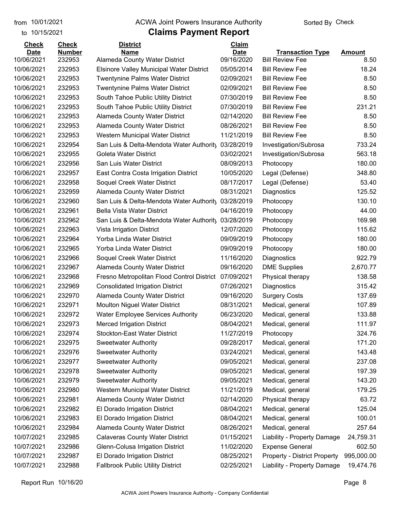#### from 10/01/2021 **Example 20 Travellet Authority** and 10/01/2021 Check

### to 10/15/2021

| <b>Check</b> | <b>Check</b>  | <b>District</b>                                 | <b>Claim</b> |                                     |               |
|--------------|---------------|-------------------------------------------------|--------------|-------------------------------------|---------------|
| <b>Date</b>  | <b>Number</b> | <b>Name</b>                                     | <b>Date</b>  | <b>Transaction Type</b>             | <b>Amount</b> |
| 10/06/2021   | 232953        | Alameda County Water District                   | 09/16/2020   | <b>Bill Review Fee</b>              | 8.50          |
| 10/06/2021   | 232953        | <b>Elsinore Valley Municipal Water District</b> | 05/05/2014   | <b>Bill Review Fee</b>              | 18.24         |
| 10/06/2021   | 232953        | <b>Twentynine Palms Water District</b>          | 02/09/2021   | <b>Bill Review Fee</b>              | 8.50          |
| 10/06/2021   | 232953        | <b>Twentynine Palms Water District</b>          | 02/09/2021   | <b>Bill Review Fee</b>              | 8.50          |
| 10/06/2021   | 232953        | South Tahoe Public Utility District             | 07/30/2019   | <b>Bill Review Fee</b>              | 8.50          |
| 10/06/2021   | 232953        | South Tahoe Public Utility District             | 07/30/2019   | <b>Bill Review Fee</b>              | 231.21        |
| 10/06/2021   | 232953        | Alameda County Water District                   | 02/14/2020   | <b>Bill Review Fee</b>              | 8.50          |
| 10/06/2021   | 232953        | Alameda County Water District                   | 08/26/2021   | <b>Bill Review Fee</b>              | 8.50          |
| 10/06/2021   | 232953        | Western Municipal Water District                | 11/21/2019   | <b>Bill Review Fee</b>              | 8.50          |
| 10/06/2021   | 232954        | San Luis & Delta-Mendota Water Authority        | 03/28/2019   | Investigation/Subrosa               | 733.24        |
| 10/06/2021   | 232955        | Goleta Water District                           | 03/02/2021   | Investigation/Subrosa               | 563.18        |
| 10/06/2021   | 232956        | San Luis Water District                         | 08/09/2013   | Photocopy                           | 180.00        |
| 10/06/2021   | 232957        | East Contra Costa Irrigation District           | 10/05/2020   | Legal (Defense)                     | 348.80        |
| 10/06/2021   | 232958        | Soquel Creek Water District                     | 08/17/2017   | Legal (Defense)                     | 53.40         |
| 10/06/2021   | 232959        | <b>Alameda County Water District</b>            | 08/31/2021   | Diagnostics                         | 125.52        |
| 10/06/2021   | 232960        | San Luis & Delta-Mendota Water Authority        | 03/28/2019   | Photocopy                           | 130.10        |
| 10/06/2021   | 232961        | <b>Bella Vista Water District</b>               | 04/16/2019   | Photocopy                           | 44.00         |
| 10/06/2021   | 232962        | San Luis & Delta-Mendota Water Authority        | 03/28/2019   | Photocopy                           | 169.98        |
| 10/06/2021   | 232963        | Vista Irrigation District                       | 12/07/2020   | Photocopy                           | 115.62        |
| 10/06/2021   | 232964        | Yorba Linda Water District                      | 09/09/2019   | Photocopy                           | 180.00        |
| 10/06/2021   | 232965        | Yorba Linda Water District                      | 09/09/2019   | Photocopy                           | 180.00        |
| 10/06/2021   | 232966        | Soquel Creek Water District                     | 11/16/2020   | Diagnostics                         | 922.79        |
| 10/06/2021   | 232967        | Alameda County Water District                   | 09/16/2020   | <b>DME Supplies</b>                 | 2,670.77      |
| 10/06/2021   | 232968        | Fresno Metropolitan Flood Control District      | 07/09/2021   | Physical therapy                    | 138.58        |
| 10/06/2021   | 232969        | <b>Consolidated Irrigation District</b>         | 07/26/2021   | Diagnostics                         | 315.42        |
| 10/06/2021   | 232970        | Alameda County Water District                   | 09/16/2020   | <b>Surgery Costs</b>                | 137.69        |
| 10/06/2021   | 232971        | Moulton Niguel Water District                   | 08/31/2021   | Medical, general                    | 107.89        |
| 10/06/2021   | 232972        | <b>Water Employee Services Authority</b>        | 06/23/2020   | Medical, general                    | 133.88        |
| 10/06/2021   | 232973        | <b>Merced Irrigation District</b>               | 08/04/2021   | Medical, general                    | 111.97        |
| 10/06/2021   | 232974        | Stockton-East Water District                    | 11/27/2019   | Photocopy                           | 324.76        |
| 10/06/2021   | 232975        | <b>Sweetwater Authority</b>                     | 09/28/2017   | Medical, general                    | 171.20        |
| 10/06/2021   | 232976        | <b>Sweetwater Authority</b>                     | 03/24/2021   | Medical, general                    | 143.48        |
| 10/06/2021   | 232977        | <b>Sweetwater Authority</b>                     | 09/05/2021   | Medical, general                    | 237.08        |
|              |               |                                                 |              |                                     | 197.39        |
| 10/06/2021   | 232978        | <b>Sweetwater Authority</b>                     | 09/05/2021   | Medical, general                    |               |
| 10/06/2021   | 232979        | <b>Sweetwater Authority</b>                     | 09/05/2021   | Medical, general                    | 143.20        |
| 10/06/2021   | 232980        | Western Municipal Water District                | 11/21/2019   | Medical, general                    | 179.25        |
| 10/06/2021   | 232981        | Alameda County Water District                   | 02/14/2020   | Physical therapy                    | 63.72         |
| 10/06/2021   | 232982        | El Dorado Irrigation District                   | 08/04/2021   | Medical, general                    | 125.04        |
| 10/06/2021   | 232983        | El Dorado Irrigation District                   | 08/04/2021   | Medical, general                    | 100.01        |
| 10/06/2021   | 232984        | Alameda County Water District                   | 08/26/2021   | Medical, general                    | 257.64        |
| 10/07/2021   | 232985        | <b>Calaveras County Water District</b>          | 01/15/2021   | Liability - Property Damage         | 24,759.31     |
| 10/07/2021   | 232986        | Glenn-Colusa Irrigation District                | 11/02/2020   | <b>Expense General</b>              | 602.50        |
| 10/07/2021   | 232987        | El Dorado Irrigation District                   | 08/25/2021   | <b>Property - District Property</b> | 995,000.00    |
| 10/07/2021   | 232988        | <b>Fallbrook Public Utility District</b>        | 02/25/2021   | Liability - Property Damage         | 19,474.76     |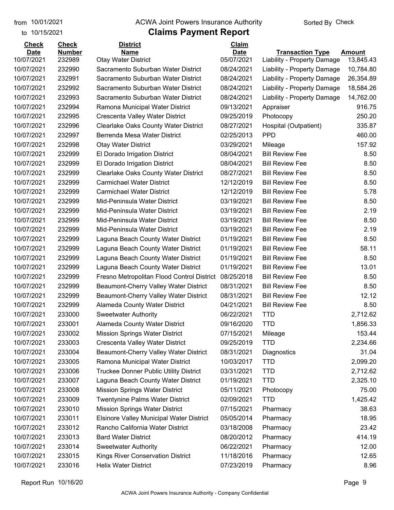to 10/15/2021

#### from 10/01/2021 **Example 20 Travellet Authority** and 10/01/2021 Check

| <b>Check</b> | <b>Check</b>  | <b>District</b>                                 | Claim       |                             |               |
|--------------|---------------|-------------------------------------------------|-------------|-----------------------------|---------------|
| <b>Date</b>  | <b>Number</b> | <b>Name</b>                                     | <b>Date</b> | <b>Transaction Type</b>     | <b>Amount</b> |
| 10/07/2021   | 232989        | <b>Otay Water District</b>                      | 05/07/2021  | Liability - Property Damage | 13,845.43     |
| 10/07/2021   | 232990        | Sacramento Suburban Water District              | 08/24/2021  | Liability - Property Damage | 10,784.80     |
| 10/07/2021   | 232991        | Sacramento Suburban Water District              | 08/24/2021  | Liability - Property Damage | 26,354.89     |
| 10/07/2021   | 232992        | Sacramento Suburban Water District              | 08/24/2021  | Liability - Property Damage | 18,584.26     |
| 10/07/2021   | 232993        | Sacramento Suburban Water District              | 08/24/2021  | Liability - Property Damage | 14,762.00     |
| 10/07/2021   | 232994        | Ramona Municipal Water District                 | 09/13/2021  | Appraiser                   | 916.75        |
| 10/07/2021   | 232995        | Crescenta Valley Water District                 | 09/25/2019  | Photocopy                   | 250.20        |
| 10/07/2021   | 232996        | <b>Clearlake Oaks County Water District</b>     | 08/27/2021  | Hospital (Outpatient)       | 335.87        |
| 10/07/2021   | 232997        | Berrenda Mesa Water District                    | 02/25/2013  | <b>PPD</b>                  | 460.00        |
| 10/07/2021   | 232998        | <b>Otay Water District</b>                      | 03/29/2021  | Mileage                     | 157.92        |
| 10/07/2021   | 232999        | El Dorado Irrigation District                   | 08/04/2021  | <b>Bill Review Fee</b>      | 8.50          |
| 10/07/2021   | 232999        | El Dorado Irrigation District                   | 08/04/2021  | <b>Bill Review Fee</b>      | 8.50          |
| 10/07/2021   | 232999        | Clearlake Oaks County Water District            | 08/27/2021  | <b>Bill Review Fee</b>      | 8.50          |
| 10/07/2021   | 232999        | <b>Carmichael Water District</b>                | 12/12/2019  | <b>Bill Review Fee</b>      | 8.50          |
| 10/07/2021   | 232999        | <b>Carmichael Water District</b>                | 12/12/2019  | <b>Bill Review Fee</b>      | 5.78          |
| 10/07/2021   | 232999        | Mid-Peninsula Water District                    | 03/19/2021  | <b>Bill Review Fee</b>      | 8.50          |
| 10/07/2021   | 232999        | Mid-Peninsula Water District                    | 03/19/2021  | <b>Bill Review Fee</b>      | 2.19          |
| 10/07/2021   | 232999        | Mid-Peninsula Water District                    | 03/19/2021  | <b>Bill Review Fee</b>      | 8.50          |
| 10/07/2021   | 232999        | Mid-Peninsula Water District                    | 03/19/2021  | <b>Bill Review Fee</b>      | 2.19          |
| 10/07/2021   | 232999        | Laguna Beach County Water District              | 01/19/2021  | <b>Bill Review Fee</b>      | 8.50          |
| 10/07/2021   | 232999        | Laguna Beach County Water District              | 01/19/2021  | <b>Bill Review Fee</b>      | 58.11         |
| 10/07/2021   | 232999        | Laguna Beach County Water District              | 01/19/2021  | <b>Bill Review Fee</b>      | 8.50          |
| 10/07/2021   | 232999        | Laguna Beach County Water District              | 01/19/2021  | <b>Bill Review Fee</b>      | 13.01         |
| 10/07/2021   | 232999        | Fresno Metropolitan Flood Control District      | 08/25/2018  | <b>Bill Review Fee</b>      | 8.50          |
| 10/07/2021   | 232999        | Beaumont-Cherry Valley Water District           | 08/31/2021  | <b>Bill Review Fee</b>      | 8.50          |
| 10/07/2021   | 232999        | Beaumont-Cherry Valley Water District           | 08/31/2021  | <b>Bill Review Fee</b>      | 12.12         |
| 10/07/2021   | 232999        | Alameda County Water District                   | 04/21/2021  | <b>Bill Review Fee</b>      | 8.50          |
| 10/07/2021   | 233000        | <b>Sweetwater Authority</b>                     | 06/22/2021  | <b>TTD</b>                  | 2,712.62      |
| 10/07/2021   | 233001        | Alameda County Water District                   | 09/16/2020  | <b>TTD</b>                  | 1,856.33      |
| 10/07/2021   | 233002        | <b>Mission Springs Water District</b>           | 07/15/2021  | Mileage                     | 153.44        |
| 10/07/2021   | 233003        | Crescenta Valley Water District                 | 09/25/2019  | <b>TTD</b>                  | 2,234.66      |
| 10/07/2021   | 233004        | Beaumont-Cherry Valley Water District           | 08/31/2021  | Diagnostics                 | 31.04         |
| 10/07/2021   | 233005        | Ramona Municipal Water District                 | 10/03/2017  | <b>TTD</b>                  | 2,099.20      |
| 10/07/2021   | 233006        | <b>Truckee Donner Public Utility District</b>   | 03/31/2021  | <b>TTD</b>                  | 2,712.62      |
| 10/07/2021   | 233007        | Laguna Beach County Water District              | 01/19/2021  | <b>TTD</b>                  | 2,325.10      |
| 10/07/2021   | 233008        | <b>Mission Springs Water District</b>           | 05/11/2021  | Photocopy                   | 75.00         |
| 10/07/2021   | 233009        | <b>Twentynine Palms Water District</b>          | 02/09/2021  | <b>TTD</b>                  | 1,425.42      |
| 10/07/2021   | 233010        | <b>Mission Springs Water District</b>           | 07/15/2021  |                             | 38.63         |
|              |               |                                                 |             | Pharmacy                    |               |
| 10/07/2021   | 233011        | <b>Elsinore Valley Municipal Water District</b> | 05/05/2014  | Pharmacy                    | 18.95         |
| 10/07/2021   | 233012        | Rancho California Water District                | 03/18/2008  | Pharmacy                    | 23.42         |
| 10/07/2021   | 233013        | <b>Bard Water District</b>                      | 08/20/2012  | Pharmacy                    | 414.19        |
| 10/07/2021   | 233014        | <b>Sweetwater Authority</b>                     | 06/22/2021  | Pharmacy                    | 12.00         |
| 10/07/2021   | 233015        | Kings River Conservation District               | 11/18/2016  | Pharmacy                    | 12.65         |
| 10/07/2021   | 233016        | <b>Helix Water District</b>                     | 07/23/2019  | Pharmacy                    | 8.96          |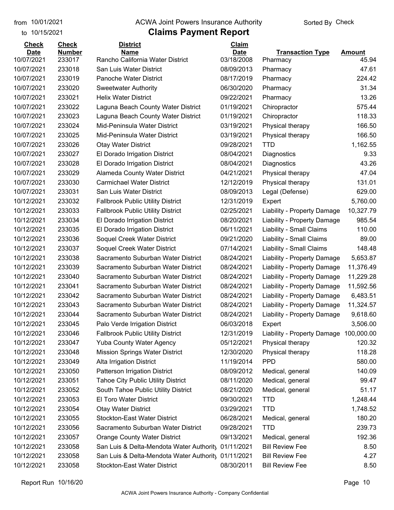to 10/15/2021

#### from 10/01/2021 **Example 20 Travellet Authority** and 10/01/2021 Check

| <b>Check</b> | <b>Check</b>  | <b>District</b>                           | Claim       |                                        |               |
|--------------|---------------|-------------------------------------------|-------------|----------------------------------------|---------------|
| <b>Date</b>  | <b>Number</b> | <b>Name</b>                               | <b>Date</b> | <b>Transaction Type</b>                | <b>Amount</b> |
| 10/07/2021   | 233017        | Rancho California Water District          | 03/18/2008  | Pharmacy                               | 45.94         |
| 10/07/2021   | 233018        | San Luis Water District                   | 08/09/2013  | Pharmacy                               | 47.61         |
| 10/07/2021   | 233019        | Panoche Water District                    | 08/17/2019  | Pharmacy                               | 224.42        |
| 10/07/2021   | 233020        | <b>Sweetwater Authority</b>               | 06/30/2020  | Pharmacy                               | 31.34         |
| 10/07/2021   | 233021        | <b>Helix Water District</b>               | 09/22/2021  | Pharmacy                               | 13.26         |
| 10/07/2021   | 233022        | Laguna Beach County Water District        | 01/19/2021  | Chiropractor                           | 575.44        |
| 10/07/2021   | 233023        | Laguna Beach County Water District        | 01/19/2021  | Chiropractor                           | 118.33        |
| 10/07/2021   | 233024        | Mid-Peninsula Water District              | 03/19/2021  | Physical therapy                       | 166.50        |
| 10/07/2021   | 233025        | Mid-Peninsula Water District              | 03/19/2021  | Physical therapy                       | 166.50        |
| 10/07/2021   | 233026        | <b>Otay Water District</b>                | 09/28/2021  | <b>TTD</b>                             | 1,162.55      |
| 10/07/2021   | 233027        | El Dorado Irrigation District             | 08/04/2021  | Diagnostics                            | 9.33          |
| 10/07/2021   | 233028        | El Dorado Irrigation District             | 08/04/2021  | Diagnostics                            | 43.26         |
| 10/07/2021   | 233029        | Alameda County Water District             | 04/21/2021  | Physical therapy                       | 47.04         |
| 10/07/2021   | 233030        | <b>Carmichael Water District</b>          | 12/12/2019  | Physical therapy                       | 131.01        |
| 10/07/2021   | 233031        | San Luis Water District                   | 08/09/2013  | Legal (Defense)                        | 629.00        |
| 10/12/2021   | 233032        | <b>Fallbrook Public Utility District</b>  | 12/31/2019  | Expert                                 | 5,760.00      |
| 10/12/2021   | 233033        | <b>Fallbrook Public Utility District</b>  | 02/25/2021  | Liability - Property Damage            | 10,327.79     |
| 10/12/2021   | 233034        | El Dorado Irrigation District             | 08/20/2021  | Liability - Property Damage            | 985.54        |
| 10/12/2021   | 233035        | El Dorado Irrigation District             | 06/11/2021  | Liability - Small Claims               | 110.00        |
| 10/12/2021   | 233036        | Soquel Creek Water District               | 09/21/2020  | Liability - Small Claims               | 89.00         |
| 10/12/2021   | 233037        | Soquel Creek Water District               | 07/14/2021  | Liability - Small Claims               | 148.48        |
| 10/12/2021   | 233038        | Sacramento Suburban Water District        | 08/24/2021  | Liability - Property Damage            | 5,653.87      |
| 10/12/2021   | 233039        | Sacramento Suburban Water District        | 08/24/2021  | Liability - Property Damage            | 11,376.49     |
| 10/12/2021   | 233040        | Sacramento Suburban Water District        | 08/24/2021  | Liability - Property Damage            | 11,229.28     |
| 10/12/2021   | 233041        | Sacramento Suburban Water District        | 08/24/2021  | Liability - Property Damage            | 11,592.56     |
| 10/12/2021   | 233042        | Sacramento Suburban Water District        | 08/24/2021  | Liability - Property Damage            | 6,483.51      |
| 10/12/2021   | 233043        | Sacramento Suburban Water District        | 08/24/2021  | Liability - Property Damage            | 11,324.57     |
| 10/12/2021   | 233044        | Sacramento Suburban Water District        | 08/24/2021  | Liability - Property Damage            | 9,618.60      |
| 10/12/2021   | 233045        | Palo Verde Irrigation District            | 06/03/2018  | Expert                                 | 3,506.00      |
| 10/12/2021   | 233046        | <b>Fallbrook Public Utility District</b>  | 12/31/2019  | Liability - Property Damage 100,000.00 |               |
| 10/12/2021   | 233047        | <b>Yuba County Water Agency</b>           | 05/12/2021  | Physical therapy                       | 120.32        |
| 10/12/2021   | 233048        | <b>Mission Springs Water District</b>     | 12/30/2020  | Physical therapy                       | 118.28        |
| 10/12/2021   | 233049        | Alta Irrigation District                  | 11/19/2014  | <b>PPD</b>                             | 580.00        |
| 10/12/2021   | 233050        | <b>Patterson Irrigation District</b>      | 08/09/2012  | Medical, general                       | 140.09        |
| 10/12/2021   | 233051        | <b>Tahoe City Public Utility District</b> | 08/11/2020  | Medical, general                       | 99.47         |
| 10/12/2021   | 233052        | South Tahoe Public Utility District       | 08/21/2020  | Medical, general                       | 51.17         |
| 10/12/2021   | 233053        | El Toro Water District                    | 09/30/2021  | <b>TTD</b>                             | 1,248.44      |
| 10/12/2021   | 233054        | <b>Otay Water District</b>                | 03/29/2021  | <b>TTD</b>                             | 1,748.52      |
| 10/12/2021   | 233055        | <b>Stockton-East Water District</b>       | 06/28/2021  | Medical, general                       | 180.20        |
| 10/12/2021   | 233056        | Sacramento Suburban Water District        | 09/28/2021  | <b>TTD</b>                             | 239.73        |
| 10/12/2021   | 233057        | <b>Orange County Water District</b>       | 09/13/2021  | Medical, general                       | 192.36        |
| 10/12/2021   | 233058        | San Luis & Delta-Mendota Water Authority  | 01/11/2021  | <b>Bill Review Fee</b>                 | 8.50          |
| 10/12/2021   | 233058        | San Luis & Delta-Mendota Water Authority  | 01/11/2021  | <b>Bill Review Fee</b>                 | 4.27          |
| 10/12/2021   | 233058        | Stockton-East Water District              | 08/30/2011  | <b>Bill Review Fee</b>                 | 8.50          |
|              |               |                                           |             |                                        |               |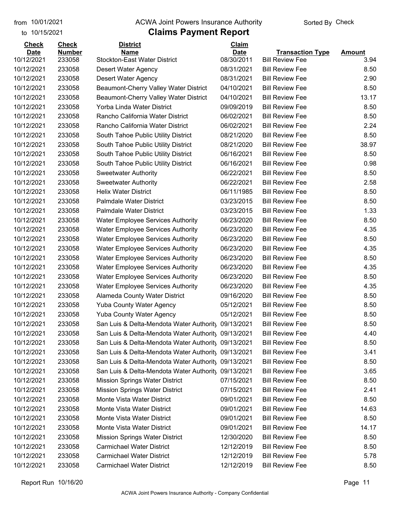to 10/15/2021

#### from 10/01/2021 **Example 20 Travellet Authority** and 10/01/2021 Check

| <b>Check</b> | <b>Check</b>  | <b>District</b>                                                     | Claim       |                         |               |
|--------------|---------------|---------------------------------------------------------------------|-------------|-------------------------|---------------|
| <b>Date</b>  | <b>Number</b> | Name                                                                | <b>Date</b> | <b>Transaction Type</b> | <b>Amount</b> |
| 10/12/2021   | 233058        | <b>Stockton-East Water District</b>                                 | 08/30/2011  | <b>Bill Review Fee</b>  | 3.94          |
| 10/12/2021   | 233058        | Desert Water Agency                                                 | 08/31/2021  | <b>Bill Review Fee</b>  | 8.50          |
| 10/12/2021   | 233058        | Desert Water Agency                                                 | 08/31/2021  | <b>Bill Review Fee</b>  | 2.90          |
| 10/12/2021   | 233058        | Beaumont-Cherry Valley Water District                               | 04/10/2021  | <b>Bill Review Fee</b>  | 8.50          |
| 10/12/2021   | 233058        | Beaumont-Cherry Valley Water District                               | 04/10/2021  | <b>Bill Review Fee</b>  | 13.17         |
| 10/12/2021   | 233058        | Yorba Linda Water District                                          | 09/09/2019  | <b>Bill Review Fee</b>  | 8.50          |
| 10/12/2021   | 233058        | Rancho California Water District                                    | 06/02/2021  | <b>Bill Review Fee</b>  | 8.50          |
| 10/12/2021   | 233058        | Rancho California Water District                                    | 06/02/2021  | <b>Bill Review Fee</b>  | 2.24          |
| 10/12/2021   | 233058        | South Tahoe Public Utility District                                 | 08/21/2020  | <b>Bill Review Fee</b>  | 8.50          |
| 10/12/2021   | 233058        | South Tahoe Public Utility District                                 | 08/21/2020  | <b>Bill Review Fee</b>  | 38.97         |
| 10/12/2021   | 233058        | South Tahoe Public Utility District                                 | 06/16/2021  | <b>Bill Review Fee</b>  | 8.50          |
| 10/12/2021   | 233058        | South Tahoe Public Utility District                                 | 06/16/2021  | <b>Bill Review Fee</b>  | 0.98          |
| 10/12/2021   | 233058        | <b>Sweetwater Authority</b>                                         | 06/22/2021  | <b>Bill Review Fee</b>  | 8.50          |
| 10/12/2021   | 233058        | <b>Sweetwater Authority</b>                                         | 06/22/2021  | <b>Bill Review Fee</b>  | 2.58          |
| 10/12/2021   | 233058        | <b>Helix Water District</b>                                         | 06/11/1985  | <b>Bill Review Fee</b>  | 8.50          |
| 10/12/2021   | 233058        | <b>Palmdale Water District</b>                                      | 03/23/2015  | <b>Bill Review Fee</b>  | 8.50          |
| 10/12/2021   | 233058        | <b>Palmdale Water District</b>                                      | 03/23/2015  | <b>Bill Review Fee</b>  | 1.33          |
| 10/12/2021   | 233058        | <b>Water Employee Services Authority</b>                            | 06/23/2020  | <b>Bill Review Fee</b>  | 8.50          |
| 10/12/2021   | 233058        | <b>Water Employee Services Authority</b>                            | 06/23/2020  | <b>Bill Review Fee</b>  | 4.35          |
| 10/12/2021   | 233058        | <b>Water Employee Services Authority</b>                            | 06/23/2020  | <b>Bill Review Fee</b>  | 8.50          |
| 10/12/2021   | 233058        | <b>Water Employee Services Authority</b>                            | 06/23/2020  | <b>Bill Review Fee</b>  | 4.35          |
| 10/12/2021   | 233058        | <b>Water Employee Services Authority</b>                            | 06/23/2020  | <b>Bill Review Fee</b>  | 8.50          |
| 10/12/2021   | 233058        | <b>Water Employee Services Authority</b>                            | 06/23/2020  | <b>Bill Review Fee</b>  | 4.35          |
| 10/12/2021   | 233058        | <b>Water Employee Services Authority</b>                            | 06/23/2020  | <b>Bill Review Fee</b>  | 8.50          |
| 10/12/2021   | 233058        | <b>Water Employee Services Authority</b>                            | 06/23/2020  | <b>Bill Review Fee</b>  | 4.35          |
| 10/12/2021   | 233058        | Alameda County Water District                                       | 09/16/2020  | <b>Bill Review Fee</b>  | 8.50          |
| 10/12/2021   | 233058        | <b>Yuba County Water Agency</b>                                     | 05/12/2021  | <b>Bill Review Fee</b>  | 8.50          |
| 10/12/2021   | 233058        | <b>Yuba County Water Agency</b>                                     | 05/12/2021  | <b>Bill Review Fee</b>  | 8.50          |
| 10/12/2021   | 233058        | San Luis & Delta-Mendota Water Authority                            | 09/13/2021  | <b>Bill Review Fee</b>  | 8.50          |
| 10/12/2021   | 233058        | San Luis & Delta-Mendota Water Authority 09/13/2021                 |             | <b>Bill Review Fee</b>  | 4.40          |
| 10/12/2021   | 233058        | San Luis & Delta-Mendota Water Authority 09/13/2021                 |             | <b>Bill Review Fee</b>  | 8.50          |
| 10/12/2021   | 233058        | San Luis & Delta-Mendota Water Authority                            | 09/13/2021  | <b>Bill Review Fee</b>  | 3.41          |
| 10/12/2021   | 233058        | San Luis & Delta-Mendota Water Authority                            | 09/13/2021  | <b>Bill Review Fee</b>  | 8.50          |
| 10/12/2021   | 233058        | San Luis & Delta-Mendota Water Authority                            | 09/13/2021  | <b>Bill Review Fee</b>  | 3.65          |
| 10/12/2021   | 233058        | <b>Mission Springs Water District</b>                               | 07/15/2021  | <b>Bill Review Fee</b>  | 8.50          |
| 10/12/2021   | 233058        |                                                                     | 07/15/2021  | <b>Bill Review Fee</b>  | 2.41          |
| 10/12/2021   |               | <b>Mission Springs Water District</b><br>Monte Vista Water District |             |                         |               |
|              | 233058        |                                                                     | 09/01/2021  | <b>Bill Review Fee</b>  | 8.50          |
| 10/12/2021   | 233058        | Monte Vista Water District                                          | 09/01/2021  | <b>Bill Review Fee</b>  | 14.63         |
| 10/12/2021   | 233058        | Monte Vista Water District                                          | 09/01/2021  | <b>Bill Review Fee</b>  | 8.50          |
| 10/12/2021   | 233058        | Monte Vista Water District                                          | 09/01/2021  | <b>Bill Review Fee</b>  | 14.17         |
| 10/12/2021   | 233058        | <b>Mission Springs Water District</b>                               | 12/30/2020  | <b>Bill Review Fee</b>  | 8.50          |
| 10/12/2021   | 233058        | <b>Carmichael Water District</b>                                    | 12/12/2019  | <b>Bill Review Fee</b>  | 8.50          |
| 10/12/2021   | 233058        | <b>Carmichael Water District</b>                                    | 12/12/2019  | <b>Bill Review Fee</b>  | 5.78          |
| 10/12/2021   | 233058        | <b>Carmichael Water District</b>                                    | 12/12/2019  | <b>Bill Review Fee</b>  | 8.50          |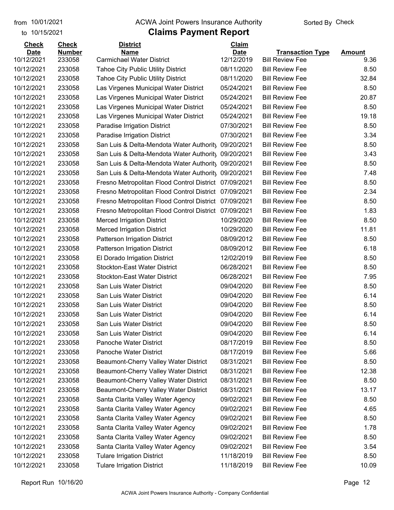to 10/15/2021

#### from 10/01/2021 **Example 20 Travellet Authority** and 10/01/2021 Check

| <b>Check</b>              | <b>Check</b>            | <b>District</b>                                       | Claim                     |                                                   |                |
|---------------------------|-------------------------|-------------------------------------------------------|---------------------------|---------------------------------------------------|----------------|
| <b>Date</b><br>10/12/2021 | <b>Number</b><br>233058 | <b>Name</b><br><b>Carmichael Water District</b>       | <b>Date</b><br>12/12/2019 | <b>Transaction Type</b><br><b>Bill Review Fee</b> | Amount<br>9.36 |
| 10/12/2021                | 233058                  | <b>Tahoe City Public Utility District</b>             | 08/11/2020                | <b>Bill Review Fee</b>                            | 8.50           |
| 10/12/2021                | 233058                  | <b>Tahoe City Public Utility District</b>             | 08/11/2020                | <b>Bill Review Fee</b>                            | 32.84          |
| 10/12/2021                | 233058                  | Las Virgenes Municipal Water District                 | 05/24/2021                | <b>Bill Review Fee</b>                            | 8.50           |
| 10/12/2021                | 233058                  | Las Virgenes Municipal Water District                 | 05/24/2021                | <b>Bill Review Fee</b>                            | 20.87          |
| 10/12/2021                | 233058                  | Las Virgenes Municipal Water District                 | 05/24/2021                | <b>Bill Review Fee</b>                            | 8.50           |
| 10/12/2021                | 233058                  | Las Virgenes Municipal Water District                 | 05/24/2021                | <b>Bill Review Fee</b>                            | 19.18          |
| 10/12/2021                | 233058                  | Paradise Irrigation District                          | 07/30/2021                | <b>Bill Review Fee</b>                            | 8.50           |
| 10/12/2021                | 233058                  | Paradise Irrigation District                          | 07/30/2021                | <b>Bill Review Fee</b>                            | 3.34           |
| 10/12/2021                | 233058                  | San Luis & Delta-Mendota Water Authority              | 09/20/2021                | <b>Bill Review Fee</b>                            | 8.50           |
| 10/12/2021                | 233058                  | San Luis & Delta-Mendota Water Authority              | 09/20/2021                | <b>Bill Review Fee</b>                            | 3.43           |
| 10/12/2021                | 233058                  | San Luis & Delta-Mendota Water Authority              | 09/20/2021                | <b>Bill Review Fee</b>                            | 8.50           |
| 10/12/2021                | 233058                  | San Luis & Delta-Mendota Water Authority 09/20/2021   |                           | <b>Bill Review Fee</b>                            | 7.48           |
| 10/12/2021                | 233058                  | Fresno Metropolitan Flood Control District 07/09/2021 |                           | <b>Bill Review Fee</b>                            | 8.50           |
| 10/12/2021                | 233058                  | Fresno Metropolitan Flood Control District            | 07/09/2021                | <b>Bill Review Fee</b>                            | 2.34           |
| 10/12/2021                | 233058                  | Fresno Metropolitan Flood Control District            | 07/09/2021                | <b>Bill Review Fee</b>                            | 8.50           |
| 10/12/2021                | 233058                  | Fresno Metropolitan Flood Control District            | 07/09/2021                | <b>Bill Review Fee</b>                            | 1.83           |
| 10/12/2021                | 233058                  | <b>Merced Irrigation District</b>                     | 10/29/2020                | <b>Bill Review Fee</b>                            | 8.50           |
| 10/12/2021                | 233058                  | <b>Merced Irrigation District</b>                     | 10/29/2020                | <b>Bill Review Fee</b>                            | 11.81          |
| 10/12/2021                | 233058                  | <b>Patterson Irrigation District</b>                  | 08/09/2012                | <b>Bill Review Fee</b>                            | 8.50           |
| 10/12/2021                | 233058                  | <b>Patterson Irrigation District</b>                  | 08/09/2012                | <b>Bill Review Fee</b>                            | 6.18           |
| 10/12/2021                | 233058                  | El Dorado Irrigation District                         | 12/02/2019                | <b>Bill Review Fee</b>                            | 8.50           |
| 10/12/2021                | 233058                  | <b>Stockton-East Water District</b>                   | 06/28/2021                | <b>Bill Review Fee</b>                            | 8.50           |
| 10/12/2021                | 233058                  | <b>Stockton-East Water District</b>                   | 06/28/2021                | <b>Bill Review Fee</b>                            | 7.95           |
| 10/12/2021                | 233058                  | San Luis Water District                               | 09/04/2020                | <b>Bill Review Fee</b>                            | 8.50           |
| 10/12/2021                | 233058                  | San Luis Water District                               | 09/04/2020                | <b>Bill Review Fee</b>                            | 6.14           |
| 10/12/2021                | 233058                  | San Luis Water District                               | 09/04/2020                | <b>Bill Review Fee</b>                            | 8.50           |
| 10/12/2021                | 233058                  | San Luis Water District                               | 09/04/2020                | <b>Bill Review Fee</b>                            | 6.14           |
| 10/12/2021                | 233058                  | San Luis Water District                               | 09/04/2020                | <b>Bill Review Fee</b>                            | 8.50           |
| 10/12/2021                | 233058                  | San Luis Water District                               | 09/04/2020                | <b>Bill Review Fee</b>                            | 6.14           |
| 10/12/2021                | 233058                  | Panoche Water District                                | 08/17/2019                | <b>Bill Review Fee</b>                            | 8.50           |
| 10/12/2021                | 233058                  | Panoche Water District                                | 08/17/2019                | <b>Bill Review Fee</b>                            | 5.66           |
| 10/12/2021                | 233058                  | Beaumont-Cherry Valley Water District                 | 08/31/2021                | <b>Bill Review Fee</b>                            | 8.50           |
| 10/12/2021                | 233058                  | Beaumont-Cherry Valley Water District                 | 08/31/2021                | <b>Bill Review Fee</b>                            | 12.38          |
| 10/12/2021                | 233058                  | Beaumont-Cherry Valley Water District                 | 08/31/2021                | <b>Bill Review Fee</b>                            | 8.50           |
| 10/12/2021                | 233058                  | Beaumont-Cherry Valley Water District                 | 08/31/2021                | <b>Bill Review Fee</b>                            | 13.17          |
| 10/12/2021                | 233058                  | Santa Clarita Valley Water Agency                     | 09/02/2021                | <b>Bill Review Fee</b>                            | 8.50           |
| 10/12/2021                | 233058                  | Santa Clarita Valley Water Agency                     | 09/02/2021                | <b>Bill Review Fee</b>                            | 4.65           |
| 10/12/2021                | 233058                  | Santa Clarita Valley Water Agency                     | 09/02/2021                | <b>Bill Review Fee</b>                            | 8.50           |
| 10/12/2021                | 233058                  | Santa Clarita Valley Water Agency                     | 09/02/2021                | <b>Bill Review Fee</b>                            | 1.78           |
| 10/12/2021                | 233058                  | Santa Clarita Valley Water Agency                     | 09/02/2021                | <b>Bill Review Fee</b>                            | 8.50           |
| 10/12/2021                | 233058                  | Santa Clarita Valley Water Agency                     | 09/02/2021                | <b>Bill Review Fee</b>                            | 3.54           |
| 10/12/2021                | 233058                  | <b>Tulare Irrigation District</b>                     | 11/18/2019                | <b>Bill Review Fee</b>                            | 8.50           |
| 10/12/2021                | 233058                  | <b>Tulare Irrigation District</b>                     | 11/18/2019                | <b>Bill Review Fee</b>                            | 10.09          |
|                           |                         |                                                       |                           |                                                   |                |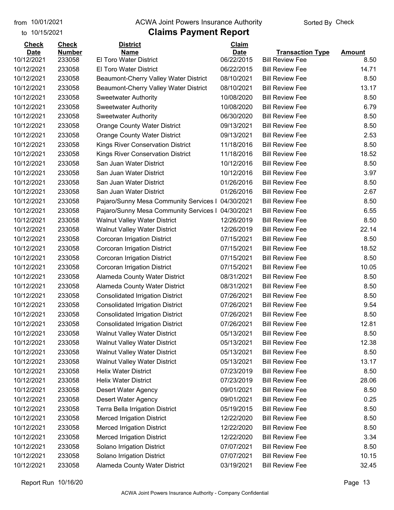to 10/15/2021

#### from 10/01/2021 **Example 20 Travellet Authority** and 10/01/2021 Check

| <b>Check</b> | <b>Check</b>  | <b>District</b>                          | Claim       |                         |               |
|--------------|---------------|------------------------------------------|-------------|-------------------------|---------------|
| <b>Date</b>  | <b>Number</b> | Name                                     | <b>Date</b> | <b>Transaction Type</b> | <b>Amount</b> |
| 10/12/2021   | 233058        | <b>El Toro Water District</b>            | 06/22/2015  | <b>Bill Review Fee</b>  | 8.50          |
| 10/12/2021   | 233058        | <b>El Toro Water District</b>            | 06/22/2015  | <b>Bill Review Fee</b>  | 14.71         |
| 10/12/2021   | 233058        | Beaumont-Cherry Valley Water District    | 08/10/2021  | <b>Bill Review Fee</b>  | 8.50          |
| 10/12/2021   | 233058        | Beaumont-Cherry Valley Water District    | 08/10/2021  | <b>Bill Review Fee</b>  | 13.17         |
| 10/12/2021   | 233058        | <b>Sweetwater Authority</b>              | 10/08/2020  | <b>Bill Review Fee</b>  | 8.50          |
| 10/12/2021   | 233058        | <b>Sweetwater Authority</b>              | 10/08/2020  | <b>Bill Review Fee</b>  | 6.79          |
| 10/12/2021   | 233058        | <b>Sweetwater Authority</b>              | 06/30/2020  | <b>Bill Review Fee</b>  | 8.50          |
| 10/12/2021   | 233058        | <b>Orange County Water District</b>      | 09/13/2021  | <b>Bill Review Fee</b>  | 8.50          |
| 10/12/2021   | 233058        | <b>Orange County Water District</b>      | 09/13/2021  | <b>Bill Review Fee</b>  | 2.53          |
| 10/12/2021   | 233058        | <b>Kings River Conservation District</b> | 11/18/2016  | <b>Bill Review Fee</b>  | 8.50          |
| 10/12/2021   | 233058        | Kings River Conservation District        | 11/18/2016  | <b>Bill Review Fee</b>  | 18.52         |
| 10/12/2021   | 233058        | San Juan Water District                  | 10/12/2016  | <b>Bill Review Fee</b>  | 8.50          |
| 10/12/2021   | 233058        | San Juan Water District                  | 10/12/2016  | <b>Bill Review Fee</b>  | 3.97          |
| 10/12/2021   | 233058        | San Juan Water District                  | 01/26/2016  | <b>Bill Review Fee</b>  | 8.50          |
| 10/12/2021   | 233058        | San Juan Water District                  | 01/26/2016  | <b>Bill Review Fee</b>  | 2.67          |
| 10/12/2021   | 233058        | Pajaro/Sunny Mesa Community Services I   | 04/30/2021  | <b>Bill Review Fee</b>  | 8.50          |
| 10/12/2021   | 233058        | Pajaro/Sunny Mesa Community Services I   | 04/30/2021  | <b>Bill Review Fee</b>  | 6.55          |
| 10/12/2021   | 233058        | <b>Walnut Valley Water District</b>      | 12/26/2019  | <b>Bill Review Fee</b>  | 8.50          |
| 10/12/2021   | 233058        | <b>Walnut Valley Water District</b>      | 12/26/2019  | <b>Bill Review Fee</b>  | 22.14         |
| 10/12/2021   | 233058        | Corcoran Irrigation District             | 07/15/2021  | <b>Bill Review Fee</b>  | 8.50          |
| 10/12/2021   | 233058        | Corcoran Irrigation District             | 07/15/2021  | <b>Bill Review Fee</b>  | 18.52         |
| 10/12/2021   | 233058        | Corcoran Irrigation District             | 07/15/2021  | <b>Bill Review Fee</b>  | 8.50          |
| 10/12/2021   | 233058        | Corcoran Irrigation District             | 07/15/2021  | <b>Bill Review Fee</b>  | 10.05         |
| 10/12/2021   | 233058        | Alameda County Water District            | 08/31/2021  | <b>Bill Review Fee</b>  | 8.50          |
| 10/12/2021   | 233058        | Alameda County Water District            | 08/31/2021  | <b>Bill Review Fee</b>  | 8.50          |
| 10/12/2021   | 233058        | <b>Consolidated Irrigation District</b>  | 07/26/2021  | <b>Bill Review Fee</b>  | 8.50          |
| 10/12/2021   | 233058        | <b>Consolidated Irrigation District</b>  | 07/26/2021  | <b>Bill Review Fee</b>  | 9.54          |
| 10/12/2021   | 233058        | <b>Consolidated Irrigation District</b>  | 07/26/2021  | <b>Bill Review Fee</b>  | 8.50          |
| 10/12/2021   | 233058        | <b>Consolidated Irrigation District</b>  | 07/26/2021  | <b>Bill Review Fee</b>  | 12.81         |
| 10/12/2021   | 233058        | <b>Walnut Valley Water District</b>      | 05/13/2021  | <b>Bill Review Fee</b>  | 8.50          |
| 10/12/2021   | 233058        | <b>Walnut Valley Water District</b>      | 05/13/2021  | <b>Bill Review Fee</b>  | 12.38         |
| 10/12/2021   | 233058        | <b>Walnut Valley Water District</b>      | 05/13/2021  | <b>Bill Review Fee</b>  | 8.50          |
| 10/12/2021   | 233058        | <b>Walnut Valley Water District</b>      | 05/13/2021  | <b>Bill Review Fee</b>  | 13.17         |
| 10/12/2021   | 233058        | <b>Helix Water District</b>              | 07/23/2019  | <b>Bill Review Fee</b>  | 8.50          |
| 10/12/2021   | 233058        | <b>Helix Water District</b>              | 07/23/2019  | <b>Bill Review Fee</b>  | 28.06         |
| 10/12/2021   | 233058        | Desert Water Agency                      | 09/01/2021  | <b>Bill Review Fee</b>  | 8.50          |
| 10/12/2021   | 233058        | <b>Desert Water Agency</b>               | 09/01/2021  | <b>Bill Review Fee</b>  | 0.25          |
| 10/12/2021   | 233058        | Terra Bella Irrigation District          | 05/19/2015  | <b>Bill Review Fee</b>  | 8.50          |
| 10/12/2021   | 233058        | <b>Merced Irrigation District</b>        | 12/22/2020  | <b>Bill Review Fee</b>  | 8.50          |
| 10/12/2021   | 233058        | <b>Merced Irrigation District</b>        | 12/22/2020  | <b>Bill Review Fee</b>  | 8.50          |
| 10/12/2021   | 233058        | <b>Merced Irrigation District</b>        | 12/22/2020  | <b>Bill Review Fee</b>  | 3.34          |
| 10/12/2021   | 233058        | Solano Irrigation District               | 07/07/2021  | <b>Bill Review Fee</b>  | 8.50          |
| 10/12/2021   | 233058        | Solano Irrigation District               | 07/07/2021  | <b>Bill Review Fee</b>  | 10.15         |
| 10/12/2021   | 233058        | Alameda County Water District            | 03/19/2021  | <b>Bill Review Fee</b>  | 32.45         |
|              |               |                                          |             |                         |               |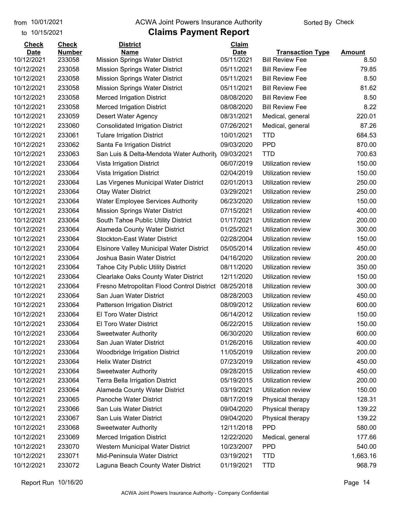#### from 10/01/2021 **Example 20 Travellet Authority** and 10/01/2021 Check

#### to 10/15/2021

| <b>Check</b> | <b>Check</b>  | <b>District</b>                                 | Claim       |                           |               |
|--------------|---------------|-------------------------------------------------|-------------|---------------------------|---------------|
| <b>Date</b>  | <b>Number</b> | <b>Name</b>                                     | <b>Date</b> | <b>Transaction Type</b>   | <b>Amount</b> |
| 10/12/2021   | 233058        | <b>Mission Springs Water District</b>           | 05/11/2021  | <b>Bill Review Fee</b>    | 8.50          |
| 10/12/2021   | 233058        | <b>Mission Springs Water District</b>           | 05/11/2021  | <b>Bill Review Fee</b>    | 79.85         |
| 10/12/2021   | 233058        | <b>Mission Springs Water District</b>           | 05/11/2021  | <b>Bill Review Fee</b>    | 8.50          |
| 10/12/2021   | 233058        | <b>Mission Springs Water District</b>           | 05/11/2021  | <b>Bill Review Fee</b>    | 81.62         |
| 10/12/2021   | 233058        | <b>Merced Irrigation District</b>               | 08/08/2020  | <b>Bill Review Fee</b>    | 8.50          |
| 10/12/2021   | 233058        | <b>Merced Irrigation District</b>               | 08/08/2020  | <b>Bill Review Fee</b>    | 8.22          |
| 10/12/2021   | 233059        | <b>Desert Water Agency</b>                      | 08/31/2021  | Medical, general          | 220.01        |
| 10/12/2021   | 233060        | <b>Consolidated Irrigation District</b>         | 07/26/2021  | Medical, general          | 87.26         |
| 10/12/2021   | 233061        | <b>Tulare Irrigation District</b>               | 10/01/2021  | <b>TTD</b>                | 684.53        |
| 10/12/2021   | 233062        | Santa Fe Irrigation District                    | 09/03/2020  | <b>PPD</b>                | 870.00        |
| 10/12/2021   | 233063        | San Luis & Delta-Mendota Water Authority        | 09/03/2021  | <b>TTD</b>                | 700.63        |
| 10/12/2021   | 233064        | Vista Irrigation District                       | 06/07/2019  | Utilization review        | 150.00        |
| 10/12/2021   | 233064        | Vista Irrigation District                       | 02/04/2019  | <b>Utilization review</b> | 150.00        |
| 10/12/2021   | 233064        | Las Virgenes Municipal Water District           | 02/01/2013  | <b>Utilization review</b> | 250.00        |
| 10/12/2021   | 233064        | <b>Otay Water District</b>                      | 03/29/2021  | Utilization review        | 250.00        |
| 10/12/2021   | 233064        | <b>Water Employee Services Authority</b>        | 06/23/2020  | Utilization review        | 150.00        |
| 10/12/2021   | 233064        | <b>Mission Springs Water District</b>           | 07/15/2021  | Utilization review        | 400.00        |
| 10/12/2021   | 233064        | South Tahoe Public Utility District             | 01/17/2021  | <b>Utilization review</b> | 200.00        |
| 10/12/2021   | 233064        | <b>Alameda County Water District</b>            | 01/25/2021  | Utilization review        | 300.00        |
| 10/12/2021   | 233064        | <b>Stockton-East Water District</b>             | 02/28/2004  | Utilization review        | 150.00        |
| 10/12/2021   | 233064        | <b>Elsinore Valley Municipal Water District</b> | 05/05/2014  | <b>Utilization review</b> | 450.00        |
| 10/12/2021   | 233064        | Joshua Basin Water District                     | 04/16/2020  | Utilization review        | 200.00        |
| 10/12/2021   | 233064        | <b>Tahoe City Public Utility District</b>       | 08/11/2020  | <b>Utilization review</b> | 350.00        |
| 10/12/2021   | 233064        | <b>Clearlake Oaks County Water District</b>     | 12/11/2020  | Utilization review        | 150.00        |
| 10/12/2021   | 233064        | Fresno Metropolitan Flood Control District      | 08/25/2018  | Utilization review        | 300.00        |
| 10/12/2021   | 233064        | San Juan Water District                         | 08/28/2003  | Utilization review        | 450.00        |
| 10/12/2021   | 233064        | <b>Patterson Irrigation District</b>            | 08/09/2012  | <b>Utilization review</b> | 600.00        |
| 10/12/2021   | 233064        | <b>El Toro Water District</b>                   | 06/14/2012  | Utilization review        | 150.00        |
| 10/12/2021   | 233064        | <b>El Toro Water District</b>                   | 06/22/2015  | Utilization review        | 150.00        |
| 10/12/2021   | 233064        | <b>Sweetwater Authority</b>                     | 06/30/2020  | <b>Utilization review</b> | 600.00        |
| 10/12/2021   | 233064        | San Juan Water District                         | 01/26/2016  | Utilization review        | 400.00        |
| 10/12/2021   | 233064        | <b>Woodbridge Irrigation District</b>           | 11/05/2019  | Utilization review        | 200.00        |
| 10/12/2021   | 233064        | <b>Helix Water District</b>                     | 07/23/2019  | Utilization review        | 450.00        |
| 10/12/2021   | 233064        | <b>Sweetwater Authority</b>                     | 09/28/2015  | Utilization review        | 450.00        |
| 10/12/2021   | 233064        | Terra Bella Irrigation District                 | 05/19/2015  | Utilization review        | 200.00        |
| 10/12/2021   | 233064        | Alameda County Water District                   | 03/19/2021  | Utilization review        | 150.00        |
| 10/12/2021   | 233065        | Panoche Water District                          | 08/17/2019  | Physical therapy          | 128.31        |
| 10/12/2021   | 233066        | San Luis Water District                         | 09/04/2020  | Physical therapy          | 139.22        |
| 10/12/2021   | 233067        | San Luis Water District                         | 09/04/2020  | Physical therapy          | 139.22        |
| 10/12/2021   | 233068        | <b>Sweetwater Authority</b>                     | 12/11/2018  | <b>PPD</b>                | 580.00        |
| 10/12/2021   | 233069        | <b>Merced Irrigation District</b>               | 12/22/2020  | Medical, general          | 177.66        |
| 10/12/2021   | 233070        | Western Municipal Water District                | 10/23/2007  | <b>PPD</b>                | 540.00        |
| 10/12/2021   | 233071        | Mid-Peninsula Water District                    | 03/19/2021  | <b>TTD</b>                | 1,663.16      |
| 10/12/2021   | 233072        | Laguna Beach County Water District              | 01/19/2021  | <b>TTD</b>                | 968.79        |
|              |               |                                                 |             |                           |               |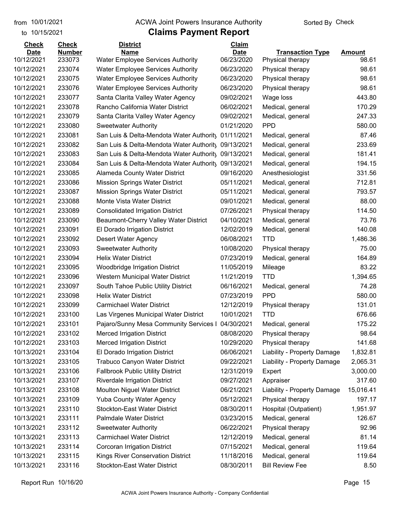#### from 10/01/2021 **Example 20 Travellet Authority** and 10/01/2021 Check

#### to 10/15/2021

| <b>Check</b> | <b>Check</b>  | <b>District</b>                                     | Claim       |                             |           |
|--------------|---------------|-----------------------------------------------------|-------------|-----------------------------|-----------|
| <b>Date</b>  | <b>Number</b> | <b>Name</b>                                         | <b>Date</b> | <b>Transaction Type</b>     | Amount    |
| 10/12/2021   | 233073        | <b>Water Employee Services Authority</b>            | 06/23/2020  | Physical therapy            | 98.61     |
| 10/12/2021   | 233074        | <b>Water Employee Services Authority</b>            | 06/23/2020  | Physical therapy            | 98.61     |
| 10/12/2021   | 233075        | <b>Water Employee Services Authority</b>            | 06/23/2020  | Physical therapy            | 98.61     |
| 10/12/2021   | 233076        | <b>Water Employee Services Authority</b>            | 06/23/2020  | Physical therapy            | 98.61     |
| 10/12/2021   | 233077        | Santa Clarita Valley Water Agency                   | 09/02/2021  | Wage loss                   | 443.80    |
| 10/12/2021   | 233078        | Rancho California Water District                    | 06/02/2021  | Medical, general            | 170.29    |
| 10/12/2021   | 233079        | Santa Clarita Valley Water Agency                   | 09/02/2021  | Medical, general            | 247.33    |
| 10/12/2021   | 233080        | <b>Sweetwater Authority</b>                         | 01/21/2020  | <b>PPD</b>                  | 580.00    |
| 10/12/2021   | 233081        | San Luis & Delta-Mendota Water Authority            | 01/11/2021  | Medical, general            | 87.46     |
| 10/12/2021   | 233082        | San Luis & Delta-Mendota Water Authority            | 09/13/2021  | Medical, general            | 233.69    |
| 10/12/2021   | 233083        | San Luis & Delta-Mendota Water Authority 09/13/2021 |             | Medical, general            | 181.41    |
| 10/12/2021   | 233084        | San Luis & Delta-Mendota Water Authority            | 09/13/2021  | Medical, general            | 194.15    |
| 10/12/2021   | 233085        | Alameda County Water District                       | 09/16/2020  | Anesthesiologist            | 331.56    |
| 10/12/2021   | 233086        | <b>Mission Springs Water District</b>               | 05/11/2021  | Medical, general            | 712.81    |
| 10/12/2021   | 233087        | <b>Mission Springs Water District</b>               | 05/11/2021  | Medical, general            | 793.57    |
| 10/12/2021   | 233088        | Monte Vista Water District                          | 09/01/2021  | Medical, general            | 88.00     |
| 10/12/2021   | 233089        | <b>Consolidated Irrigation District</b>             | 07/26/2021  | Physical therapy            | 114.50    |
| 10/12/2021   | 233090        | Beaumont-Cherry Valley Water District               | 04/10/2021  | Medical, general            | 73.76     |
| 10/12/2021   | 233091        | El Dorado Irrigation District                       | 12/02/2019  | Medical, general            | 140.08    |
| 10/12/2021   | 233092        | Desert Water Agency                                 | 06/08/2021  | <b>TTD</b>                  | 1,486.36  |
| 10/12/2021   | 233093        | <b>Sweetwater Authority</b>                         | 10/08/2020  | Physical therapy            | 75.00     |
| 10/12/2021   | 233094        | <b>Helix Water District</b>                         | 07/23/2019  | Medical, general            | 164.89    |
| 10/12/2021   | 233095        | <b>Woodbridge Irrigation District</b>               | 11/05/2019  | Mileage                     | 83.22     |
| 10/12/2021   | 233096        | Western Municipal Water District                    | 11/21/2019  | <b>TTD</b>                  | 1,394.65  |
| 10/12/2021   | 233097        | South Tahoe Public Utility District                 | 06/16/2021  | Medical, general            | 74.28     |
| 10/12/2021   | 233098        | <b>Helix Water District</b>                         | 07/23/2019  | <b>PPD</b>                  | 580.00    |
| 10/12/2021   | 233099        | <b>Carmichael Water District</b>                    | 12/12/2019  | Physical therapy            | 131.01    |
| 10/12/2021   | 233100        | Las Virgenes Municipal Water District               | 10/01/2021  | <b>TTD</b>                  | 676.66    |
| 10/12/2021   | 233101        | Pajaro/Sunny Mesa Community Services I              | 04/30/2021  | Medical, general            | 175.22    |
| 10/12/2021   | 233102        | <b>Merced Irrigation District</b>                   | 08/08/2020  | Physical therapy            | 98.64     |
| 10/12/2021   | 233103        | <b>Merced Irrigation District</b>                   | 10/29/2020  | Physical therapy            | 141.68    |
| 10/13/2021   | 233104        | El Dorado Irrigation District                       | 06/06/2021  | Liability - Property Damage | 1,832.81  |
| 10/13/2021   | 233105        | <b>Trabuco Canyon Water District</b>                | 09/22/2021  | Liability - Property Damage | 2,065.31  |
| 10/13/2021   | 233106        | <b>Fallbrook Public Utility District</b>            | 12/31/2019  | Expert                      | 3,000.00  |
| 10/13/2021   | 233107        | <b>Riverdale Irrigation District</b>                | 09/27/2021  | Appraiser                   | 317.60    |
| 10/13/2021   | 233108        | Moulton Niguel Water District                       | 06/21/2021  | Liability - Property Damage | 15,016.41 |
| 10/13/2021   | 233109        | <b>Yuba County Water Agency</b>                     | 05/12/2021  | Physical therapy            | 197.17    |
| 10/13/2021   | 233110        | <b>Stockton-East Water District</b>                 | 08/30/2011  | Hospital (Outpatient)       | 1,951.97  |
| 10/13/2021   | 233111        | Palmdale Water District                             | 03/23/2015  | Medical, general            | 126.67    |
| 10/13/2021   | 233112        | <b>Sweetwater Authority</b>                         | 06/22/2021  | Physical therapy            | 92.96     |
| 10/13/2021   | 233113        | <b>Carmichael Water District</b>                    | 12/12/2019  | Medical, general            | 81.14     |
| 10/13/2021   | 233114        | Corcoran Irrigation District                        | 07/15/2021  | Medical, general            | 119.64    |
| 10/13/2021   | 233115        | Kings River Conservation District                   | 11/18/2016  | Medical, general            | 119.64    |
| 10/13/2021   | 233116        | <b>Stockton-East Water District</b>                 | 08/30/2011  | <b>Bill Review Fee</b>      | 8.50      |
|              |               |                                                     |             |                             |           |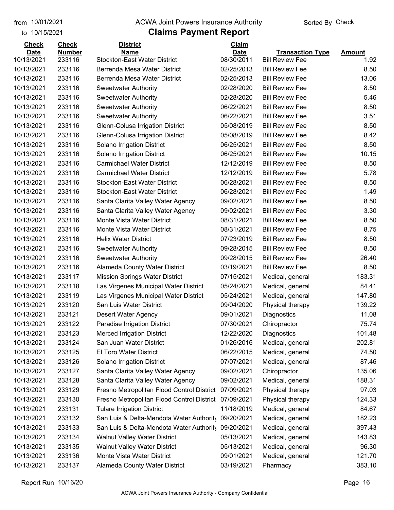#### from 10/01/2021 **Example 20 Travellet Authority** and 10/01/2021 Check

#### to 10/15/2021

| <b>Check</b> | <b>Check</b>  | <b>District</b>                            | Claim       |                         |               |
|--------------|---------------|--------------------------------------------|-------------|-------------------------|---------------|
| <b>Date</b>  | <b>Number</b> | <b>Name</b>                                | <b>Date</b> | <b>Transaction Type</b> | <b>Amount</b> |
| 10/13/2021   | 233116        | <b>Stockton-East Water District</b>        | 08/30/2011  | <b>Bill Review Fee</b>  | 1.92          |
| 10/13/2021   | 233116        | Berrenda Mesa Water District               | 02/25/2013  | <b>Bill Review Fee</b>  | 8.50          |
| 10/13/2021   | 233116        | Berrenda Mesa Water District               | 02/25/2013  | <b>Bill Review Fee</b>  | 13.06         |
| 10/13/2021   | 233116        | <b>Sweetwater Authority</b>                | 02/28/2020  | <b>Bill Review Fee</b>  | 8.50          |
| 10/13/2021   | 233116        | <b>Sweetwater Authority</b>                | 02/28/2020  | <b>Bill Review Fee</b>  | 5.46          |
| 10/13/2021   | 233116        | <b>Sweetwater Authority</b>                | 06/22/2021  | <b>Bill Review Fee</b>  | 8.50          |
| 10/13/2021   | 233116        | <b>Sweetwater Authority</b>                | 06/22/2021  | <b>Bill Review Fee</b>  | 3.51          |
| 10/13/2021   | 233116        | Glenn-Colusa Irrigation District           | 05/08/2019  | <b>Bill Review Fee</b>  | 8.50          |
| 10/13/2021   | 233116        | Glenn-Colusa Irrigation District           | 05/08/2019  | <b>Bill Review Fee</b>  | 8.42          |
| 10/13/2021   | 233116        | Solano Irrigation District                 | 06/25/2021  | <b>Bill Review Fee</b>  | 8.50          |
| 10/13/2021   | 233116        | Solano Irrigation District                 | 06/25/2021  | <b>Bill Review Fee</b>  | 10.15         |
| 10/13/2021   | 233116        | <b>Carmichael Water District</b>           | 12/12/2019  | <b>Bill Review Fee</b>  | 8.50          |
| 10/13/2021   | 233116        | <b>Carmichael Water District</b>           | 12/12/2019  | <b>Bill Review Fee</b>  | 5.78          |
| 10/13/2021   | 233116        | <b>Stockton-East Water District</b>        | 06/28/2021  | <b>Bill Review Fee</b>  | 8.50          |
| 10/13/2021   | 233116        | <b>Stockton-East Water District</b>        | 06/28/2021  | <b>Bill Review Fee</b>  | 1.49          |
| 10/13/2021   | 233116        | Santa Clarita Valley Water Agency          | 09/02/2021  | <b>Bill Review Fee</b>  | 8.50          |
| 10/13/2021   | 233116        | Santa Clarita Valley Water Agency          | 09/02/2021  | <b>Bill Review Fee</b>  | 3.30          |
| 10/13/2021   | 233116        | Monte Vista Water District                 | 08/31/2021  | <b>Bill Review Fee</b>  | 8.50          |
| 10/13/2021   | 233116        | Monte Vista Water District                 | 08/31/2021  | <b>Bill Review Fee</b>  | 8.75          |
| 10/13/2021   | 233116        | <b>Helix Water District</b>                | 07/23/2019  | <b>Bill Review Fee</b>  | 8.50          |
| 10/13/2021   | 233116        | <b>Sweetwater Authority</b>                | 09/28/2015  | <b>Bill Review Fee</b>  | 8.50          |
| 10/13/2021   | 233116        | <b>Sweetwater Authority</b>                | 09/28/2015  | <b>Bill Review Fee</b>  | 26.40         |
| 10/13/2021   | 233116        | <b>Alameda County Water District</b>       | 03/19/2021  | <b>Bill Review Fee</b>  | 8.50          |
| 10/13/2021   | 233117        | <b>Mission Springs Water District</b>      | 07/15/2021  | Medical, general        | 183.31        |
| 10/13/2021   | 233118        | Las Virgenes Municipal Water District      | 05/24/2021  | Medical, general        | 84.41         |
| 10/13/2021   | 233119        | Las Virgenes Municipal Water District      | 05/24/2021  | Medical, general        | 147.80        |
| 10/13/2021   | 233120        | San Luis Water District                    | 09/04/2020  | Physical therapy        | 139.22        |
| 10/13/2021   | 233121        | <b>Desert Water Agency</b>                 | 09/01/2021  | Diagnostics             | 11.08         |
| 10/13/2021   | 233122        | Paradise Irrigation District               | 07/30/2021  | Chiropractor            | 75.74         |
| 10/13/2021   | 233123        | <b>Merced Irrigation District</b>          | 12/22/2020  | Diagnostics             | 101.48        |
| 10/13/2021   | 233124        | San Juan Water District                    | 01/26/2016  | Medical, general        | 202.81        |
| 10/13/2021   | 233125        | El Toro Water District                     | 06/22/2015  | Medical, general        | 74.50         |
| 10/13/2021   | 233126        | Solano Irrigation District                 | 07/07/2021  | Medical, general        | 87.46         |
| 10/13/2021   | 233127        | Santa Clarita Valley Water Agency          | 09/02/2021  | Chiropractor            | 135.06        |
| 10/13/2021   | 233128        | Santa Clarita Valley Water Agency          | 09/02/2021  | Medical, general        | 188.31        |
| 10/13/2021   | 233129        | Fresno Metropolitan Flood Control District | 07/09/2021  | Physical therapy        | 97.03         |
| 10/13/2021   | 233130        | Fresno Metropolitan Flood Control District | 07/09/2021  | Physical therapy        | 124.33        |
| 10/13/2021   | 233131        | <b>Tulare Irrigation District</b>          | 11/18/2019  | Medical, general        | 84.67         |
| 10/13/2021   | 233132        | San Luis & Delta-Mendota Water Authority   | 09/20/2021  | Medical, general        | 182.23        |
| 10/13/2021   | 233133        | San Luis & Delta-Mendota Water Authority   | 09/20/2021  | Medical, general        | 397.43        |
| 10/13/2021   | 233134        | <b>Walnut Valley Water District</b>        | 05/13/2021  | Medical, general        | 143.83        |
| 10/13/2021   | 233135        | Walnut Valley Water District               | 05/13/2021  | Medical, general        | 96.30         |
| 10/13/2021   | 233136        | Monte Vista Water District                 | 09/01/2021  | Medical, general        | 121.70        |
| 10/13/2021   | 233137        | Alameda County Water District              | 03/19/2021  | Pharmacy                | 383.10        |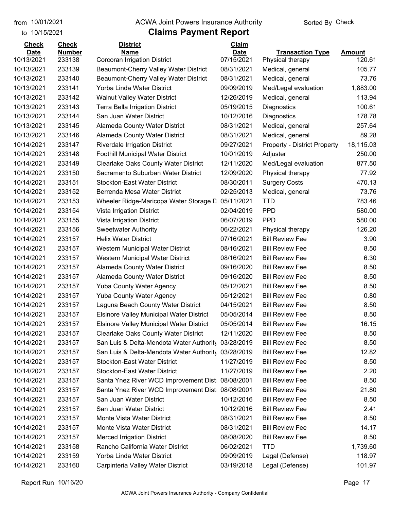#### from 10/01/2021 **Example 20 Travellet Authority** and 10/01/2021 Check

### to 10/15/2021

| Name<br><b>Date</b><br><b>Amount</b><br>07/15/2021<br>10/13/2021<br>233138<br><b>Corcoran Irrigation District</b><br>120.61<br>Physical therapy<br>08/31/2021<br>10/13/2021<br>233139<br>Beaumont-Cherry Valley Water District<br>105.77<br>Medical, general<br>10/13/2021<br>233140<br>Beaumont-Cherry Valley Water District<br>08/31/2021<br>73.76<br>Medical, general<br>10/13/2021<br>233141<br>Yorba Linda Water District<br>09/09/2019<br>1,883.00<br>Med/Legal evaluation<br>10/13/2021<br>233142<br><b>Walnut Valley Water District</b><br>12/26/2019<br>113.94<br>Medical, general<br>233143<br>Terra Bella Irrigation District<br>05/19/2015<br>Diagnostics<br>100.61<br>233144<br>San Juan Water District<br>10/12/2016<br>Diagnostics<br>178.78<br>08/31/2021<br>257.64<br>233145<br>Alameda County Water District<br>Medical, general<br>89.28<br>233146<br>08/31/2021<br>Alameda County Water District<br>Medical, general<br>18,115.03<br>233147<br>09/27/2021<br><b>Riverdale Irrigation District</b><br><b>Property - District Property</b><br>233148<br><b>Foothill Municipal Water District</b><br>10/01/2019<br>250.00<br>Adjuster<br>233149<br><b>Clearlake Oaks County Water District</b><br>12/11/2020<br>877.50<br>Med/Legal evaluation<br>233150<br>Sacramento Suburban Water District<br>12/09/2020<br>77.92<br>Physical therapy<br>470.13<br>233151<br><b>Stockton-East Water District</b><br>08/30/2011<br><b>Surgery Costs</b><br>233152<br>Berrenda Mesa Water District<br>02/25/2013<br>73.76<br>Medical, general<br>783.46<br>233153<br>05/11/2021<br><b>TTD</b><br>Wheeler Ridge-Maricopa Water Storage D<br>233154<br>02/04/2019<br><b>PPD</b><br>580.00<br>Vista Irrigation District<br><b>PPD</b><br>233155<br>06/07/2019<br>580.00<br>Vista Irrigation District<br>233156<br>06/22/2021<br>126.20<br><b>Sweetwater Authority</b><br>Physical therapy<br>233157<br><b>Helix Water District</b><br>07/16/2021<br><b>Bill Review Fee</b><br>3.90<br>233157<br>08/16/2021<br><b>Bill Review Fee</b><br>8.50<br>Western Municipal Water District<br>233157<br>08/16/2021<br><b>Bill Review Fee</b><br>6.30<br>Western Municipal Water District<br>233157<br>Alameda County Water District<br>09/16/2020<br><b>Bill Review Fee</b><br>8.50<br>233157<br>09/16/2020<br>8.50<br>Alameda County Water District<br><b>Bill Review Fee</b><br>233157<br><b>Yuba County Water Agency</b><br>05/12/2021<br><b>Bill Review Fee</b><br>8.50<br>05/12/2021<br>0.80<br>233157<br><b>Yuba County Water Agency</b><br><b>Bill Review Fee</b><br>233157<br>Laguna Beach County Water District<br>04/15/2021<br>8.50<br><b>Bill Review Fee</b><br>233157<br><b>Elsinore Valley Municipal Water District</b><br>05/05/2014<br>8.50<br><b>Bill Review Fee</b><br>16.15<br>233157<br>05/05/2014<br><b>Bill Review Fee</b><br><b>Elsinore Valley Municipal Water District</b><br>233157<br><b>Clearlake Oaks County Water District</b><br>12/11/2020<br><b>Bill Review Fee</b><br>8.50<br>233157<br>San Luis & Delta-Mendota Water Authority<br>03/28/2019<br><b>Bill Review Fee</b><br>8.50<br><b>Bill Review Fee</b><br>12.82<br>233157<br>San Luis & Delta-Mendota Water Authorit, 03/28/2019<br>233157<br><b>Stockton-East Water District</b><br>11/27/2019<br><b>Bill Review Fee</b><br>8.50<br><b>Stockton-East Water District</b><br>11/27/2019<br><b>Bill Review Fee</b><br>2.20<br>233157<br>10/14/2021<br>Santa Ynez River WCD Improvement Dist 08/08/2001<br>8.50<br>233157<br><b>Bill Review Fee</b><br>10/14/2021<br>233157<br><b>Bill Review Fee</b><br>21.80<br>Santa Ynez River WCD Improvement Dist<br>08/08/2001<br>10/14/2021<br>San Juan Water District<br><b>Bill Review Fee</b><br>233157<br>10/12/2016<br>8.50<br>10/14/2021<br>San Juan Water District<br>10/12/2016<br><b>Bill Review Fee</b><br>2.41<br>233157<br>10/14/2021<br>Monte Vista Water District<br>08/31/2021<br>8.50<br>233157<br><b>Bill Review Fee</b><br>10/14/2021<br>233157<br>Monte Vista Water District<br>08/31/2021<br><b>Bill Review Fee</b><br>14.17<br>10/14/2021<br>233157<br><b>Merced Irrigation District</b><br>08/08/2020<br><b>Bill Review Fee</b><br>8.50<br>10/14/2021<br>Rancho California Water District<br><b>TTD</b><br>1,739.60<br>233158<br>06/02/2021<br>10/14/2021<br>Yorba Linda Water District<br>09/09/2019<br>118.97<br>233159<br>Legal (Defense) | <b>Check</b> | <b>Check</b>  | <b>District</b>                   | Claim      |                         |        |
|-------------------------------------------------------------------------------------------------------------------------------------------------------------------------------------------------------------------------------------------------------------------------------------------------------------------------------------------------------------------------------------------------------------------------------------------------------------------------------------------------------------------------------------------------------------------------------------------------------------------------------------------------------------------------------------------------------------------------------------------------------------------------------------------------------------------------------------------------------------------------------------------------------------------------------------------------------------------------------------------------------------------------------------------------------------------------------------------------------------------------------------------------------------------------------------------------------------------------------------------------------------------------------------------------------------------------------------------------------------------------------------------------------------------------------------------------------------------------------------------------------------------------------------------------------------------------------------------------------------------------------------------------------------------------------------------------------------------------------------------------------------------------------------------------------------------------------------------------------------------------------------------------------------------------------------------------------------------------------------------------------------------------------------------------------------------------------------------------------------------------------------------------------------------------------------------------------------------------------------------------------------------------------------------------------------------------------------------------------------------------------------------------------------------------------------------------------------------------------------------------------------------------------------------------------------------------------------------------------------------------------------------------------------------------------------------------------------------------------------------------------------------------------------------------------------------------------------------------------------------------------------------------------------------------------------------------------------------------------------------------------------------------------------------------------------------------------------------------------------------------------------------------------------------------------------------------------------------------------------------------------------------------------------------------------------------------------------------------------------------------------------------------------------------------------------------------------------------------------------------------------------------------------------------------------------------------------------------------------------------------------------------------------------------------------------------------------------------------------------------------------------------------------------------------------------------------------------------------------------------------------------------------------------------------------------------------------------------------------------------------------------------------------------------------------------------------------------------------------------------------------------------------------------------------------------------------------------------------------------------------------------------------------------------------------------------------------------------------------------------------------------|--------------|---------------|-----------------------------------|------------|-------------------------|--------|
|                                                                                                                                                                                                                                                                                                                                                                                                                                                                                                                                                                                                                                                                                                                                                                                                                                                                                                                                                                                                                                                                                                                                                                                                                                                                                                                                                                                                                                                                                                                                                                                                                                                                                                                                                                                                                                                                                                                                                                                                                                                                                                                                                                                                                                                                                                                                                                                                                                                                                                                                                                                                                                                                                                                                                                                                                                                                                                                                                                                                                                                                                                                                                                                                                                                                                                                                                                                                                                                                                                                                                                                                                                                                                                                                                                                                                                                                                                                                                                                                                                                                                                                                                                                                                                                                                                                                                                                     | <b>Date</b>  | <b>Number</b> |                                   |            | <b>Transaction Type</b> |        |
|                                                                                                                                                                                                                                                                                                                                                                                                                                                                                                                                                                                                                                                                                                                                                                                                                                                                                                                                                                                                                                                                                                                                                                                                                                                                                                                                                                                                                                                                                                                                                                                                                                                                                                                                                                                                                                                                                                                                                                                                                                                                                                                                                                                                                                                                                                                                                                                                                                                                                                                                                                                                                                                                                                                                                                                                                                                                                                                                                                                                                                                                                                                                                                                                                                                                                                                                                                                                                                                                                                                                                                                                                                                                                                                                                                                                                                                                                                                                                                                                                                                                                                                                                                                                                                                                                                                                                                                     |              |               |                                   |            |                         |        |
|                                                                                                                                                                                                                                                                                                                                                                                                                                                                                                                                                                                                                                                                                                                                                                                                                                                                                                                                                                                                                                                                                                                                                                                                                                                                                                                                                                                                                                                                                                                                                                                                                                                                                                                                                                                                                                                                                                                                                                                                                                                                                                                                                                                                                                                                                                                                                                                                                                                                                                                                                                                                                                                                                                                                                                                                                                                                                                                                                                                                                                                                                                                                                                                                                                                                                                                                                                                                                                                                                                                                                                                                                                                                                                                                                                                                                                                                                                                                                                                                                                                                                                                                                                                                                                                                                                                                                                                     |              |               |                                   |            |                         |        |
|                                                                                                                                                                                                                                                                                                                                                                                                                                                                                                                                                                                                                                                                                                                                                                                                                                                                                                                                                                                                                                                                                                                                                                                                                                                                                                                                                                                                                                                                                                                                                                                                                                                                                                                                                                                                                                                                                                                                                                                                                                                                                                                                                                                                                                                                                                                                                                                                                                                                                                                                                                                                                                                                                                                                                                                                                                                                                                                                                                                                                                                                                                                                                                                                                                                                                                                                                                                                                                                                                                                                                                                                                                                                                                                                                                                                                                                                                                                                                                                                                                                                                                                                                                                                                                                                                                                                                                                     |              |               |                                   |            |                         |        |
|                                                                                                                                                                                                                                                                                                                                                                                                                                                                                                                                                                                                                                                                                                                                                                                                                                                                                                                                                                                                                                                                                                                                                                                                                                                                                                                                                                                                                                                                                                                                                                                                                                                                                                                                                                                                                                                                                                                                                                                                                                                                                                                                                                                                                                                                                                                                                                                                                                                                                                                                                                                                                                                                                                                                                                                                                                                                                                                                                                                                                                                                                                                                                                                                                                                                                                                                                                                                                                                                                                                                                                                                                                                                                                                                                                                                                                                                                                                                                                                                                                                                                                                                                                                                                                                                                                                                                                                     |              |               |                                   |            |                         |        |
|                                                                                                                                                                                                                                                                                                                                                                                                                                                                                                                                                                                                                                                                                                                                                                                                                                                                                                                                                                                                                                                                                                                                                                                                                                                                                                                                                                                                                                                                                                                                                                                                                                                                                                                                                                                                                                                                                                                                                                                                                                                                                                                                                                                                                                                                                                                                                                                                                                                                                                                                                                                                                                                                                                                                                                                                                                                                                                                                                                                                                                                                                                                                                                                                                                                                                                                                                                                                                                                                                                                                                                                                                                                                                                                                                                                                                                                                                                                                                                                                                                                                                                                                                                                                                                                                                                                                                                                     |              |               |                                   |            |                         |        |
|                                                                                                                                                                                                                                                                                                                                                                                                                                                                                                                                                                                                                                                                                                                                                                                                                                                                                                                                                                                                                                                                                                                                                                                                                                                                                                                                                                                                                                                                                                                                                                                                                                                                                                                                                                                                                                                                                                                                                                                                                                                                                                                                                                                                                                                                                                                                                                                                                                                                                                                                                                                                                                                                                                                                                                                                                                                                                                                                                                                                                                                                                                                                                                                                                                                                                                                                                                                                                                                                                                                                                                                                                                                                                                                                                                                                                                                                                                                                                                                                                                                                                                                                                                                                                                                                                                                                                                                     | 10/13/2021   |               |                                   |            |                         |        |
|                                                                                                                                                                                                                                                                                                                                                                                                                                                                                                                                                                                                                                                                                                                                                                                                                                                                                                                                                                                                                                                                                                                                                                                                                                                                                                                                                                                                                                                                                                                                                                                                                                                                                                                                                                                                                                                                                                                                                                                                                                                                                                                                                                                                                                                                                                                                                                                                                                                                                                                                                                                                                                                                                                                                                                                                                                                                                                                                                                                                                                                                                                                                                                                                                                                                                                                                                                                                                                                                                                                                                                                                                                                                                                                                                                                                                                                                                                                                                                                                                                                                                                                                                                                                                                                                                                                                                                                     | 10/13/2021   |               |                                   |            |                         |        |
|                                                                                                                                                                                                                                                                                                                                                                                                                                                                                                                                                                                                                                                                                                                                                                                                                                                                                                                                                                                                                                                                                                                                                                                                                                                                                                                                                                                                                                                                                                                                                                                                                                                                                                                                                                                                                                                                                                                                                                                                                                                                                                                                                                                                                                                                                                                                                                                                                                                                                                                                                                                                                                                                                                                                                                                                                                                                                                                                                                                                                                                                                                                                                                                                                                                                                                                                                                                                                                                                                                                                                                                                                                                                                                                                                                                                                                                                                                                                                                                                                                                                                                                                                                                                                                                                                                                                                                                     | 10/13/2021   |               |                                   |            |                         |        |
|                                                                                                                                                                                                                                                                                                                                                                                                                                                                                                                                                                                                                                                                                                                                                                                                                                                                                                                                                                                                                                                                                                                                                                                                                                                                                                                                                                                                                                                                                                                                                                                                                                                                                                                                                                                                                                                                                                                                                                                                                                                                                                                                                                                                                                                                                                                                                                                                                                                                                                                                                                                                                                                                                                                                                                                                                                                                                                                                                                                                                                                                                                                                                                                                                                                                                                                                                                                                                                                                                                                                                                                                                                                                                                                                                                                                                                                                                                                                                                                                                                                                                                                                                                                                                                                                                                                                                                                     | 10/13/2021   |               |                                   |            |                         |        |
|                                                                                                                                                                                                                                                                                                                                                                                                                                                                                                                                                                                                                                                                                                                                                                                                                                                                                                                                                                                                                                                                                                                                                                                                                                                                                                                                                                                                                                                                                                                                                                                                                                                                                                                                                                                                                                                                                                                                                                                                                                                                                                                                                                                                                                                                                                                                                                                                                                                                                                                                                                                                                                                                                                                                                                                                                                                                                                                                                                                                                                                                                                                                                                                                                                                                                                                                                                                                                                                                                                                                                                                                                                                                                                                                                                                                                                                                                                                                                                                                                                                                                                                                                                                                                                                                                                                                                                                     | 10/14/2021   |               |                                   |            |                         |        |
|                                                                                                                                                                                                                                                                                                                                                                                                                                                                                                                                                                                                                                                                                                                                                                                                                                                                                                                                                                                                                                                                                                                                                                                                                                                                                                                                                                                                                                                                                                                                                                                                                                                                                                                                                                                                                                                                                                                                                                                                                                                                                                                                                                                                                                                                                                                                                                                                                                                                                                                                                                                                                                                                                                                                                                                                                                                                                                                                                                                                                                                                                                                                                                                                                                                                                                                                                                                                                                                                                                                                                                                                                                                                                                                                                                                                                                                                                                                                                                                                                                                                                                                                                                                                                                                                                                                                                                                     | 10/14/2021   |               |                                   |            |                         |        |
|                                                                                                                                                                                                                                                                                                                                                                                                                                                                                                                                                                                                                                                                                                                                                                                                                                                                                                                                                                                                                                                                                                                                                                                                                                                                                                                                                                                                                                                                                                                                                                                                                                                                                                                                                                                                                                                                                                                                                                                                                                                                                                                                                                                                                                                                                                                                                                                                                                                                                                                                                                                                                                                                                                                                                                                                                                                                                                                                                                                                                                                                                                                                                                                                                                                                                                                                                                                                                                                                                                                                                                                                                                                                                                                                                                                                                                                                                                                                                                                                                                                                                                                                                                                                                                                                                                                                                                                     | 10/14/2021   |               |                                   |            |                         |        |
|                                                                                                                                                                                                                                                                                                                                                                                                                                                                                                                                                                                                                                                                                                                                                                                                                                                                                                                                                                                                                                                                                                                                                                                                                                                                                                                                                                                                                                                                                                                                                                                                                                                                                                                                                                                                                                                                                                                                                                                                                                                                                                                                                                                                                                                                                                                                                                                                                                                                                                                                                                                                                                                                                                                                                                                                                                                                                                                                                                                                                                                                                                                                                                                                                                                                                                                                                                                                                                                                                                                                                                                                                                                                                                                                                                                                                                                                                                                                                                                                                                                                                                                                                                                                                                                                                                                                                                                     | 10/14/2021   |               |                                   |            |                         |        |
|                                                                                                                                                                                                                                                                                                                                                                                                                                                                                                                                                                                                                                                                                                                                                                                                                                                                                                                                                                                                                                                                                                                                                                                                                                                                                                                                                                                                                                                                                                                                                                                                                                                                                                                                                                                                                                                                                                                                                                                                                                                                                                                                                                                                                                                                                                                                                                                                                                                                                                                                                                                                                                                                                                                                                                                                                                                                                                                                                                                                                                                                                                                                                                                                                                                                                                                                                                                                                                                                                                                                                                                                                                                                                                                                                                                                                                                                                                                                                                                                                                                                                                                                                                                                                                                                                                                                                                                     | 10/14/2021   |               |                                   |            |                         |        |
|                                                                                                                                                                                                                                                                                                                                                                                                                                                                                                                                                                                                                                                                                                                                                                                                                                                                                                                                                                                                                                                                                                                                                                                                                                                                                                                                                                                                                                                                                                                                                                                                                                                                                                                                                                                                                                                                                                                                                                                                                                                                                                                                                                                                                                                                                                                                                                                                                                                                                                                                                                                                                                                                                                                                                                                                                                                                                                                                                                                                                                                                                                                                                                                                                                                                                                                                                                                                                                                                                                                                                                                                                                                                                                                                                                                                                                                                                                                                                                                                                                                                                                                                                                                                                                                                                                                                                                                     | 10/14/2021   |               |                                   |            |                         |        |
|                                                                                                                                                                                                                                                                                                                                                                                                                                                                                                                                                                                                                                                                                                                                                                                                                                                                                                                                                                                                                                                                                                                                                                                                                                                                                                                                                                                                                                                                                                                                                                                                                                                                                                                                                                                                                                                                                                                                                                                                                                                                                                                                                                                                                                                                                                                                                                                                                                                                                                                                                                                                                                                                                                                                                                                                                                                                                                                                                                                                                                                                                                                                                                                                                                                                                                                                                                                                                                                                                                                                                                                                                                                                                                                                                                                                                                                                                                                                                                                                                                                                                                                                                                                                                                                                                                                                                                                     | 10/14/2021   |               |                                   |            |                         |        |
|                                                                                                                                                                                                                                                                                                                                                                                                                                                                                                                                                                                                                                                                                                                                                                                                                                                                                                                                                                                                                                                                                                                                                                                                                                                                                                                                                                                                                                                                                                                                                                                                                                                                                                                                                                                                                                                                                                                                                                                                                                                                                                                                                                                                                                                                                                                                                                                                                                                                                                                                                                                                                                                                                                                                                                                                                                                                                                                                                                                                                                                                                                                                                                                                                                                                                                                                                                                                                                                                                                                                                                                                                                                                                                                                                                                                                                                                                                                                                                                                                                                                                                                                                                                                                                                                                                                                                                                     | 10/14/2021   |               |                                   |            |                         |        |
|                                                                                                                                                                                                                                                                                                                                                                                                                                                                                                                                                                                                                                                                                                                                                                                                                                                                                                                                                                                                                                                                                                                                                                                                                                                                                                                                                                                                                                                                                                                                                                                                                                                                                                                                                                                                                                                                                                                                                                                                                                                                                                                                                                                                                                                                                                                                                                                                                                                                                                                                                                                                                                                                                                                                                                                                                                                                                                                                                                                                                                                                                                                                                                                                                                                                                                                                                                                                                                                                                                                                                                                                                                                                                                                                                                                                                                                                                                                                                                                                                                                                                                                                                                                                                                                                                                                                                                                     | 10/14/2021   |               |                                   |            |                         |        |
|                                                                                                                                                                                                                                                                                                                                                                                                                                                                                                                                                                                                                                                                                                                                                                                                                                                                                                                                                                                                                                                                                                                                                                                                                                                                                                                                                                                                                                                                                                                                                                                                                                                                                                                                                                                                                                                                                                                                                                                                                                                                                                                                                                                                                                                                                                                                                                                                                                                                                                                                                                                                                                                                                                                                                                                                                                                                                                                                                                                                                                                                                                                                                                                                                                                                                                                                                                                                                                                                                                                                                                                                                                                                                                                                                                                                                                                                                                                                                                                                                                                                                                                                                                                                                                                                                                                                                                                     | 10/14/2021   |               |                                   |            |                         |        |
|                                                                                                                                                                                                                                                                                                                                                                                                                                                                                                                                                                                                                                                                                                                                                                                                                                                                                                                                                                                                                                                                                                                                                                                                                                                                                                                                                                                                                                                                                                                                                                                                                                                                                                                                                                                                                                                                                                                                                                                                                                                                                                                                                                                                                                                                                                                                                                                                                                                                                                                                                                                                                                                                                                                                                                                                                                                                                                                                                                                                                                                                                                                                                                                                                                                                                                                                                                                                                                                                                                                                                                                                                                                                                                                                                                                                                                                                                                                                                                                                                                                                                                                                                                                                                                                                                                                                                                                     | 10/14/2021   |               |                                   |            |                         |        |
|                                                                                                                                                                                                                                                                                                                                                                                                                                                                                                                                                                                                                                                                                                                                                                                                                                                                                                                                                                                                                                                                                                                                                                                                                                                                                                                                                                                                                                                                                                                                                                                                                                                                                                                                                                                                                                                                                                                                                                                                                                                                                                                                                                                                                                                                                                                                                                                                                                                                                                                                                                                                                                                                                                                                                                                                                                                                                                                                                                                                                                                                                                                                                                                                                                                                                                                                                                                                                                                                                                                                                                                                                                                                                                                                                                                                                                                                                                                                                                                                                                                                                                                                                                                                                                                                                                                                                                                     | 10/14/2021   |               |                                   |            |                         |        |
|                                                                                                                                                                                                                                                                                                                                                                                                                                                                                                                                                                                                                                                                                                                                                                                                                                                                                                                                                                                                                                                                                                                                                                                                                                                                                                                                                                                                                                                                                                                                                                                                                                                                                                                                                                                                                                                                                                                                                                                                                                                                                                                                                                                                                                                                                                                                                                                                                                                                                                                                                                                                                                                                                                                                                                                                                                                                                                                                                                                                                                                                                                                                                                                                                                                                                                                                                                                                                                                                                                                                                                                                                                                                                                                                                                                                                                                                                                                                                                                                                                                                                                                                                                                                                                                                                                                                                                                     | 10/14/2021   |               |                                   |            |                         |        |
|                                                                                                                                                                                                                                                                                                                                                                                                                                                                                                                                                                                                                                                                                                                                                                                                                                                                                                                                                                                                                                                                                                                                                                                                                                                                                                                                                                                                                                                                                                                                                                                                                                                                                                                                                                                                                                                                                                                                                                                                                                                                                                                                                                                                                                                                                                                                                                                                                                                                                                                                                                                                                                                                                                                                                                                                                                                                                                                                                                                                                                                                                                                                                                                                                                                                                                                                                                                                                                                                                                                                                                                                                                                                                                                                                                                                                                                                                                                                                                                                                                                                                                                                                                                                                                                                                                                                                                                     | 10/14/2021   |               |                                   |            |                         |        |
|                                                                                                                                                                                                                                                                                                                                                                                                                                                                                                                                                                                                                                                                                                                                                                                                                                                                                                                                                                                                                                                                                                                                                                                                                                                                                                                                                                                                                                                                                                                                                                                                                                                                                                                                                                                                                                                                                                                                                                                                                                                                                                                                                                                                                                                                                                                                                                                                                                                                                                                                                                                                                                                                                                                                                                                                                                                                                                                                                                                                                                                                                                                                                                                                                                                                                                                                                                                                                                                                                                                                                                                                                                                                                                                                                                                                                                                                                                                                                                                                                                                                                                                                                                                                                                                                                                                                                                                     | 10/14/2021   |               |                                   |            |                         |        |
|                                                                                                                                                                                                                                                                                                                                                                                                                                                                                                                                                                                                                                                                                                                                                                                                                                                                                                                                                                                                                                                                                                                                                                                                                                                                                                                                                                                                                                                                                                                                                                                                                                                                                                                                                                                                                                                                                                                                                                                                                                                                                                                                                                                                                                                                                                                                                                                                                                                                                                                                                                                                                                                                                                                                                                                                                                                                                                                                                                                                                                                                                                                                                                                                                                                                                                                                                                                                                                                                                                                                                                                                                                                                                                                                                                                                                                                                                                                                                                                                                                                                                                                                                                                                                                                                                                                                                                                     | 10/14/2021   |               |                                   |            |                         |        |
|                                                                                                                                                                                                                                                                                                                                                                                                                                                                                                                                                                                                                                                                                                                                                                                                                                                                                                                                                                                                                                                                                                                                                                                                                                                                                                                                                                                                                                                                                                                                                                                                                                                                                                                                                                                                                                                                                                                                                                                                                                                                                                                                                                                                                                                                                                                                                                                                                                                                                                                                                                                                                                                                                                                                                                                                                                                                                                                                                                                                                                                                                                                                                                                                                                                                                                                                                                                                                                                                                                                                                                                                                                                                                                                                                                                                                                                                                                                                                                                                                                                                                                                                                                                                                                                                                                                                                                                     | 10/14/2021   |               |                                   |            |                         |        |
|                                                                                                                                                                                                                                                                                                                                                                                                                                                                                                                                                                                                                                                                                                                                                                                                                                                                                                                                                                                                                                                                                                                                                                                                                                                                                                                                                                                                                                                                                                                                                                                                                                                                                                                                                                                                                                                                                                                                                                                                                                                                                                                                                                                                                                                                                                                                                                                                                                                                                                                                                                                                                                                                                                                                                                                                                                                                                                                                                                                                                                                                                                                                                                                                                                                                                                                                                                                                                                                                                                                                                                                                                                                                                                                                                                                                                                                                                                                                                                                                                                                                                                                                                                                                                                                                                                                                                                                     | 10/14/2021   |               |                                   |            |                         |        |
|                                                                                                                                                                                                                                                                                                                                                                                                                                                                                                                                                                                                                                                                                                                                                                                                                                                                                                                                                                                                                                                                                                                                                                                                                                                                                                                                                                                                                                                                                                                                                                                                                                                                                                                                                                                                                                                                                                                                                                                                                                                                                                                                                                                                                                                                                                                                                                                                                                                                                                                                                                                                                                                                                                                                                                                                                                                                                                                                                                                                                                                                                                                                                                                                                                                                                                                                                                                                                                                                                                                                                                                                                                                                                                                                                                                                                                                                                                                                                                                                                                                                                                                                                                                                                                                                                                                                                                                     | 10/14/2021   |               |                                   |            |                         |        |
|                                                                                                                                                                                                                                                                                                                                                                                                                                                                                                                                                                                                                                                                                                                                                                                                                                                                                                                                                                                                                                                                                                                                                                                                                                                                                                                                                                                                                                                                                                                                                                                                                                                                                                                                                                                                                                                                                                                                                                                                                                                                                                                                                                                                                                                                                                                                                                                                                                                                                                                                                                                                                                                                                                                                                                                                                                                                                                                                                                                                                                                                                                                                                                                                                                                                                                                                                                                                                                                                                                                                                                                                                                                                                                                                                                                                                                                                                                                                                                                                                                                                                                                                                                                                                                                                                                                                                                                     | 10/14/2021   |               |                                   |            |                         |        |
|                                                                                                                                                                                                                                                                                                                                                                                                                                                                                                                                                                                                                                                                                                                                                                                                                                                                                                                                                                                                                                                                                                                                                                                                                                                                                                                                                                                                                                                                                                                                                                                                                                                                                                                                                                                                                                                                                                                                                                                                                                                                                                                                                                                                                                                                                                                                                                                                                                                                                                                                                                                                                                                                                                                                                                                                                                                                                                                                                                                                                                                                                                                                                                                                                                                                                                                                                                                                                                                                                                                                                                                                                                                                                                                                                                                                                                                                                                                                                                                                                                                                                                                                                                                                                                                                                                                                                                                     | 10/14/2021   |               |                                   |            |                         |        |
|                                                                                                                                                                                                                                                                                                                                                                                                                                                                                                                                                                                                                                                                                                                                                                                                                                                                                                                                                                                                                                                                                                                                                                                                                                                                                                                                                                                                                                                                                                                                                                                                                                                                                                                                                                                                                                                                                                                                                                                                                                                                                                                                                                                                                                                                                                                                                                                                                                                                                                                                                                                                                                                                                                                                                                                                                                                                                                                                                                                                                                                                                                                                                                                                                                                                                                                                                                                                                                                                                                                                                                                                                                                                                                                                                                                                                                                                                                                                                                                                                                                                                                                                                                                                                                                                                                                                                                                     | 10/14/2021   |               |                                   |            |                         |        |
|                                                                                                                                                                                                                                                                                                                                                                                                                                                                                                                                                                                                                                                                                                                                                                                                                                                                                                                                                                                                                                                                                                                                                                                                                                                                                                                                                                                                                                                                                                                                                                                                                                                                                                                                                                                                                                                                                                                                                                                                                                                                                                                                                                                                                                                                                                                                                                                                                                                                                                                                                                                                                                                                                                                                                                                                                                                                                                                                                                                                                                                                                                                                                                                                                                                                                                                                                                                                                                                                                                                                                                                                                                                                                                                                                                                                                                                                                                                                                                                                                                                                                                                                                                                                                                                                                                                                                                                     | 10/14/2021   |               |                                   |            |                         |        |
|                                                                                                                                                                                                                                                                                                                                                                                                                                                                                                                                                                                                                                                                                                                                                                                                                                                                                                                                                                                                                                                                                                                                                                                                                                                                                                                                                                                                                                                                                                                                                                                                                                                                                                                                                                                                                                                                                                                                                                                                                                                                                                                                                                                                                                                                                                                                                                                                                                                                                                                                                                                                                                                                                                                                                                                                                                                                                                                                                                                                                                                                                                                                                                                                                                                                                                                                                                                                                                                                                                                                                                                                                                                                                                                                                                                                                                                                                                                                                                                                                                                                                                                                                                                                                                                                                                                                                                                     | 10/14/2021   |               |                                   |            |                         |        |
|                                                                                                                                                                                                                                                                                                                                                                                                                                                                                                                                                                                                                                                                                                                                                                                                                                                                                                                                                                                                                                                                                                                                                                                                                                                                                                                                                                                                                                                                                                                                                                                                                                                                                                                                                                                                                                                                                                                                                                                                                                                                                                                                                                                                                                                                                                                                                                                                                                                                                                                                                                                                                                                                                                                                                                                                                                                                                                                                                                                                                                                                                                                                                                                                                                                                                                                                                                                                                                                                                                                                                                                                                                                                                                                                                                                                                                                                                                                                                                                                                                                                                                                                                                                                                                                                                                                                                                                     | 10/14/2021   |               |                                   |            |                         |        |
|                                                                                                                                                                                                                                                                                                                                                                                                                                                                                                                                                                                                                                                                                                                                                                                                                                                                                                                                                                                                                                                                                                                                                                                                                                                                                                                                                                                                                                                                                                                                                                                                                                                                                                                                                                                                                                                                                                                                                                                                                                                                                                                                                                                                                                                                                                                                                                                                                                                                                                                                                                                                                                                                                                                                                                                                                                                                                                                                                                                                                                                                                                                                                                                                                                                                                                                                                                                                                                                                                                                                                                                                                                                                                                                                                                                                                                                                                                                                                                                                                                                                                                                                                                                                                                                                                                                                                                                     |              |               |                                   |            |                         |        |
|                                                                                                                                                                                                                                                                                                                                                                                                                                                                                                                                                                                                                                                                                                                                                                                                                                                                                                                                                                                                                                                                                                                                                                                                                                                                                                                                                                                                                                                                                                                                                                                                                                                                                                                                                                                                                                                                                                                                                                                                                                                                                                                                                                                                                                                                                                                                                                                                                                                                                                                                                                                                                                                                                                                                                                                                                                                                                                                                                                                                                                                                                                                                                                                                                                                                                                                                                                                                                                                                                                                                                                                                                                                                                                                                                                                                                                                                                                                                                                                                                                                                                                                                                                                                                                                                                                                                                                                     |              |               |                                   |            |                         |        |
|                                                                                                                                                                                                                                                                                                                                                                                                                                                                                                                                                                                                                                                                                                                                                                                                                                                                                                                                                                                                                                                                                                                                                                                                                                                                                                                                                                                                                                                                                                                                                                                                                                                                                                                                                                                                                                                                                                                                                                                                                                                                                                                                                                                                                                                                                                                                                                                                                                                                                                                                                                                                                                                                                                                                                                                                                                                                                                                                                                                                                                                                                                                                                                                                                                                                                                                                                                                                                                                                                                                                                                                                                                                                                                                                                                                                                                                                                                                                                                                                                                                                                                                                                                                                                                                                                                                                                                                     |              |               |                                   |            |                         |        |
|                                                                                                                                                                                                                                                                                                                                                                                                                                                                                                                                                                                                                                                                                                                                                                                                                                                                                                                                                                                                                                                                                                                                                                                                                                                                                                                                                                                                                                                                                                                                                                                                                                                                                                                                                                                                                                                                                                                                                                                                                                                                                                                                                                                                                                                                                                                                                                                                                                                                                                                                                                                                                                                                                                                                                                                                                                                                                                                                                                                                                                                                                                                                                                                                                                                                                                                                                                                                                                                                                                                                                                                                                                                                                                                                                                                                                                                                                                                                                                                                                                                                                                                                                                                                                                                                                                                                                                                     |              |               |                                   |            |                         |        |
|                                                                                                                                                                                                                                                                                                                                                                                                                                                                                                                                                                                                                                                                                                                                                                                                                                                                                                                                                                                                                                                                                                                                                                                                                                                                                                                                                                                                                                                                                                                                                                                                                                                                                                                                                                                                                                                                                                                                                                                                                                                                                                                                                                                                                                                                                                                                                                                                                                                                                                                                                                                                                                                                                                                                                                                                                                                                                                                                                                                                                                                                                                                                                                                                                                                                                                                                                                                                                                                                                                                                                                                                                                                                                                                                                                                                                                                                                                                                                                                                                                                                                                                                                                                                                                                                                                                                                                                     |              |               |                                   |            |                         |        |
|                                                                                                                                                                                                                                                                                                                                                                                                                                                                                                                                                                                                                                                                                                                                                                                                                                                                                                                                                                                                                                                                                                                                                                                                                                                                                                                                                                                                                                                                                                                                                                                                                                                                                                                                                                                                                                                                                                                                                                                                                                                                                                                                                                                                                                                                                                                                                                                                                                                                                                                                                                                                                                                                                                                                                                                                                                                                                                                                                                                                                                                                                                                                                                                                                                                                                                                                                                                                                                                                                                                                                                                                                                                                                                                                                                                                                                                                                                                                                                                                                                                                                                                                                                                                                                                                                                                                                                                     |              |               |                                   |            |                         |        |
|                                                                                                                                                                                                                                                                                                                                                                                                                                                                                                                                                                                                                                                                                                                                                                                                                                                                                                                                                                                                                                                                                                                                                                                                                                                                                                                                                                                                                                                                                                                                                                                                                                                                                                                                                                                                                                                                                                                                                                                                                                                                                                                                                                                                                                                                                                                                                                                                                                                                                                                                                                                                                                                                                                                                                                                                                                                                                                                                                                                                                                                                                                                                                                                                                                                                                                                                                                                                                                                                                                                                                                                                                                                                                                                                                                                                                                                                                                                                                                                                                                                                                                                                                                                                                                                                                                                                                                                     |              |               |                                   |            |                         |        |
|                                                                                                                                                                                                                                                                                                                                                                                                                                                                                                                                                                                                                                                                                                                                                                                                                                                                                                                                                                                                                                                                                                                                                                                                                                                                                                                                                                                                                                                                                                                                                                                                                                                                                                                                                                                                                                                                                                                                                                                                                                                                                                                                                                                                                                                                                                                                                                                                                                                                                                                                                                                                                                                                                                                                                                                                                                                                                                                                                                                                                                                                                                                                                                                                                                                                                                                                                                                                                                                                                                                                                                                                                                                                                                                                                                                                                                                                                                                                                                                                                                                                                                                                                                                                                                                                                                                                                                                     |              |               |                                   |            |                         |        |
|                                                                                                                                                                                                                                                                                                                                                                                                                                                                                                                                                                                                                                                                                                                                                                                                                                                                                                                                                                                                                                                                                                                                                                                                                                                                                                                                                                                                                                                                                                                                                                                                                                                                                                                                                                                                                                                                                                                                                                                                                                                                                                                                                                                                                                                                                                                                                                                                                                                                                                                                                                                                                                                                                                                                                                                                                                                                                                                                                                                                                                                                                                                                                                                                                                                                                                                                                                                                                                                                                                                                                                                                                                                                                                                                                                                                                                                                                                                                                                                                                                                                                                                                                                                                                                                                                                                                                                                     |              |               |                                   |            |                         |        |
|                                                                                                                                                                                                                                                                                                                                                                                                                                                                                                                                                                                                                                                                                                                                                                                                                                                                                                                                                                                                                                                                                                                                                                                                                                                                                                                                                                                                                                                                                                                                                                                                                                                                                                                                                                                                                                                                                                                                                                                                                                                                                                                                                                                                                                                                                                                                                                                                                                                                                                                                                                                                                                                                                                                                                                                                                                                                                                                                                                                                                                                                                                                                                                                                                                                                                                                                                                                                                                                                                                                                                                                                                                                                                                                                                                                                                                                                                                                                                                                                                                                                                                                                                                                                                                                                                                                                                                                     | 10/14/2021   | 233160        | Carpinteria Valley Water District | 03/19/2018 | Legal (Defense)         | 101.97 |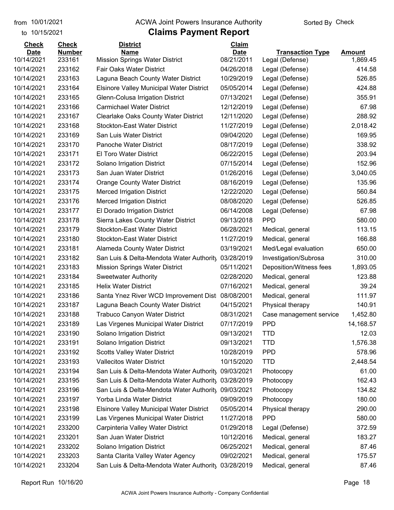to 10/15/2021

#### from 10/01/2021 **Example 20 Travellet Authority** and 10/01/2021 Check

| <b>Number</b><br><b>Date</b><br><b>Name</b><br><b>Date</b><br><b>Transaction Type</b><br>Amount<br>10/14/2021<br>08/21/2011<br>233161<br><b>Mission Springs Water District</b><br>1,869.45<br>Legal (Defense)<br>10/14/2021<br>233162<br>Fair Oaks Water District<br>04/26/2018<br>Legal (Defense)<br>414.58<br>10/14/2021<br>233163<br>Laguna Beach County Water District<br>10/29/2019<br>526.85<br>Legal (Defense)<br>10/14/2021<br>233164<br>05/05/2014<br>424.88<br><b>Elsinore Valley Municipal Water District</b><br>Legal (Defense)<br>10/14/2021<br>233165<br>Glenn-Colusa Irrigation District<br>07/13/2021<br>Legal (Defense)<br>355.91<br>67.98<br>10/14/2021<br>233166<br><b>Carmichael Water District</b><br>12/12/2019<br>Legal (Defense)<br>288.92<br>10/14/2021<br>233167<br><b>Clearlake Oaks County Water District</b><br>12/11/2020<br>Legal (Defense)<br>10/14/2021<br>233168<br><b>Stockton-East Water District</b><br>11/27/2019<br>2,018.42<br>Legal (Defense)<br>10/14/2021<br>233169<br>San Luis Water District<br>09/04/2020<br>169.95<br>Legal (Defense)<br>338.92<br>10/14/2021<br>233170<br>Panoche Water District<br>08/17/2019<br>Legal (Defense)<br>10/14/2021<br>233171<br><b>El Toro Water District</b><br>06/22/2015<br>Legal (Defense)<br>203.94<br>10/14/2021<br>233172<br>152.96<br>Solano Irrigation District<br>07/15/2014<br>Legal (Defense)<br>3,040.05<br>10/14/2021<br>233173<br>San Juan Water District<br>01/26/2016<br>Legal (Defense)<br>135.96<br>233174<br>10/14/2021<br><b>Orange County Water District</b><br>08/16/2019<br>Legal (Defense)<br>10/14/2021<br>233175<br>12/22/2020<br>Legal (Defense)<br>560.84<br><b>Merced Irrigation District</b><br>233176<br>08/08/2020<br>526.85<br>10/14/2021<br><b>Merced Irrigation District</b><br>Legal (Defense)<br>10/14/2021<br>233177<br>El Dorado Irrigation District<br>06/14/2008<br>67.98<br>Legal (Defense)<br><b>PPD</b><br>580.00<br>10/14/2021<br>233178<br>Sierra Lakes County Water District<br>09/13/2018<br>10/14/2021<br>233179<br><b>Stockton-East Water District</b><br>06/28/2021<br>113.15<br>Medical, general<br>10/14/2021<br>233180<br><b>Stockton-East Water District</b><br>11/27/2019<br>166.88<br>Medical, general<br>233181<br>650.00<br>10/14/2021<br><b>Alameda County Water District</b><br>03/19/2021<br>Med/Legal evaluation<br>310.00<br>10/14/2021<br>233182<br>03/28/2019<br>San Luis & Delta-Mendota Water Authority<br>Investigation/Subrosa<br>10/14/2021<br>233183<br>05/11/2021<br>1,893.05<br><b>Mission Springs Water District</b><br>Deposition/Witness fees<br>233184<br>02/28/2020<br>123.88<br>10/14/2021<br><b>Sweetwater Authority</b><br>Medical, general<br>10/14/2021<br>233185<br><b>Helix Water District</b><br>07/16/2021<br>39.24<br>Medical, general<br>10/14/2021<br>233186<br>Santa Ynez River WCD Improvement Dist 08/08/2001<br>111.97<br>Medical, general<br>140.91<br>10/14/2021<br>233187<br>Laguna Beach County Water District<br>04/15/2021<br>Physical therapy<br>10/14/2021<br>233188<br><b>Trabuco Canyon Water District</b><br>08/31/2021<br>1,452.80<br>Case management service<br><b>PPD</b><br>10/14/2021<br>233189<br>Las Virgenes Municipal Water District<br>07/17/2019<br>14,168.57<br>233190<br>10/14/2021<br>Solano Irrigation District<br>09/13/2021<br><b>TTD</b><br>12.03<br>10/14/2021<br>233191<br>Solano Irrigation District<br>09/13/2021<br><b>TTD</b><br>1,576.38<br>10/14/2021<br><b>Scotts Valley Water District</b><br><b>PPD</b><br>578.96<br>233192<br>10/28/2019<br>10/14/2021<br>233193<br><b>Vallecitos Water District</b><br>10/15/2020<br><b>TTD</b><br>2,448.54<br>10/14/2021<br>San Luis & Delta-Mendota Water Authority<br>61.00<br>233194<br>09/03/2021<br>Photocopy<br>162.43<br>10/14/2021<br>San Luis & Delta-Mendota Water Authority 03/28/2019<br>233195<br>Photocopy<br>10/14/2021<br>233196<br>134.82<br>San Luis & Delta-Mendota Water Authority<br>09/03/2021<br>Photocopy<br>10/14/2021<br>233197<br>Yorba Linda Water District<br>09/09/2019<br>180.00<br>Photocopy<br>10/14/2021<br><b>Elsinore Valley Municipal Water District</b><br>290.00<br>233198<br>05/05/2014<br>Physical therapy | <b>Check</b> | <b>Check</b> | <b>District</b> | <b>Claim</b> |  |
|-------------------------------------------------------------------------------------------------------------------------------------------------------------------------------------------------------------------------------------------------------------------------------------------------------------------------------------------------------------------------------------------------------------------------------------------------------------------------------------------------------------------------------------------------------------------------------------------------------------------------------------------------------------------------------------------------------------------------------------------------------------------------------------------------------------------------------------------------------------------------------------------------------------------------------------------------------------------------------------------------------------------------------------------------------------------------------------------------------------------------------------------------------------------------------------------------------------------------------------------------------------------------------------------------------------------------------------------------------------------------------------------------------------------------------------------------------------------------------------------------------------------------------------------------------------------------------------------------------------------------------------------------------------------------------------------------------------------------------------------------------------------------------------------------------------------------------------------------------------------------------------------------------------------------------------------------------------------------------------------------------------------------------------------------------------------------------------------------------------------------------------------------------------------------------------------------------------------------------------------------------------------------------------------------------------------------------------------------------------------------------------------------------------------------------------------------------------------------------------------------------------------------------------------------------------------------------------------------------------------------------------------------------------------------------------------------------------------------------------------------------------------------------------------------------------------------------------------------------------------------------------------------------------------------------------------------------------------------------------------------------------------------------------------------------------------------------------------------------------------------------------------------------------------------------------------------------------------------------------------------------------------------------------------------------------------------------------------------------------------------------------------------------------------------------------------------------------------------------------------------------------------------------------------------------------------------------------------------------------------------------------------------------------------------------------------------------------------------------------------------------------------------------------------------------------------------------------------------------------------------------------------------------------------------------------------------------------------------------------------------------------------------------------------------------------------------------------------------------------------------------------------------------------------------------------------------------------|--------------|--------------|-----------------|--------------|--|
|                                                                                                                                                                                                                                                                                                                                                                                                                                                                                                                                                                                                                                                                                                                                                                                                                                                                                                                                                                                                                                                                                                                                                                                                                                                                                                                                                                                                                                                                                                                                                                                                                                                                                                                                                                                                                                                                                                                                                                                                                                                                                                                                                                                                                                                                                                                                                                                                                                                                                                                                                                                                                                                                                                                                                                                                                                                                                                                                                                                                                                                                                                                                                                                                                                                                                                                                                                                                                                                                                                                                                                                                                                                                                                                                                                                                                                                                                                                                                                                                                                                                                                                                                                                                             |              |              |                 |              |  |
|                                                                                                                                                                                                                                                                                                                                                                                                                                                                                                                                                                                                                                                                                                                                                                                                                                                                                                                                                                                                                                                                                                                                                                                                                                                                                                                                                                                                                                                                                                                                                                                                                                                                                                                                                                                                                                                                                                                                                                                                                                                                                                                                                                                                                                                                                                                                                                                                                                                                                                                                                                                                                                                                                                                                                                                                                                                                                                                                                                                                                                                                                                                                                                                                                                                                                                                                                                                                                                                                                                                                                                                                                                                                                                                                                                                                                                                                                                                                                                                                                                                                                                                                                                                                             |              |              |                 |              |  |
|                                                                                                                                                                                                                                                                                                                                                                                                                                                                                                                                                                                                                                                                                                                                                                                                                                                                                                                                                                                                                                                                                                                                                                                                                                                                                                                                                                                                                                                                                                                                                                                                                                                                                                                                                                                                                                                                                                                                                                                                                                                                                                                                                                                                                                                                                                                                                                                                                                                                                                                                                                                                                                                                                                                                                                                                                                                                                                                                                                                                                                                                                                                                                                                                                                                                                                                                                                                                                                                                                                                                                                                                                                                                                                                                                                                                                                                                                                                                                                                                                                                                                                                                                                                                             |              |              |                 |              |  |
|                                                                                                                                                                                                                                                                                                                                                                                                                                                                                                                                                                                                                                                                                                                                                                                                                                                                                                                                                                                                                                                                                                                                                                                                                                                                                                                                                                                                                                                                                                                                                                                                                                                                                                                                                                                                                                                                                                                                                                                                                                                                                                                                                                                                                                                                                                                                                                                                                                                                                                                                                                                                                                                                                                                                                                                                                                                                                                                                                                                                                                                                                                                                                                                                                                                                                                                                                                                                                                                                                                                                                                                                                                                                                                                                                                                                                                                                                                                                                                                                                                                                                                                                                                                                             |              |              |                 |              |  |
|                                                                                                                                                                                                                                                                                                                                                                                                                                                                                                                                                                                                                                                                                                                                                                                                                                                                                                                                                                                                                                                                                                                                                                                                                                                                                                                                                                                                                                                                                                                                                                                                                                                                                                                                                                                                                                                                                                                                                                                                                                                                                                                                                                                                                                                                                                                                                                                                                                                                                                                                                                                                                                                                                                                                                                                                                                                                                                                                                                                                                                                                                                                                                                                                                                                                                                                                                                                                                                                                                                                                                                                                                                                                                                                                                                                                                                                                                                                                                                                                                                                                                                                                                                                                             |              |              |                 |              |  |
|                                                                                                                                                                                                                                                                                                                                                                                                                                                                                                                                                                                                                                                                                                                                                                                                                                                                                                                                                                                                                                                                                                                                                                                                                                                                                                                                                                                                                                                                                                                                                                                                                                                                                                                                                                                                                                                                                                                                                                                                                                                                                                                                                                                                                                                                                                                                                                                                                                                                                                                                                                                                                                                                                                                                                                                                                                                                                                                                                                                                                                                                                                                                                                                                                                                                                                                                                                                                                                                                                                                                                                                                                                                                                                                                                                                                                                                                                                                                                                                                                                                                                                                                                                                                             |              |              |                 |              |  |
|                                                                                                                                                                                                                                                                                                                                                                                                                                                                                                                                                                                                                                                                                                                                                                                                                                                                                                                                                                                                                                                                                                                                                                                                                                                                                                                                                                                                                                                                                                                                                                                                                                                                                                                                                                                                                                                                                                                                                                                                                                                                                                                                                                                                                                                                                                                                                                                                                                                                                                                                                                                                                                                                                                                                                                                                                                                                                                                                                                                                                                                                                                                                                                                                                                                                                                                                                                                                                                                                                                                                                                                                                                                                                                                                                                                                                                                                                                                                                                                                                                                                                                                                                                                                             |              |              |                 |              |  |
|                                                                                                                                                                                                                                                                                                                                                                                                                                                                                                                                                                                                                                                                                                                                                                                                                                                                                                                                                                                                                                                                                                                                                                                                                                                                                                                                                                                                                                                                                                                                                                                                                                                                                                                                                                                                                                                                                                                                                                                                                                                                                                                                                                                                                                                                                                                                                                                                                                                                                                                                                                                                                                                                                                                                                                                                                                                                                                                                                                                                                                                                                                                                                                                                                                                                                                                                                                                                                                                                                                                                                                                                                                                                                                                                                                                                                                                                                                                                                                                                                                                                                                                                                                                                             |              |              |                 |              |  |
|                                                                                                                                                                                                                                                                                                                                                                                                                                                                                                                                                                                                                                                                                                                                                                                                                                                                                                                                                                                                                                                                                                                                                                                                                                                                                                                                                                                                                                                                                                                                                                                                                                                                                                                                                                                                                                                                                                                                                                                                                                                                                                                                                                                                                                                                                                                                                                                                                                                                                                                                                                                                                                                                                                                                                                                                                                                                                                                                                                                                                                                                                                                                                                                                                                                                                                                                                                                                                                                                                                                                                                                                                                                                                                                                                                                                                                                                                                                                                                                                                                                                                                                                                                                                             |              |              |                 |              |  |
|                                                                                                                                                                                                                                                                                                                                                                                                                                                                                                                                                                                                                                                                                                                                                                                                                                                                                                                                                                                                                                                                                                                                                                                                                                                                                                                                                                                                                                                                                                                                                                                                                                                                                                                                                                                                                                                                                                                                                                                                                                                                                                                                                                                                                                                                                                                                                                                                                                                                                                                                                                                                                                                                                                                                                                                                                                                                                                                                                                                                                                                                                                                                                                                                                                                                                                                                                                                                                                                                                                                                                                                                                                                                                                                                                                                                                                                                                                                                                                                                                                                                                                                                                                                                             |              |              |                 |              |  |
|                                                                                                                                                                                                                                                                                                                                                                                                                                                                                                                                                                                                                                                                                                                                                                                                                                                                                                                                                                                                                                                                                                                                                                                                                                                                                                                                                                                                                                                                                                                                                                                                                                                                                                                                                                                                                                                                                                                                                                                                                                                                                                                                                                                                                                                                                                                                                                                                                                                                                                                                                                                                                                                                                                                                                                                                                                                                                                                                                                                                                                                                                                                                                                                                                                                                                                                                                                                                                                                                                                                                                                                                                                                                                                                                                                                                                                                                                                                                                                                                                                                                                                                                                                                                             |              |              |                 |              |  |
|                                                                                                                                                                                                                                                                                                                                                                                                                                                                                                                                                                                                                                                                                                                                                                                                                                                                                                                                                                                                                                                                                                                                                                                                                                                                                                                                                                                                                                                                                                                                                                                                                                                                                                                                                                                                                                                                                                                                                                                                                                                                                                                                                                                                                                                                                                                                                                                                                                                                                                                                                                                                                                                                                                                                                                                                                                                                                                                                                                                                                                                                                                                                                                                                                                                                                                                                                                                                                                                                                                                                                                                                                                                                                                                                                                                                                                                                                                                                                                                                                                                                                                                                                                                                             |              |              |                 |              |  |
|                                                                                                                                                                                                                                                                                                                                                                                                                                                                                                                                                                                                                                                                                                                                                                                                                                                                                                                                                                                                                                                                                                                                                                                                                                                                                                                                                                                                                                                                                                                                                                                                                                                                                                                                                                                                                                                                                                                                                                                                                                                                                                                                                                                                                                                                                                                                                                                                                                                                                                                                                                                                                                                                                                                                                                                                                                                                                                                                                                                                                                                                                                                                                                                                                                                                                                                                                                                                                                                                                                                                                                                                                                                                                                                                                                                                                                                                                                                                                                                                                                                                                                                                                                                                             |              |              |                 |              |  |
|                                                                                                                                                                                                                                                                                                                                                                                                                                                                                                                                                                                                                                                                                                                                                                                                                                                                                                                                                                                                                                                                                                                                                                                                                                                                                                                                                                                                                                                                                                                                                                                                                                                                                                                                                                                                                                                                                                                                                                                                                                                                                                                                                                                                                                                                                                                                                                                                                                                                                                                                                                                                                                                                                                                                                                                                                                                                                                                                                                                                                                                                                                                                                                                                                                                                                                                                                                                                                                                                                                                                                                                                                                                                                                                                                                                                                                                                                                                                                                                                                                                                                                                                                                                                             |              |              |                 |              |  |
|                                                                                                                                                                                                                                                                                                                                                                                                                                                                                                                                                                                                                                                                                                                                                                                                                                                                                                                                                                                                                                                                                                                                                                                                                                                                                                                                                                                                                                                                                                                                                                                                                                                                                                                                                                                                                                                                                                                                                                                                                                                                                                                                                                                                                                                                                                                                                                                                                                                                                                                                                                                                                                                                                                                                                                                                                                                                                                                                                                                                                                                                                                                                                                                                                                                                                                                                                                                                                                                                                                                                                                                                                                                                                                                                                                                                                                                                                                                                                                                                                                                                                                                                                                                                             |              |              |                 |              |  |
|                                                                                                                                                                                                                                                                                                                                                                                                                                                                                                                                                                                                                                                                                                                                                                                                                                                                                                                                                                                                                                                                                                                                                                                                                                                                                                                                                                                                                                                                                                                                                                                                                                                                                                                                                                                                                                                                                                                                                                                                                                                                                                                                                                                                                                                                                                                                                                                                                                                                                                                                                                                                                                                                                                                                                                                                                                                                                                                                                                                                                                                                                                                                                                                                                                                                                                                                                                                                                                                                                                                                                                                                                                                                                                                                                                                                                                                                                                                                                                                                                                                                                                                                                                                                             |              |              |                 |              |  |
|                                                                                                                                                                                                                                                                                                                                                                                                                                                                                                                                                                                                                                                                                                                                                                                                                                                                                                                                                                                                                                                                                                                                                                                                                                                                                                                                                                                                                                                                                                                                                                                                                                                                                                                                                                                                                                                                                                                                                                                                                                                                                                                                                                                                                                                                                                                                                                                                                                                                                                                                                                                                                                                                                                                                                                                                                                                                                                                                                                                                                                                                                                                                                                                                                                                                                                                                                                                                                                                                                                                                                                                                                                                                                                                                                                                                                                                                                                                                                                                                                                                                                                                                                                                                             |              |              |                 |              |  |
|                                                                                                                                                                                                                                                                                                                                                                                                                                                                                                                                                                                                                                                                                                                                                                                                                                                                                                                                                                                                                                                                                                                                                                                                                                                                                                                                                                                                                                                                                                                                                                                                                                                                                                                                                                                                                                                                                                                                                                                                                                                                                                                                                                                                                                                                                                                                                                                                                                                                                                                                                                                                                                                                                                                                                                                                                                                                                                                                                                                                                                                                                                                                                                                                                                                                                                                                                                                                                                                                                                                                                                                                                                                                                                                                                                                                                                                                                                                                                                                                                                                                                                                                                                                                             |              |              |                 |              |  |
|                                                                                                                                                                                                                                                                                                                                                                                                                                                                                                                                                                                                                                                                                                                                                                                                                                                                                                                                                                                                                                                                                                                                                                                                                                                                                                                                                                                                                                                                                                                                                                                                                                                                                                                                                                                                                                                                                                                                                                                                                                                                                                                                                                                                                                                                                                                                                                                                                                                                                                                                                                                                                                                                                                                                                                                                                                                                                                                                                                                                                                                                                                                                                                                                                                                                                                                                                                                                                                                                                                                                                                                                                                                                                                                                                                                                                                                                                                                                                                                                                                                                                                                                                                                                             |              |              |                 |              |  |
|                                                                                                                                                                                                                                                                                                                                                                                                                                                                                                                                                                                                                                                                                                                                                                                                                                                                                                                                                                                                                                                                                                                                                                                                                                                                                                                                                                                                                                                                                                                                                                                                                                                                                                                                                                                                                                                                                                                                                                                                                                                                                                                                                                                                                                                                                                                                                                                                                                                                                                                                                                                                                                                                                                                                                                                                                                                                                                                                                                                                                                                                                                                                                                                                                                                                                                                                                                                                                                                                                                                                                                                                                                                                                                                                                                                                                                                                                                                                                                                                                                                                                                                                                                                                             |              |              |                 |              |  |
|                                                                                                                                                                                                                                                                                                                                                                                                                                                                                                                                                                                                                                                                                                                                                                                                                                                                                                                                                                                                                                                                                                                                                                                                                                                                                                                                                                                                                                                                                                                                                                                                                                                                                                                                                                                                                                                                                                                                                                                                                                                                                                                                                                                                                                                                                                                                                                                                                                                                                                                                                                                                                                                                                                                                                                                                                                                                                                                                                                                                                                                                                                                                                                                                                                                                                                                                                                                                                                                                                                                                                                                                                                                                                                                                                                                                                                                                                                                                                                                                                                                                                                                                                                                                             |              |              |                 |              |  |
|                                                                                                                                                                                                                                                                                                                                                                                                                                                                                                                                                                                                                                                                                                                                                                                                                                                                                                                                                                                                                                                                                                                                                                                                                                                                                                                                                                                                                                                                                                                                                                                                                                                                                                                                                                                                                                                                                                                                                                                                                                                                                                                                                                                                                                                                                                                                                                                                                                                                                                                                                                                                                                                                                                                                                                                                                                                                                                                                                                                                                                                                                                                                                                                                                                                                                                                                                                                                                                                                                                                                                                                                                                                                                                                                                                                                                                                                                                                                                                                                                                                                                                                                                                                                             |              |              |                 |              |  |
|                                                                                                                                                                                                                                                                                                                                                                                                                                                                                                                                                                                                                                                                                                                                                                                                                                                                                                                                                                                                                                                                                                                                                                                                                                                                                                                                                                                                                                                                                                                                                                                                                                                                                                                                                                                                                                                                                                                                                                                                                                                                                                                                                                                                                                                                                                                                                                                                                                                                                                                                                                                                                                                                                                                                                                                                                                                                                                                                                                                                                                                                                                                                                                                                                                                                                                                                                                                                                                                                                                                                                                                                                                                                                                                                                                                                                                                                                                                                                                                                                                                                                                                                                                                                             |              |              |                 |              |  |
|                                                                                                                                                                                                                                                                                                                                                                                                                                                                                                                                                                                                                                                                                                                                                                                                                                                                                                                                                                                                                                                                                                                                                                                                                                                                                                                                                                                                                                                                                                                                                                                                                                                                                                                                                                                                                                                                                                                                                                                                                                                                                                                                                                                                                                                                                                                                                                                                                                                                                                                                                                                                                                                                                                                                                                                                                                                                                                                                                                                                                                                                                                                                                                                                                                                                                                                                                                                                                                                                                                                                                                                                                                                                                                                                                                                                                                                                                                                                                                                                                                                                                                                                                                                                             |              |              |                 |              |  |
|                                                                                                                                                                                                                                                                                                                                                                                                                                                                                                                                                                                                                                                                                                                                                                                                                                                                                                                                                                                                                                                                                                                                                                                                                                                                                                                                                                                                                                                                                                                                                                                                                                                                                                                                                                                                                                                                                                                                                                                                                                                                                                                                                                                                                                                                                                                                                                                                                                                                                                                                                                                                                                                                                                                                                                                                                                                                                                                                                                                                                                                                                                                                                                                                                                                                                                                                                                                                                                                                                                                                                                                                                                                                                                                                                                                                                                                                                                                                                                                                                                                                                                                                                                                                             |              |              |                 |              |  |
|                                                                                                                                                                                                                                                                                                                                                                                                                                                                                                                                                                                                                                                                                                                                                                                                                                                                                                                                                                                                                                                                                                                                                                                                                                                                                                                                                                                                                                                                                                                                                                                                                                                                                                                                                                                                                                                                                                                                                                                                                                                                                                                                                                                                                                                                                                                                                                                                                                                                                                                                                                                                                                                                                                                                                                                                                                                                                                                                                                                                                                                                                                                                                                                                                                                                                                                                                                                                                                                                                                                                                                                                                                                                                                                                                                                                                                                                                                                                                                                                                                                                                                                                                                                                             |              |              |                 |              |  |
|                                                                                                                                                                                                                                                                                                                                                                                                                                                                                                                                                                                                                                                                                                                                                                                                                                                                                                                                                                                                                                                                                                                                                                                                                                                                                                                                                                                                                                                                                                                                                                                                                                                                                                                                                                                                                                                                                                                                                                                                                                                                                                                                                                                                                                                                                                                                                                                                                                                                                                                                                                                                                                                                                                                                                                                                                                                                                                                                                                                                                                                                                                                                                                                                                                                                                                                                                                                                                                                                                                                                                                                                                                                                                                                                                                                                                                                                                                                                                                                                                                                                                                                                                                                                             |              |              |                 |              |  |
|                                                                                                                                                                                                                                                                                                                                                                                                                                                                                                                                                                                                                                                                                                                                                                                                                                                                                                                                                                                                                                                                                                                                                                                                                                                                                                                                                                                                                                                                                                                                                                                                                                                                                                                                                                                                                                                                                                                                                                                                                                                                                                                                                                                                                                                                                                                                                                                                                                                                                                                                                                                                                                                                                                                                                                                                                                                                                                                                                                                                                                                                                                                                                                                                                                                                                                                                                                                                                                                                                                                                                                                                                                                                                                                                                                                                                                                                                                                                                                                                                                                                                                                                                                                                             |              |              |                 |              |  |
|                                                                                                                                                                                                                                                                                                                                                                                                                                                                                                                                                                                                                                                                                                                                                                                                                                                                                                                                                                                                                                                                                                                                                                                                                                                                                                                                                                                                                                                                                                                                                                                                                                                                                                                                                                                                                                                                                                                                                                                                                                                                                                                                                                                                                                                                                                                                                                                                                                                                                                                                                                                                                                                                                                                                                                                                                                                                                                                                                                                                                                                                                                                                                                                                                                                                                                                                                                                                                                                                                                                                                                                                                                                                                                                                                                                                                                                                                                                                                                                                                                                                                                                                                                                                             |              |              |                 |              |  |
|                                                                                                                                                                                                                                                                                                                                                                                                                                                                                                                                                                                                                                                                                                                                                                                                                                                                                                                                                                                                                                                                                                                                                                                                                                                                                                                                                                                                                                                                                                                                                                                                                                                                                                                                                                                                                                                                                                                                                                                                                                                                                                                                                                                                                                                                                                                                                                                                                                                                                                                                                                                                                                                                                                                                                                                                                                                                                                                                                                                                                                                                                                                                                                                                                                                                                                                                                                                                                                                                                                                                                                                                                                                                                                                                                                                                                                                                                                                                                                                                                                                                                                                                                                                                             |              |              |                 |              |  |
|                                                                                                                                                                                                                                                                                                                                                                                                                                                                                                                                                                                                                                                                                                                                                                                                                                                                                                                                                                                                                                                                                                                                                                                                                                                                                                                                                                                                                                                                                                                                                                                                                                                                                                                                                                                                                                                                                                                                                                                                                                                                                                                                                                                                                                                                                                                                                                                                                                                                                                                                                                                                                                                                                                                                                                                                                                                                                                                                                                                                                                                                                                                                                                                                                                                                                                                                                                                                                                                                                                                                                                                                                                                                                                                                                                                                                                                                                                                                                                                                                                                                                                                                                                                                             |              |              |                 |              |  |
|                                                                                                                                                                                                                                                                                                                                                                                                                                                                                                                                                                                                                                                                                                                                                                                                                                                                                                                                                                                                                                                                                                                                                                                                                                                                                                                                                                                                                                                                                                                                                                                                                                                                                                                                                                                                                                                                                                                                                                                                                                                                                                                                                                                                                                                                                                                                                                                                                                                                                                                                                                                                                                                                                                                                                                                                                                                                                                                                                                                                                                                                                                                                                                                                                                                                                                                                                                                                                                                                                                                                                                                                                                                                                                                                                                                                                                                                                                                                                                                                                                                                                                                                                                                                             |              |              |                 |              |  |
|                                                                                                                                                                                                                                                                                                                                                                                                                                                                                                                                                                                                                                                                                                                                                                                                                                                                                                                                                                                                                                                                                                                                                                                                                                                                                                                                                                                                                                                                                                                                                                                                                                                                                                                                                                                                                                                                                                                                                                                                                                                                                                                                                                                                                                                                                                                                                                                                                                                                                                                                                                                                                                                                                                                                                                                                                                                                                                                                                                                                                                                                                                                                                                                                                                                                                                                                                                                                                                                                                                                                                                                                                                                                                                                                                                                                                                                                                                                                                                                                                                                                                                                                                                                                             |              |              |                 |              |  |
|                                                                                                                                                                                                                                                                                                                                                                                                                                                                                                                                                                                                                                                                                                                                                                                                                                                                                                                                                                                                                                                                                                                                                                                                                                                                                                                                                                                                                                                                                                                                                                                                                                                                                                                                                                                                                                                                                                                                                                                                                                                                                                                                                                                                                                                                                                                                                                                                                                                                                                                                                                                                                                                                                                                                                                                                                                                                                                                                                                                                                                                                                                                                                                                                                                                                                                                                                                                                                                                                                                                                                                                                                                                                                                                                                                                                                                                                                                                                                                                                                                                                                                                                                                                                             |              |              |                 |              |  |
|                                                                                                                                                                                                                                                                                                                                                                                                                                                                                                                                                                                                                                                                                                                                                                                                                                                                                                                                                                                                                                                                                                                                                                                                                                                                                                                                                                                                                                                                                                                                                                                                                                                                                                                                                                                                                                                                                                                                                                                                                                                                                                                                                                                                                                                                                                                                                                                                                                                                                                                                                                                                                                                                                                                                                                                                                                                                                                                                                                                                                                                                                                                                                                                                                                                                                                                                                                                                                                                                                                                                                                                                                                                                                                                                                                                                                                                                                                                                                                                                                                                                                                                                                                                                             |              |              |                 |              |  |
|                                                                                                                                                                                                                                                                                                                                                                                                                                                                                                                                                                                                                                                                                                                                                                                                                                                                                                                                                                                                                                                                                                                                                                                                                                                                                                                                                                                                                                                                                                                                                                                                                                                                                                                                                                                                                                                                                                                                                                                                                                                                                                                                                                                                                                                                                                                                                                                                                                                                                                                                                                                                                                                                                                                                                                                                                                                                                                                                                                                                                                                                                                                                                                                                                                                                                                                                                                                                                                                                                                                                                                                                                                                                                                                                                                                                                                                                                                                                                                                                                                                                                                                                                                                                             |              |              |                 |              |  |
|                                                                                                                                                                                                                                                                                                                                                                                                                                                                                                                                                                                                                                                                                                                                                                                                                                                                                                                                                                                                                                                                                                                                                                                                                                                                                                                                                                                                                                                                                                                                                                                                                                                                                                                                                                                                                                                                                                                                                                                                                                                                                                                                                                                                                                                                                                                                                                                                                                                                                                                                                                                                                                                                                                                                                                                                                                                                                                                                                                                                                                                                                                                                                                                                                                                                                                                                                                                                                                                                                                                                                                                                                                                                                                                                                                                                                                                                                                                                                                                                                                                                                                                                                                                                             |              |              |                 |              |  |
|                                                                                                                                                                                                                                                                                                                                                                                                                                                                                                                                                                                                                                                                                                                                                                                                                                                                                                                                                                                                                                                                                                                                                                                                                                                                                                                                                                                                                                                                                                                                                                                                                                                                                                                                                                                                                                                                                                                                                                                                                                                                                                                                                                                                                                                                                                                                                                                                                                                                                                                                                                                                                                                                                                                                                                                                                                                                                                                                                                                                                                                                                                                                                                                                                                                                                                                                                                                                                                                                                                                                                                                                                                                                                                                                                                                                                                                                                                                                                                                                                                                                                                                                                                                                             |              |              |                 |              |  |
|                                                                                                                                                                                                                                                                                                                                                                                                                                                                                                                                                                                                                                                                                                                                                                                                                                                                                                                                                                                                                                                                                                                                                                                                                                                                                                                                                                                                                                                                                                                                                                                                                                                                                                                                                                                                                                                                                                                                                                                                                                                                                                                                                                                                                                                                                                                                                                                                                                                                                                                                                                                                                                                                                                                                                                                                                                                                                                                                                                                                                                                                                                                                                                                                                                                                                                                                                                                                                                                                                                                                                                                                                                                                                                                                                                                                                                                                                                                                                                                                                                                                                                                                                                                                             |              |              |                 |              |  |
| <b>PPD</b><br>580.00<br>10/14/2021<br>233199<br>Las Virgenes Municipal Water District<br>11/27/2018                                                                                                                                                                                                                                                                                                                                                                                                                                                                                                                                                                                                                                                                                                                                                                                                                                                                                                                                                                                                                                                                                                                                                                                                                                                                                                                                                                                                                                                                                                                                                                                                                                                                                                                                                                                                                                                                                                                                                                                                                                                                                                                                                                                                                                                                                                                                                                                                                                                                                                                                                                                                                                                                                                                                                                                                                                                                                                                                                                                                                                                                                                                                                                                                                                                                                                                                                                                                                                                                                                                                                                                                                                                                                                                                                                                                                                                                                                                                                                                                                                                                                                         |              |              |                 |              |  |
| 10/14/2021<br>233200<br>Carpinteria Valley Water District<br>01/29/2018<br>Legal (Defense)<br>372.59                                                                                                                                                                                                                                                                                                                                                                                                                                                                                                                                                                                                                                                                                                                                                                                                                                                                                                                                                                                                                                                                                                                                                                                                                                                                                                                                                                                                                                                                                                                                                                                                                                                                                                                                                                                                                                                                                                                                                                                                                                                                                                                                                                                                                                                                                                                                                                                                                                                                                                                                                                                                                                                                                                                                                                                                                                                                                                                                                                                                                                                                                                                                                                                                                                                                                                                                                                                                                                                                                                                                                                                                                                                                                                                                                                                                                                                                                                                                                                                                                                                                                                        |              |              |                 |              |  |
| 10/14/2021<br>San Juan Water District<br>183.27<br>233201<br>10/12/2016<br>Medical, general                                                                                                                                                                                                                                                                                                                                                                                                                                                                                                                                                                                                                                                                                                                                                                                                                                                                                                                                                                                                                                                                                                                                                                                                                                                                                                                                                                                                                                                                                                                                                                                                                                                                                                                                                                                                                                                                                                                                                                                                                                                                                                                                                                                                                                                                                                                                                                                                                                                                                                                                                                                                                                                                                                                                                                                                                                                                                                                                                                                                                                                                                                                                                                                                                                                                                                                                                                                                                                                                                                                                                                                                                                                                                                                                                                                                                                                                                                                                                                                                                                                                                                                 |              |              |                 |              |  |
| 10/14/2021<br>Solano Irrigation District<br>06/25/2021<br>Medical, general<br>87.46<br>233202                                                                                                                                                                                                                                                                                                                                                                                                                                                                                                                                                                                                                                                                                                                                                                                                                                                                                                                                                                                                                                                                                                                                                                                                                                                                                                                                                                                                                                                                                                                                                                                                                                                                                                                                                                                                                                                                                                                                                                                                                                                                                                                                                                                                                                                                                                                                                                                                                                                                                                                                                                                                                                                                                                                                                                                                                                                                                                                                                                                                                                                                                                                                                                                                                                                                                                                                                                                                                                                                                                                                                                                                                                                                                                                                                                                                                                                                                                                                                                                                                                                                                                               |              |              |                 |              |  |
| 10/14/2021<br>Santa Clarita Valley Water Agency<br>09/02/2021<br>Medical, general<br>175.57<br>233203                                                                                                                                                                                                                                                                                                                                                                                                                                                                                                                                                                                                                                                                                                                                                                                                                                                                                                                                                                                                                                                                                                                                                                                                                                                                                                                                                                                                                                                                                                                                                                                                                                                                                                                                                                                                                                                                                                                                                                                                                                                                                                                                                                                                                                                                                                                                                                                                                                                                                                                                                                                                                                                                                                                                                                                                                                                                                                                                                                                                                                                                                                                                                                                                                                                                                                                                                                                                                                                                                                                                                                                                                                                                                                                                                                                                                                                                                                                                                                                                                                                                                                       |              |              |                 |              |  |
| 87.46<br>10/14/2021<br>233204<br>San Luis & Delta-Mendota Water Authority 03/28/2019<br>Medical, general                                                                                                                                                                                                                                                                                                                                                                                                                                                                                                                                                                                                                                                                                                                                                                                                                                                                                                                                                                                                                                                                                                                                                                                                                                                                                                                                                                                                                                                                                                                                                                                                                                                                                                                                                                                                                                                                                                                                                                                                                                                                                                                                                                                                                                                                                                                                                                                                                                                                                                                                                                                                                                                                                                                                                                                                                                                                                                                                                                                                                                                                                                                                                                                                                                                                                                                                                                                                                                                                                                                                                                                                                                                                                                                                                                                                                                                                                                                                                                                                                                                                                                    |              |              |                 |              |  |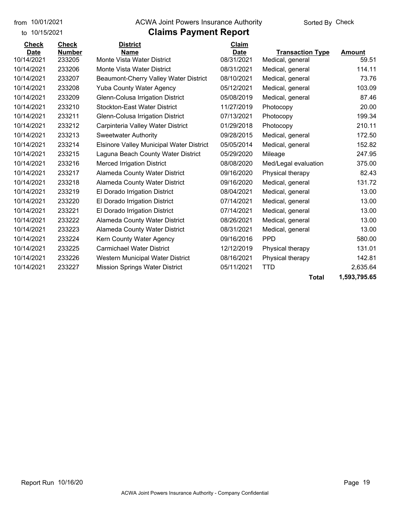#### from 10/01/2021 **Example 20 Travellet Authority** and 10/01/2021 Check

#### to 10/15/2021

### **Claims Payment Report**

| <b>Check</b> | <b>Check</b>  | <b>District</b>                                 | Claim       |                         |             |
|--------------|---------------|-------------------------------------------------|-------------|-------------------------|-------------|
| <b>Date</b>  | <b>Number</b> | <b>Name</b>                                     | <b>Date</b> | <b>Transaction Type</b> | Amount      |
| 10/14/2021   | 233205        | Monte Vista Water District                      | 08/31/2021  | Medical, general        | 59.51       |
| 10/14/2021   | 233206        | Monte Vista Water District                      | 08/31/2021  | Medical, general        | 114.11      |
| 10/14/2021   | 233207        | Beaumont-Cherry Valley Water District           | 08/10/2021  | Medical, general        | 73.76       |
| 10/14/2021   | 233208        | <b>Yuba County Water Agency</b>                 | 05/12/2021  | Medical, general        | 103.09      |
| 10/14/2021   | 233209        | Glenn-Colusa Irrigation District                | 05/08/2019  | Medical, general        | 87.46       |
| 10/14/2021   | 233210        | <b>Stockton-East Water District</b>             | 11/27/2019  | Photocopy               | 20.00       |
| 10/14/2021   | 233211        | Glenn-Colusa Irrigation District                | 07/13/2021  | Photocopy               | 199.34      |
| 10/14/2021   | 233212        | Carpinteria Valley Water District               | 01/29/2018  | Photocopy               | 210.11      |
| 10/14/2021   | 233213        | <b>Sweetwater Authority</b>                     | 09/28/2015  | Medical, general        | 172.50      |
| 10/14/2021   | 233214        | <b>Elsinore Valley Municipal Water District</b> | 05/05/2014  | Medical, general        | 152.82      |
| 10/14/2021   | 233215        | Laguna Beach County Water District              | 05/29/2020  | Mileage                 | 247.95      |
| 10/14/2021   | 233216        | <b>Merced Irrigation District</b>               | 08/08/2020  | Med/Legal evaluation    | 375.00      |
| 10/14/2021   | 233217        | Alameda County Water District                   | 09/16/2020  | Physical therapy        | 82.43       |
| 10/14/2021   | 233218        | Alameda County Water District                   | 09/16/2020  | Medical, general        | 131.72      |
| 10/14/2021   | 233219        | El Dorado Irrigation District                   | 08/04/2021  | Medical, general        | 13.00       |
| 10/14/2021   | 233220        | El Dorado Irrigation District                   | 07/14/2021  | Medical, general        | 13.00       |
| 10/14/2021   | 233221        | El Dorado Irrigation District                   | 07/14/2021  | Medical, general        | 13.00       |
| 10/14/2021   | 233222        | Alameda County Water District                   | 08/26/2021  | Medical, general        | 13.00       |
| 10/14/2021   | 233223        | Alameda County Water District                   | 08/31/2021  | Medical, general        | 13.00       |
| 10/14/2021   | 233224        | Kern County Water Agency                        | 09/16/2016  | <b>PPD</b>              | 580.00      |
| 10/14/2021   | 233225        | <b>Carmichael Water District</b>                | 12/12/2019  | Physical therapy        | 131.01      |
| 10/14/2021   | 233226        | Western Municipal Water District                | 08/16/2021  | Physical therapy        | 142.81      |
| 10/14/2021   | 233227        | <b>Mission Springs Water District</b>           | 05/11/2021  | <b>TTD</b>              | 2,635.64    |
|              |               |                                                 |             |                         | $PAA = APA$ |

**Total 1,593,795.65**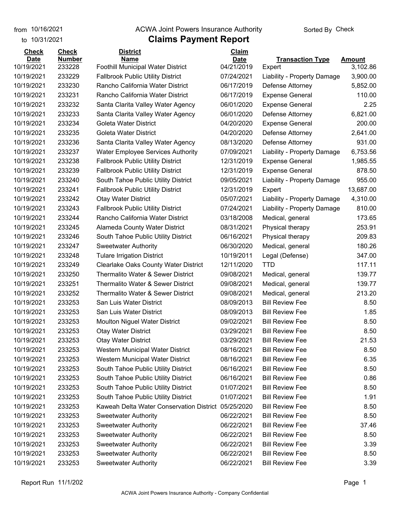from 10/16/2021

#### **Claims Payment Report** from 10/16/2021 **Example 20 Travellet Authority** and 10/16/2021 Check

| to 10/31/2021               |                               | <b>Claims Payment Report</b>                            |                             |                             |               |
|-----------------------------|-------------------------------|---------------------------------------------------------|-----------------------------|-----------------------------|---------------|
| <b>Check</b><br><b>Date</b> | <b>Check</b><br><b>Number</b> | <b>District</b>                                         | <b>Claim</b><br><b>Date</b> | <b>Transaction Type</b>     | <b>Amount</b> |
| 10/19/2021                  | 233228                        | <u>Name</u><br><b>Foothill Municipal Water District</b> | 04/21/2019                  | Expert                      | 3,102.86      |
| 10/19/2021                  | 233229                        | <b>Fallbrook Public Utility District</b>                | 07/24/2021                  | Liability - Property Damage | 3,900.00      |
| 10/19/2021                  | 233230                        | Rancho California Water District                        | 06/17/2019                  | Defense Attorney            | 5,852.00      |
| 10/19/2021                  | 233231                        | Rancho California Water District                        | 06/17/2019                  | <b>Expense General</b>      | 110.00        |
| 10/19/2021                  | 233232                        | Santa Clarita Valley Water Agency                       | 06/01/2020                  | <b>Expense General</b>      | 2.25          |
| 10/19/2021                  | 233233                        | Santa Clarita Valley Water Agency                       | 06/01/2020                  | Defense Attorney            | 6,821.00      |
| 10/19/2021                  | 233234                        | Goleta Water District                                   | 04/20/2020                  | <b>Expense General</b>      | 200.00        |
| 10/19/2021                  | 233235                        | <b>Goleta Water District</b>                            | 04/20/2020                  | Defense Attorney            | 2,641.00      |
| 10/19/2021                  | 233236                        | Santa Clarita Valley Water Agency                       | 08/13/2020                  | Defense Attorney            | 931.00        |
| 10/19/2021                  | 233237                        | <b>Water Employee Services Authority</b>                | 07/09/2021                  | Liability - Property Damage | 6,753.56      |
| 10/19/2021                  | 233238                        | <b>Fallbrook Public Utility District</b>                | 12/31/2019                  | <b>Expense General</b>      | 1,985.55      |
| 10/19/2021                  | 233239                        | <b>Fallbrook Public Utility District</b>                | 12/31/2019                  | <b>Expense General</b>      | 878.50        |
| 10/19/2021                  | 233240                        | South Tahoe Public Utility District                     | 09/05/2021                  | Liability - Property Damage | 955.00        |
| 10/19/2021                  | 233241                        | <b>Fallbrook Public Utility District</b>                | 12/31/2019                  | Expert                      | 13,687.00     |
| 10/19/2021                  | 233242                        | <b>Otay Water District</b>                              | 05/07/2021                  | Liability - Property Damage | 4,310.00      |
| 10/19/2021                  | 233243                        | <b>Fallbrook Public Utility District</b>                | 07/24/2021                  | Liability - Property Damage | 810.00        |
| 10/19/2021                  | 233244                        | Rancho California Water District                        | 03/18/2008                  | Medical, general            | 173.65        |
| 10/19/2021                  | 233245                        | Alameda County Water District                           | 08/31/2021                  | Physical therapy            | 253.91        |
| 10/19/2021                  | 233246                        | South Tahoe Public Utility District                     | 06/16/2021                  | Physical therapy            | 209.83        |
| 10/19/2021                  | 233247                        | <b>Sweetwater Authority</b>                             | 06/30/2020                  | Medical, general            | 180.26        |
| 10/19/2021                  | 233248                        | <b>Tulare Irrigation District</b>                       | 10/19/2011                  | Legal (Defense)             | 347.00        |
| 10/19/2021                  | 233249                        | <b>Clearlake Oaks County Water District</b>             | 12/11/2020                  | <b>TTD</b>                  | 117.11        |
| 10/19/2021                  | 233250                        | Thermalito Water & Sewer District                       | 09/08/2021                  | Medical, general            | 139.77        |
| 10/19/2021                  | 233251                        | Thermalito Water & Sewer District                       | 09/08/2021                  | Medical, general            | 139.77        |
| 10/19/2021                  | 233252                        | Thermalito Water & Sewer District                       | 09/08/2021                  | Medical, general            | 213.20        |
| 10/19/2021                  | 233253                        | San Luis Water District                                 | 08/09/2013                  | <b>Bill Review Fee</b>      | 8.50          |
| 10/19/2021                  | 233253                        | San Luis Water District                                 | 08/09/2013                  | <b>Bill Review Fee</b>      | 1.85          |
| 10/19/2021                  | 233253                        | <b>Moulton Niguel Water District</b>                    | 09/02/2021                  | <b>Bill Review Fee</b>      | 8.50          |
| 10/19/2021                  | 233253                        | <b>Otay Water District</b>                              | 03/29/2021                  | <b>Bill Review Fee</b>      | 8.50          |
| 10/19/2021                  | 233253                        | <b>Otay Water District</b>                              | 03/29/2021                  | <b>Bill Review Fee</b>      | 21.53         |
| 10/19/2021                  | 233253                        | Western Municipal Water District                        | 08/16/2021                  | <b>Bill Review Fee</b>      | 8.50          |
| 10/19/2021                  | 233253                        | Western Municipal Water District                        | 08/16/2021                  | <b>Bill Review Fee</b>      | 6.35          |
| 10/19/2021                  | 233253                        | South Tahoe Public Utility District                     | 06/16/2021                  | <b>Bill Review Fee</b>      | 8.50          |
| 10/19/2021                  | 233253                        | South Tahoe Public Utility District                     | 06/16/2021                  | <b>Bill Review Fee</b>      | 0.86          |
| 10/19/2021                  | 233253                        | South Tahoe Public Utility District                     | 01/07/2021                  | <b>Bill Review Fee</b>      | 8.50          |
| 10/19/2021                  | 233253                        | South Tahoe Public Utility District                     | 01/07/2021                  | <b>Bill Review Fee</b>      | 1.91          |
| 10/19/2021                  | 233253                        | Kaweah Delta Water Conservation District                | 05/25/2020                  | <b>Bill Review Fee</b>      | 8.50          |
| 10/19/2021                  | 233253                        | <b>Sweetwater Authority</b>                             | 06/22/2021                  | <b>Bill Review Fee</b>      | 8.50          |
| 10/19/2021                  | 233253                        | <b>Sweetwater Authority</b>                             | 06/22/2021                  | <b>Bill Review Fee</b>      | 37.46         |
| 10/19/2021                  | 233253                        | <b>Sweetwater Authority</b>                             | 06/22/2021                  | <b>Bill Review Fee</b>      | 8.50          |
| 10/19/2021                  | 233253                        | <b>Sweetwater Authority</b>                             | 06/22/2021                  | <b>Bill Review Fee</b>      | 3.39          |
| 10/19/2021                  | 233253                        | <b>Sweetwater Authority</b>                             | 06/22/2021                  | <b>Bill Review Fee</b>      | 8.50          |
| 10/19/2021                  | 233253                        | <b>Sweetwater Authority</b>                             | 06/22/2021                  | <b>Bill Review Fee</b>      | 3.39          |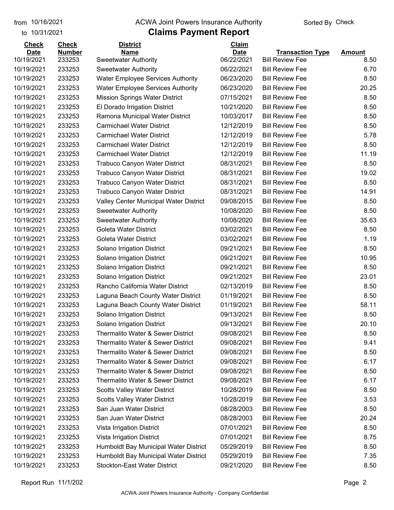to 10/31/2021

#### from 10/16/2021 **The COVA Solic Act Act Authority** Sorted By Check

| <b>Check</b> | <b>Check</b>  | <b>District</b>                              | Claim       |                         |               |
|--------------|---------------|----------------------------------------------|-------------|-------------------------|---------------|
| <b>Date</b>  | <b>Number</b> | <b>Name</b>                                  | <b>Date</b> | <b>Transaction Type</b> | <b>Amount</b> |
| 10/19/2021   | 233253        | <b>Sweetwater Authority</b>                  | 06/22/2021  | <b>Bill Review Fee</b>  | 8.50          |
| 10/19/2021   | 233253        | <b>Sweetwater Authority</b>                  | 06/22/2021  | <b>Bill Review Fee</b>  | 6.70          |
| 10/19/2021   | 233253        | <b>Water Employee Services Authority</b>     | 06/23/2020  | <b>Bill Review Fee</b>  | 8.50          |
| 10/19/2021   | 233253        | <b>Water Employee Services Authority</b>     | 06/23/2020  | <b>Bill Review Fee</b>  | 20.25         |
| 10/19/2021   | 233253        | <b>Mission Springs Water District</b>        | 07/15/2021  | <b>Bill Review Fee</b>  | 8.50          |
| 10/19/2021   | 233253        | El Dorado Irrigation District                | 10/21/2020  | <b>Bill Review Fee</b>  | 8.50          |
| 10/19/2021   | 233253        | Ramona Municipal Water District              | 10/03/2017  | <b>Bill Review Fee</b>  | 8.50          |
| 10/19/2021   | 233253        | <b>Carmichael Water District</b>             | 12/12/2019  | <b>Bill Review Fee</b>  | 8.50          |
| 10/19/2021   | 233253        | <b>Carmichael Water District</b>             | 12/12/2019  | <b>Bill Review Fee</b>  | 5.78          |
| 10/19/2021   | 233253        | <b>Carmichael Water District</b>             | 12/12/2019  | <b>Bill Review Fee</b>  | 8.50          |
| 10/19/2021   | 233253        | <b>Carmichael Water District</b>             | 12/12/2019  | <b>Bill Review Fee</b>  | 11.19         |
| 10/19/2021   | 233253        | <b>Trabuco Canyon Water District</b>         | 08/31/2021  | <b>Bill Review Fee</b>  | 8.50          |
| 10/19/2021   | 233253        | <b>Trabuco Canyon Water District</b>         | 08/31/2021  | <b>Bill Review Fee</b>  | 19.02         |
| 10/19/2021   | 233253        | Trabuco Canyon Water District                | 08/31/2021  | <b>Bill Review Fee</b>  | 8.50          |
| 10/19/2021   | 233253        | <b>Trabuco Canyon Water District</b>         | 08/31/2021  | <b>Bill Review Fee</b>  | 14.91         |
| 10/19/2021   | 233253        | Valley Center Municipal Water District       | 09/08/2015  | <b>Bill Review Fee</b>  | 8.50          |
| 10/19/2021   | 233253        | <b>Sweetwater Authority</b>                  | 10/08/2020  | <b>Bill Review Fee</b>  | 8.50          |
| 10/19/2021   | 233253        | <b>Sweetwater Authority</b>                  | 10/08/2020  | <b>Bill Review Fee</b>  | 35.63         |
| 10/19/2021   | 233253        | Goleta Water District                        | 03/02/2021  | <b>Bill Review Fee</b>  | 8.50          |
| 10/19/2021   | 233253        | Goleta Water District                        | 03/02/2021  | <b>Bill Review Fee</b>  | 1.19          |
| 10/19/2021   | 233253        | Solano Irrigation District                   | 09/21/2021  | <b>Bill Review Fee</b>  | 8.50          |
| 10/19/2021   | 233253        | Solano Irrigation District                   | 09/21/2021  | <b>Bill Review Fee</b>  | 10.95         |
| 10/19/2021   | 233253        | Solano Irrigation District                   | 09/21/2021  | <b>Bill Review Fee</b>  | 8.50          |
| 10/19/2021   | 233253        | Solano Irrigation District                   | 09/21/2021  | <b>Bill Review Fee</b>  | 23.01         |
| 10/19/2021   | 233253        | Rancho California Water District             | 02/13/2019  | <b>Bill Review Fee</b>  | 8.50          |
| 10/19/2021   | 233253        | Laguna Beach County Water District           | 01/19/2021  | <b>Bill Review Fee</b>  | 8.50          |
| 10/19/2021   | 233253        | Laguna Beach County Water District           | 01/19/2021  | <b>Bill Review Fee</b>  | 58.11         |
| 10/19/2021   | 233253        | Solano Irrigation District                   | 09/13/2021  | <b>Bill Review Fee</b>  | 8.50          |
| 10/19/2021   | 233253        | Solano Irrigation District                   | 09/13/2021  | <b>Bill Review Fee</b>  | 20.10         |
| 10/19/2021   | 233253        | <b>Thermalito Water &amp; Sewer District</b> | 09/08/2021  | <b>Bill Review Fee</b>  | 8.50          |
| 10/19/2021   | 233253        | Thermalito Water & Sewer District            | 09/08/2021  | <b>Bill Review Fee</b>  | 9.41          |
| 10/19/2021   | 233253        | Thermalito Water & Sewer District            | 09/08/2021  | <b>Bill Review Fee</b>  | 8.50          |
| 10/19/2021   | 233253        | Thermalito Water & Sewer District            | 09/08/2021  | <b>Bill Review Fee</b>  | 6.17          |
| 10/19/2021   | 233253        | Thermalito Water & Sewer District            | 09/08/2021  | <b>Bill Review Fee</b>  | 8.50          |
| 10/19/2021   | 233253        | Thermalito Water & Sewer District            | 09/08/2021  | <b>Bill Review Fee</b>  | 6.17          |
| 10/19/2021   | 233253        | <b>Scotts Valley Water District</b>          | 10/28/2019  | <b>Bill Review Fee</b>  | 8.50          |
| 10/19/2021   | 233253        | <b>Scotts Valley Water District</b>          | 10/28/2019  | <b>Bill Review Fee</b>  | 3.53          |
| 10/19/2021   | 233253        | San Juan Water District                      | 08/28/2003  | <b>Bill Review Fee</b>  | 8.50          |
| 10/19/2021   | 233253        | San Juan Water District                      | 08/28/2003  | <b>Bill Review Fee</b>  | 20.24         |
| 10/19/2021   | 233253        | Vista Irrigation District                    | 07/01/2021  | <b>Bill Review Fee</b>  | 8.50          |
| 10/19/2021   | 233253        | Vista Irrigation District                    | 07/01/2021  | <b>Bill Review Fee</b>  | 8.75          |
| 10/19/2021   | 233253        | Humboldt Bay Municipal Water District        | 05/29/2019  | <b>Bill Review Fee</b>  | 8.50          |
| 10/19/2021   | 233253        | Humboldt Bay Municipal Water District        | 05/29/2019  | <b>Bill Review Fee</b>  | 7.35          |
| 10/19/2021   | 233253        | <b>Stockton-East Water District</b>          | 09/21/2020  | <b>Bill Review Fee</b>  | 8.50          |
|              |               |                                              |             |                         |               |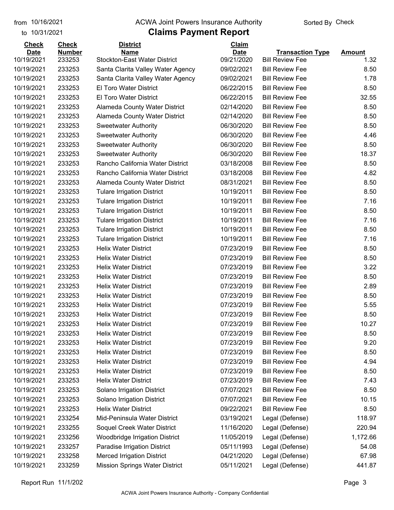#### from 10/16/2021 **Example 20 Travellet Authority** and 10/16/2021 Check

#### to 10/31/2021

| <b>Check</b>              | <b>Check</b>            | <b>District</b>                                    | Claim                     |                                                   |                       |
|---------------------------|-------------------------|----------------------------------------------------|---------------------------|---------------------------------------------------|-----------------------|
| <b>Date</b><br>10/19/2021 | <b>Number</b><br>233253 | <b>Name</b><br><b>Stockton-East Water District</b> | <b>Date</b><br>09/21/2020 | <b>Transaction Type</b><br><b>Bill Review Fee</b> | <b>Amount</b><br>1.32 |
| 10/19/2021                | 233253                  | Santa Clarita Valley Water Agency                  | 09/02/2021                | <b>Bill Review Fee</b>                            | 8.50                  |
| 10/19/2021                | 233253                  | Santa Clarita Valley Water Agency                  | 09/02/2021                | <b>Bill Review Fee</b>                            | 1.78                  |
| 10/19/2021                | 233253                  | El Toro Water District                             | 06/22/2015                | <b>Bill Review Fee</b>                            | 8.50                  |
| 10/19/2021                | 233253                  | El Toro Water District                             | 06/22/2015                | <b>Bill Review Fee</b>                            | 32.55                 |
| 10/19/2021                | 233253                  | Alameda County Water District                      | 02/14/2020                | <b>Bill Review Fee</b>                            | 8.50                  |
| 10/19/2021                | 233253                  | Alameda County Water District                      | 02/14/2020                | <b>Bill Review Fee</b>                            | 8.50                  |
| 10/19/2021                | 233253                  | <b>Sweetwater Authority</b>                        | 06/30/2020                | <b>Bill Review Fee</b>                            | 8.50                  |
| 10/19/2021                | 233253                  | <b>Sweetwater Authority</b>                        | 06/30/2020                | <b>Bill Review Fee</b>                            | 4.46                  |
| 10/19/2021                | 233253                  | <b>Sweetwater Authority</b>                        | 06/30/2020                | <b>Bill Review Fee</b>                            | 8.50                  |
| 10/19/2021                | 233253                  | <b>Sweetwater Authority</b>                        | 06/30/2020                | <b>Bill Review Fee</b>                            | 18.37                 |
| 10/19/2021                | 233253                  | Rancho California Water District                   | 03/18/2008                | <b>Bill Review Fee</b>                            | 8.50                  |
| 10/19/2021                | 233253                  | Rancho California Water District                   | 03/18/2008                | <b>Bill Review Fee</b>                            | 4.82                  |
| 10/19/2021                | 233253                  | <b>Alameda County Water District</b>               | 08/31/2021                | <b>Bill Review Fee</b>                            | 8.50                  |
| 10/19/2021                | 233253                  | <b>Tulare Irrigation District</b>                  | 10/19/2011                | <b>Bill Review Fee</b>                            | 8.50                  |
| 10/19/2021                | 233253                  | <b>Tulare Irrigation District</b>                  | 10/19/2011                | <b>Bill Review Fee</b>                            | 7.16                  |
| 10/19/2021                | 233253                  | <b>Tulare Irrigation District</b>                  | 10/19/2011                | <b>Bill Review Fee</b>                            | 8.50                  |
| 10/19/2021                | 233253                  | <b>Tulare Irrigation District</b>                  | 10/19/2011                | <b>Bill Review Fee</b>                            | 7.16                  |
| 10/19/2021                | 233253                  | <b>Tulare Irrigation District</b>                  | 10/19/2011                | <b>Bill Review Fee</b>                            | 8.50                  |
| 10/19/2021                | 233253                  | <b>Tulare Irrigation District</b>                  | 10/19/2011                | <b>Bill Review Fee</b>                            | 7.16                  |
| 10/19/2021                | 233253                  | <b>Helix Water District</b>                        | 07/23/2019                | <b>Bill Review Fee</b>                            | 8.50                  |
| 10/19/2021                | 233253                  | <b>Helix Water District</b>                        | 07/23/2019                | <b>Bill Review Fee</b>                            | 8.50                  |
| 10/19/2021                | 233253                  | <b>Helix Water District</b>                        | 07/23/2019                | <b>Bill Review Fee</b>                            | 3.22                  |
| 10/19/2021                | 233253                  | <b>Helix Water District</b>                        | 07/23/2019                | <b>Bill Review Fee</b>                            | 8.50                  |
| 10/19/2021                | 233253                  | <b>Helix Water District</b>                        | 07/23/2019                | <b>Bill Review Fee</b>                            | 2.89                  |
| 10/19/2021                | 233253                  | <b>Helix Water District</b>                        | 07/23/2019                | <b>Bill Review Fee</b>                            | 8.50                  |
| 10/19/2021                | 233253                  | <b>Helix Water District</b>                        | 07/23/2019                | <b>Bill Review Fee</b>                            | 5.55                  |
| 10/19/2021                | 233253                  | <b>Helix Water District</b>                        | 07/23/2019                | <b>Bill Review Fee</b>                            | 8.50                  |
| 10/19/2021                | 233253                  | <b>Helix Water District</b>                        | 07/23/2019                | <b>Bill Review Fee</b>                            | 10.27                 |
| 10/19/2021                | 233253                  | <b>Helix Water District</b>                        | 07/23/2019                | <b>Bill Review Fee</b>                            | 8.50                  |
| 10/19/2021                | 233253                  | <b>Helix Water District</b>                        | 07/23/2019                | <b>Bill Review Fee</b>                            | 9.20                  |
| 10/19/2021                | 233253                  | <b>Helix Water District</b>                        | 07/23/2019                | <b>Bill Review Fee</b>                            | 8.50                  |
| 10/19/2021                | 233253                  | <b>Helix Water District</b>                        | 07/23/2019                | <b>Bill Review Fee</b>                            | 4.94                  |
| 10/19/2021                | 233253                  | <b>Helix Water District</b>                        | 07/23/2019                | <b>Bill Review Fee</b>                            | 8.50                  |
| 10/19/2021                | 233253                  | <b>Helix Water District</b>                        | 07/23/2019                | <b>Bill Review Fee</b>                            | 7.43                  |
| 10/19/2021                | 233253                  | Solano Irrigation District                         | 07/07/2021                | <b>Bill Review Fee</b>                            | 8.50                  |
| 10/19/2021                | 233253                  | Solano Irrigation District                         | 07/07/2021                | <b>Bill Review Fee</b>                            | 10.15                 |
| 10/19/2021                | 233253                  | <b>Helix Water District</b>                        | 09/22/2021                | <b>Bill Review Fee</b>                            | 8.50                  |
| 10/19/2021                | 233254                  | Mid-Peninsula Water District                       | 03/19/2021                | Legal (Defense)                                   | 118.97                |
| 10/19/2021                | 233255                  | Soquel Creek Water District                        | 11/16/2020                | Legal (Defense)                                   | 220.94                |
| 10/19/2021                | 233256                  | Woodbridge Irrigation District                     | 11/05/2019                | Legal (Defense)                                   | 1,172.66              |
| 10/19/2021                | 233257                  | Paradise Irrigation District                       | 05/11/1993                | Legal (Defense)                                   | 54.08                 |
| 10/19/2021                | 233258                  | <b>Merced Irrigation District</b>                  | 04/21/2020                | Legal (Defense)                                   | 67.98                 |
| 10/19/2021                | 233259                  | <b>Mission Springs Water District</b>              | 05/11/2021                | Legal (Defense)                                   | 441.87                |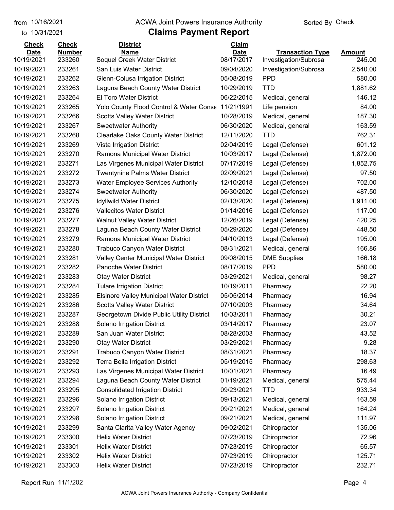to 10/31/2021

#### from 10/16/2021 **Example 20 Travellet Authority** and 10/16/2021 Check

| <b>Check</b> | <b>Check</b>  | <b>District</b>                                    | <b>Claim</b> |                         |               |
|--------------|---------------|----------------------------------------------------|--------------|-------------------------|---------------|
| <b>Date</b>  | <b>Number</b> | Name                                               | <b>Date</b>  | <b>Transaction Type</b> | <b>Amount</b> |
| 10/19/2021   | 233260        | Soquel Creek Water District                        | 08/17/2017   | Investigation/Subrosa   | 245.00        |
| 10/19/2021   | 233261        | San Luis Water District                            | 09/04/2020   | Investigation/Subrosa   | 2,540.00      |
| 10/19/2021   | 233262        | Glenn-Colusa Irrigation District                   | 05/08/2019   | <b>PPD</b>              | 580.00        |
| 10/19/2021   | 233263        | Laguna Beach County Water District                 | 10/29/2019   | <b>TTD</b>              | 1,881.62      |
| 10/19/2021   | 233264        | El Toro Water District                             | 06/22/2015   | Medical, general        | 146.12        |
| 10/19/2021   | 233265        | Yolo County Flood Control & Water Conse 11/21/1991 |              | Life pension            | 84.00         |
| 10/19/2021   | 233266        | <b>Scotts Valley Water District</b>                | 10/28/2019   | Medical, general        | 187.30        |
| 10/19/2021   | 233267        | <b>Sweetwater Authority</b>                        | 06/30/2020   | Medical, general        | 163.59        |
| 10/19/2021   | 233268        | <b>Clearlake Oaks County Water District</b>        | 12/11/2020   | <b>TTD</b>              | 762.31        |
| 10/19/2021   | 233269        | Vista Irrigation District                          | 02/04/2019   | Legal (Defense)         | 601.12        |
| 10/19/2021   | 233270        | Ramona Municipal Water District                    | 10/03/2017   | Legal (Defense)         | 1,872.00      |
| 10/19/2021   | 233271        | Las Virgenes Municipal Water District              | 07/17/2019   | Legal (Defense)         | 1,852.75      |
| 10/19/2021   | 233272        | <b>Twentynine Palms Water District</b>             | 02/09/2021   | Legal (Defense)         | 97.50         |
| 10/19/2021   | 233273        | <b>Water Employee Services Authority</b>           | 12/10/2018   | Legal (Defense)         | 702.00        |
| 10/19/2021   | 233274        | <b>Sweetwater Authority</b>                        | 06/30/2020   | Legal (Defense)         | 487.50        |
| 10/19/2021   | 233275        | <b>Idyllwild Water District</b>                    | 02/13/2020   | Legal (Defense)         | 1,911.00      |
| 10/19/2021   | 233276        | <b>Vallecitos Water District</b>                   | 01/14/2016   | Legal (Defense)         | 117.00        |
| 10/19/2021   | 233277        | Walnut Valley Water District                       | 12/26/2019   | Legal (Defense)         | 420.25        |
| 10/19/2021   | 233278        | Laguna Beach County Water District                 | 05/29/2020   | Legal (Defense)         | 448.50        |
| 10/19/2021   | 233279        | Ramona Municipal Water District                    | 04/10/2013   | Legal (Defense)         | 195.00        |
| 10/19/2021   | 233280        | <b>Trabuco Canyon Water District</b>               | 08/31/2021   | Medical, general        | 166.86        |
| 10/19/2021   | 233281        | <b>Valley Center Municipal Water District</b>      | 09/08/2015   | <b>DME Supplies</b>     | 166.18        |
| 10/19/2021   | 233282        | Panoche Water District                             | 08/17/2019   | <b>PPD</b>              | 580.00        |
| 10/19/2021   | 233283        | <b>Otay Water District</b>                         | 03/29/2021   | Medical, general        | 98.27         |
| 10/19/2021   | 233284        | <b>Tulare Irrigation District</b>                  | 10/19/2011   | Pharmacy                | 22.20         |
| 10/19/2021   | 233285        | <b>Elsinore Valley Municipal Water District</b>    | 05/05/2014   | Pharmacy                | 16.94         |
| 10/19/2021   | 233286        | <b>Scotts Valley Water District</b>                | 07/10/2003   | Pharmacy                | 34.64         |
| 10/19/2021   | 233287        | Georgetown Divide Public Utility District          | 10/03/2011   | Pharmacy                | 30.21         |
| 10/19/2021   | 233288        | Solano Irrigation District                         | 03/14/2017   | Pharmacy                | 23.07         |
| 10/19/2021   | 233289        | San Juan Water District                            | 08/28/2003   | Pharmacy                | 43.52         |
| 10/19/2021   | 233290        | <b>Otay Water District</b>                         | 03/29/2021   | Pharmacy                | 9.28          |
| 10/19/2021   | 233291        | <b>Trabuco Canyon Water District</b>               | 08/31/2021   | Pharmacy                | 18.37         |
| 10/19/2021   | 233292        | Terra Bella Irrigation District                    | 05/19/2015   | Pharmacy                | 298.63        |
| 10/19/2021   | 233293        | Las Virgenes Municipal Water District              | 10/01/2021   | Pharmacy                | 16.49         |
| 10/19/2021   | 233294        | Laguna Beach County Water District                 | 01/19/2021   | Medical, general        | 575.44        |
| 10/19/2021   | 233295        | <b>Consolidated Irrigation District</b>            | 09/23/2021   | <b>TTD</b>              | 933.34        |
| 10/19/2021   | 233296        | Solano Irrigation District                         | 09/13/2021   | Medical, general        | 163.59        |
| 10/19/2021   | 233297        | Solano Irrigation District                         | 09/21/2021   | Medical, general        | 164.24        |
| 10/19/2021   | 233298        | Solano Irrigation District                         | 09/21/2021   | Medical, general        | 111.97        |
| 10/19/2021   | 233299        | Santa Clarita Valley Water Agency                  | 09/02/2021   | Chiropractor            | 135.06        |
|              |               |                                                    |              |                         |               |
| 10/19/2021   | 233300        | <b>Helix Water District</b>                        | 07/23/2019   | Chiropractor            | 72.96         |
| 10/19/2021   | 233301        | <b>Helix Water District</b>                        | 07/23/2019   | Chiropractor            | 65.57         |
| 10/19/2021   | 233302        | <b>Helix Water District</b>                        | 07/23/2019   | Chiropractor            | 125.71        |
| 10/19/2021   | 233303        | <b>Helix Water District</b>                        | 07/23/2019   | Chiropractor            | 232.71        |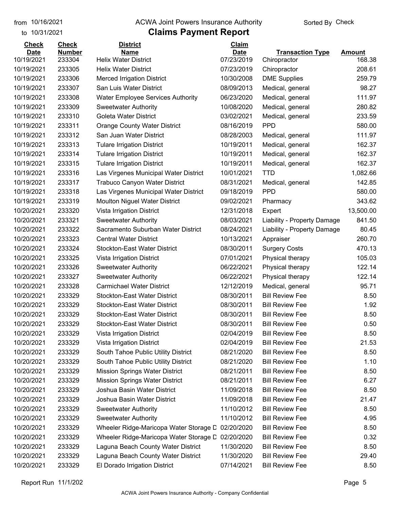to 10/31/2021

#### from 10/16/2021 **Example 20 Travellet Authority** and 10/16/2021 Check

| <b>Check</b> | <b>Check</b>  | <b>District</b>                          | Claim       |                             |               |
|--------------|---------------|------------------------------------------|-------------|-----------------------------|---------------|
| <b>Date</b>  | <b>Number</b> | <b>Name</b>                              | <b>Date</b> | <b>Transaction Type</b>     | <b>Amount</b> |
| 10/19/2021   | 233304        | <b>Helix Water District</b>              | 07/23/2019  | Chiropractor                | 168.38        |
| 10/19/2021   | 233305        | <b>Helix Water District</b>              | 07/23/2019  | Chiropractor                | 208.61        |
| 10/19/2021   | 233306        | <b>Merced Irrigation District</b>        | 10/30/2008  | <b>DME Supplies</b>         | 259.79        |
| 10/19/2021   | 233307        | San Luis Water District                  | 08/09/2013  | Medical, general            | 98.27         |
| 10/19/2021   | 233308        | <b>Water Employee Services Authority</b> | 06/23/2020  | Medical, general            | 111.97        |
| 10/19/2021   | 233309        | <b>Sweetwater Authority</b>              | 10/08/2020  | Medical, general            | 280.82        |
| 10/19/2021   | 233310        | Goleta Water District                    | 03/02/2021  | Medical, general            | 233.59        |
| 10/19/2021   | 233311        | <b>Orange County Water District</b>      | 08/16/2019  | <b>PPD</b>                  | 580.00        |
| 10/19/2021   | 233312        | San Juan Water District                  | 08/28/2003  | Medical, general            | 111.97        |
| 10/19/2021   | 233313        | <b>Tulare Irrigation District</b>        | 10/19/2011  | Medical, general            | 162.37        |
| 10/19/2021   | 233314        | <b>Tulare Irrigation District</b>        | 10/19/2011  | Medical, general            | 162.37        |
| 10/19/2021   | 233315        | <b>Tulare Irrigation District</b>        | 10/19/2011  | Medical, general            | 162.37        |
| 10/19/2021   | 233316        | Las Virgenes Municipal Water District    | 10/01/2021  | <b>TTD</b>                  | 1,082.66      |
| 10/19/2021   | 233317        | <b>Trabuco Canyon Water District</b>     | 08/31/2021  | Medical, general            | 142.85        |
| 10/19/2021   | 233318        | Las Virgenes Municipal Water District    | 09/18/2019  | <b>PPD</b>                  | 580.00        |
| 10/19/2021   | 233319        | <b>Moulton Niguel Water District</b>     | 09/02/2021  | Pharmacy                    | 343.62        |
| 10/20/2021   | 233320        | Vista Irrigation District                | 12/31/2018  | Expert                      | 13,500.00     |
| 10/20/2021   | 233321        | <b>Sweetwater Authority</b>              | 08/03/2021  | Liability - Property Damage | 841.50        |
| 10/20/2021   | 233322        | Sacramento Suburban Water District       | 08/24/2021  | Liability - Property Damage | 80.45         |
| 10/20/2021   | 233323        | <b>Central Water District</b>            | 10/13/2021  | Appraiser                   | 260.70        |
| 10/20/2021   | 233324        | <b>Stockton-East Water District</b>      | 08/30/2011  | <b>Surgery Costs</b>        | 470.13        |
| 10/20/2021   | 233325        | Vista Irrigation District                | 07/01/2021  | Physical therapy            | 105.03        |
| 10/20/2021   | 233326        | <b>Sweetwater Authority</b>              | 06/22/2021  | Physical therapy            | 122.14        |
| 10/20/2021   | 233327        | <b>Sweetwater Authority</b>              | 06/22/2021  | Physical therapy            | 122.14        |
| 10/20/2021   | 233328        | <b>Carmichael Water District</b>         | 12/12/2019  | Medical, general            | 95.71         |
| 10/20/2021   | 233329        | <b>Stockton-East Water District</b>      | 08/30/2011  | <b>Bill Review Fee</b>      | 8.50          |
| 10/20/2021   | 233329        | <b>Stockton-East Water District</b>      | 08/30/2011  | <b>Bill Review Fee</b>      | 1.92          |
| 10/20/2021   | 233329        | <b>Stockton-East Water District</b>      | 08/30/2011  | <b>Bill Review Fee</b>      | 8.50          |
| 10/20/2021   | 233329        | <b>Stockton-East Water District</b>      | 08/30/2011  | <b>Bill Review Fee</b>      | 0.50          |
| 10/20/2021   | 233329        | Vista Irrigation District                | 02/04/2019  | <b>Bill Review Fee</b>      | 8.50          |
| 10/20/2021   | 233329        | Vista Irrigation District                | 02/04/2019  | <b>Bill Review Fee</b>      | 21.53         |
| 10/20/2021   | 233329        | South Tahoe Public Utility District      | 08/21/2020  | <b>Bill Review Fee</b>      | 8.50          |
| 10/20/2021   | 233329        | South Tahoe Public Utility District      | 08/21/2020  | <b>Bill Review Fee</b>      | 1.10          |
| 10/20/2021   | 233329        | <b>Mission Springs Water District</b>    | 08/21/2011  | <b>Bill Review Fee</b>      | 8.50          |
| 10/20/2021   | 233329        | <b>Mission Springs Water District</b>    | 08/21/2011  | <b>Bill Review Fee</b>      | 6.27          |
| 10/20/2021   | 233329        | Joshua Basin Water District              | 11/09/2018  | <b>Bill Review Fee</b>      | 8.50          |
| 10/20/2021   | 233329        | Joshua Basin Water District              | 11/09/2018  | <b>Bill Review Fee</b>      | 21.47         |
| 10/20/2021   | 233329        | <b>Sweetwater Authority</b>              | 11/10/2012  | <b>Bill Review Fee</b>      | 8.50          |
| 10/20/2021   | 233329        | <b>Sweetwater Authority</b>              | 11/10/2012  | <b>Bill Review Fee</b>      | 4.95          |
| 10/20/2021   | 233329        | Wheeler Ridge-Maricopa Water Storage D   | 02/20/2020  | <b>Bill Review Fee</b>      | 8.50          |
| 10/20/2021   | 233329        | Wheeler Ridge-Maricopa Water Storage D   | 02/20/2020  | <b>Bill Review Fee</b>      | 0.32          |
| 10/20/2021   | 233329        | Laguna Beach County Water District       | 11/30/2020  | <b>Bill Review Fee</b>      | 8.50          |
| 10/20/2021   | 233329        | Laguna Beach County Water District       | 11/30/2020  | <b>Bill Review Fee</b>      | 29.40         |
| 10/20/2021   | 233329        | El Dorado Irrigation District            | 07/14/2021  | <b>Bill Review Fee</b>      | 8.50          |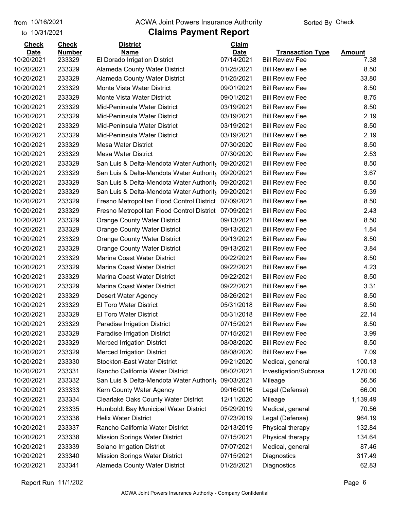#### from 10/16/2021 **Example 20 Travellet Authority** and 10/16/2021 Check

#### to 10/31/2021

| 233329<br>El Dorado Irrigation District<br>07/14/2021<br>10/20/2021<br><b>Bill Review Fee</b><br>7.38<br>10/20/2021<br>233329<br>Alameda County Water District<br>01/25/2021<br><b>Bill Review Fee</b><br>8.50<br>233329<br>33.80<br>10/20/2021<br><b>Alameda County Water District</b><br>01/25/2021<br><b>Bill Review Fee</b><br>10/20/2021<br>233329<br>Monte Vista Water District<br>09/01/2021<br><b>Bill Review Fee</b><br>8.50<br>233329<br>Monte Vista Water District<br>09/01/2021<br><b>Bill Review Fee</b><br>8.75<br>10/20/2021<br>233329<br>10/20/2021<br>Mid-Peninsula Water District<br>03/19/2021<br><b>Bill Review Fee</b><br>8.50<br>2.19<br>10/20/2021<br>233329<br>Mid-Peninsula Water District<br>03/19/2021<br><b>Bill Review Fee</b><br>10/20/2021<br>233329<br>Mid-Peninsula Water District<br>03/19/2021<br><b>Bill Review Fee</b><br>8.50<br>233329<br>Mid-Peninsula Water District<br>03/19/2021<br><b>Bill Review Fee</b><br>2.19<br>233329<br><b>Mesa Water District</b><br>07/30/2020<br><b>Bill Review Fee</b><br>8.50<br>233329<br><b>Mesa Water District</b><br>07/30/2020<br><b>Bill Review Fee</b><br>2.53<br>233329<br>8.50<br>San Luis & Delta-Mendota Water Authority<br>09/20/2021<br><b>Bill Review Fee</b><br>3.67<br>233329<br><b>Bill Review Fee</b><br>San Luis & Delta-Mendota Water Authority<br>09/20/2021<br>233329<br>San Luis & Delta-Mendota Water Authority 09/20/2021<br><b>Bill Review Fee</b><br>8.50<br>233329<br>San Luis & Delta-Mendota Water Authority 09/20/2021<br><b>Bill Review Fee</b><br>5.39<br>233329<br>07/09/2021<br><b>Bill Review Fee</b><br>8.50<br>Fresno Metropolitan Flood Control District<br>233329<br>07/09/2021<br><b>Bill Review Fee</b><br>2.43<br>Fresno Metropolitan Flood Control District<br>233329<br>09/13/2021<br><b>Bill Review Fee</b><br>8.50<br><b>Orange County Water District</b><br>233329<br>09/13/2021<br><b>Bill Review Fee</b><br>1.84<br><b>Orange County Water District</b><br>233329<br>09/13/2021<br><b>Bill Review Fee</b><br>8.50<br><b>Orange County Water District</b><br>233329<br><b>Bill Review Fee</b><br>3.84<br><b>Orange County Water District</b><br>09/13/2021<br>233329<br>Marina Coast Water District<br>09/22/2021<br><b>Bill Review Fee</b><br>8.50<br>233329<br>Marina Coast Water District<br>09/22/2021<br><b>Bill Review Fee</b><br>4.23<br>233329<br>Marina Coast Water District<br>09/22/2021<br><b>Bill Review Fee</b><br>8.50<br>10/20/2021<br>233329<br>Marina Coast Water District<br>09/22/2021<br><b>Bill Review Fee</b><br>3.31<br>10/20/2021<br>233329<br>08/26/2021<br><b>Bill Review Fee</b><br>8.50<br>Desert Water Agency<br>233329<br><b>El Toro Water District</b><br>05/31/2018<br><b>Bill Review Fee</b><br>8.50<br>233329<br><b>El Toro Water District</b><br>05/31/2018<br>22.14<br>10/20/2021<br><b>Bill Review Fee</b><br>10/20/2021<br>233329<br>07/15/2021<br><b>Bill Review Fee</b><br>8.50<br>Paradise Irrigation District<br>10/20/2021<br>07/15/2021<br><b>Bill Review Fee</b><br>233329<br>Paradise Irrigation District<br>3.99<br>233329<br><b>Merced Irrigation District</b><br>08/08/2020<br><b>Bill Review Fee</b><br>8.50<br><b>Merced Irrigation District</b><br>233329<br>08/08/2020<br><b>Bill Review Fee</b><br>7.09<br><b>Stockton-East Water District</b><br>10/20/2021<br>233330<br>09/21/2020<br>Medical, general<br>100.13<br>1,270.00<br>233331<br>Rancho California Water District<br>06/02/2021<br>Investigation/Subrosa<br>233332<br>San Luis & Delta-Mendota Water Authority<br>09/03/2021<br>56.56<br>Mileage<br>233333<br>Kern County Water Agency<br>09/16/2016<br>66.00<br>Legal (Defense)<br><b>Clearlake Oaks County Water District</b><br>1,139.49<br>233334<br>12/11/2020<br>Mileage<br>10/20/2021<br>05/29/2019<br>70.56<br>233335<br>Humboldt Bay Municipal Water District<br>Medical, general<br><b>Helix Water District</b><br>233336<br>07/23/2019<br>Legal (Defense)<br>964.19<br>233337<br>Rancho California Water District<br>02/13/2019<br>Physical therapy<br>132.84<br>10/20/2021<br>233338<br><b>Mission Springs Water District</b><br>07/15/2021<br>Physical therapy<br>134.64<br>10/20/2021<br>233339<br>Solano Irrigation District<br>07/07/2021<br>Medical, general<br>87.46<br>10/20/2021<br>233340<br><b>Mission Springs Water District</b><br>07/15/2021<br>Diagnostics<br>317.49 | <b>Check</b> | <b>Check</b>  | <b>District</b> | Claim       |                         |               |
|-------------------------------------------------------------------------------------------------------------------------------------------------------------------------------------------------------------------------------------------------------------------------------------------------------------------------------------------------------------------------------------------------------------------------------------------------------------------------------------------------------------------------------------------------------------------------------------------------------------------------------------------------------------------------------------------------------------------------------------------------------------------------------------------------------------------------------------------------------------------------------------------------------------------------------------------------------------------------------------------------------------------------------------------------------------------------------------------------------------------------------------------------------------------------------------------------------------------------------------------------------------------------------------------------------------------------------------------------------------------------------------------------------------------------------------------------------------------------------------------------------------------------------------------------------------------------------------------------------------------------------------------------------------------------------------------------------------------------------------------------------------------------------------------------------------------------------------------------------------------------------------------------------------------------------------------------------------------------------------------------------------------------------------------------------------------------------------------------------------------------------------------------------------------------------------------------------------------------------------------------------------------------------------------------------------------------------------------------------------------------------------------------------------------------------------------------------------------------------------------------------------------------------------------------------------------------------------------------------------------------------------------------------------------------------------------------------------------------------------------------------------------------------------------------------------------------------------------------------------------------------------------------------------------------------------------------------------------------------------------------------------------------------------------------------------------------------------------------------------------------------------------------------------------------------------------------------------------------------------------------------------------------------------------------------------------------------------------------------------------------------------------------------------------------------------------------------------------------------------------------------------------------------------------------------------------------------------------------------------------------------------------------------------------------------------------------------------------------------------------------------------------------------------------------------------------------------------------------------------------------------------------------------------------------------------------------------------------------------------------------------------------------------------------------------------------------------------------------------------------------------------------------------------------------------------------------------------------------------------------------------------------------------------------------------------------------------------------------------------------------------------------|--------------|---------------|-----------------|-------------|-------------------------|---------------|
|                                                                                                                                                                                                                                                                                                                                                                                                                                                                                                                                                                                                                                                                                                                                                                                                                                                                                                                                                                                                                                                                                                                                                                                                                                                                                                                                                                                                                                                                                                                                                                                                                                                                                                                                                                                                                                                                                                                                                                                                                                                                                                                                                                                                                                                                                                                                                                                                                                                                                                                                                                                                                                                                                                                                                                                                                                                                                                                                                                                                                                                                                                                                                                                                                                                                                                                                                                                                                                                                                                                                                                                                                                                                                                                                                                                                                                                                                                                                                                                                                                                                                                                                                                                                                                                                                                                                                                                           | <b>Date</b>  | <b>Number</b> | <b>Name</b>     | <b>Date</b> | <b>Transaction Type</b> | <b>Amount</b> |
|                                                                                                                                                                                                                                                                                                                                                                                                                                                                                                                                                                                                                                                                                                                                                                                                                                                                                                                                                                                                                                                                                                                                                                                                                                                                                                                                                                                                                                                                                                                                                                                                                                                                                                                                                                                                                                                                                                                                                                                                                                                                                                                                                                                                                                                                                                                                                                                                                                                                                                                                                                                                                                                                                                                                                                                                                                                                                                                                                                                                                                                                                                                                                                                                                                                                                                                                                                                                                                                                                                                                                                                                                                                                                                                                                                                                                                                                                                                                                                                                                                                                                                                                                                                                                                                                                                                                                                                           |              |               |                 |             |                         |               |
|                                                                                                                                                                                                                                                                                                                                                                                                                                                                                                                                                                                                                                                                                                                                                                                                                                                                                                                                                                                                                                                                                                                                                                                                                                                                                                                                                                                                                                                                                                                                                                                                                                                                                                                                                                                                                                                                                                                                                                                                                                                                                                                                                                                                                                                                                                                                                                                                                                                                                                                                                                                                                                                                                                                                                                                                                                                                                                                                                                                                                                                                                                                                                                                                                                                                                                                                                                                                                                                                                                                                                                                                                                                                                                                                                                                                                                                                                                                                                                                                                                                                                                                                                                                                                                                                                                                                                                                           |              |               |                 |             |                         |               |
|                                                                                                                                                                                                                                                                                                                                                                                                                                                                                                                                                                                                                                                                                                                                                                                                                                                                                                                                                                                                                                                                                                                                                                                                                                                                                                                                                                                                                                                                                                                                                                                                                                                                                                                                                                                                                                                                                                                                                                                                                                                                                                                                                                                                                                                                                                                                                                                                                                                                                                                                                                                                                                                                                                                                                                                                                                                                                                                                                                                                                                                                                                                                                                                                                                                                                                                                                                                                                                                                                                                                                                                                                                                                                                                                                                                                                                                                                                                                                                                                                                                                                                                                                                                                                                                                                                                                                                                           |              |               |                 |             |                         |               |
|                                                                                                                                                                                                                                                                                                                                                                                                                                                                                                                                                                                                                                                                                                                                                                                                                                                                                                                                                                                                                                                                                                                                                                                                                                                                                                                                                                                                                                                                                                                                                                                                                                                                                                                                                                                                                                                                                                                                                                                                                                                                                                                                                                                                                                                                                                                                                                                                                                                                                                                                                                                                                                                                                                                                                                                                                                                                                                                                                                                                                                                                                                                                                                                                                                                                                                                                                                                                                                                                                                                                                                                                                                                                                                                                                                                                                                                                                                                                                                                                                                                                                                                                                                                                                                                                                                                                                                                           |              |               |                 |             |                         |               |
|                                                                                                                                                                                                                                                                                                                                                                                                                                                                                                                                                                                                                                                                                                                                                                                                                                                                                                                                                                                                                                                                                                                                                                                                                                                                                                                                                                                                                                                                                                                                                                                                                                                                                                                                                                                                                                                                                                                                                                                                                                                                                                                                                                                                                                                                                                                                                                                                                                                                                                                                                                                                                                                                                                                                                                                                                                                                                                                                                                                                                                                                                                                                                                                                                                                                                                                                                                                                                                                                                                                                                                                                                                                                                                                                                                                                                                                                                                                                                                                                                                                                                                                                                                                                                                                                                                                                                                                           |              |               |                 |             |                         |               |
|                                                                                                                                                                                                                                                                                                                                                                                                                                                                                                                                                                                                                                                                                                                                                                                                                                                                                                                                                                                                                                                                                                                                                                                                                                                                                                                                                                                                                                                                                                                                                                                                                                                                                                                                                                                                                                                                                                                                                                                                                                                                                                                                                                                                                                                                                                                                                                                                                                                                                                                                                                                                                                                                                                                                                                                                                                                                                                                                                                                                                                                                                                                                                                                                                                                                                                                                                                                                                                                                                                                                                                                                                                                                                                                                                                                                                                                                                                                                                                                                                                                                                                                                                                                                                                                                                                                                                                                           |              |               |                 |             |                         |               |
|                                                                                                                                                                                                                                                                                                                                                                                                                                                                                                                                                                                                                                                                                                                                                                                                                                                                                                                                                                                                                                                                                                                                                                                                                                                                                                                                                                                                                                                                                                                                                                                                                                                                                                                                                                                                                                                                                                                                                                                                                                                                                                                                                                                                                                                                                                                                                                                                                                                                                                                                                                                                                                                                                                                                                                                                                                                                                                                                                                                                                                                                                                                                                                                                                                                                                                                                                                                                                                                                                                                                                                                                                                                                                                                                                                                                                                                                                                                                                                                                                                                                                                                                                                                                                                                                                                                                                                                           |              |               |                 |             |                         |               |
|                                                                                                                                                                                                                                                                                                                                                                                                                                                                                                                                                                                                                                                                                                                                                                                                                                                                                                                                                                                                                                                                                                                                                                                                                                                                                                                                                                                                                                                                                                                                                                                                                                                                                                                                                                                                                                                                                                                                                                                                                                                                                                                                                                                                                                                                                                                                                                                                                                                                                                                                                                                                                                                                                                                                                                                                                                                                                                                                                                                                                                                                                                                                                                                                                                                                                                                                                                                                                                                                                                                                                                                                                                                                                                                                                                                                                                                                                                                                                                                                                                                                                                                                                                                                                                                                                                                                                                                           |              |               |                 |             |                         |               |
|                                                                                                                                                                                                                                                                                                                                                                                                                                                                                                                                                                                                                                                                                                                                                                                                                                                                                                                                                                                                                                                                                                                                                                                                                                                                                                                                                                                                                                                                                                                                                                                                                                                                                                                                                                                                                                                                                                                                                                                                                                                                                                                                                                                                                                                                                                                                                                                                                                                                                                                                                                                                                                                                                                                                                                                                                                                                                                                                                                                                                                                                                                                                                                                                                                                                                                                                                                                                                                                                                                                                                                                                                                                                                                                                                                                                                                                                                                                                                                                                                                                                                                                                                                                                                                                                                                                                                                                           | 10/20/2021   |               |                 |             |                         |               |
|                                                                                                                                                                                                                                                                                                                                                                                                                                                                                                                                                                                                                                                                                                                                                                                                                                                                                                                                                                                                                                                                                                                                                                                                                                                                                                                                                                                                                                                                                                                                                                                                                                                                                                                                                                                                                                                                                                                                                                                                                                                                                                                                                                                                                                                                                                                                                                                                                                                                                                                                                                                                                                                                                                                                                                                                                                                                                                                                                                                                                                                                                                                                                                                                                                                                                                                                                                                                                                                                                                                                                                                                                                                                                                                                                                                                                                                                                                                                                                                                                                                                                                                                                                                                                                                                                                                                                                                           | 10/20/2021   |               |                 |             |                         |               |
|                                                                                                                                                                                                                                                                                                                                                                                                                                                                                                                                                                                                                                                                                                                                                                                                                                                                                                                                                                                                                                                                                                                                                                                                                                                                                                                                                                                                                                                                                                                                                                                                                                                                                                                                                                                                                                                                                                                                                                                                                                                                                                                                                                                                                                                                                                                                                                                                                                                                                                                                                                                                                                                                                                                                                                                                                                                                                                                                                                                                                                                                                                                                                                                                                                                                                                                                                                                                                                                                                                                                                                                                                                                                                                                                                                                                                                                                                                                                                                                                                                                                                                                                                                                                                                                                                                                                                                                           | 10/20/2021   |               |                 |             |                         |               |
|                                                                                                                                                                                                                                                                                                                                                                                                                                                                                                                                                                                                                                                                                                                                                                                                                                                                                                                                                                                                                                                                                                                                                                                                                                                                                                                                                                                                                                                                                                                                                                                                                                                                                                                                                                                                                                                                                                                                                                                                                                                                                                                                                                                                                                                                                                                                                                                                                                                                                                                                                                                                                                                                                                                                                                                                                                                                                                                                                                                                                                                                                                                                                                                                                                                                                                                                                                                                                                                                                                                                                                                                                                                                                                                                                                                                                                                                                                                                                                                                                                                                                                                                                                                                                                                                                                                                                                                           | 10/20/2021   |               |                 |             |                         |               |
|                                                                                                                                                                                                                                                                                                                                                                                                                                                                                                                                                                                                                                                                                                                                                                                                                                                                                                                                                                                                                                                                                                                                                                                                                                                                                                                                                                                                                                                                                                                                                                                                                                                                                                                                                                                                                                                                                                                                                                                                                                                                                                                                                                                                                                                                                                                                                                                                                                                                                                                                                                                                                                                                                                                                                                                                                                                                                                                                                                                                                                                                                                                                                                                                                                                                                                                                                                                                                                                                                                                                                                                                                                                                                                                                                                                                                                                                                                                                                                                                                                                                                                                                                                                                                                                                                                                                                                                           | 10/20/2021   |               |                 |             |                         |               |
|                                                                                                                                                                                                                                                                                                                                                                                                                                                                                                                                                                                                                                                                                                                                                                                                                                                                                                                                                                                                                                                                                                                                                                                                                                                                                                                                                                                                                                                                                                                                                                                                                                                                                                                                                                                                                                                                                                                                                                                                                                                                                                                                                                                                                                                                                                                                                                                                                                                                                                                                                                                                                                                                                                                                                                                                                                                                                                                                                                                                                                                                                                                                                                                                                                                                                                                                                                                                                                                                                                                                                                                                                                                                                                                                                                                                                                                                                                                                                                                                                                                                                                                                                                                                                                                                                                                                                                                           | 10/20/2021   |               |                 |             |                         |               |
|                                                                                                                                                                                                                                                                                                                                                                                                                                                                                                                                                                                                                                                                                                                                                                                                                                                                                                                                                                                                                                                                                                                                                                                                                                                                                                                                                                                                                                                                                                                                                                                                                                                                                                                                                                                                                                                                                                                                                                                                                                                                                                                                                                                                                                                                                                                                                                                                                                                                                                                                                                                                                                                                                                                                                                                                                                                                                                                                                                                                                                                                                                                                                                                                                                                                                                                                                                                                                                                                                                                                                                                                                                                                                                                                                                                                                                                                                                                                                                                                                                                                                                                                                                                                                                                                                                                                                                                           | 10/20/2021   |               |                 |             |                         |               |
|                                                                                                                                                                                                                                                                                                                                                                                                                                                                                                                                                                                                                                                                                                                                                                                                                                                                                                                                                                                                                                                                                                                                                                                                                                                                                                                                                                                                                                                                                                                                                                                                                                                                                                                                                                                                                                                                                                                                                                                                                                                                                                                                                                                                                                                                                                                                                                                                                                                                                                                                                                                                                                                                                                                                                                                                                                                                                                                                                                                                                                                                                                                                                                                                                                                                                                                                                                                                                                                                                                                                                                                                                                                                                                                                                                                                                                                                                                                                                                                                                                                                                                                                                                                                                                                                                                                                                                                           | 10/20/2021   |               |                 |             |                         |               |
|                                                                                                                                                                                                                                                                                                                                                                                                                                                                                                                                                                                                                                                                                                                                                                                                                                                                                                                                                                                                                                                                                                                                                                                                                                                                                                                                                                                                                                                                                                                                                                                                                                                                                                                                                                                                                                                                                                                                                                                                                                                                                                                                                                                                                                                                                                                                                                                                                                                                                                                                                                                                                                                                                                                                                                                                                                                                                                                                                                                                                                                                                                                                                                                                                                                                                                                                                                                                                                                                                                                                                                                                                                                                                                                                                                                                                                                                                                                                                                                                                                                                                                                                                                                                                                                                                                                                                                                           | 10/20/2021   |               |                 |             |                         |               |
|                                                                                                                                                                                                                                                                                                                                                                                                                                                                                                                                                                                                                                                                                                                                                                                                                                                                                                                                                                                                                                                                                                                                                                                                                                                                                                                                                                                                                                                                                                                                                                                                                                                                                                                                                                                                                                                                                                                                                                                                                                                                                                                                                                                                                                                                                                                                                                                                                                                                                                                                                                                                                                                                                                                                                                                                                                                                                                                                                                                                                                                                                                                                                                                                                                                                                                                                                                                                                                                                                                                                                                                                                                                                                                                                                                                                                                                                                                                                                                                                                                                                                                                                                                                                                                                                                                                                                                                           | 10/20/2021   |               |                 |             |                         |               |
|                                                                                                                                                                                                                                                                                                                                                                                                                                                                                                                                                                                                                                                                                                                                                                                                                                                                                                                                                                                                                                                                                                                                                                                                                                                                                                                                                                                                                                                                                                                                                                                                                                                                                                                                                                                                                                                                                                                                                                                                                                                                                                                                                                                                                                                                                                                                                                                                                                                                                                                                                                                                                                                                                                                                                                                                                                                                                                                                                                                                                                                                                                                                                                                                                                                                                                                                                                                                                                                                                                                                                                                                                                                                                                                                                                                                                                                                                                                                                                                                                                                                                                                                                                                                                                                                                                                                                                                           | 10/20/2021   |               |                 |             |                         |               |
|                                                                                                                                                                                                                                                                                                                                                                                                                                                                                                                                                                                                                                                                                                                                                                                                                                                                                                                                                                                                                                                                                                                                                                                                                                                                                                                                                                                                                                                                                                                                                                                                                                                                                                                                                                                                                                                                                                                                                                                                                                                                                                                                                                                                                                                                                                                                                                                                                                                                                                                                                                                                                                                                                                                                                                                                                                                                                                                                                                                                                                                                                                                                                                                                                                                                                                                                                                                                                                                                                                                                                                                                                                                                                                                                                                                                                                                                                                                                                                                                                                                                                                                                                                                                                                                                                                                                                                                           | 10/20/2021   |               |                 |             |                         |               |
|                                                                                                                                                                                                                                                                                                                                                                                                                                                                                                                                                                                                                                                                                                                                                                                                                                                                                                                                                                                                                                                                                                                                                                                                                                                                                                                                                                                                                                                                                                                                                                                                                                                                                                                                                                                                                                                                                                                                                                                                                                                                                                                                                                                                                                                                                                                                                                                                                                                                                                                                                                                                                                                                                                                                                                                                                                                                                                                                                                                                                                                                                                                                                                                                                                                                                                                                                                                                                                                                                                                                                                                                                                                                                                                                                                                                                                                                                                                                                                                                                                                                                                                                                                                                                                                                                                                                                                                           | 10/20/2021   |               |                 |             |                         |               |
|                                                                                                                                                                                                                                                                                                                                                                                                                                                                                                                                                                                                                                                                                                                                                                                                                                                                                                                                                                                                                                                                                                                                                                                                                                                                                                                                                                                                                                                                                                                                                                                                                                                                                                                                                                                                                                                                                                                                                                                                                                                                                                                                                                                                                                                                                                                                                                                                                                                                                                                                                                                                                                                                                                                                                                                                                                                                                                                                                                                                                                                                                                                                                                                                                                                                                                                                                                                                                                                                                                                                                                                                                                                                                                                                                                                                                                                                                                                                                                                                                                                                                                                                                                                                                                                                                                                                                                                           | 10/20/2021   |               |                 |             |                         |               |
|                                                                                                                                                                                                                                                                                                                                                                                                                                                                                                                                                                                                                                                                                                                                                                                                                                                                                                                                                                                                                                                                                                                                                                                                                                                                                                                                                                                                                                                                                                                                                                                                                                                                                                                                                                                                                                                                                                                                                                                                                                                                                                                                                                                                                                                                                                                                                                                                                                                                                                                                                                                                                                                                                                                                                                                                                                                                                                                                                                                                                                                                                                                                                                                                                                                                                                                                                                                                                                                                                                                                                                                                                                                                                                                                                                                                                                                                                                                                                                                                                                                                                                                                                                                                                                                                                                                                                                                           | 10/20/2021   |               |                 |             |                         |               |
|                                                                                                                                                                                                                                                                                                                                                                                                                                                                                                                                                                                                                                                                                                                                                                                                                                                                                                                                                                                                                                                                                                                                                                                                                                                                                                                                                                                                                                                                                                                                                                                                                                                                                                                                                                                                                                                                                                                                                                                                                                                                                                                                                                                                                                                                                                                                                                                                                                                                                                                                                                                                                                                                                                                                                                                                                                                                                                                                                                                                                                                                                                                                                                                                                                                                                                                                                                                                                                                                                                                                                                                                                                                                                                                                                                                                                                                                                                                                                                                                                                                                                                                                                                                                                                                                                                                                                                                           | 10/20/2021   |               |                 |             |                         |               |
|                                                                                                                                                                                                                                                                                                                                                                                                                                                                                                                                                                                                                                                                                                                                                                                                                                                                                                                                                                                                                                                                                                                                                                                                                                                                                                                                                                                                                                                                                                                                                                                                                                                                                                                                                                                                                                                                                                                                                                                                                                                                                                                                                                                                                                                                                                                                                                                                                                                                                                                                                                                                                                                                                                                                                                                                                                                                                                                                                                                                                                                                                                                                                                                                                                                                                                                                                                                                                                                                                                                                                                                                                                                                                                                                                                                                                                                                                                                                                                                                                                                                                                                                                                                                                                                                                                                                                                                           |              |               |                 |             |                         |               |
|                                                                                                                                                                                                                                                                                                                                                                                                                                                                                                                                                                                                                                                                                                                                                                                                                                                                                                                                                                                                                                                                                                                                                                                                                                                                                                                                                                                                                                                                                                                                                                                                                                                                                                                                                                                                                                                                                                                                                                                                                                                                                                                                                                                                                                                                                                                                                                                                                                                                                                                                                                                                                                                                                                                                                                                                                                                                                                                                                                                                                                                                                                                                                                                                                                                                                                                                                                                                                                                                                                                                                                                                                                                                                                                                                                                                                                                                                                                                                                                                                                                                                                                                                                                                                                                                                                                                                                                           |              |               |                 |             |                         |               |
|                                                                                                                                                                                                                                                                                                                                                                                                                                                                                                                                                                                                                                                                                                                                                                                                                                                                                                                                                                                                                                                                                                                                                                                                                                                                                                                                                                                                                                                                                                                                                                                                                                                                                                                                                                                                                                                                                                                                                                                                                                                                                                                                                                                                                                                                                                                                                                                                                                                                                                                                                                                                                                                                                                                                                                                                                                                                                                                                                                                                                                                                                                                                                                                                                                                                                                                                                                                                                                                                                                                                                                                                                                                                                                                                                                                                                                                                                                                                                                                                                                                                                                                                                                                                                                                                                                                                                                                           | 10/20/2021   |               |                 |             |                         |               |
|                                                                                                                                                                                                                                                                                                                                                                                                                                                                                                                                                                                                                                                                                                                                                                                                                                                                                                                                                                                                                                                                                                                                                                                                                                                                                                                                                                                                                                                                                                                                                                                                                                                                                                                                                                                                                                                                                                                                                                                                                                                                                                                                                                                                                                                                                                                                                                                                                                                                                                                                                                                                                                                                                                                                                                                                                                                                                                                                                                                                                                                                                                                                                                                                                                                                                                                                                                                                                                                                                                                                                                                                                                                                                                                                                                                                                                                                                                                                                                                                                                                                                                                                                                                                                                                                                                                                                                                           |              |               |                 |             |                         |               |
|                                                                                                                                                                                                                                                                                                                                                                                                                                                                                                                                                                                                                                                                                                                                                                                                                                                                                                                                                                                                                                                                                                                                                                                                                                                                                                                                                                                                                                                                                                                                                                                                                                                                                                                                                                                                                                                                                                                                                                                                                                                                                                                                                                                                                                                                                                                                                                                                                                                                                                                                                                                                                                                                                                                                                                                                                                                                                                                                                                                                                                                                                                                                                                                                                                                                                                                                                                                                                                                                                                                                                                                                                                                                                                                                                                                                                                                                                                                                                                                                                                                                                                                                                                                                                                                                                                                                                                                           |              |               |                 |             |                         |               |
|                                                                                                                                                                                                                                                                                                                                                                                                                                                                                                                                                                                                                                                                                                                                                                                                                                                                                                                                                                                                                                                                                                                                                                                                                                                                                                                                                                                                                                                                                                                                                                                                                                                                                                                                                                                                                                                                                                                                                                                                                                                                                                                                                                                                                                                                                                                                                                                                                                                                                                                                                                                                                                                                                                                                                                                                                                                                                                                                                                                                                                                                                                                                                                                                                                                                                                                                                                                                                                                                                                                                                                                                                                                                                                                                                                                                                                                                                                                                                                                                                                                                                                                                                                                                                                                                                                                                                                                           |              |               |                 |             |                         |               |
|                                                                                                                                                                                                                                                                                                                                                                                                                                                                                                                                                                                                                                                                                                                                                                                                                                                                                                                                                                                                                                                                                                                                                                                                                                                                                                                                                                                                                                                                                                                                                                                                                                                                                                                                                                                                                                                                                                                                                                                                                                                                                                                                                                                                                                                                                                                                                                                                                                                                                                                                                                                                                                                                                                                                                                                                                                                                                                                                                                                                                                                                                                                                                                                                                                                                                                                                                                                                                                                                                                                                                                                                                                                                                                                                                                                                                                                                                                                                                                                                                                                                                                                                                                                                                                                                                                                                                                                           | 10/20/2021   |               |                 |             |                         |               |
|                                                                                                                                                                                                                                                                                                                                                                                                                                                                                                                                                                                                                                                                                                                                                                                                                                                                                                                                                                                                                                                                                                                                                                                                                                                                                                                                                                                                                                                                                                                                                                                                                                                                                                                                                                                                                                                                                                                                                                                                                                                                                                                                                                                                                                                                                                                                                                                                                                                                                                                                                                                                                                                                                                                                                                                                                                                                                                                                                                                                                                                                                                                                                                                                                                                                                                                                                                                                                                                                                                                                                                                                                                                                                                                                                                                                                                                                                                                                                                                                                                                                                                                                                                                                                                                                                                                                                                                           | 10/20/2021   |               |                 |             |                         |               |
|                                                                                                                                                                                                                                                                                                                                                                                                                                                                                                                                                                                                                                                                                                                                                                                                                                                                                                                                                                                                                                                                                                                                                                                                                                                                                                                                                                                                                                                                                                                                                                                                                                                                                                                                                                                                                                                                                                                                                                                                                                                                                                                                                                                                                                                                                                                                                                                                                                                                                                                                                                                                                                                                                                                                                                                                                                                                                                                                                                                                                                                                                                                                                                                                                                                                                                                                                                                                                                                                                                                                                                                                                                                                                                                                                                                                                                                                                                                                                                                                                                                                                                                                                                                                                                                                                                                                                                                           |              |               |                 |             |                         |               |
|                                                                                                                                                                                                                                                                                                                                                                                                                                                                                                                                                                                                                                                                                                                                                                                                                                                                                                                                                                                                                                                                                                                                                                                                                                                                                                                                                                                                                                                                                                                                                                                                                                                                                                                                                                                                                                                                                                                                                                                                                                                                                                                                                                                                                                                                                                                                                                                                                                                                                                                                                                                                                                                                                                                                                                                                                                                                                                                                                                                                                                                                                                                                                                                                                                                                                                                                                                                                                                                                                                                                                                                                                                                                                                                                                                                                                                                                                                                                                                                                                                                                                                                                                                                                                                                                                                                                                                                           | 10/20/2021   |               |                 |             |                         |               |
|                                                                                                                                                                                                                                                                                                                                                                                                                                                                                                                                                                                                                                                                                                                                                                                                                                                                                                                                                                                                                                                                                                                                                                                                                                                                                                                                                                                                                                                                                                                                                                                                                                                                                                                                                                                                                                                                                                                                                                                                                                                                                                                                                                                                                                                                                                                                                                                                                                                                                                                                                                                                                                                                                                                                                                                                                                                                                                                                                                                                                                                                                                                                                                                                                                                                                                                                                                                                                                                                                                                                                                                                                                                                                                                                                                                                                                                                                                                                                                                                                                                                                                                                                                                                                                                                                                                                                                                           | 10/20/2021   |               |                 |             |                         |               |
|                                                                                                                                                                                                                                                                                                                                                                                                                                                                                                                                                                                                                                                                                                                                                                                                                                                                                                                                                                                                                                                                                                                                                                                                                                                                                                                                                                                                                                                                                                                                                                                                                                                                                                                                                                                                                                                                                                                                                                                                                                                                                                                                                                                                                                                                                                                                                                                                                                                                                                                                                                                                                                                                                                                                                                                                                                                                                                                                                                                                                                                                                                                                                                                                                                                                                                                                                                                                                                                                                                                                                                                                                                                                                                                                                                                                                                                                                                                                                                                                                                                                                                                                                                                                                                                                                                                                                                                           | 10/20/2021   |               |                 |             |                         |               |
|                                                                                                                                                                                                                                                                                                                                                                                                                                                                                                                                                                                                                                                                                                                                                                                                                                                                                                                                                                                                                                                                                                                                                                                                                                                                                                                                                                                                                                                                                                                                                                                                                                                                                                                                                                                                                                                                                                                                                                                                                                                                                                                                                                                                                                                                                                                                                                                                                                                                                                                                                                                                                                                                                                                                                                                                                                                                                                                                                                                                                                                                                                                                                                                                                                                                                                                                                                                                                                                                                                                                                                                                                                                                                                                                                                                                                                                                                                                                                                                                                                                                                                                                                                                                                                                                                                                                                                                           | 10/20/2021   |               |                 |             |                         |               |
|                                                                                                                                                                                                                                                                                                                                                                                                                                                                                                                                                                                                                                                                                                                                                                                                                                                                                                                                                                                                                                                                                                                                                                                                                                                                                                                                                                                                                                                                                                                                                                                                                                                                                                                                                                                                                                                                                                                                                                                                                                                                                                                                                                                                                                                                                                                                                                                                                                                                                                                                                                                                                                                                                                                                                                                                                                                                                                                                                                                                                                                                                                                                                                                                                                                                                                                                                                                                                                                                                                                                                                                                                                                                                                                                                                                                                                                                                                                                                                                                                                                                                                                                                                                                                                                                                                                                                                                           |              |               |                 |             |                         |               |
|                                                                                                                                                                                                                                                                                                                                                                                                                                                                                                                                                                                                                                                                                                                                                                                                                                                                                                                                                                                                                                                                                                                                                                                                                                                                                                                                                                                                                                                                                                                                                                                                                                                                                                                                                                                                                                                                                                                                                                                                                                                                                                                                                                                                                                                                                                                                                                                                                                                                                                                                                                                                                                                                                                                                                                                                                                                                                                                                                                                                                                                                                                                                                                                                                                                                                                                                                                                                                                                                                                                                                                                                                                                                                                                                                                                                                                                                                                                                                                                                                                                                                                                                                                                                                                                                                                                                                                                           | 10/20/2021   |               |                 |             |                         |               |
|                                                                                                                                                                                                                                                                                                                                                                                                                                                                                                                                                                                                                                                                                                                                                                                                                                                                                                                                                                                                                                                                                                                                                                                                                                                                                                                                                                                                                                                                                                                                                                                                                                                                                                                                                                                                                                                                                                                                                                                                                                                                                                                                                                                                                                                                                                                                                                                                                                                                                                                                                                                                                                                                                                                                                                                                                                                                                                                                                                                                                                                                                                                                                                                                                                                                                                                                                                                                                                                                                                                                                                                                                                                                                                                                                                                                                                                                                                                                                                                                                                                                                                                                                                                                                                                                                                                                                                                           | 10/20/2021   |               |                 |             |                         |               |
|                                                                                                                                                                                                                                                                                                                                                                                                                                                                                                                                                                                                                                                                                                                                                                                                                                                                                                                                                                                                                                                                                                                                                                                                                                                                                                                                                                                                                                                                                                                                                                                                                                                                                                                                                                                                                                                                                                                                                                                                                                                                                                                                                                                                                                                                                                                                                                                                                                                                                                                                                                                                                                                                                                                                                                                                                                                                                                                                                                                                                                                                                                                                                                                                                                                                                                                                                                                                                                                                                                                                                                                                                                                                                                                                                                                                                                                                                                                                                                                                                                                                                                                                                                                                                                                                                                                                                                                           |              |               |                 |             |                         |               |
|                                                                                                                                                                                                                                                                                                                                                                                                                                                                                                                                                                                                                                                                                                                                                                                                                                                                                                                                                                                                                                                                                                                                                                                                                                                                                                                                                                                                                                                                                                                                                                                                                                                                                                                                                                                                                                                                                                                                                                                                                                                                                                                                                                                                                                                                                                                                                                                                                                                                                                                                                                                                                                                                                                                                                                                                                                                                                                                                                                                                                                                                                                                                                                                                                                                                                                                                                                                                                                                                                                                                                                                                                                                                                                                                                                                                                                                                                                                                                                                                                                                                                                                                                                                                                                                                                                                                                                                           |              |               |                 |             |                         |               |
|                                                                                                                                                                                                                                                                                                                                                                                                                                                                                                                                                                                                                                                                                                                                                                                                                                                                                                                                                                                                                                                                                                                                                                                                                                                                                                                                                                                                                                                                                                                                                                                                                                                                                                                                                                                                                                                                                                                                                                                                                                                                                                                                                                                                                                                                                                                                                                                                                                                                                                                                                                                                                                                                                                                                                                                                                                                                                                                                                                                                                                                                                                                                                                                                                                                                                                                                                                                                                                                                                                                                                                                                                                                                                                                                                                                                                                                                                                                                                                                                                                                                                                                                                                                                                                                                                                                                                                                           |              |               |                 |             |                         |               |
| Diagnostics<br>10/20/2021<br>233341<br>Alameda County Water District<br>01/25/2021<br>62.83                                                                                                                                                                                                                                                                                                                                                                                                                                                                                                                                                                                                                                                                                                                                                                                                                                                                                                                                                                                                                                                                                                                                                                                                                                                                                                                                                                                                                                                                                                                                                                                                                                                                                                                                                                                                                                                                                                                                                                                                                                                                                                                                                                                                                                                                                                                                                                                                                                                                                                                                                                                                                                                                                                                                                                                                                                                                                                                                                                                                                                                                                                                                                                                                                                                                                                                                                                                                                                                                                                                                                                                                                                                                                                                                                                                                                                                                                                                                                                                                                                                                                                                                                                                                                                                                                               |              |               |                 |             |                         |               |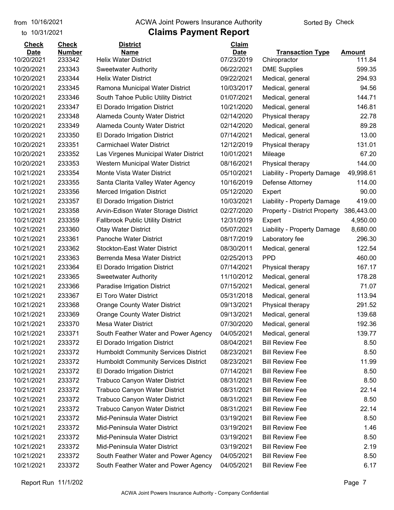to 10/31/2021

#### from 10/16/2021 **Example 20 Travellet Authority** and 10/16/2021 Check

| <b>Check</b> | <b>Check</b>  | <b>District</b>                             | <b>Claim</b> |                                     |               |
|--------------|---------------|---------------------------------------------|--------------|-------------------------------------|---------------|
| <b>Date</b>  | <b>Number</b> | <b>Name</b>                                 | <b>Date</b>  | <b>Transaction Type</b>             | <b>Amount</b> |
| 10/20/2021   | 233342        | <b>Helix Water District</b>                 | 07/23/2019   | Chiropractor                        | 111.84        |
| 10/20/2021   | 233343        | <b>Sweetwater Authority</b>                 | 06/22/2021   | <b>DME Supplies</b>                 | 599.35        |
| 10/20/2021   | 233344        | <b>Helix Water District</b>                 | 09/22/2021   | Medical, general                    | 294.93        |
| 10/20/2021   | 233345        | Ramona Municipal Water District             | 10/03/2017   | Medical, general                    | 94.56         |
| 10/20/2021   | 233346        | South Tahoe Public Utility District         | 01/07/2021   | Medical, general                    | 144.71        |
| 10/20/2021   | 233347        | El Dorado Irrigation District               | 10/21/2020   | Medical, general                    | 146.81        |
| 10/20/2021   | 233348        | Alameda County Water District               | 02/14/2020   | Physical therapy                    | 22.78         |
| 10/20/2021   | 233349        | <b>Alameda County Water District</b>        | 02/14/2020   | Medical, general                    | 89.28         |
| 10/20/2021   | 233350        | El Dorado Irrigation District               | 07/14/2021   | Medical, general                    | 13.00         |
| 10/20/2021   | 233351        | <b>Carmichael Water District</b>            | 12/12/2019   | Physical therapy                    | 131.01        |
| 10/20/2021   | 233352        | Las Virgenes Municipal Water District       | 10/01/2021   | Mileage                             | 67.20         |
| 10/20/2021   | 233353        | Western Municipal Water District            | 08/16/2021   | Physical therapy                    | 144.00        |
| 10/21/2021   | 233354        | Monte Vista Water District                  | 05/10/2021   | Liability - Property Damage         | 49,998.61     |
| 10/21/2021   | 233355        | Santa Clarita Valley Water Agency           | 10/16/2019   | Defense Attorney                    | 114.00        |
| 10/21/2021   | 233356        | <b>Merced Irrigation District</b>           | 05/12/2020   | Expert                              | 90.00         |
| 10/21/2021   | 233357        | El Dorado Irrigation District               | 10/03/2021   | Liability - Property Damage         | 419.00        |
| 10/21/2021   | 233358        | Arvin-Edison Water Storage District         | 02/27/2020   | <b>Property - District Property</b> | 386,443.00    |
| 10/21/2021   | 233359        | <b>Fallbrook Public Utility District</b>    | 12/31/2019   | Expert                              | 4,950.00      |
| 10/21/2021   | 233360        | <b>Otay Water District</b>                  | 05/07/2021   | Liability - Property Damage         | 8,680.00      |
| 10/21/2021   | 233361        | <b>Panoche Water District</b>               | 08/17/2019   | Laboratory fee                      | 296.30        |
| 10/21/2021   | 233362        | <b>Stockton-East Water District</b>         | 08/30/2011   | Medical, general                    | 122.54        |
| 10/21/2021   | 233363        | Berrenda Mesa Water District                | 02/25/2013   | <b>PPD</b>                          | 460.00        |
| 10/21/2021   | 233364        | El Dorado Irrigation District               | 07/14/2021   | Physical therapy                    | 167.17        |
| 10/21/2021   | 233365        | <b>Sweetwater Authority</b>                 | 11/10/2012   | Medical, general                    | 178.28        |
| 10/21/2021   | 233366        | Paradise Irrigation District                | 07/15/2021   | Medical, general                    | 71.07         |
| 10/21/2021   | 233367        | <b>El Toro Water District</b>               | 05/31/2018   | Medical, general                    | 113.94        |
| 10/21/2021   | 233368        | <b>Orange County Water District</b>         | 09/13/2021   | Physical therapy                    | 291.52        |
| 10/21/2021   | 233369        | <b>Orange County Water District</b>         | 09/13/2021   | Medical, general                    | 139.68        |
| 10/21/2021   | 233370        | <b>Mesa Water District</b>                  | 07/30/2020   | Medical, general                    | 192.36        |
| 10/21/2021   | 233371        | South Feather Water and Power Agency        | 04/05/2021   | Medical, general                    | 139.77        |
| 10/21/2021   | 233372        | El Dorado Irrigation District               | 08/04/2021   | <b>Bill Review Fee</b>              | 8.50          |
| 10/21/2021   | 233372        | <b>Humboldt Community Services District</b> | 08/23/2021   | <b>Bill Review Fee</b>              | 8.50          |
| 10/21/2021   | 233372        | <b>Humboldt Community Services District</b> | 08/23/2021   | <b>Bill Review Fee</b>              | 11.99         |
| 10/21/2021   | 233372        | El Dorado Irrigation District               | 07/14/2021   | <b>Bill Review Fee</b>              | 8.50          |
| 10/21/2021   | 233372        | <b>Trabuco Canyon Water District</b>        | 08/31/2021   | <b>Bill Review Fee</b>              | 8.50          |
| 10/21/2021   | 233372        | <b>Trabuco Canyon Water District</b>        | 08/31/2021   | <b>Bill Review Fee</b>              | 22.14         |
| 10/21/2021   | 233372        | <b>Trabuco Canyon Water District</b>        | 08/31/2021   | <b>Bill Review Fee</b>              | 8.50          |
| 10/21/2021   | 233372        | <b>Trabuco Canyon Water District</b>        | 08/31/2021   | <b>Bill Review Fee</b>              | 22.14         |
| 10/21/2021   | 233372        | Mid-Peninsula Water District                | 03/19/2021   | <b>Bill Review Fee</b>              | 8.50          |
| 10/21/2021   | 233372        | Mid-Peninsula Water District                | 03/19/2021   | <b>Bill Review Fee</b>              | 1.46          |
| 10/21/2021   | 233372        | Mid-Peninsula Water District                | 03/19/2021   | <b>Bill Review Fee</b>              | 8.50          |
| 10/21/2021   | 233372        | Mid-Peninsula Water District                | 03/19/2021   | <b>Bill Review Fee</b>              | 2.19          |
| 10/21/2021   | 233372        | South Feather Water and Power Agency        | 04/05/2021   | <b>Bill Review Fee</b>              | 8.50          |
| 10/21/2021   | 233372        | South Feather Water and Power Agency        | 04/05/2021   | <b>Bill Review Fee</b>              | 6.17          |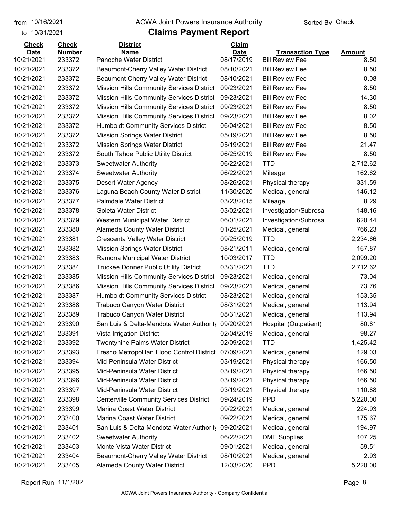to 10/31/2021

#### from 10/16/2021 **Example 20 Travellet Authority** and 10/16/2021 Check

| <b>Check</b> | <b>Check</b>  | <b>District</b>                                  | Claim       |                         |               |
|--------------|---------------|--------------------------------------------------|-------------|-------------------------|---------------|
| <b>Date</b>  | <b>Number</b> | <b>Name</b>                                      | <b>Date</b> | <b>Transaction Type</b> | <b>Amount</b> |
| 10/21/2021   | 233372        | Panoche Water District                           | 08/17/2019  | <b>Bill Review Fee</b>  | 8.50          |
| 10/21/2021   | 233372        | Beaumont-Cherry Valley Water District            | 08/10/2021  | <b>Bill Review Fee</b>  | 8.50          |
| 10/21/2021   | 233372        | Beaumont-Cherry Valley Water District            | 08/10/2021  | <b>Bill Review Fee</b>  | 0.08          |
| 10/21/2021   | 233372        | <b>Mission Hills Community Services District</b> | 09/23/2021  | <b>Bill Review Fee</b>  | 8.50          |
| 10/21/2021   | 233372        | Mission Hills Community Services District        | 09/23/2021  | <b>Bill Review Fee</b>  | 14.30         |
| 10/21/2021   | 233372        | Mission Hills Community Services District        | 09/23/2021  | <b>Bill Review Fee</b>  | 8.50          |
| 10/21/2021   | 233372        | Mission Hills Community Services District        | 09/23/2021  | <b>Bill Review Fee</b>  | 8.02          |
| 10/21/2021   | 233372        | <b>Humboldt Community Services District</b>      | 06/04/2021  | <b>Bill Review Fee</b>  | 8.50          |
| 10/21/2021   | 233372        | <b>Mission Springs Water District</b>            | 05/19/2021  | <b>Bill Review Fee</b>  | 8.50          |
| 10/21/2021   | 233372        | <b>Mission Springs Water District</b>            | 05/19/2021  | <b>Bill Review Fee</b>  | 21.47         |
| 10/21/2021   | 233372        | South Tahoe Public Utility District              | 06/25/2019  | <b>Bill Review Fee</b>  | 8.50          |
| 10/21/2021   | 233373        | <b>Sweetwater Authority</b>                      | 06/22/2021  | <b>TTD</b>              | 2,712.62      |
| 10/21/2021   | 233374        | <b>Sweetwater Authority</b>                      | 06/22/2021  | Mileage                 | 162.62        |
| 10/21/2021   | 233375        | Desert Water Agency                              | 08/26/2021  | Physical therapy        | 331.59        |
| 10/21/2021   | 233376        | Laguna Beach County Water District               | 11/30/2020  | Medical, general        | 146.12        |
| 10/21/2021   | 233377        | <b>Palmdale Water District</b>                   | 03/23/2015  | Mileage                 | 8.29          |
| 10/21/2021   | 233378        | <b>Goleta Water District</b>                     | 03/02/2021  | Investigation/Subrosa   | 148.16        |
| 10/21/2021   | 233379        | Western Municipal Water District                 | 06/01/2021  | Investigation/Subrosa   | 620.44        |
| 10/21/2021   | 233380        | <b>Alameda County Water District</b>             | 01/25/2021  | Medical, general        | 766.23        |
| 10/21/2021   | 233381        | Crescenta Valley Water District                  | 09/25/2019  | <b>TTD</b>              | 2,234.66      |
| 10/21/2021   | 233382        | <b>Mission Springs Water District</b>            | 08/21/2011  | Medical, general        | 167.87        |
| 10/21/2021   | 233383        | Ramona Municipal Water District                  | 10/03/2017  | <b>TTD</b>              | 2,099.20      |
| 10/21/2021   | 233384        | Truckee Donner Public Utility District           | 03/31/2021  | <b>TTD</b>              | 2,712.62      |
| 10/21/2021   | 233385        | Mission Hills Community Services District        | 09/23/2021  | Medical, general        | 73.04         |
| 10/21/2021   | 233386        | Mission Hills Community Services District        | 09/23/2021  | Medical, general        | 73.76         |
| 10/21/2021   | 233387        | <b>Humboldt Community Services District</b>      | 08/23/2021  | Medical, general        | 153.35        |
| 10/21/2021   | 233388        | <b>Trabuco Canyon Water District</b>             | 08/31/2021  | Medical, general        | 113.94        |
| 10/21/2021   | 233389        | <b>Trabuco Canyon Water District</b>             | 08/31/2021  | Medical, general        | 113.94        |
| 10/21/2021   | 233390        | San Luis & Delta-Mendota Water Authority         | 09/20/2021  | Hospital (Outpatient)   | 80.81         |
| 10/21/2021   | 233391        | Vista Irrigation District                        | 02/04/2019  | Medical, general        | 98.27         |
| 10/21/2021   | 233392        | <b>Twentynine Palms Water District</b>           | 02/09/2021  | <b>TTD</b>              | 1,425.42      |
| 10/21/2021   | 233393        | Fresno Metropolitan Flood Control District       | 07/09/2021  | Medical, general        | 129.03        |
| 10/21/2021   | 233394        | Mid-Peninsula Water District                     | 03/19/2021  | Physical therapy        | 166.50        |
| 10/21/2021   | 233395        | Mid-Peninsula Water District                     | 03/19/2021  | Physical therapy        | 166.50        |
| 10/21/2021   | 233396        | Mid-Peninsula Water District                     | 03/19/2021  | Physical therapy        | 166.50        |
| 10/21/2021   | 233397        | Mid-Peninsula Water District                     | 03/19/2021  | Physical therapy        | 110.88        |
| 10/21/2021   | 233398        | <b>Centerville Community Services District</b>   | 09/24/2019  | <b>PPD</b>              | 5,220.00      |
| 10/21/2021   | 233399        | Marina Coast Water District                      | 09/22/2021  | Medical, general        | 224.93        |
| 10/21/2021   | 233400        | Marina Coast Water District                      | 09/22/2021  | Medical, general        | 175.67        |
| 10/21/2021   | 233401        | San Luis & Delta-Mendota Water Authority         | 09/20/2021  | Medical, general        | 194.97        |
| 10/21/2021   | 233402        | <b>Sweetwater Authority</b>                      | 06/22/2021  | <b>DME Supplies</b>     | 107.25        |
| 10/21/2021   | 233403        | Monte Vista Water District                       | 09/01/2021  | Medical, general        | 59.51         |
| 10/21/2021   | 233404        | Beaumont-Cherry Valley Water District            | 08/10/2021  | Medical, general        | 2.93          |
| 10/21/2021   | 233405        | Alameda County Water District                    | 12/03/2020  | <b>PPD</b>              | 5,220.00      |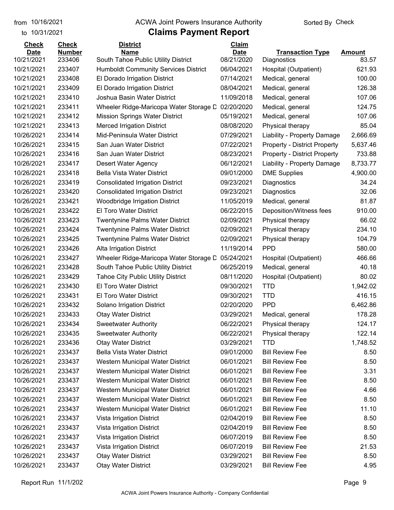to 10/31/2021

#### from 10/16/2021 **Example 20 Travellet Authority** and 10/16/2021 Check

| <b>Check</b> | <b>Check</b>  | <b>District</b>                             | Claim       |                                     |               |
|--------------|---------------|---------------------------------------------|-------------|-------------------------------------|---------------|
| <b>Date</b>  | <b>Number</b> | Name                                        | <b>Date</b> | <b>Transaction Type</b>             | <b>Amount</b> |
| 10/21/2021   | 233406        | South Tahoe Public Utility District         | 08/21/2020  | Diagnostics                         | 83.57         |
| 10/21/2021   | 233407        | <b>Humboldt Community Services District</b> | 06/04/2021  | Hospital (Outpatient)               | 621.93        |
| 10/21/2021   | 233408        | El Dorado Irrigation District               | 07/14/2021  | Medical, general                    | 100.00        |
| 10/21/2021   | 233409        | El Dorado Irrigation District               | 08/04/2021  | Medical, general                    | 126.38        |
| 10/21/2021   | 233410        | Joshua Basin Water District                 | 11/09/2018  | Medical, general                    | 107.06        |
| 10/21/2021   | 233411        | Wheeler Ridge-Maricopa Water Storage D      | 02/20/2020  | Medical, general                    | 124.75        |
| 10/21/2021   | 233412        | <b>Mission Springs Water District</b>       | 05/19/2021  | Medical, general                    | 107.06        |
| 10/21/2021   | 233413        | <b>Merced Irrigation District</b>           | 08/08/2020  | Physical therapy                    | 85.04         |
| 10/26/2021   | 233414        | Mid-Peninsula Water District                | 07/29/2021  | Liability - Property Damage         | 2,666.69      |
| 10/26/2021   | 233415        | San Juan Water District                     | 07/22/2021  | <b>Property - District Property</b> | 5,637.46      |
| 10/26/2021   | 233416        | San Juan Water District                     | 08/23/2021  | <b>Property - District Property</b> | 733.88        |
| 10/26/2021   | 233417        | Desert Water Agency                         | 06/12/2021  | Liability - Property Damage         | 8,733.77      |
| 10/26/2021   | 233418        | <b>Bella Vista Water District</b>           | 09/01/2000  | <b>DME Supplies</b>                 | 4,900.00      |
| 10/26/2021   | 233419        | <b>Consolidated Irrigation District</b>     | 09/23/2021  | Diagnostics                         | 34.24         |
| 10/26/2021   | 233420        | <b>Consolidated Irrigation District</b>     | 09/23/2021  | Diagnostics                         | 32.06         |
| 10/26/2021   | 233421        | Woodbridge Irrigation District              | 11/05/2019  | Medical, general                    | 81.87         |
| 10/26/2021   | 233422        | El Toro Water District                      | 06/22/2015  | Deposition/Witness fees             | 910.00        |
| 10/26/2021   | 233423        | <b>Twentynine Palms Water District</b>      | 02/09/2021  | Physical therapy                    | 66.02         |
| 10/26/2021   | 233424        | <b>Twentynine Palms Water District</b>      | 02/09/2021  | Physical therapy                    | 234.10        |
| 10/26/2021   | 233425        | <b>Twentynine Palms Water District</b>      | 02/09/2021  | Physical therapy                    | 104.79        |
| 10/26/2021   | 233426        | Alta Irrigation District                    | 11/19/2014  | <b>PPD</b>                          | 580.00        |
| 10/26/2021   | 233427        | Wheeler Ridge-Maricopa Water Storage D      | 05/24/2021  | Hospital (Outpatient)               | 466.66        |
| 10/26/2021   | 233428        | South Tahoe Public Utility District         | 06/25/2019  | Medical, general                    | 40.18         |
| 10/26/2021   | 233429        | <b>Tahoe City Public Utility District</b>   | 08/11/2020  | Hospital (Outpatient)               | 80.02         |
| 10/26/2021   | 233430        | El Toro Water District                      | 09/30/2021  | <b>TTD</b>                          | 1,942.02      |
| 10/26/2021   | 233431        | El Toro Water District                      | 09/30/2021  | <b>TTD</b>                          | 416.15        |
| 10/26/2021   | 233432        | Solano Irrigation District                  | 02/20/2020  | <b>PPD</b>                          | 6,462.86      |
| 10/26/2021   | 233433        | <b>Otay Water District</b>                  | 03/29/2021  | Medical, general                    | 178.28        |
| 10/26/2021   | 233434        | <b>Sweetwater Authority</b>                 | 06/22/2021  | Physical therapy                    | 124.17        |
| 10/26/2021   | 233435        | <b>Sweetwater Authority</b>                 | 06/22/2021  | Physical therapy                    | 122.14        |
| 10/26/2021   | 233436        | <b>Otay Water District</b>                  | 03/29/2021  | <b>TTD</b>                          | 1,748.52      |
| 10/26/2021   | 233437        | <b>Bella Vista Water District</b>           | 09/01/2000  | <b>Bill Review Fee</b>              | 8.50          |
| 10/26/2021   | 233437        | Western Municipal Water District            | 06/01/2021  | <b>Bill Review Fee</b>              | 8.50          |
| 10/26/2021   | 233437        | Western Municipal Water District            | 06/01/2021  | <b>Bill Review Fee</b>              | 3.31          |
| 10/26/2021   | 233437        | Western Municipal Water District            | 06/01/2021  | <b>Bill Review Fee</b>              | 8.50          |
| 10/26/2021   | 233437        | Western Municipal Water District            | 06/01/2021  | <b>Bill Review Fee</b>              | 4.66          |
| 10/26/2021   | 233437        | Western Municipal Water District            | 06/01/2021  | <b>Bill Review Fee</b>              | 8.50          |
| 10/26/2021   | 233437        | Western Municipal Water District            | 06/01/2021  | <b>Bill Review Fee</b>              | 11.10         |
| 10/26/2021   | 233437        | Vista Irrigation District                   | 02/04/2019  | <b>Bill Review Fee</b>              | 8.50          |
| 10/26/2021   | 233437        | Vista Irrigation District                   | 02/04/2019  | <b>Bill Review Fee</b>              | 8.50          |
| 10/26/2021   | 233437        | Vista Irrigation District                   | 06/07/2019  | <b>Bill Review Fee</b>              | 8.50          |
| 10/26/2021   | 233437        | Vista Irrigation District                   | 06/07/2019  | <b>Bill Review Fee</b>              | 21.53         |
| 10/26/2021   | 233437        | <b>Otay Water District</b>                  | 03/29/2021  | <b>Bill Review Fee</b>              | 8.50          |
| 10/26/2021   | 233437        | <b>Otay Water District</b>                  | 03/29/2021  | <b>Bill Review Fee</b>              | 4.95          |
|              |               |                                             |             |                                     |               |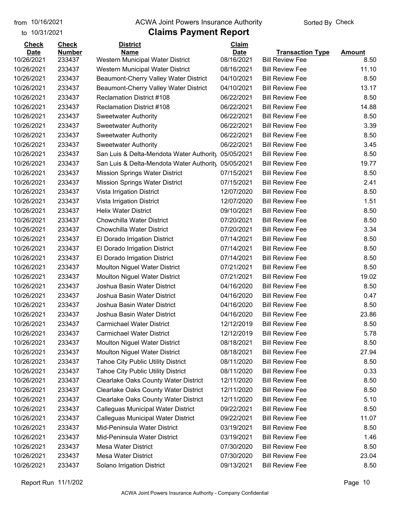#### from 10/16/2021 **Example 20 Travellet Authority** and 10/16/2021 Check

### to 10/31/2021

| <b>Check</b> | <b>Check</b>  | <b>District</b>                           | Claim       |                         |               |
|--------------|---------------|-------------------------------------------|-------------|-------------------------|---------------|
| <b>Date</b>  | <b>Number</b> | <b>Name</b>                               | <b>Date</b> | <b>Transaction Type</b> | <b>Amount</b> |
| 10/26/2021   | 233437        | Western Municipal Water District          | 08/16/2021  | <b>Bill Review Fee</b>  | 8.50          |
| 10/26/2021   | 233437        | Western Municipal Water District          | 08/16/2021  | <b>Bill Review Fee</b>  | 11.10         |
| 10/26/2021   | 233437        | Beaumont-Cherry Valley Water District     | 04/10/2021  | <b>Bill Review Fee</b>  | 8.50          |
| 10/26/2021   | 233437        | Beaumont-Cherry Valley Water District     | 04/10/2021  | <b>Bill Review Fee</b>  | 13.17         |
| 10/26/2021   | 233437        | <b>Reclamation District #108</b>          | 06/22/2021  | <b>Bill Review Fee</b>  | 8.50          |
| 10/26/2021   | 233437        | <b>Reclamation District #108</b>          | 06/22/2021  | <b>Bill Review Fee</b>  | 14.88         |
| 10/26/2021   | 233437        | <b>Sweetwater Authority</b>               | 06/22/2021  | <b>Bill Review Fee</b>  | 8.50          |
| 10/26/2021   | 233437        | <b>Sweetwater Authority</b>               | 06/22/2021  | <b>Bill Review Fee</b>  | 3.39          |
| 10/26/2021   | 233437        | <b>Sweetwater Authority</b>               | 06/22/2021  | <b>Bill Review Fee</b>  | 8.50          |
| 10/26/2021   | 233437        | <b>Sweetwater Authority</b>               | 06/22/2021  | <b>Bill Review Fee</b>  | 3.45          |
| 10/26/2021   | 233437        | San Luis & Delta-Mendota Water Authority  | 05/05/2021  | <b>Bill Review Fee</b>  | 8.50          |
| 10/26/2021   | 233437        | San Luis & Delta-Mendota Water Authority  | 05/05/2021  | <b>Bill Review Fee</b>  | 19.77         |
| 10/26/2021   | 233437        | <b>Mission Springs Water District</b>     | 07/15/2021  | <b>Bill Review Fee</b>  | 8.50          |
| 10/26/2021   | 233437        | <b>Mission Springs Water District</b>     | 07/15/2021  | <b>Bill Review Fee</b>  | 2.41          |
| 10/26/2021   | 233437        | Vista Irrigation District                 | 12/07/2020  | <b>Bill Review Fee</b>  | 8.50          |
| 10/26/2021   | 233437        | Vista Irrigation District                 | 12/07/2020  | <b>Bill Review Fee</b>  | 1.51          |
| 10/26/2021   | 233437        | <b>Helix Water District</b>               | 09/10/2021  | <b>Bill Review Fee</b>  | 8.50          |
| 10/26/2021   | 233437        | Chowchilla Water District                 | 07/20/2021  | <b>Bill Review Fee</b>  | 8.50          |
| 10/26/2021   | 233437        | Chowchilla Water District                 | 07/20/2021  | <b>Bill Review Fee</b>  | 3.34          |
| 10/26/2021   | 233437        | El Dorado Irrigation District             | 07/14/2021  | <b>Bill Review Fee</b>  | 8.50          |
| 10/26/2021   | 233437        | El Dorado Irrigation District             | 07/14/2021  | <b>Bill Review Fee</b>  | 8.50          |
| 10/26/2021   | 233437        | El Dorado Irrigation District             | 07/14/2021  | <b>Bill Review Fee</b>  | 8.50          |
| 10/26/2021   | 233437        | <b>Moulton Niguel Water District</b>      | 07/21/2021  | <b>Bill Review Fee</b>  | 8.50          |
| 10/26/2021   | 233437        | <b>Moulton Niguel Water District</b>      | 07/21/2021  | <b>Bill Review Fee</b>  | 19.02         |
| 10/26/2021   | 233437        | Joshua Basin Water District               | 04/16/2020  | <b>Bill Review Fee</b>  | 8.50          |
| 10/26/2021   | 233437        | Joshua Basin Water District               | 04/16/2020  | <b>Bill Review Fee</b>  | 0.47          |
| 10/26/2021   | 233437        | Joshua Basin Water District               | 04/16/2020  | <b>Bill Review Fee</b>  | 8.50          |
| 10/26/2021   | 233437        | Joshua Basin Water District               | 04/16/2020  | <b>Bill Review Fee</b>  | 23.86         |
| 10/26/2021   | 233437        | <b>Carmichael Water District</b>          | 12/12/2019  | <b>Bill Review Fee</b>  | 8.50          |
| 10/26/2021   | 233437        | <b>Carmichael Water District</b>          | 12/12/2019  | <b>Bill Review Fee</b>  | 5.78          |
| 10/26/2021   | 233437        | <b>Moulton Niguel Water District</b>      | 08/18/2021  | <b>Bill Review Fee</b>  | 8.50          |
| 10/26/2021   | 233437        | <b>Moulton Niguel Water District</b>      | 08/18/2021  | <b>Bill Review Fee</b>  | 27.94         |
| 10/26/2021   | 233437        | <b>Tahoe City Public Utility District</b> | 08/11/2020  | <b>Bill Review Fee</b>  | 8.50          |
| 10/26/2021   | 233437        | <b>Tahoe City Public Utility District</b> | 08/11/2020  | <b>Bill Review Fee</b>  | 0.33          |
| 10/26/2021   | 233437        | Clearlake Oaks County Water District      | 12/11/2020  | <b>Bill Review Fee</b>  | 8.50          |
| 10/26/2021   | 233437        | Clearlake Oaks County Water District      | 12/11/2020  | <b>Bill Review Fee</b>  | 8.50          |
| 10/26/2021   | 233437        | Clearlake Oaks County Water District      | 12/11/2020  | <b>Bill Review Fee</b>  | 5.10          |
| 10/26/2021   | 233437        | Calleguas Municipal Water District        | 09/22/2021  | <b>Bill Review Fee</b>  | 8.50          |
| 10/26/2021   | 233437        | Calleguas Municipal Water District        | 09/22/2021  | <b>Bill Review Fee</b>  | 11.07         |
| 10/26/2021   | 233437        | Mid-Peninsula Water District              | 03/19/2021  | <b>Bill Review Fee</b>  | 8.50          |
| 10/26/2021   | 233437        | Mid-Peninsula Water District              | 03/19/2021  | <b>Bill Review Fee</b>  | 1.46          |
| 10/26/2021   | 233437        | Mesa Water District                       | 07/30/2020  | <b>Bill Review Fee</b>  | 8.50          |
| 10/26/2021   | 233437        | Mesa Water District                       | 07/30/2020  | <b>Bill Review Fee</b>  | 23.04         |
| 10/26/2021   | 233437        | Solano Irrigation District                | 09/13/2021  | <b>Bill Review Fee</b>  | 8.50          |
|              |               |                                           |             |                         |               |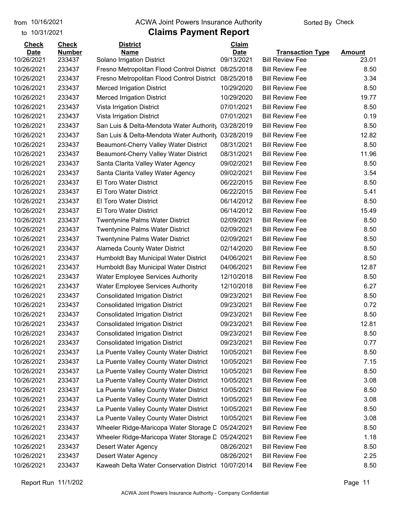to 10/31/2021

#### from 10/16/2021 **The COVA Solic Act Act Authority** Sorted By Check

| <b>Check</b> | <b>Check</b>  | <b>District</b>                                       | Claim       |                         |               |
|--------------|---------------|-------------------------------------------------------|-------------|-------------------------|---------------|
| <b>Date</b>  | <b>Number</b> | <b>Name</b>                                           | <b>Date</b> | <b>Transaction Type</b> | <b>Amount</b> |
| 10/26/2021   | 233437        | Solano Irrigation District                            | 09/13/2021  | <b>Bill Review Fee</b>  | 23.01         |
| 10/26/2021   | 233437        | Fresno Metropolitan Flood Control District 08/25/2018 |             | <b>Bill Review Fee</b>  | 8.50          |
| 10/26/2021   | 233437        | Fresno Metropolitan Flood Control District 08/25/2018 |             | <b>Bill Review Fee</b>  | 3.34          |
| 10/26/2021   | 233437        | <b>Merced Irrigation District</b>                     | 10/29/2020  | <b>Bill Review Fee</b>  | 8.50          |
| 10/26/2021   | 233437        | <b>Merced Irrigation District</b>                     | 10/29/2020  | <b>Bill Review Fee</b>  | 19.77         |
| 10/26/2021   | 233437        | Vista Irrigation District                             | 07/01/2021  | <b>Bill Review Fee</b>  | 8.50          |
| 10/26/2021   | 233437        | Vista Irrigation District                             | 07/01/2021  | <b>Bill Review Fee</b>  | 0.19          |
| 10/26/2021   | 233437        | San Luis & Delta-Mendota Water Authority              | 03/28/2019  | <b>Bill Review Fee</b>  | 8.50          |
| 10/26/2021   | 233437        | San Luis & Delta-Mendota Water Authority              | 03/28/2019  | <b>Bill Review Fee</b>  | 12.82         |
| 10/26/2021   | 233437        | Beaumont-Cherry Valley Water District                 | 08/31/2021  | <b>Bill Review Fee</b>  | 8.50          |
| 10/26/2021   | 233437        | Beaumont-Cherry Valley Water District                 | 08/31/2021  | <b>Bill Review Fee</b>  | 11.96         |
| 10/26/2021   | 233437        | Santa Clarita Valley Water Agency                     | 09/02/2021  | <b>Bill Review Fee</b>  | 8.50          |
| 10/26/2021   | 233437        | Santa Clarita Valley Water Agency                     | 09/02/2021  | <b>Bill Review Fee</b>  | 3.54          |
| 10/26/2021   | 233437        | El Toro Water District                                | 06/22/2015  | <b>Bill Review Fee</b>  | 8.50          |
| 10/26/2021   | 233437        | El Toro Water District                                | 06/22/2015  | <b>Bill Review Fee</b>  | 5.41          |
| 10/26/2021   | 233437        | <b>El Toro Water District</b>                         | 06/14/2012  | <b>Bill Review Fee</b>  | 8.50          |
| 10/26/2021   | 233437        | El Toro Water District                                | 06/14/2012  | <b>Bill Review Fee</b>  | 15.49         |
| 10/26/2021   | 233437        | Twentynine Palms Water District                       | 02/09/2021  | <b>Bill Review Fee</b>  | 8.50          |
| 10/26/2021   | 233437        | <b>Twentynine Palms Water District</b>                | 02/09/2021  | <b>Bill Review Fee</b>  | 8.50          |
| 10/26/2021   | 233437        | <b>Twentynine Palms Water District</b>                | 02/09/2021  | <b>Bill Review Fee</b>  | 8.50          |
| 10/26/2021   | 233437        | <b>Alameda County Water District</b>                  | 02/14/2020  | <b>Bill Review Fee</b>  | 8.50          |
| 10/26/2021   | 233437        | Humboldt Bay Municipal Water District                 | 04/06/2021  | <b>Bill Review Fee</b>  | 8.50          |
| 10/26/2021   | 233437        | Humboldt Bay Municipal Water District                 | 04/06/2021  | <b>Bill Review Fee</b>  | 12.87         |
| 10/26/2021   | 233437        | <b>Water Employee Services Authority</b>              | 12/10/2018  | <b>Bill Review Fee</b>  | 8.50          |
| 10/26/2021   | 233437        | <b>Water Employee Services Authority</b>              | 12/10/2018  | <b>Bill Review Fee</b>  | 6.27          |
| 10/26/2021   | 233437        | <b>Consolidated Irrigation District</b>               | 09/23/2021  | <b>Bill Review Fee</b>  | 8.50          |
| 10/26/2021   | 233437        | <b>Consolidated Irrigation District</b>               | 09/23/2021  | <b>Bill Review Fee</b>  | 0.72          |
| 10/26/2021   | 233437        | <b>Consolidated Irrigation District</b>               | 09/23/2021  | <b>Bill Review Fee</b>  | 8.50          |
| 10/26/2021   | 233437        | <b>Consolidated Irrigation District</b>               | 09/23/2021  | <b>Bill Review Fee</b>  | 12.81         |
| 10/26/2021   | 233437        | <b>Consolidated Irrigation District</b>               | 09/23/2021  | <b>Bill Review Fee</b>  | 8.50          |
| 10/26/2021   | 233437        | <b>Consolidated Irrigation District</b>               | 09/23/2021  | <b>Bill Review Fee</b>  | 0.77          |
| 10/26/2021   | 233437        | La Puente Valley County Water District                | 10/05/2021  | <b>Bill Review Fee</b>  | 8.50          |
| 10/26/2021   | 233437        | La Puente Valley County Water District                | 10/05/2021  | <b>Bill Review Fee</b>  | 7.15          |
| 10/26/2021   | 233437        | La Puente Valley County Water District                | 10/05/2021  | <b>Bill Review Fee</b>  | 8.50          |
| 10/26/2021   | 233437        | La Puente Valley County Water District                | 10/05/2021  | <b>Bill Review Fee</b>  | 3.08          |
| 10/26/2021   | 233437        | La Puente Valley County Water District                | 10/05/2021  | <b>Bill Review Fee</b>  | 8.50          |
| 10/26/2021   | 233437        | La Puente Valley County Water District                | 10/05/2021  | <b>Bill Review Fee</b>  | 3.08          |
| 10/26/2021   | 233437        | La Puente Valley County Water District                | 10/05/2021  | <b>Bill Review Fee</b>  | 8.50          |
| 10/26/2021   | 233437        | La Puente Valley County Water District                | 10/05/2021  | <b>Bill Review Fee</b>  | 3.08          |
| 10/26/2021   | 233437        | Wheeler Ridge-Maricopa Water Storage D                | 05/24/2021  | <b>Bill Review Fee</b>  | 8.50          |
| 10/26/2021   | 233437        | Wheeler Ridge-Maricopa Water Storage D                | 05/24/2021  | <b>Bill Review Fee</b>  | 1.18          |
| 10/26/2021   | 233437        | Desert Water Agency                                   | 08/26/2021  | <b>Bill Review Fee</b>  | 8.50          |
| 10/26/2021   | 233437        | Desert Water Agency                                   | 08/26/2021  | <b>Bill Review Fee</b>  | 2.25          |
| 10/26/2021   | 233437        | Kaweah Delta Water Conservation District 10/07/2014   |             | <b>Bill Review Fee</b>  | 8.50          |
|              |               |                                                       |             |                         |               |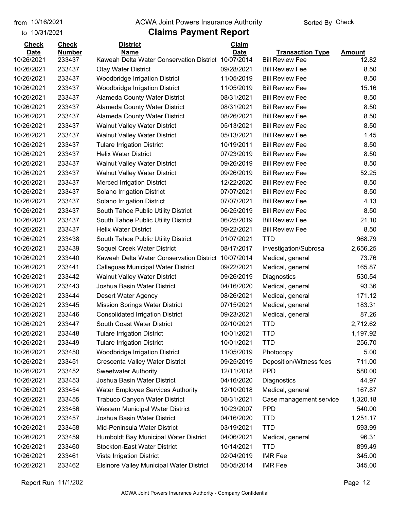to 10/31/2021

#### from 10/16/2021 **The COVA Solic Act Act Authority** Sorted By Check

# **Claims Payment Report**

| <b>Check</b> | <b>Check</b>  | <b>District</b>                                 | Claim       |                         |               |
|--------------|---------------|-------------------------------------------------|-------------|-------------------------|---------------|
| <b>Date</b>  | <b>Number</b> | <b>Name</b>                                     | <b>Date</b> | <b>Transaction Type</b> | <b>Amount</b> |
| 10/26/2021   | 233437        | Kaweah Delta Water Conservation District        | 10/07/2014  | <b>Bill Review Fee</b>  | 12.82         |
| 10/26/2021   | 233437        | <b>Otay Water District</b>                      | 09/28/2021  | <b>Bill Review Fee</b>  | 8.50          |
| 10/26/2021   | 233437        | Woodbridge Irrigation District                  | 11/05/2019  | <b>Bill Review Fee</b>  | 8.50          |
| 10/26/2021   | 233437        | <b>Woodbridge Irrigation District</b>           | 11/05/2019  | <b>Bill Review Fee</b>  | 15.16         |
| 10/26/2021   | 233437        | Alameda County Water District                   | 08/31/2021  | <b>Bill Review Fee</b>  | 8.50          |
| 10/26/2021   | 233437        | Alameda County Water District                   | 08/31/2021  | <b>Bill Review Fee</b>  | 8.50          |
| 10/26/2021   | 233437        | Alameda County Water District                   | 08/26/2021  | <b>Bill Review Fee</b>  | 8.50          |
| 10/26/2021   | 233437        | <b>Walnut Valley Water District</b>             | 05/13/2021  | <b>Bill Review Fee</b>  | 8.50          |
| 10/26/2021   | 233437        | <b>Walnut Valley Water District</b>             | 05/13/2021  | <b>Bill Review Fee</b>  | 1.45          |
| 10/26/2021   | 233437        | <b>Tulare Irrigation District</b>               | 10/19/2011  | <b>Bill Review Fee</b>  | 8.50          |
| 10/26/2021   | 233437        | <b>Helix Water District</b>                     | 07/23/2019  | <b>Bill Review Fee</b>  | 8.50          |
| 10/26/2021   | 233437        | <b>Walnut Valley Water District</b>             | 09/26/2019  | <b>Bill Review Fee</b>  | 8.50          |
| 10/26/2021   | 233437        | <b>Walnut Valley Water District</b>             | 09/26/2019  | <b>Bill Review Fee</b>  | 52.25         |
| 10/26/2021   | 233437        | <b>Merced Irrigation District</b>               | 12/22/2020  | <b>Bill Review Fee</b>  | 8.50          |
| 10/26/2021   | 233437        | Solano Irrigation District                      | 07/07/2021  | <b>Bill Review Fee</b>  | 8.50          |
| 10/26/2021   | 233437        | Solano Irrigation District                      | 07/07/2021  | <b>Bill Review Fee</b>  | 4.13          |
| 10/26/2021   | 233437        | South Tahoe Public Utility District             | 06/25/2019  | <b>Bill Review Fee</b>  | 8.50          |
| 10/26/2021   | 233437        | South Tahoe Public Utility District             | 06/25/2019  | <b>Bill Review Fee</b>  | 21.10         |
| 10/26/2021   | 233437        | <b>Helix Water District</b>                     | 09/22/2021  | <b>Bill Review Fee</b>  | 8.50          |
| 10/26/2021   | 233438        | South Tahoe Public Utility District             | 01/07/2021  | <b>TTD</b>              | 968.79        |
| 10/26/2021   | 233439        | Soquel Creek Water District                     | 08/17/2017  | Investigation/Subrosa   | 2,656.25      |
| 10/26/2021   | 233440        | Kaweah Delta Water Conservation District        | 10/07/2014  | Medical, general        | 73.76         |
| 10/26/2021   | 233441        | Calleguas Municipal Water District              | 09/22/2021  | Medical, general        | 165.87        |
| 10/26/2021   | 233442        | <b>Walnut Valley Water District</b>             | 09/26/2019  | Diagnostics             | 530.54        |
| 10/26/2021   | 233443        | Joshua Basin Water District                     | 04/16/2020  | Medical, general        | 93.36         |
| 10/26/2021   | 233444        | <b>Desert Water Agency</b>                      | 08/26/2021  | Medical, general        | 171.12        |
| 10/26/2021   | 233445        | <b>Mission Springs Water District</b>           | 07/15/2021  | Medical, general        | 183.31        |
| 10/26/2021   | 233446        | <b>Consolidated Irrigation District</b>         | 09/23/2021  | Medical, general        | 87.26         |
| 10/26/2021   | 233447        | South Coast Water District                      | 02/10/2021  | <b>TTD</b>              | 2,712.62      |
| 10/26/2021   | 233448        | <b>Tulare Irrigation District</b>               | 10/01/2021  | <b>TTD</b>              | 1,197.92      |
| 10/26/2021   | 233449        | <b>Tulare Irrigation District</b>               | 10/01/2021  | <b>TTD</b>              | 256.70        |
| 10/26/2021   | 233450        | Woodbridge Irrigation District                  | 11/05/2019  | Photocopy               | 5.00          |
| 10/26/2021   | 233451        | Crescenta Valley Water District                 | 09/25/2019  | Deposition/Witness fees | 711.00        |
| 10/26/2021   | 233452        | <b>Sweetwater Authority</b>                     | 12/11/2018  | <b>PPD</b>              | 580.00        |
| 10/26/2021   | 233453        | Joshua Basin Water District                     | 04/16/2020  | Diagnostics             | 44.97         |
| 10/26/2021   | 233454        | <b>Water Employee Services Authority</b>        | 12/10/2018  | Medical, general        | 167.87        |
| 10/26/2021   | 233455        | Trabuco Canyon Water District                   | 08/31/2021  | Case management service | 1,320.18      |
| 10/26/2021   | 233456        | Western Municipal Water District                | 10/23/2007  | <b>PPD</b>              | 540.00        |
| 10/26/2021   | 233457        | Joshua Basin Water District                     | 04/16/2020  | <b>TTD</b>              | 1,251.17      |
| 10/26/2021   | 233458        | Mid-Peninsula Water District                    | 03/19/2021  | <b>TTD</b>              | 593.99        |
| 10/26/2021   | 233459        | Humboldt Bay Municipal Water District           | 04/06/2021  | Medical, general        | 96.31         |
| 10/26/2021   | 233460        | <b>Stockton-East Water District</b>             | 10/14/2021  | <b>TTD</b>              | 899.49        |
| 10/26/2021   | 233461        | Vista Irrigation District                       | 02/04/2019  | <b>IMR Fee</b>          | 345.00        |
| 10/26/2021   | 233462        | <b>Elsinore Valley Municipal Water District</b> | 05/05/2014  | <b>IMR Fee</b>          | 345.00        |

Report Run 11/1/202 Page 12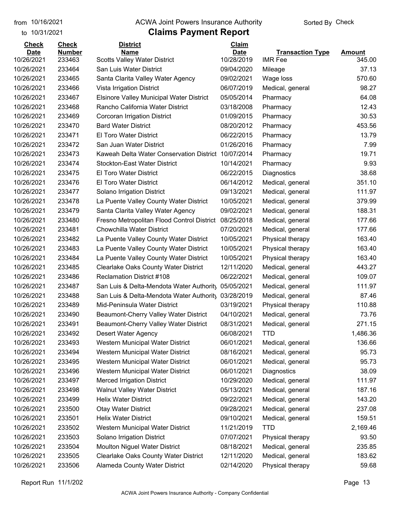to 10/31/2021

#### from 10/16/2021 **The COVA Solic Act Act Authority** Sorted By Check

| <b>Check</b> | <b>Check</b>  | <b>District</b>                                     | Claim       |                         |               |
|--------------|---------------|-----------------------------------------------------|-------------|-------------------------|---------------|
| <b>Date</b>  | <b>Number</b> | <b>Name</b>                                         | <b>Date</b> | <b>Transaction Type</b> | <b>Amount</b> |
| 10/26/2021   | 233463        | <b>Scotts Valley Water District</b>                 | 10/28/2019  | <b>IMR Fee</b>          | 345.00        |
| 10/26/2021   | 233464        | San Luis Water District                             | 09/04/2020  | Mileage                 | 37.13         |
| 10/26/2021   | 233465        | Santa Clarita Valley Water Agency                   | 09/02/2021  | Wage loss               | 570.60        |
| 10/26/2021   | 233466        | Vista Irrigation District                           | 06/07/2019  | Medical, general        | 98.27         |
| 10/26/2021   | 233467        | <b>Elsinore Valley Municipal Water District</b>     | 05/05/2014  | Pharmacy                | 64.08         |
| 10/26/2021   | 233468        | Rancho California Water District                    | 03/18/2008  | Pharmacy                | 12.43         |
| 10/26/2021   | 233469        | Corcoran Irrigation District                        | 01/09/2015  | Pharmacy                | 30.53         |
| 10/26/2021   | 233470        | <b>Bard Water District</b>                          | 08/20/2012  | Pharmacy                | 453.56        |
| 10/26/2021   | 233471        | <b>El Toro Water District</b>                       | 06/22/2015  | Pharmacy                | 13.79         |
| 10/26/2021   | 233472        | San Juan Water District                             | 01/26/2016  | Pharmacy                | 7.99          |
| 10/26/2021   | 233473        | Kaweah Delta Water Conservation District 10/07/2014 |             | Pharmacy                | 19.71         |
| 10/26/2021   | 233474        | <b>Stockton-East Water District</b>                 | 10/14/2021  | Pharmacy                | 9.93          |
| 10/26/2021   | 233475        | El Toro Water District                              | 06/22/2015  | Diagnostics             | 38.68         |
| 10/26/2021   | 233476        | El Toro Water District                              | 06/14/2012  | Medical, general        | 351.10        |
| 10/26/2021   | 233477        | Solano Irrigation District                          | 09/13/2021  | Medical, general        | 111.97        |
| 10/26/2021   | 233478        | La Puente Valley County Water District              | 10/05/2021  | Medical, general        | 379.99        |
| 10/26/2021   | 233479        | Santa Clarita Valley Water Agency                   | 09/02/2021  | Medical, general        | 188.31        |
| 10/26/2021   | 233480        | Fresno Metropolitan Flood Control District          | 08/25/2018  | Medical, general        | 177.66        |
| 10/26/2021   | 233481        | <b>Chowchilla Water District</b>                    | 07/20/2021  | Medical, general        | 177.66        |
| 10/26/2021   | 233482        | La Puente Valley County Water District              | 10/05/2021  | Physical therapy        | 163.40        |
| 10/26/2021   | 233483        | La Puente Valley County Water District              | 10/05/2021  | Physical therapy        | 163.40        |
| 10/26/2021   | 233484        | La Puente Valley County Water District              | 10/05/2021  | Physical therapy        | 163.40        |
| 10/26/2021   | 233485        | <b>Clearlake Oaks County Water District</b>         | 12/11/2020  | Medical, general        | 443.27        |
| 10/26/2021   | 233486        | <b>Reclamation District #108</b>                    | 06/22/2021  | Medical, general        | 109.07        |
| 10/26/2021   | 233487        | San Luis & Delta-Mendota Water Authority            | 05/05/2021  | Medical, general        | 111.97        |
| 10/26/2021   | 233488        | San Luis & Delta-Mendota Water Authority            | 03/28/2019  | Medical, general        | 87.46         |
| 10/26/2021   | 233489        | Mid-Peninsula Water District                        | 03/19/2021  | Physical therapy        | 110.88        |
| 10/26/2021   | 233490        | Beaumont-Cherry Valley Water District               | 04/10/2021  | Medical, general        | 73.76         |
| 10/26/2021   | 233491        | Beaumont-Cherry Valley Water District               | 08/31/2021  | Medical, general        | 271.15        |
| 10/26/2021   | 233492        | Desert Water Agency                                 | 06/08/2021  | <b>TTD</b>              | 1,486.36      |
| 10/26/2021   | 233493        | Western Municipal Water District                    | 06/01/2021  | Medical, general        | 136.66        |
| 10/26/2021   | 233494        | Western Municipal Water District                    | 08/16/2021  | Medical, general        | 95.73         |
| 10/26/2021   | 233495        | Western Municipal Water District                    | 06/01/2021  | Medical, general        | 95.73         |
| 10/26/2021   | 233496        | Western Municipal Water District                    | 06/01/2021  | Diagnostics             | 38.09         |
| 10/26/2021   | 233497        | <b>Merced Irrigation District</b>                   | 10/29/2020  | Medical, general        | 111.97        |
| 10/26/2021   | 233498        | <b>Walnut Valley Water District</b>                 | 05/13/2021  | Medical, general        | 187.16        |
| 10/26/2021   | 233499        | <b>Helix Water District</b>                         | 09/22/2021  | Medical, general        | 143.20        |
| 10/26/2021   | 233500        | <b>Otay Water District</b>                          | 09/28/2021  | Medical, general        | 237.08        |
| 10/26/2021   | 233501        | <b>Helix Water District</b>                         | 09/10/2021  | Medical, general        | 159.51        |
| 10/26/2021   | 233502        | Western Municipal Water District                    | 11/21/2019  | <b>TTD</b>              | 2,169.46      |
| 10/26/2021   | 233503        | Solano Irrigation District                          | 07/07/2021  | Physical therapy        | 93.50         |
| 10/26/2021   | 233504        | <b>Moulton Niguel Water District</b>                | 08/18/2021  | Medical, general        | 235.85        |
| 10/26/2021   | 233505        | <b>Clearlake Oaks County Water District</b>         | 12/11/2020  | Medical, general        | 183.62        |
| 10/26/2021   | 233506        | Alameda County Water District                       | 02/14/2020  | Physical therapy        | 59.68         |
|              |               |                                                     |             |                         |               |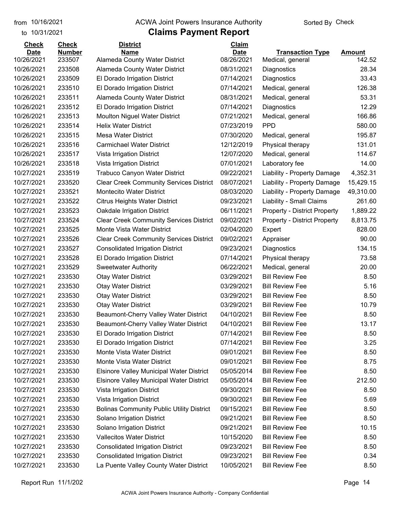#### from 10/16/2021 **The COVA Solic Act Act Authority** Sorted By Check

### to 10/31/2021

| <b>Check</b> | <b>Check</b>  | <b>District</b>                                  | Claim       |                                     |           |
|--------------|---------------|--------------------------------------------------|-------------|-------------------------------------|-----------|
| <b>Date</b>  | <b>Number</b> | Name                                             | <b>Date</b> | <b>Transaction Type</b>             | Amount    |
| 10/26/2021   | 233507        | Alameda County Water District                    | 08/26/2021  | Medical, general                    | 142.52    |
| 10/26/2021   | 233508        | Alameda County Water District                    | 08/31/2021  | Diagnostics                         | 28.34     |
| 10/26/2021   | 233509        | El Dorado Irrigation District                    | 07/14/2021  | Diagnostics                         | 33.43     |
| 10/26/2021   | 233510        | El Dorado Irrigation District                    | 07/14/2021  | Medical, general                    | 126.38    |
| 10/26/2021   | 233511        | Alameda County Water District                    | 08/31/2021  | Medical, general                    | 53.31     |
| 10/26/2021   | 233512        | El Dorado Irrigation District                    | 07/14/2021  | Diagnostics                         | 12.29     |
| 10/26/2021   | 233513        | <b>Moulton Niguel Water District</b>             | 07/21/2021  | Medical, general                    | 166.86    |
| 10/26/2021   | 233514        | <b>Helix Water District</b>                      | 07/23/2019  | <b>PPD</b>                          | 580.00    |
| 10/26/2021   | 233515        | <b>Mesa Water District</b>                       | 07/30/2020  | Medical, general                    | 195.87    |
| 10/26/2021   | 233516        | <b>Carmichael Water District</b>                 | 12/12/2019  | Physical therapy                    | 131.01    |
| 10/26/2021   | 233517        | Vista Irrigation District                        | 12/07/2020  | Medical, general                    | 114.67    |
| 10/26/2021   | 233518        | Vista Irrigation District                        | 07/01/2021  | Laboratory fee                      | 14.00     |
| 10/27/2021   | 233519        | Trabuco Canyon Water District                    | 09/22/2021  | Liability - Property Damage         | 4,352.31  |
| 10/27/2021   | 233520        | <b>Clear Creek Community Services District</b>   | 08/07/2021  | Liability - Property Damage         | 15,429.15 |
| 10/27/2021   | 233521        | <b>Montecito Water District</b>                  | 08/03/2020  | Liability - Property Damage         | 49,310.00 |
| 10/27/2021   | 233522        | <b>Citrus Heights Water District</b>             | 09/23/2021  | Liability - Small Claims            | 261.60    |
| 10/27/2021   | 233523        | Oakdale Irrigation District                      | 06/11/2021  | <b>Property - District Property</b> | 1,889.22  |
| 10/27/2021   | 233524        | <b>Clear Creek Community Services District</b>   | 09/02/2021  | <b>Property - District Property</b> | 8,813.75  |
| 10/27/2021   | 233525        | Monte Vista Water District                       | 02/04/2020  | Expert                              | 828.00    |
| 10/27/2021   | 233526        | <b>Clear Creek Community Services District</b>   | 09/02/2021  | Appraiser                           | 90.00     |
| 10/27/2021   | 233527        | <b>Consolidated Irrigation District</b>          | 09/23/2021  | Diagnostics                         | 134.15    |
| 10/27/2021   | 233528        | El Dorado Irrigation District                    | 07/14/2021  | Physical therapy                    | 73.58     |
| 10/27/2021   | 233529        | <b>Sweetwater Authority</b>                      | 06/22/2021  | Medical, general                    | 20.00     |
| 10/27/2021   | 233530        | <b>Otay Water District</b>                       | 03/29/2021  | <b>Bill Review Fee</b>              | 8.50      |
| 10/27/2021   | 233530        | <b>Otay Water District</b>                       | 03/29/2021  | <b>Bill Review Fee</b>              | 5.16      |
| 10/27/2021   | 233530        | <b>Otay Water District</b>                       | 03/29/2021  | <b>Bill Review Fee</b>              | 8.50      |
| 10/27/2021   | 233530        | <b>Otay Water District</b>                       | 03/29/2021  | <b>Bill Review Fee</b>              | 10.79     |
| 10/27/2021   | 233530        | Beaumont-Cherry Valley Water District            | 04/10/2021  | <b>Bill Review Fee</b>              | 8.50      |
| 10/27/2021   | 233530        | Beaumont-Cherry Valley Water District            | 04/10/2021  | <b>Bill Review Fee</b>              | 13.17     |
| 10/27/2021   | 233530        | El Dorado Irrigation District                    | 07/14/2021  | <b>Bill Review Fee</b>              | 8.50      |
| 10/27/2021   | 233530        | El Dorado Irrigation District                    | 07/14/2021  | <b>Bill Review Fee</b>              | 3.25      |
| 10/27/2021   | 233530        | Monte Vista Water District                       | 09/01/2021  | <b>Bill Review Fee</b>              | 8.50      |
| 10/27/2021   | 233530        | Monte Vista Water District                       | 09/01/2021  | <b>Bill Review Fee</b>              | 8.75      |
| 10/27/2021   | 233530        | <b>Elsinore Valley Municipal Water District</b>  | 05/05/2014  | <b>Bill Review Fee</b>              | 8.50      |
| 10/27/2021   | 233530        | <b>Elsinore Valley Municipal Water District</b>  | 05/05/2014  | <b>Bill Review Fee</b>              | 212.50    |
| 10/27/2021   | 233530        | Vista Irrigation District                        | 09/30/2021  | <b>Bill Review Fee</b>              | 8.50      |
| 10/27/2021   | 233530        | Vista Irrigation District                        | 09/30/2021  | <b>Bill Review Fee</b>              | 5.69      |
| 10/27/2021   | 233530        | <b>Bolinas Community Public Utility District</b> | 09/15/2021  | <b>Bill Review Fee</b>              | 8.50      |
| 10/27/2021   | 233530        | Solano Irrigation District                       | 09/21/2021  | <b>Bill Review Fee</b>              | 8.50      |
| 10/27/2021   | 233530        | Solano Irrigation District                       | 09/21/2021  | <b>Bill Review Fee</b>              | 10.15     |
| 10/27/2021   | 233530        | <b>Vallecitos Water District</b>                 | 10/15/2020  | <b>Bill Review Fee</b>              | 8.50      |
| 10/27/2021   | 233530        | <b>Consolidated Irrigation District</b>          | 09/23/2021  | <b>Bill Review Fee</b>              | 8.50      |
| 10/27/2021   | 233530        | <b>Consolidated Irrigation District</b>          | 09/23/2021  | <b>Bill Review Fee</b>              | 0.34      |
| 10/27/2021   | 233530        | La Puente Valley County Water District           | 10/05/2021  | <b>Bill Review Fee</b>              | 8.50      |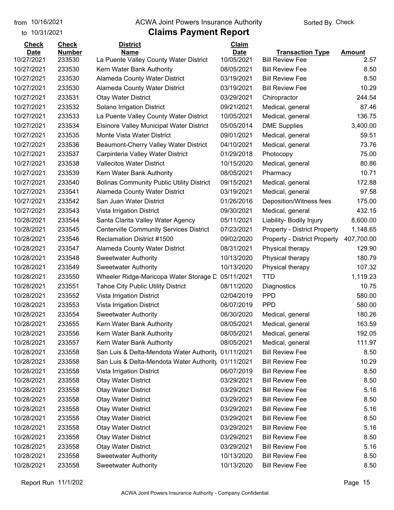### from 10/16/2021 **The COVA Solic Act Act Authority** Sorted By Check

### to 10/31/2021

# **Claims Payment Report**

| <b>Check</b>              | <b>Check</b>            | <b>District</b><br><b>Name</b>                   | Claim                     |                                                   |                |
|---------------------------|-------------------------|--------------------------------------------------|---------------------------|---------------------------------------------------|----------------|
| <b>Date</b><br>10/27/2021 | <b>Number</b><br>233530 | La Puente Valley County Water District           | <b>Date</b><br>10/05/2021 | <b>Transaction Type</b><br><b>Bill Review Fee</b> | Amount<br>2.57 |
| 10/27/2021                | 233530                  | Kern Water Bank Authority                        | 08/05/2021                | <b>Bill Review Fee</b>                            | 8.50           |
| 10/27/2021                | 233530                  | <b>Alameda County Water District</b>             | 03/19/2021                | <b>Bill Review Fee</b>                            | 8.50           |
| 10/27/2021                | 233530                  | Alameda County Water District                    | 03/19/2021                | <b>Bill Review Fee</b>                            | 10.29          |
| 10/27/2021                | 233531                  | <b>Otay Water District</b>                       | 03/29/2021                | Chiropractor                                      | 244.54         |
| 10/27/2021                | 233532                  | Solano Irrigation District                       | 09/21/2021                | Medical, general                                  | 87.46          |
| 10/27/2021                | 233533                  | La Puente Valley County Water District           | 10/05/2021                | Medical, general                                  | 136.75         |
| 10/27/2021                | 233534                  | <b>Elsinore Valley Municipal Water District</b>  | 05/05/2014                | <b>DME Supplies</b>                               | 3,400.00       |
| 10/27/2021                | 233535                  | Monte Vista Water District                       | 09/01/2021                | Medical, general                                  | 59.51          |
| 10/27/2021                | 233536                  | Beaumont-Cherry Valley Water District            | 04/10/2021                | Medical, general                                  | 73.76          |
| 10/27/2021                | 233537                  | Carpinteria Valley Water District                | 01/29/2018                | Photocopy                                         | 75.00          |
| 10/27/2021                | 233538                  | <b>Vallecitos Water District</b>                 | 10/15/2020                | Medical, general                                  | 80.86          |
| 10/27/2021                | 233539                  | Kern Water Bank Authority                        | 08/05/2021                | Pharmacy                                          | 10.71          |
| 10/27/2021                | 233540                  | <b>Bolinas Community Public Utility District</b> | 09/15/2021                | Medical, general                                  | 172.88         |
| 10/27/2021                | 233541                  | Alameda County Water District                    | 03/19/2021                | Medical, general                                  | 97.58          |
| 10/27/2021                | 233542                  | San Juan Water District                          | 01/26/2016                | Deposition/Witness fees                           | 175.00         |
| 10/27/2021                | 233543                  | Vista Irrigation District                        | 09/30/2021                | Medical, general                                  | 432.15         |
| 10/28/2021                | 233544                  | Santa Clarita Valley Water Agency                | 05/11/2021                | Liability- Bodily Injury                          | 8,600.00       |
| 10/28/2021                | 233545                  | <b>Centerville Community Services District</b>   | 07/23/2021                | <b>Property - District Property</b>               | 1,148.65       |
| 10/28/2021                | 233546                  | Reclamation District #1500                       | 09/02/2020                | <b>Property - District Property</b>               | 407,700.00     |
| 10/28/2021                | 233547                  | <b>Alameda County Water District</b>             | 08/31/2021                | Physical therapy                                  | 129.90         |
| 10/28/2021                | 233548                  | <b>Sweetwater Authority</b>                      | 10/13/2020                | Physical therapy                                  | 180.79         |
| 10/28/2021                | 233549                  | <b>Sweetwater Authority</b>                      | 10/13/2020                | Physical therapy                                  | 107.32         |
| 10/28/2021                | 233550                  | Wheeler Ridge-Maricopa Water Storage D           | 05/11/2021                | <b>TTD</b>                                        | 1,119.23       |
| 10/28/2021                | 233551                  | <b>Tahoe City Public Utility District</b>        | 08/11/2020                | Diagnostics                                       | 10.75          |
| 10/28/2021                | 233552                  | Vista Irrigation District                        | 02/04/2019                | <b>PPD</b>                                        | 580.00         |
| 10/28/2021                | 233553                  | Vista Irrigation District                        | 06/07/2019                | <b>PPD</b>                                        | 580.00         |
| 10/28/2021                | 233554                  | <b>Sweetwater Authority</b>                      | 06/30/2020                | Medical, general                                  | 180.26         |
| 10/28/2021                | 233555                  | Kern Water Bank Authority                        | 08/05/2021                | Medical, general                                  | 163.59         |
| 10/28/2021                | 233556                  | Kern Water Bank Authority                        | 08/05/2021                | Medical, general                                  | 192.05         |
| 10/28/2021                | 233557                  | Kern Water Bank Authority                        | 08/05/2021                | Medical, general                                  | 111.97         |
| 10/28/2021                | 233558                  | San Luis & Delta-Mendota Water Authority         | 01/11/2021                | <b>Bill Review Fee</b>                            | 8.50           |
| 10/28/2021                | 233558                  | San Luis & Delta-Mendota Water Authority         | 01/11/2021                | <b>Bill Review Fee</b>                            | 10.29          |
| 10/28/2021                | 233558                  | Vista Irrigation District                        | 06/07/2019                | <b>Bill Review Fee</b>                            | 8.50           |
| 10/28/2021                | 233558                  | <b>Otay Water District</b>                       | 03/29/2021                | <b>Bill Review Fee</b>                            | 8.50           |
| 10/28/2021                | 233558                  | <b>Otay Water District</b>                       | 03/29/2021                | <b>Bill Review Fee</b>                            | 5.16           |
| 10/28/2021                | 233558                  | <b>Otay Water District</b>                       | 03/29/2021                | <b>Bill Review Fee</b>                            | 8.50           |
| 10/28/2021                | 233558                  | <b>Otay Water District</b>                       | 03/29/2021                | <b>Bill Review Fee</b>                            | 5.16           |
| 10/28/2021                | 233558                  | <b>Otay Water District</b>                       | 03/29/2021                | <b>Bill Review Fee</b>                            | 8.50           |
| 10/28/2021                | 233558                  | <b>Otay Water District</b>                       | 03/29/2021                | <b>Bill Review Fee</b>                            | 5.16           |
| 10/28/2021                | 233558                  | <b>Otay Water District</b>                       | 03/29/2021                | <b>Bill Review Fee</b>                            | 8.50           |
| 10/28/2021                | 233558                  | <b>Otay Water District</b>                       | 03/29/2021                | <b>Bill Review Fee</b>                            | 5.16           |
| 10/28/2021                | 233558                  | <b>Sweetwater Authority</b>                      | 10/13/2020                | <b>Bill Review Fee</b>                            | 8.50           |
| 10/28/2021                | 233558                  | <b>Sweetwater Authority</b>                      | 10/13/2020                | <b>Bill Review Fee</b>                            | 8.50           |

Report Run 11/1/202 Page 15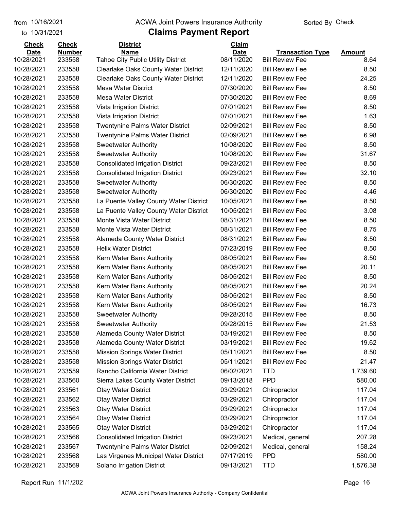### from 10/16/2021 **The COVA Solic Act Act Authority** Sorted By Check

### to 10/31/2021

# **Claims Payment Report**

| <b>Check</b> | <b>Check</b>     | <b>District</b>                             | Claim                    |                         |               |
|--------------|------------------|---------------------------------------------|--------------------------|-------------------------|---------------|
| <b>Date</b>  | <b>Number</b>    | <b>Name</b>                                 | <b>Date</b>              | <b>Transaction Type</b> | <b>Amount</b> |
| 10/28/2021   | 233558           | <b>Tahoe City Public Utility District</b>   | 08/11/2020<br>12/11/2020 | <b>Bill Review Fee</b>  | 8.64          |
| 10/28/2021   | 233558<br>233558 | <b>Clearlake Oaks County Water District</b> |                          | <b>Bill Review Fee</b>  | 8.50          |
| 10/28/2021   |                  | <b>Clearlake Oaks County Water District</b> | 12/11/2020               | <b>Bill Review Fee</b>  | 24.25         |
| 10/28/2021   | 233558           | Mesa Water District                         | 07/30/2020               | <b>Bill Review Fee</b>  | 8.50          |
| 10/28/2021   | 233558           | <b>Mesa Water District</b>                  | 07/30/2020               | <b>Bill Review Fee</b>  | 8.69          |
| 10/28/2021   | 233558           | Vista Irrigation District                   | 07/01/2021               | <b>Bill Review Fee</b>  | 8.50          |
| 10/28/2021   | 233558           | Vista Irrigation District                   | 07/01/2021               | <b>Bill Review Fee</b>  | 1.63          |
| 10/28/2021   | 233558           | <b>Twentynine Palms Water District</b>      | 02/09/2021               | <b>Bill Review Fee</b>  | 8.50          |
| 10/28/2021   | 233558           | <b>Twentynine Palms Water District</b>      | 02/09/2021               | <b>Bill Review Fee</b>  | 6.98          |
| 10/28/2021   | 233558           | <b>Sweetwater Authority</b>                 | 10/08/2020               | <b>Bill Review Fee</b>  | 8.50          |
| 10/28/2021   | 233558           | <b>Sweetwater Authority</b>                 | 10/08/2020               | <b>Bill Review Fee</b>  | 31.67         |
| 10/28/2021   | 233558           | <b>Consolidated Irrigation District</b>     | 09/23/2021               | <b>Bill Review Fee</b>  | 8.50          |
| 10/28/2021   | 233558           | <b>Consolidated Irrigation District</b>     | 09/23/2021               | <b>Bill Review Fee</b>  | 32.10         |
| 10/28/2021   | 233558           | <b>Sweetwater Authority</b>                 | 06/30/2020               | <b>Bill Review Fee</b>  | 8.50          |
| 10/28/2021   | 233558           | <b>Sweetwater Authority</b>                 | 06/30/2020               | <b>Bill Review Fee</b>  | 4.46          |
| 10/28/2021   | 233558           | La Puente Valley County Water District      | 10/05/2021               | <b>Bill Review Fee</b>  | 8.50          |
| 10/28/2021   | 233558           | La Puente Valley County Water District      | 10/05/2021               | <b>Bill Review Fee</b>  | 3.08          |
| 10/28/2021   | 233558           | Monte Vista Water District                  | 08/31/2021               | <b>Bill Review Fee</b>  | 8.50          |
| 10/28/2021   | 233558           | Monte Vista Water District                  | 08/31/2021               | <b>Bill Review Fee</b>  | 8.75          |
| 10/28/2021   | 233558           | Alameda County Water District               | 08/31/2021               | <b>Bill Review Fee</b>  | 8.50          |
| 10/28/2021   | 233558           | <b>Helix Water District</b>                 | 07/23/2019               | <b>Bill Review Fee</b>  | 8.50          |
| 10/28/2021   | 233558           | Kern Water Bank Authority                   | 08/05/2021               | <b>Bill Review Fee</b>  | 8.50          |
| 10/28/2021   | 233558           | Kern Water Bank Authority                   | 08/05/2021               | <b>Bill Review Fee</b>  | 20.11         |
| 10/28/2021   | 233558           | Kern Water Bank Authority                   | 08/05/2021               | <b>Bill Review Fee</b>  | 8.50          |
| 10/28/2021   | 233558           | Kern Water Bank Authority                   | 08/05/2021               | <b>Bill Review Fee</b>  | 20.24         |
| 10/28/2021   | 233558           | Kern Water Bank Authority                   | 08/05/2021               | <b>Bill Review Fee</b>  | 8.50          |
| 10/28/2021   | 233558           | Kern Water Bank Authority                   | 08/05/2021               | <b>Bill Review Fee</b>  | 16.73         |
| 10/28/2021   | 233558           | <b>Sweetwater Authority</b>                 | 09/28/2015               | <b>Bill Review Fee</b>  | 8.50          |
| 10/28/2021   | 233558           | <b>Sweetwater Authority</b>                 | 09/28/2015               | <b>Bill Review Fee</b>  | 21.53         |
| 10/28/2021   | 233558           | Alameda County Water District               | 03/19/2021               | <b>Bill Review Fee</b>  | 8.50          |
| 10/28/2021   | 233558           | Alameda County Water District               | 03/19/2021               | <b>Bill Review Fee</b>  | 19.62         |
| 10/28/2021   | 233558           | <b>Mission Springs Water District</b>       | 05/11/2021               | <b>Bill Review Fee</b>  | 8.50          |
| 10/28/2021   | 233558           | <b>Mission Springs Water District</b>       | 05/11/2021               | <b>Bill Review Fee</b>  | 21.47         |
| 10/28/2021   | 233559           | Rancho California Water District            | 06/02/2021               | <b>TTD</b>              | 1,739.60      |
| 10/28/2021   | 233560           | Sierra Lakes County Water District          | 09/13/2018               | <b>PPD</b>              | 580.00        |
| 10/28/2021   | 233561           | <b>Otay Water District</b>                  | 03/29/2021               | Chiropractor            | 117.04        |
| 10/28/2021   | 233562           | <b>Otay Water District</b>                  | 03/29/2021               | Chiropractor            | 117.04        |
| 10/28/2021   | 233563           | <b>Otay Water District</b>                  | 03/29/2021               | Chiropractor            | 117.04        |
| 10/28/2021   | 233564           | <b>Otay Water District</b>                  | 03/29/2021               | Chiropractor            | 117.04        |
| 10/28/2021   | 233565           | <b>Otay Water District</b>                  | 03/29/2021               | Chiropractor            | 117.04        |
| 10/28/2021   | 233566           | <b>Consolidated Irrigation District</b>     | 09/23/2021               | Medical, general        | 207.28        |
| 10/28/2021   | 233567           | <b>Twentynine Palms Water District</b>      | 02/09/2021               | Medical, general        | 158.24        |
| 10/28/2021   | 233568           | Las Virgenes Municipal Water District       | 07/17/2019               | <b>PPD</b>              | 580.00        |
| 10/28/2021   | 233569           | Solano Irrigation District                  | 09/13/2021               | <b>TTD</b>              | 1,576.38      |
|              |                  |                                             |                          |                         |               |

Report Run 11/1/202 Page 16